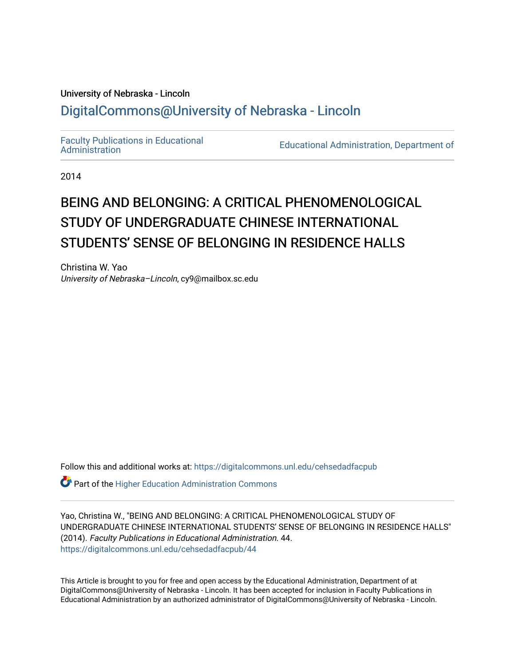## University of Nebraska - Lincoln [DigitalCommons@University of Nebraska - Lincoln](https://digitalcommons.unl.edu/)

[Faculty Publications in Educational](https://digitalcommons.unl.edu/cehsedadfacpub) 

**Educational Administration, Department of** 

2014

# BEING AND BELONGING: A CRITICAL PHENOMENOLOGICAL STUDY OF UNDERGRADUATE CHINESE INTERNATIONAL STUDENTS' SENSE OF BELONGING IN RESIDENCE HALLS

Christina W. Yao University of Nebraska–Lincoln, cy9@mailbox.sc.edu

Follow this and additional works at: [https://digitalcommons.unl.edu/cehsedadfacpub](https://digitalcommons.unl.edu/cehsedadfacpub?utm_source=digitalcommons.unl.edu%2Fcehsedadfacpub%2F44&utm_medium=PDF&utm_campaign=PDFCoverPages) 

Part of the [Higher Education Administration Commons](http://network.bepress.com/hgg/discipline/791?utm_source=digitalcommons.unl.edu%2Fcehsedadfacpub%2F44&utm_medium=PDF&utm_campaign=PDFCoverPages) 

Yao, Christina W., "BEING AND BELONGING: A CRITICAL PHENOMENOLOGICAL STUDY OF UNDERGRADUATE CHINESE INTERNATIONAL STUDENTS' SENSE OF BELONGING IN RESIDENCE HALLS" (2014). Faculty Publications in Educational Administration. 44. [https://digitalcommons.unl.edu/cehsedadfacpub/44](https://digitalcommons.unl.edu/cehsedadfacpub/44?utm_source=digitalcommons.unl.edu%2Fcehsedadfacpub%2F44&utm_medium=PDF&utm_campaign=PDFCoverPages) 

This Article is brought to you for free and open access by the Educational Administration, Department of at DigitalCommons@University of Nebraska - Lincoln. It has been accepted for inclusion in Faculty Publications in Educational Administration by an authorized administrator of DigitalCommons@University of Nebraska - Lincoln.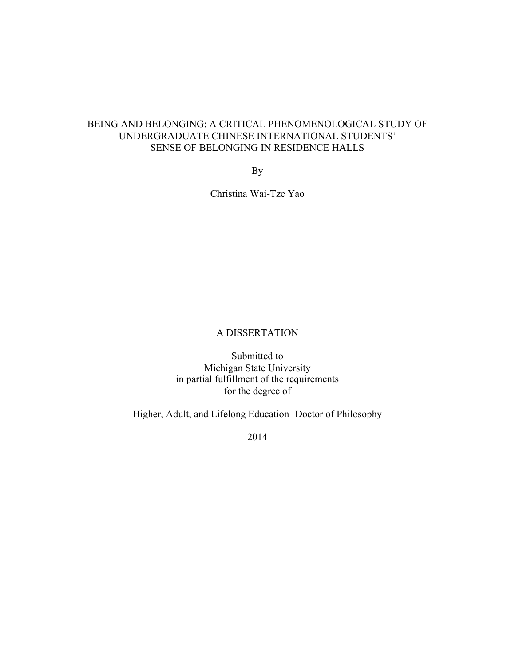### BEING AND BELONGING: A CRITICAL PHENOMENOLOGICAL STUDY OF UNDERGRADUATE CHINESE INTERNATIONAL STUDENTS' SENSE OF BELONGING IN RESIDENCE HALLS

By

Christina Wai-Tze Yao

### A DISSERTATION

Submitted to Michigan State University in partial fulfillment of the requirements for the degree of

Higher, Adult, and Lifelong Education- Doctor of Philosophy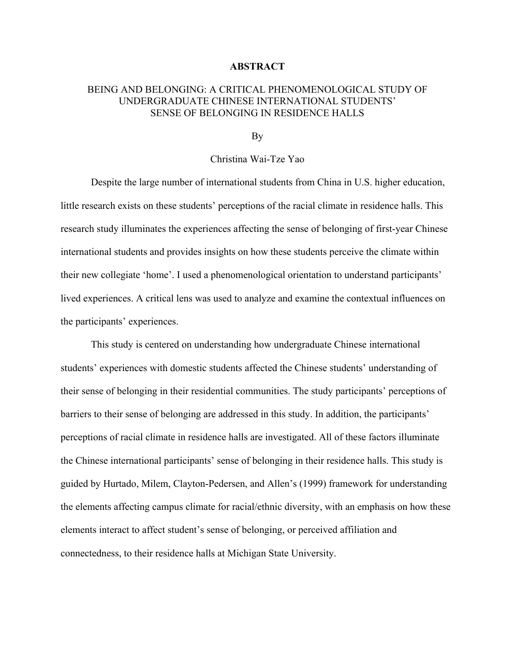#### **ABSTRACT**

### BEING AND BELONGING: A CRITICAL PHENOMENOLOGICAL STUDY OF UNDERGRADUATE CHINESE INTERNATIONAL STUDENTS' SENSE OF BELONGING IN RESIDENCE HALLS

By

### Christina Wai-Tze Yao

Despite the large number of international students from China in U.S. higher education, little research exists on these students' perceptions of the racial climate in residence halls. This research study illuminates the experiences affecting the sense of belonging of first-year Chinese international students and provides insights on how these students perceive the climate within their new collegiate 'home'. I used a phenomenological orientation to understand participants' lived experiences. A critical lens was used to analyze and examine the contextual influences on the participants' experiences.

This study is centered on understanding how undergraduate Chinese international students' experiences with domestic students affected the Chinese students' understanding of their sense of belonging in their residential communities. The study participants' perceptions of barriers to their sense of belonging are addressed in this study. In addition, the participants' perceptions of racial climate in residence halls are investigated. All of these factors illuminate the Chinese international participants' sense of belonging in their residence halls. This study is guided by Hurtado, Milem, Clayton-Pedersen, and Allen's (1999) framework for understanding the elements affecting campus climate for racial/ethnic diversity, with an emphasis on how these elements interact to affect student's sense of belonging, or perceived affiliation and connectedness, to their residence halls at Michigan State University.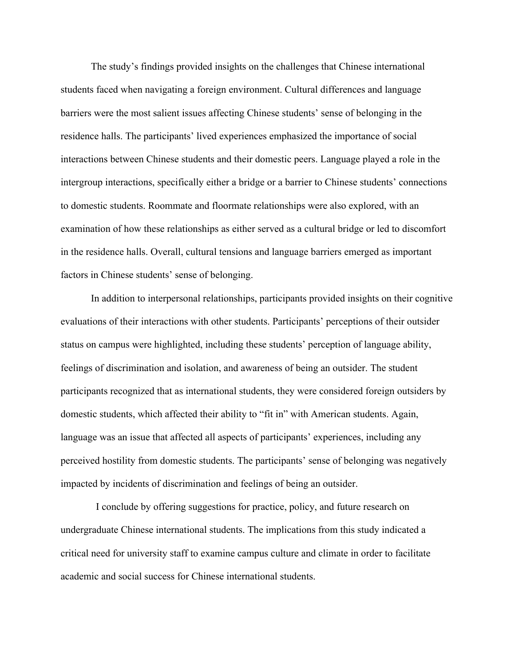The study's findings provided insights on the challenges that Chinese international students faced when navigating a foreign environment. Cultural differences and language barriers were the most salient issues affecting Chinese students' sense of belonging in the residence halls. The participants' lived experiences emphasized the importance of social interactions between Chinese students and their domestic peers. Language played a role in the intergroup interactions, specifically either a bridge or a barrier to Chinese students' connections to domestic students. Roommate and floormate relationships were also explored, with an examination of how these relationships as either served as a cultural bridge or led to discomfort in the residence halls. Overall, cultural tensions and language barriers emerged as important factors in Chinese students' sense of belonging.

In addition to interpersonal relationships, participants provided insights on their cognitive evaluations of their interactions with other students. Participants' perceptions of their outsider status on campus were highlighted, including these students' perception of language ability, feelings of discrimination and isolation, and awareness of being an outsider. The student participants recognized that as international students, they were considered foreign outsiders by domestic students, which affected their ability to "fit in" with American students. Again, language was an issue that affected all aspects of participants' experiences, including any perceived hostility from domestic students. The participants' sense of belonging was negatively impacted by incidents of discrimination and feelings of being an outsider.

 I conclude by offering suggestions for practice, policy, and future research on undergraduate Chinese international students. The implications from this study indicated a critical need for university staff to examine campus culture and climate in order to facilitate academic and social success for Chinese international students.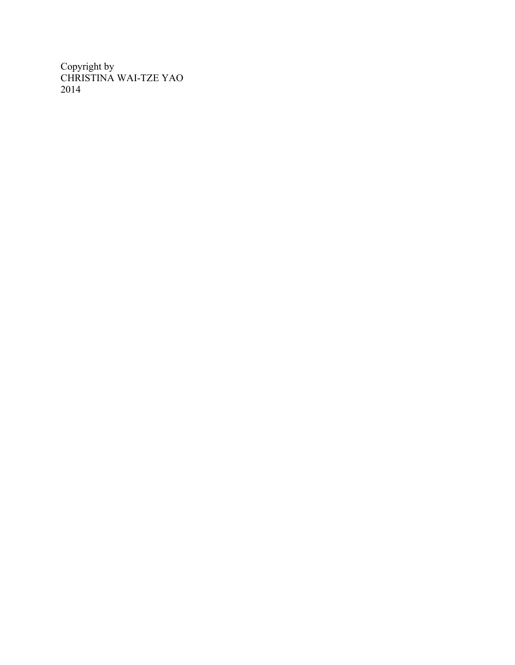Copyright by CHRISTINA WAI-TZE YAO 2014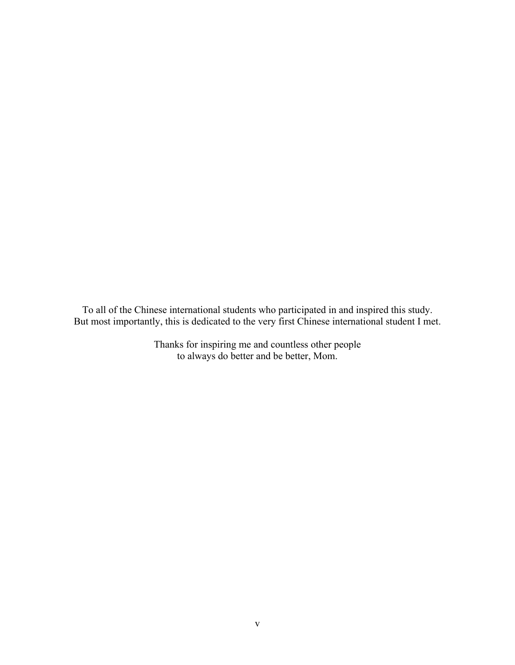To all of the Chinese international students who participated in and inspired this study. But most importantly, this is dedicated to the very first Chinese international student I met.

> Thanks for inspiring me and countless other people to always do better and be better, Mom.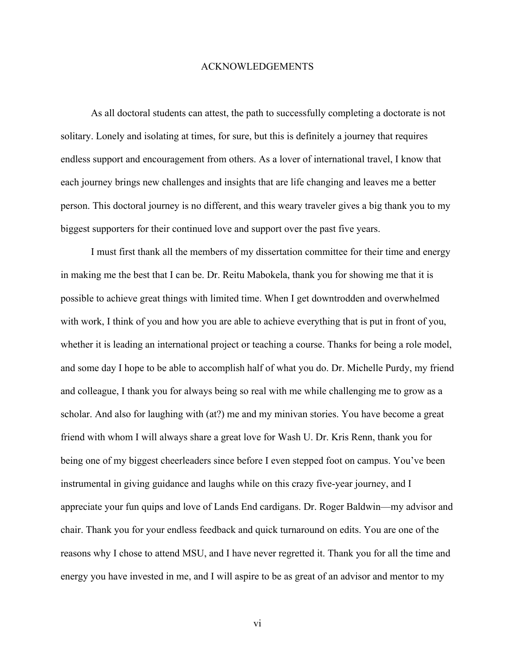### ACKNOWLEDGEMENTS

As all doctoral students can attest, the path to successfully completing a doctorate is not solitary. Lonely and isolating at times, for sure, but this is definitely a journey that requires endless support and encouragement from others. As a lover of international travel, I know that each journey brings new challenges and insights that are life changing and leaves me a better person. This doctoral journey is no different, and this weary traveler gives a big thank you to my biggest supporters for their continued love and support over the past five years.

I must first thank all the members of my dissertation committee for their time and energy in making me the best that I can be. Dr. Reitu Mabokela, thank you for showing me that it is possible to achieve great things with limited time. When I get downtrodden and overwhelmed with work, I think of you and how you are able to achieve everything that is put in front of you, whether it is leading an international project or teaching a course. Thanks for being a role model, and some day I hope to be able to accomplish half of what you do. Dr. Michelle Purdy, my friend and colleague, I thank you for always being so real with me while challenging me to grow as a scholar. And also for laughing with (at?) me and my minivan stories. You have become a great friend with whom I will always share a great love for Wash U. Dr. Kris Renn, thank you for being one of my biggest cheerleaders since before I even stepped foot on campus. You've been instrumental in giving guidance and laughs while on this crazy five-year journey, and I appreciate your fun quips and love of Lands End cardigans. Dr. Roger Baldwin—my advisor and chair. Thank you for your endless feedback and quick turnaround on edits. You are one of the reasons why I chose to attend MSU, and I have never regretted it. Thank you for all the time and energy you have invested in me, and I will aspire to be as great of an advisor and mentor to my

vi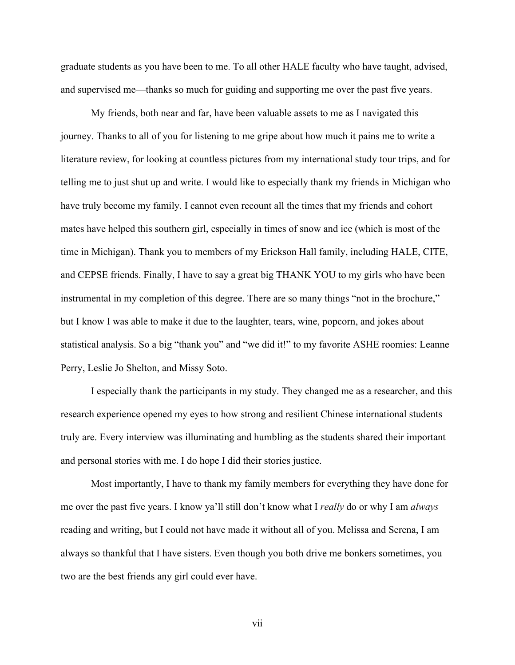graduate students as you have been to me. To all other HALE faculty who have taught, advised, and supervised me—thanks so much for guiding and supporting me over the past five years.

My friends, both near and far, have been valuable assets to me as I navigated this journey. Thanks to all of you for listening to me gripe about how much it pains me to write a literature review, for looking at countless pictures from my international study tour trips, and for telling me to just shut up and write. I would like to especially thank my friends in Michigan who have truly become my family. I cannot even recount all the times that my friends and cohort mates have helped this southern girl, especially in times of snow and ice (which is most of the time in Michigan). Thank you to members of my Erickson Hall family, including HALE, CITE, and CEPSE friends. Finally, I have to say a great big THANK YOU to my girls who have been instrumental in my completion of this degree. There are so many things "not in the brochure," but I know I was able to make it due to the laughter, tears, wine, popcorn, and jokes about statistical analysis. So a big "thank you" and "we did it!" to my favorite ASHE roomies: Leanne Perry, Leslie Jo Shelton, and Missy Soto.

I especially thank the participants in my study. They changed me as a researcher, and this research experience opened my eyes to how strong and resilient Chinese international students truly are. Every interview was illuminating and humbling as the students shared their important and personal stories with me. I do hope I did their stories justice.

Most importantly, I have to thank my family members for everything they have done for me over the past five years. I know ya'll still don't know what I *really* do or why I am *always* reading and writing, but I could not have made it without all of you. Melissa and Serena, I am always so thankful that I have sisters. Even though you both drive me bonkers sometimes, you two are the best friends any girl could ever have.

vii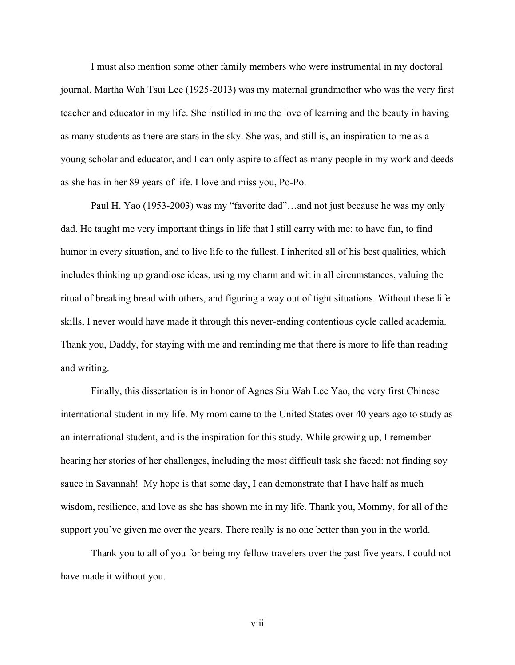I must also mention some other family members who were instrumental in my doctoral journal. Martha Wah Tsui Lee (1925-2013) was my maternal grandmother who was the very first teacher and educator in my life. She instilled in me the love of learning and the beauty in having as many students as there are stars in the sky. She was, and still is, an inspiration to me as a young scholar and educator, and I can only aspire to affect as many people in my work and deeds as she has in her 89 years of life. I love and miss you, Po-Po.

Paul H. Yao (1953-2003) was my "favorite dad"…and not just because he was my only dad. He taught me very important things in life that I still carry with me: to have fun, to find humor in every situation, and to live life to the fullest. I inherited all of his best qualities, which includes thinking up grandiose ideas, using my charm and wit in all circumstances, valuing the ritual of breaking bread with others, and figuring a way out of tight situations. Without these life skills, I never would have made it through this never-ending contentious cycle called academia. Thank you, Daddy, for staying with me and reminding me that there is more to life than reading and writing.

Finally, this dissertation is in honor of Agnes Siu Wah Lee Yao, the very first Chinese international student in my life. My mom came to the United States over 40 years ago to study as an international student, and is the inspiration for this study. While growing up, I remember hearing her stories of her challenges, including the most difficult task she faced: not finding soy sauce in Savannah! My hope is that some day, I can demonstrate that I have half as much wisdom, resilience, and love as she has shown me in my life. Thank you, Mommy, for all of the support you've given me over the years. There really is no one better than you in the world.

Thank you to all of you for being my fellow travelers over the past five years. I could not have made it without you.

viii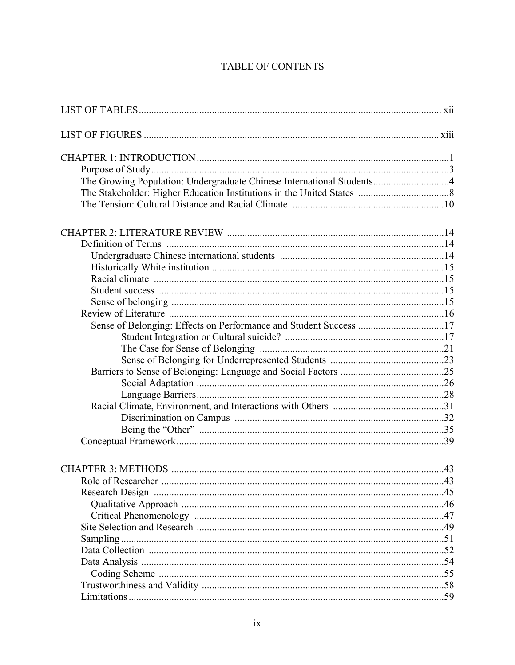### TABLE OF CONTENTS

| The Growing Population: Undergraduate Chinese International Students4 |    |
|-----------------------------------------------------------------------|----|
|                                                                       |    |
|                                                                       |    |
|                                                                       |    |
|                                                                       |    |
|                                                                       |    |
|                                                                       |    |
|                                                                       |    |
|                                                                       |    |
|                                                                       |    |
|                                                                       |    |
|                                                                       |    |
|                                                                       |    |
|                                                                       |    |
|                                                                       |    |
|                                                                       |    |
|                                                                       |    |
|                                                                       |    |
|                                                                       |    |
|                                                                       |    |
|                                                                       |    |
|                                                                       |    |
|                                                                       |    |
| Role of Researcher                                                    | 43 |
|                                                                       |    |
|                                                                       |    |
|                                                                       |    |
|                                                                       |    |
|                                                                       |    |
|                                                                       |    |
|                                                                       |    |
|                                                                       |    |
|                                                                       |    |
|                                                                       |    |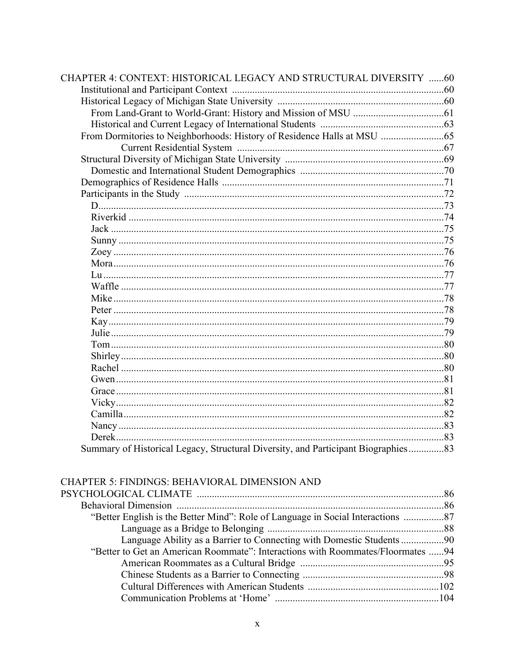| <b>CHAPTER 4: CONTEXT: HISTORICAL LEGACY AND STRUCTURAL DIVERSITY 60</b>          |  |
|-----------------------------------------------------------------------------------|--|
|                                                                                   |  |
|                                                                                   |  |
|                                                                                   |  |
|                                                                                   |  |
|                                                                                   |  |
|                                                                                   |  |
|                                                                                   |  |
|                                                                                   |  |
|                                                                                   |  |
|                                                                                   |  |
|                                                                                   |  |
|                                                                                   |  |
|                                                                                   |  |
|                                                                                   |  |
|                                                                                   |  |
|                                                                                   |  |
|                                                                                   |  |
|                                                                                   |  |
|                                                                                   |  |
|                                                                                   |  |
|                                                                                   |  |
|                                                                                   |  |
|                                                                                   |  |
|                                                                                   |  |
|                                                                                   |  |
|                                                                                   |  |
|                                                                                   |  |
|                                                                                   |  |
|                                                                                   |  |
|                                                                                   |  |
|                                                                                   |  |
| Summary of Historical Legacy, Structural Diversity, and Participant Biographies83 |  |

### CHAPTER 5: FINDINGS: BEHAVIORAL DIMENSION AND

| "Better English is the Better Mind": Role of Language in Social Interactions    |  |
|---------------------------------------------------------------------------------|--|
|                                                                                 |  |
|                                                                                 |  |
| "Better to Get an American Roommate": Interactions with Roommates/Floormates 94 |  |
|                                                                                 |  |
|                                                                                 |  |
|                                                                                 |  |
|                                                                                 |  |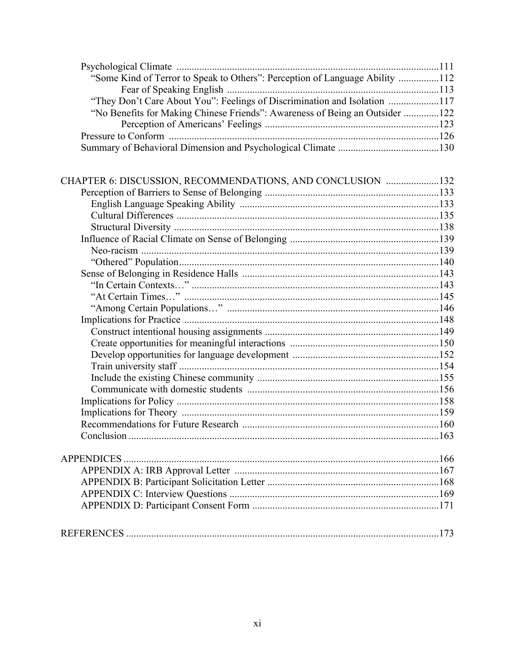| "Some Kind of Terror to Speak to Others": Perception of Language Ability 112 |  |
|------------------------------------------------------------------------------|--|
|                                                                              |  |
| "They Don't Care About You": Feelings of Discrimination and Isolation 117    |  |
| "No Benefits for Making Chinese Friends": Awareness of Being an Outsider 122 |  |
|                                                                              |  |
|                                                                              |  |
|                                                                              |  |

| CHAPTER 6: DISCUSSION, RECOMMENDATIONS, AND CONCLUSION 132 |     |
|------------------------------------------------------------|-----|
|                                                            |     |
|                                                            |     |
|                                                            |     |
|                                                            |     |
|                                                            |     |
|                                                            |     |
|                                                            |     |
|                                                            |     |
|                                                            |     |
|                                                            |     |
|                                                            |     |
|                                                            |     |
|                                                            |     |
|                                                            |     |
|                                                            |     |
|                                                            |     |
|                                                            |     |
|                                                            |     |
|                                                            |     |
|                                                            |     |
|                                                            |     |
|                                                            |     |
|                                                            |     |
|                                                            |     |
|                                                            |     |
|                                                            |     |
|                                                            |     |
|                                                            |     |
|                                                            |     |
| REFERENCES                                                 | 173 |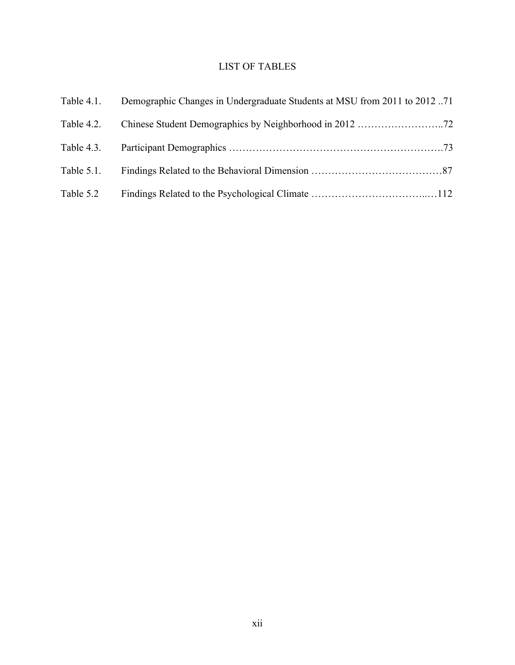# LIST OF TABLES

| Table 4.1. | Demographic Changes in Undergraduate Students at MSU from 2011 to 2012 |  |
|------------|------------------------------------------------------------------------|--|
| Table 4.2. |                                                                        |  |
| Table 4.3. |                                                                        |  |
| Table 5.1. |                                                                        |  |
| Table 5.2  |                                                                        |  |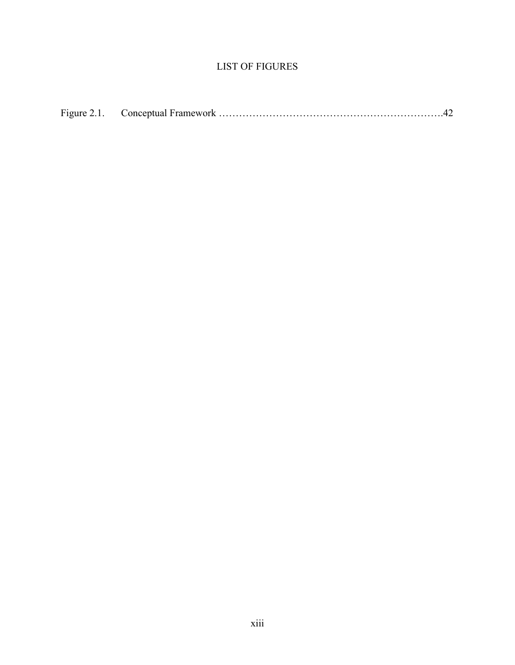### LIST OF FIGURES

| Figure 2.1. |  |
|-------------|--|
|             |  |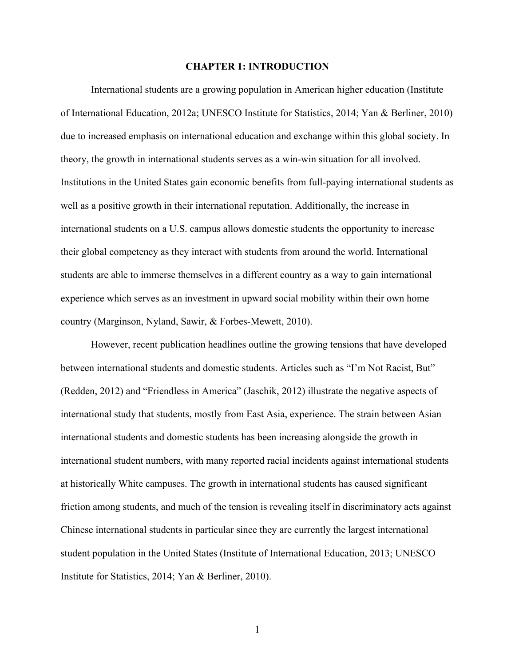### **CHAPTER 1: INTRODUCTION**

International students are a growing population in American higher education (Institute of International Education, 2012a; UNESCO Institute for Statistics, 2014; Yan & Berliner, 2010) due to increased emphasis on international education and exchange within this global society. In theory, the growth in international students serves as a win-win situation for all involved. Institutions in the United States gain economic benefits from full-paying international students as well as a positive growth in their international reputation. Additionally, the increase in international students on a U.S. campus allows domestic students the opportunity to increase their global competency as they interact with students from around the world. International students are able to immerse themselves in a different country as a way to gain international experience which serves as an investment in upward social mobility within their own home country (Marginson, Nyland, Sawir, & Forbes-Mewett, 2010).

However, recent publication headlines outline the growing tensions that have developed between international students and domestic students. Articles such as "I'm Not Racist, But" (Redden, 2012) and "Friendless in America" (Jaschik, 2012) illustrate the negative aspects of international study that students, mostly from East Asia, experience. The strain between Asian international students and domestic students has been increasing alongside the growth in international student numbers, with many reported racial incidents against international students at historically White campuses. The growth in international students has caused significant friction among students, and much of the tension is revealing itself in discriminatory acts against Chinese international students in particular since they are currently the largest international student population in the United States (Institute of International Education, 2013; UNESCO Institute for Statistics, 2014; Yan & Berliner, 2010).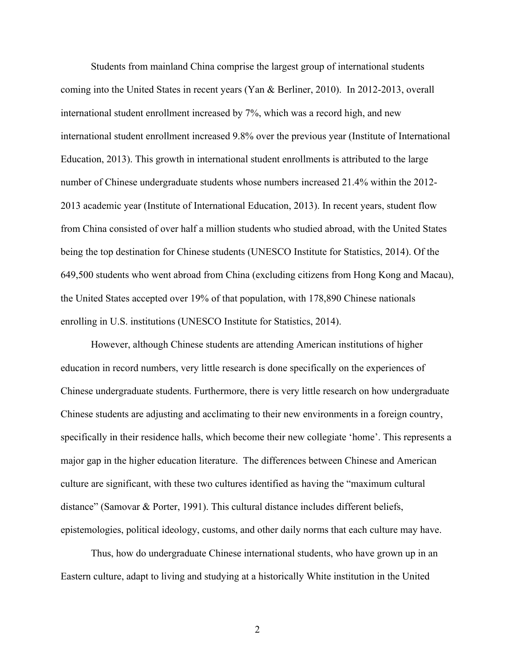Students from mainland China comprise the largest group of international students coming into the United States in recent years (Yan & Berliner, 2010). In 2012-2013, overall international student enrollment increased by 7%, which was a record high, and new international student enrollment increased 9.8% over the previous year (Institute of International Education, 2013). This growth in international student enrollments is attributed to the large number of Chinese undergraduate students whose numbers increased 21.4% within the 2012- 2013 academic year (Institute of International Education, 2013). In recent years, student flow from China consisted of over half a million students who studied abroad, with the United States being the top destination for Chinese students (UNESCO Institute for Statistics, 2014). Of the 649,500 students who went abroad from China (excluding citizens from Hong Kong and Macau), the United States accepted over 19% of that population, with 178,890 Chinese nationals enrolling in U.S. institutions (UNESCO Institute for Statistics, 2014).

However, although Chinese students are attending American institutions of higher education in record numbers, very little research is done specifically on the experiences of Chinese undergraduate students. Furthermore, there is very little research on how undergraduate Chinese students are adjusting and acclimating to their new environments in a foreign country, specifically in their residence halls, which become their new collegiate 'home'. This represents a major gap in the higher education literature. The differences between Chinese and American culture are significant, with these two cultures identified as having the "maximum cultural distance" (Samovar & Porter, 1991). This cultural distance includes different beliefs, epistemologies, political ideology, customs, and other daily norms that each culture may have.

Thus, how do undergraduate Chinese international students, who have grown up in an Eastern culture, adapt to living and studying at a historically White institution in the United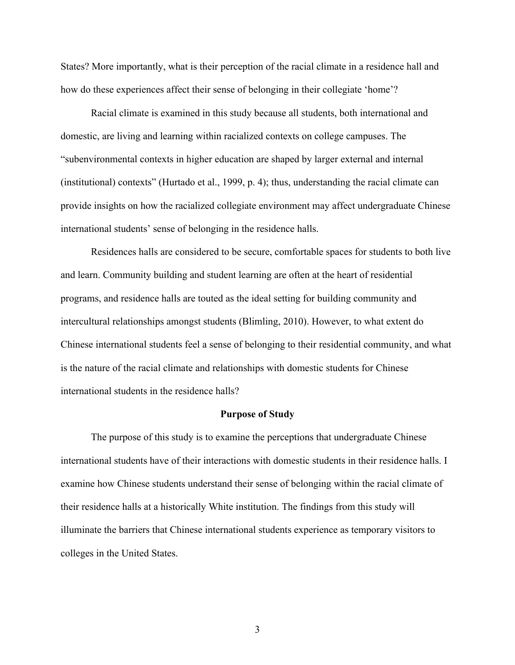States? More importantly, what is their perception of the racial climate in a residence hall and how do these experiences affect their sense of belonging in their collegiate 'home'?

Racial climate is examined in this study because all students, both international and domestic, are living and learning within racialized contexts on college campuses. The "subenvironmental contexts in higher education are shaped by larger external and internal (institutional) contexts" (Hurtado et al., 1999, p. 4); thus, understanding the racial climate can provide insights on how the racialized collegiate environment may affect undergraduate Chinese international students' sense of belonging in the residence halls.

Residences halls are considered to be secure, comfortable spaces for students to both live and learn. Community building and student learning are often at the heart of residential programs, and residence halls are touted as the ideal setting for building community and intercultural relationships amongst students (Blimling, 2010). However, to what extent do Chinese international students feel a sense of belonging to their residential community, and what is the nature of the racial climate and relationships with domestic students for Chinese international students in the residence halls?

### **Purpose of Study**

The purpose of this study is to examine the perceptions that undergraduate Chinese international students have of their interactions with domestic students in their residence halls. I examine how Chinese students understand their sense of belonging within the racial climate of their residence halls at a historically White institution. The findings from this study will illuminate the barriers that Chinese international students experience as temporary visitors to colleges in the United States.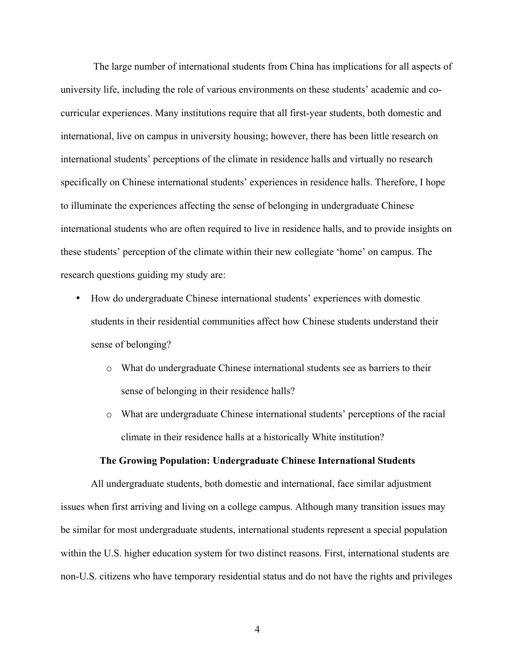The large number of international students from China has implications for all aspects of university life, including the role of various environments on these students' academic and cocurricular experiences. Many institutions require that all first-year students, both domestic and international, live on campus in university housing; however, there has been little research on international students' perceptions of the climate in residence halls and virtually no research specifically on Chinese international students' experiences in residence halls. Therefore, I hope to illuminate the experiences affecting the sense of belonging in undergraduate Chinese international students who are often required to live in residence halls, and to provide insights on these students' perception of the climate within their new collegiate 'home' on campus. The research questions guiding my study are:

- How do undergraduate Chinese international students' experiences with domestic students in their residential communities affect how Chinese students understand their sense of belonging?
	- o What do undergraduate Chinese international students see as barriers to their sense of belonging in their residence halls?
	- o What are undergraduate Chinese international students' perceptions of the racial climate in their residence halls at a historically White institution?

#### **The Growing Population: Undergraduate Chinese International Students**

All undergraduate students, both domestic and international, face similar adjustment issues when first arriving and living on a college campus. Although many transition issues may be similar for most undergraduate students, international students represent a special population within the U.S. higher education system for two distinct reasons. First, international students are non-U.S. citizens who have temporary residential status and do not have the rights and privileges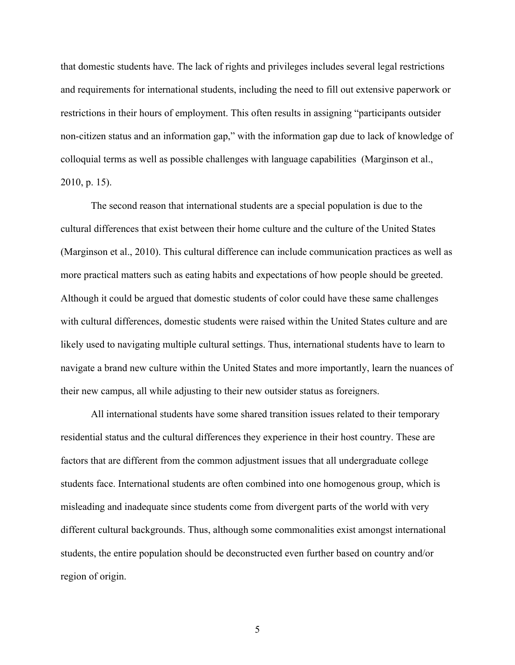that domestic students have. The lack of rights and privileges includes several legal restrictions and requirements for international students, including the need to fill out extensive paperwork or restrictions in their hours of employment. This often results in assigning "participants outsider non-citizen status and an information gap," with the information gap due to lack of knowledge of colloquial terms as well as possible challenges with language capabilities (Marginson et al., 2010, p. 15).

The second reason that international students are a special population is due to the cultural differences that exist between their home culture and the culture of the United States (Marginson et al., 2010). This cultural difference can include communication practices as well as more practical matters such as eating habits and expectations of how people should be greeted. Although it could be argued that domestic students of color could have these same challenges with cultural differences, domestic students were raised within the United States culture and are likely used to navigating multiple cultural settings. Thus, international students have to learn to navigate a brand new culture within the United States and more importantly, learn the nuances of their new campus, all while adjusting to their new outsider status as foreigners.

All international students have some shared transition issues related to their temporary residential status and the cultural differences they experience in their host country. These are factors that are different from the common adjustment issues that all undergraduate college students face. International students are often combined into one homogenous group, which is misleading and inadequate since students come from divergent parts of the world with very different cultural backgrounds. Thus, although some commonalities exist amongst international students, the entire population should be deconstructed even further based on country and/or region of origin.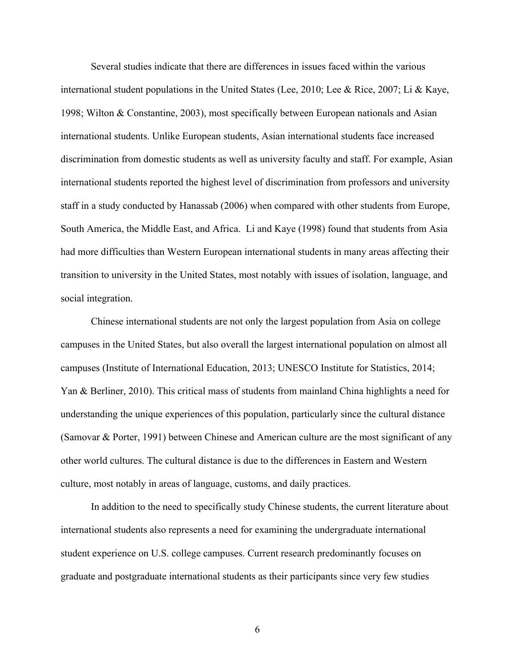Several studies indicate that there are differences in issues faced within the various international student populations in the United States (Lee, 2010; Lee & Rice, 2007; Li & Kaye, 1998; Wilton & Constantine, 2003), most specifically between European nationals and Asian international students. Unlike European students, Asian international students face increased discrimination from domestic students as well as university faculty and staff. For example, Asian international students reported the highest level of discrimination from professors and university staff in a study conducted by Hanassab (2006) when compared with other students from Europe, South America, the Middle East, and Africa. Li and Kaye (1998) found that students from Asia had more difficulties than Western European international students in many areas affecting their transition to university in the United States, most notably with issues of isolation, language, and social integration.

Chinese international students are not only the largest population from Asia on college campuses in the United States, but also overall the largest international population on almost all campuses (Institute of International Education, 2013; UNESCO Institute for Statistics, 2014; Yan & Berliner, 2010). This critical mass of students from mainland China highlights a need for understanding the unique experiences of this population, particularly since the cultural distance (Samovar & Porter, 1991) between Chinese and American culture are the most significant of any other world cultures. The cultural distance is due to the differences in Eastern and Western culture, most notably in areas of language, customs, and daily practices.

In addition to the need to specifically study Chinese students, the current literature about international students also represents a need for examining the undergraduate international student experience on U.S. college campuses. Current research predominantly focuses on graduate and postgraduate international students as their participants since very few studies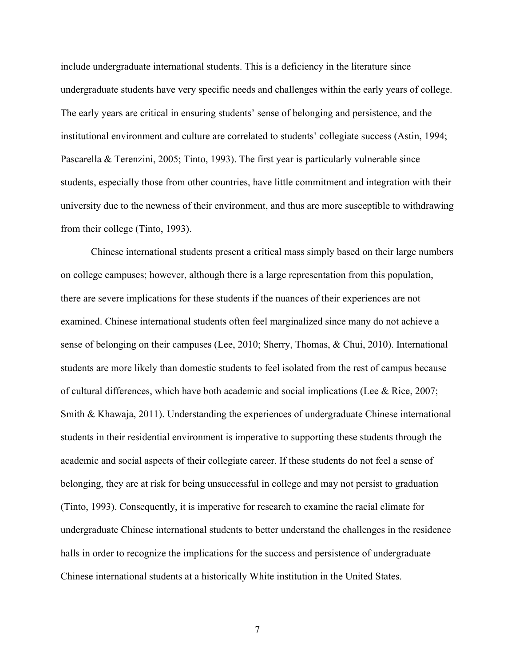include undergraduate international students. This is a deficiency in the literature since undergraduate students have very specific needs and challenges within the early years of college. The early years are critical in ensuring students' sense of belonging and persistence, and the institutional environment and culture are correlated to students' collegiate success (Astin, 1994; Pascarella & Terenzini, 2005; Tinto, 1993). The first year is particularly vulnerable since students, especially those from other countries, have little commitment and integration with their university due to the newness of their environment, and thus are more susceptible to withdrawing from their college (Tinto, 1993).

Chinese international students present a critical mass simply based on their large numbers on college campuses; however, although there is a large representation from this population, there are severe implications for these students if the nuances of their experiences are not examined. Chinese international students often feel marginalized since many do not achieve a sense of belonging on their campuses (Lee, 2010; Sherry, Thomas, & Chui, 2010). International students are more likely than domestic students to feel isolated from the rest of campus because of cultural differences, which have both academic and social implications (Lee & Rice, 2007; Smith & Khawaja, 2011). Understanding the experiences of undergraduate Chinese international students in their residential environment is imperative to supporting these students through the academic and social aspects of their collegiate career. If these students do not feel a sense of belonging, they are at risk for being unsuccessful in college and may not persist to graduation (Tinto, 1993). Consequently, it is imperative for research to examine the racial climate for undergraduate Chinese international students to better understand the challenges in the residence halls in order to recognize the implications for the success and persistence of undergraduate Chinese international students at a historically White institution in the United States.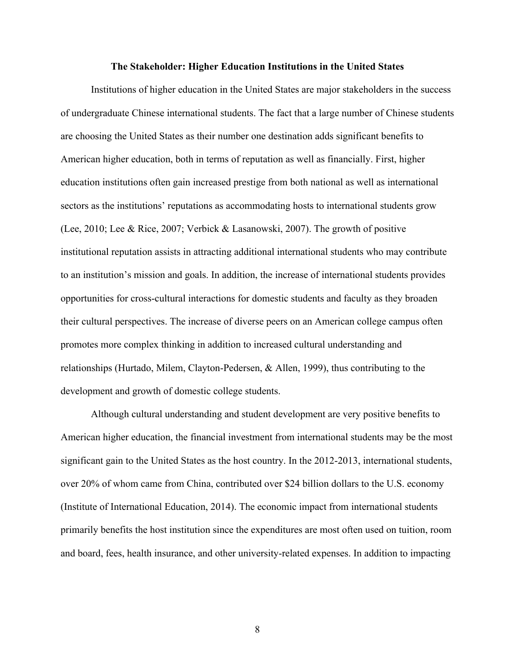### **The Stakeholder: Higher Education Institutions in the United States**

Institutions of higher education in the United States are major stakeholders in the success of undergraduate Chinese international students. The fact that a large number of Chinese students are choosing the United States as their number one destination adds significant benefits to American higher education, both in terms of reputation as well as financially. First, higher education institutions often gain increased prestige from both national as well as international sectors as the institutions' reputations as accommodating hosts to international students grow (Lee, 2010; Lee & Rice, 2007; Verbick & Lasanowski, 2007). The growth of positive institutional reputation assists in attracting additional international students who may contribute to an institution's mission and goals. In addition, the increase of international students provides opportunities for cross-cultural interactions for domestic students and faculty as they broaden their cultural perspectives. The increase of diverse peers on an American college campus often promotes more complex thinking in addition to increased cultural understanding and relationships (Hurtado, Milem, Clayton-Pedersen, & Allen, 1999), thus contributing to the development and growth of domestic college students.

Although cultural understanding and student development are very positive benefits to American higher education, the financial investment from international students may be the most significant gain to the United States as the host country. In the 2012-2013, international students, over 20% of whom came from China, contributed over \$24 billion dollars to the U.S. economy (Institute of International Education, 2014). The economic impact from international students primarily benefits the host institution since the expenditures are most often used on tuition, room and board, fees, health insurance, and other university-related expenses. In addition to impacting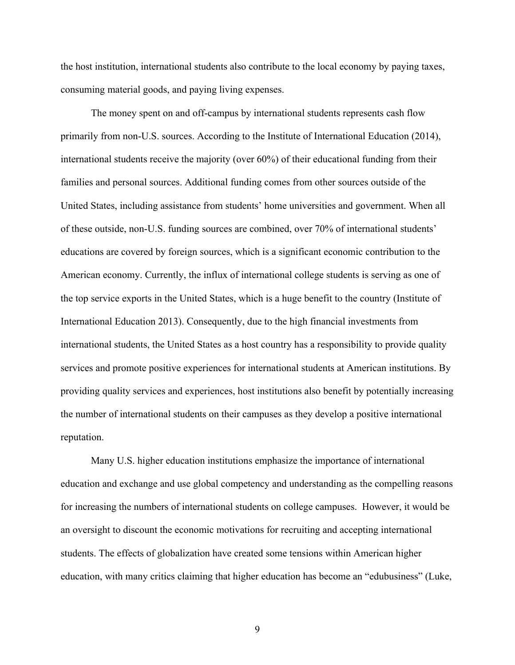the host institution, international students also contribute to the local economy by paying taxes, consuming material goods, and paying living expenses.

The money spent on and off-campus by international students represents cash flow primarily from non-U.S. sources. According to the Institute of International Education (2014), international students receive the majority (over 60%) of their educational funding from their families and personal sources. Additional funding comes from other sources outside of the United States, including assistance from students' home universities and government. When all of these outside, non-U.S. funding sources are combined, over 70% of international students' educations are covered by foreign sources, which is a significant economic contribution to the American economy. Currently, the influx of international college students is serving as one of the top service exports in the United States, which is a huge benefit to the country (Institute of International Education 2013). Consequently, due to the high financial investments from international students, the United States as a host country has a responsibility to provide quality services and promote positive experiences for international students at American institutions. By providing quality services and experiences, host institutions also benefit by potentially increasing the number of international students on their campuses as they develop a positive international reputation.

Many U.S. higher education institutions emphasize the importance of international education and exchange and use global competency and understanding as the compelling reasons for increasing the numbers of international students on college campuses. However, it would be an oversight to discount the economic motivations for recruiting and accepting international students. The effects of globalization have created some tensions within American higher education, with many critics claiming that higher education has become an "edubusiness" (Luke,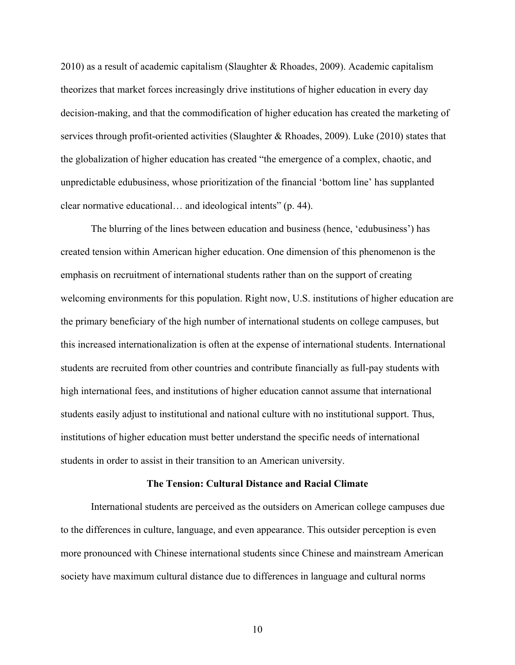2010) as a result of academic capitalism (Slaughter & Rhoades, 2009). Academic capitalism theorizes that market forces increasingly drive institutions of higher education in every day decision-making, and that the commodification of higher education has created the marketing of services through profit-oriented activities (Slaughter & Rhoades, 2009). Luke (2010) states that the globalization of higher education has created "the emergence of a complex, chaotic, and unpredictable edubusiness, whose prioritization of the financial 'bottom line' has supplanted clear normative educational… and ideological intents" (p. 44).

The blurring of the lines between education and business (hence, 'edubusiness') has created tension within American higher education. One dimension of this phenomenon is the emphasis on recruitment of international students rather than on the support of creating welcoming environments for this population. Right now, U.S. institutions of higher education are the primary beneficiary of the high number of international students on college campuses, but this increased internationalization is often at the expense of international students. International students are recruited from other countries and contribute financially as full-pay students with high international fees, and institutions of higher education cannot assume that international students easily adjust to institutional and national culture with no institutional support. Thus, institutions of higher education must better understand the specific needs of international students in order to assist in their transition to an American university.

#### **The Tension: Cultural Distance and Racial Climate**

International students are perceived as the outsiders on American college campuses due to the differences in culture, language, and even appearance. This outsider perception is even more pronounced with Chinese international students since Chinese and mainstream American society have maximum cultural distance due to differences in language and cultural norms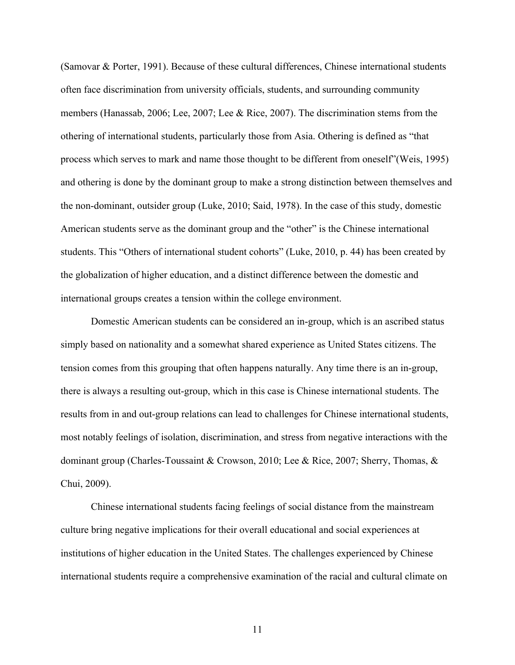(Samovar & Porter, 1991). Because of these cultural differences, Chinese international students often face discrimination from university officials, students, and surrounding community members (Hanassab, 2006; Lee, 2007; Lee & Rice, 2007). The discrimination stems from the othering of international students, particularly those from Asia. Othering is defined as "that process which serves to mark and name those thought to be different from oneself"(Weis, 1995) and othering is done by the dominant group to make a strong distinction between themselves and the non-dominant, outsider group (Luke, 2010; Said, 1978). In the case of this study, domestic American students serve as the dominant group and the "other" is the Chinese international students. This "Others of international student cohorts" (Luke, 2010, p. 44) has been created by the globalization of higher education, and a distinct difference between the domestic and international groups creates a tension within the college environment.

Domestic American students can be considered an in-group, which is an ascribed status simply based on nationality and a somewhat shared experience as United States citizens. The tension comes from this grouping that often happens naturally. Any time there is an in-group, there is always a resulting out-group, which in this case is Chinese international students. The results from in and out-group relations can lead to challenges for Chinese international students, most notably feelings of isolation, discrimination, and stress from negative interactions with the dominant group (Charles-Toussaint & Crowson, 2010; Lee & Rice, 2007; Sherry, Thomas, & Chui, 2009).

Chinese international students facing feelings of social distance from the mainstream culture bring negative implications for their overall educational and social experiences at institutions of higher education in the United States. The challenges experienced by Chinese international students require a comprehensive examination of the racial and cultural climate on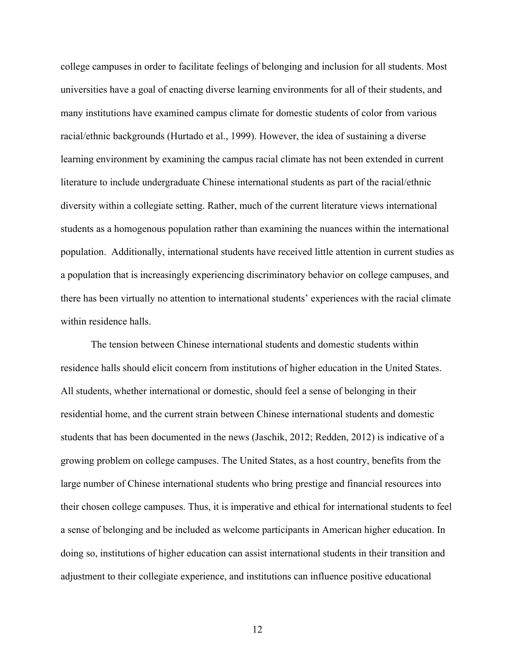college campuses in order to facilitate feelings of belonging and inclusion for all students. Most universities have a goal of enacting diverse learning environments for all of their students, and many institutions have examined campus climate for domestic students of color from various racial/ethnic backgrounds (Hurtado et al., 1999). However, the idea of sustaining a diverse learning environment by examining the campus racial climate has not been extended in current literature to include undergraduate Chinese international students as part of the racial/ethnic diversity within a collegiate setting. Rather, much of the current literature views international students as a homogenous population rather than examining the nuances within the international population. Additionally, international students have received little attention in current studies as a population that is increasingly experiencing discriminatory behavior on college campuses, and there has been virtually no attention to international students' experiences with the racial climate within residence halls.

The tension between Chinese international students and domestic students within residence halls should elicit concern from institutions of higher education in the United States. All students, whether international or domestic, should feel a sense of belonging in their residential home, and the current strain between Chinese international students and domestic students that has been documented in the news (Jaschik, 2012; Redden, 2012) is indicative of a growing problem on college campuses. The United States, as a host country, benefits from the large number of Chinese international students who bring prestige and financial resources into their chosen college campuses. Thus, it is imperative and ethical for international students to feel a sense of belonging and be included as welcome participants in American higher education. In doing so, institutions of higher education can assist international students in their transition and adjustment to their collegiate experience, and institutions can influence positive educational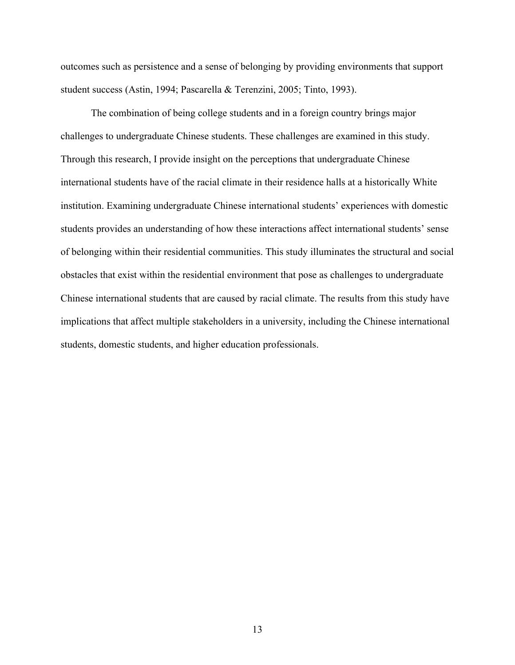outcomes such as persistence and a sense of belonging by providing environments that support student success (Astin, 1994; Pascarella & Terenzini, 2005; Tinto, 1993).

The combination of being college students and in a foreign country brings major challenges to undergraduate Chinese students. These challenges are examined in this study. Through this research, I provide insight on the perceptions that undergraduate Chinese international students have of the racial climate in their residence halls at a historically White institution. Examining undergraduate Chinese international students' experiences with domestic students provides an understanding of how these interactions affect international students' sense of belonging within their residential communities. This study illuminates the structural and social obstacles that exist within the residential environment that pose as challenges to undergraduate Chinese international students that are caused by racial climate. The results from this study have implications that affect multiple stakeholders in a university, including the Chinese international students, domestic students, and higher education professionals.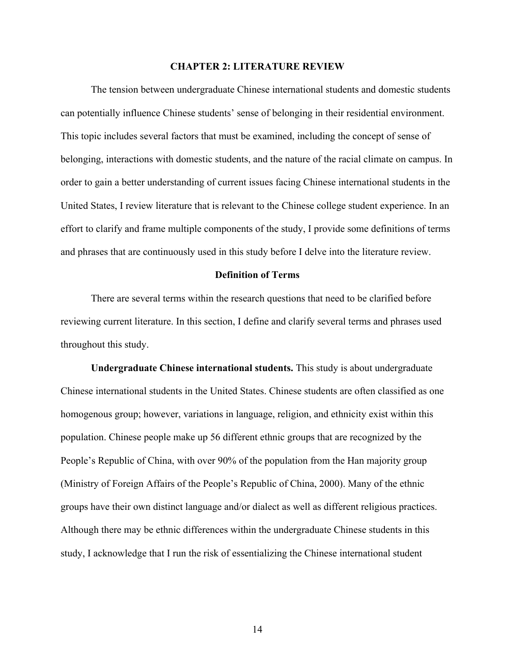### **CHAPTER 2: LITERATURE REVIEW**

The tension between undergraduate Chinese international students and domestic students can potentially influence Chinese students' sense of belonging in their residential environment. This topic includes several factors that must be examined, including the concept of sense of belonging, interactions with domestic students, and the nature of the racial climate on campus. In order to gain a better understanding of current issues facing Chinese international students in the United States, I review literature that is relevant to the Chinese college student experience. In an effort to clarify and frame multiple components of the study, I provide some definitions of terms and phrases that are continuously used in this study before I delve into the literature review.

### **Definition of Terms**

There are several terms within the research questions that need to be clarified before reviewing current literature. In this section, I define and clarify several terms and phrases used throughout this study.

**Undergraduate Chinese international students.** This study is about undergraduate Chinese international students in the United States. Chinese students are often classified as one homogenous group; however, variations in language, religion, and ethnicity exist within this population. Chinese people make up 56 different ethnic groups that are recognized by the People's Republic of China, with over 90% of the population from the Han majority group (Ministry of Foreign Affairs of the People's Republic of China, 2000). Many of the ethnic groups have their own distinct language and/or dialect as well as different religious practices. Although there may be ethnic differences within the undergraduate Chinese students in this study, I acknowledge that I run the risk of essentializing the Chinese international student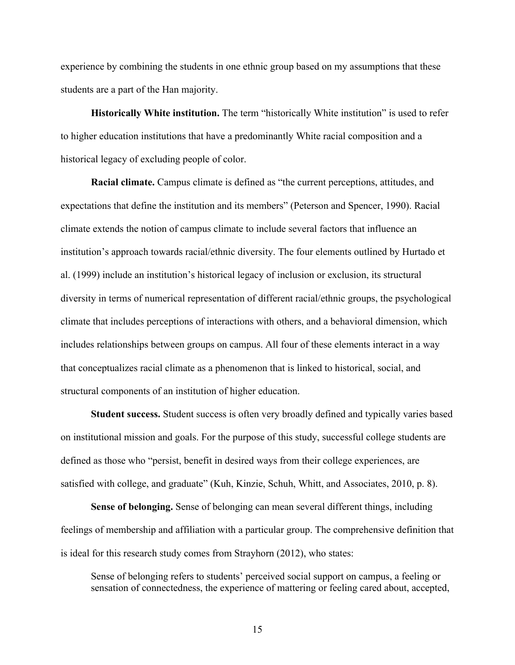experience by combining the students in one ethnic group based on my assumptions that these students are a part of the Han majority.

**Historically White institution.** The term "historically White institution" is used to refer to higher education institutions that have a predominantly White racial composition and a historical legacy of excluding people of color.

**Racial climate.** Campus climate is defined as "the current perceptions, attitudes, and expectations that define the institution and its members" (Peterson and Spencer, 1990). Racial climate extends the notion of campus climate to include several factors that influence an institution's approach towards racial/ethnic diversity. The four elements outlined by Hurtado et al. (1999) include an institution's historical legacy of inclusion or exclusion, its structural diversity in terms of numerical representation of different racial/ethnic groups, the psychological climate that includes perceptions of interactions with others, and a behavioral dimension, which includes relationships between groups on campus. All four of these elements interact in a way that conceptualizes racial climate as a phenomenon that is linked to historical, social, and structural components of an institution of higher education.

**Student success.** Student success is often very broadly defined and typically varies based on institutional mission and goals. For the purpose of this study, successful college students are defined as those who "persist, benefit in desired ways from their college experiences, are satisfied with college, and graduate" (Kuh, Kinzie, Schuh, Whitt, and Associates, 2010, p. 8).

**Sense of belonging.** Sense of belonging can mean several different things, including feelings of membership and affiliation with a particular group. The comprehensive definition that is ideal for this research study comes from Strayhorn (2012), who states:

Sense of belonging refers to students' perceived social support on campus, a feeling or sensation of connectedness, the experience of mattering or feeling cared about, accepted,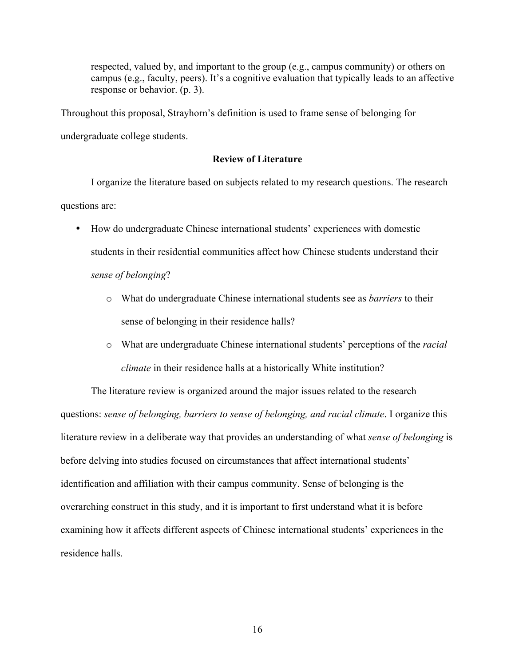respected, valued by, and important to the group (e.g., campus community) or others on campus (e.g., faculty, peers). It's a cognitive evaluation that typically leads to an affective response or behavior. (p. 3).

Throughout this proposal, Strayhorn's definition is used to frame sense of belonging for undergraduate college students.

### **Review of Literature**

I organize the literature based on subjects related to my research questions. The research questions are:

- How do undergraduate Chinese international students' experiences with domestic students in their residential communities affect how Chinese students understand their *sense of belonging*?
	- o What do undergraduate Chinese international students see as *barriers* to their sense of belonging in their residence halls?
	- o What are undergraduate Chinese international students' perceptions of the *racial climate* in their residence halls at a historically White institution?

The literature review is organized around the major issues related to the research questions: *sense of belonging, barriers to sense of belonging, and racial climate*. I organize this literature review in a deliberate way that provides an understanding of what *sense of belonging* is before delving into studies focused on circumstances that affect international students' identification and affiliation with their campus community. Sense of belonging is the overarching construct in this study, and it is important to first understand what it is before examining how it affects different aspects of Chinese international students' experiences in the residence halls.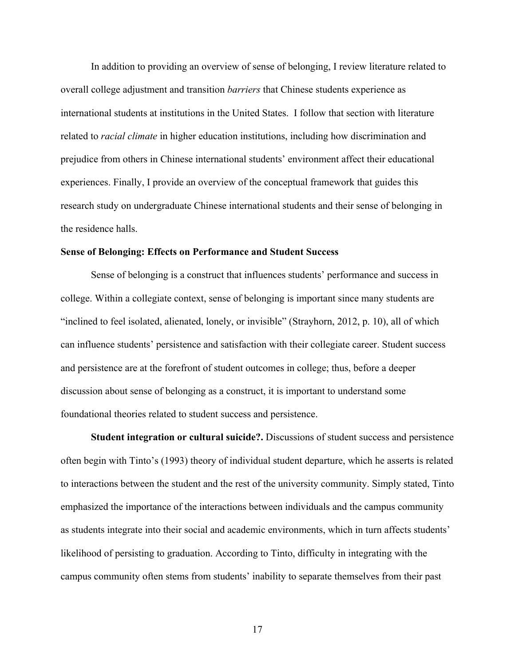In addition to providing an overview of sense of belonging, I review literature related to overall college adjustment and transition *barriers* that Chinese students experience as international students at institutions in the United States. I follow that section with literature related to *racial climate* in higher education institutions, including how discrimination and prejudice from others in Chinese international students' environment affect their educational experiences. Finally, I provide an overview of the conceptual framework that guides this research study on undergraduate Chinese international students and their sense of belonging in the residence halls.

### **Sense of Belonging: Effects on Performance and Student Success**

Sense of belonging is a construct that influences students' performance and success in college. Within a collegiate context, sense of belonging is important since many students are "inclined to feel isolated, alienated, lonely, or invisible" (Strayhorn, 2012, p. 10), all of which can influence students' persistence and satisfaction with their collegiate career. Student success and persistence are at the forefront of student outcomes in college; thus, before a deeper discussion about sense of belonging as a construct, it is important to understand some foundational theories related to student success and persistence.

**Student integration or cultural suicide?.** Discussions of student success and persistence often begin with Tinto's (1993) theory of individual student departure, which he asserts is related to interactions between the student and the rest of the university community. Simply stated, Tinto emphasized the importance of the interactions between individuals and the campus community as students integrate into their social and academic environments, which in turn affects students' likelihood of persisting to graduation. According to Tinto, difficulty in integrating with the campus community often stems from students' inability to separate themselves from their past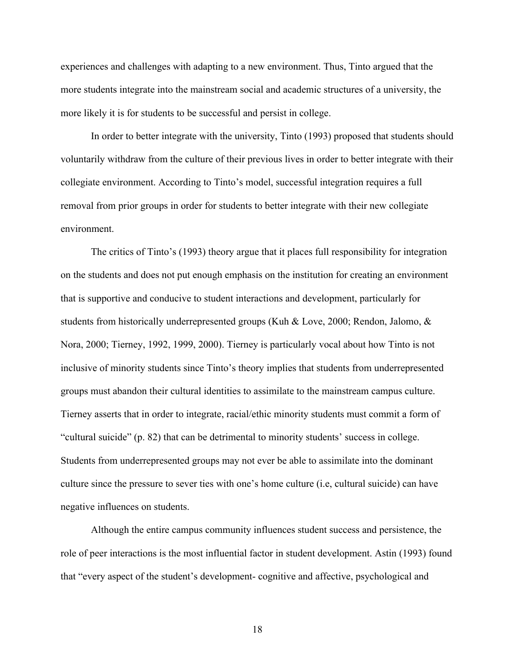experiences and challenges with adapting to a new environment. Thus, Tinto argued that the more students integrate into the mainstream social and academic structures of a university, the more likely it is for students to be successful and persist in college.

In order to better integrate with the university, Tinto (1993) proposed that students should voluntarily withdraw from the culture of their previous lives in order to better integrate with their collegiate environment. According to Tinto's model, successful integration requires a full removal from prior groups in order for students to better integrate with their new collegiate environment.

The critics of Tinto's (1993) theory argue that it places full responsibility for integration on the students and does not put enough emphasis on the institution for creating an environment that is supportive and conducive to student interactions and development, particularly for students from historically underrepresented groups (Kuh & Love, 2000; Rendon, Jalomo, & Nora, 2000; Tierney, 1992, 1999, 2000). Tierney is particularly vocal about how Tinto is not inclusive of minority students since Tinto's theory implies that students from underrepresented groups must abandon their cultural identities to assimilate to the mainstream campus culture. Tierney asserts that in order to integrate, racial/ethic minority students must commit a form of "cultural suicide" (p. 82) that can be detrimental to minority students' success in college. Students from underrepresented groups may not ever be able to assimilate into the dominant culture since the pressure to sever ties with one's home culture (i.e, cultural suicide) can have negative influences on students.

Although the entire campus community influences student success and persistence, the role of peer interactions is the most influential factor in student development. Astin (1993) found that "every aspect of the student's development- cognitive and affective, psychological and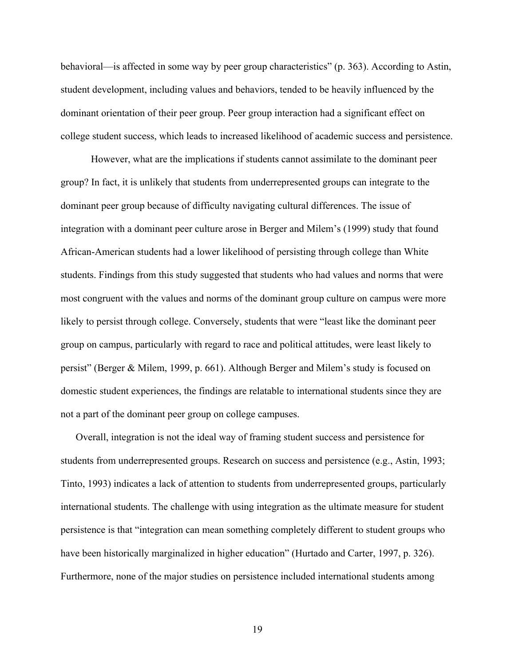behavioral—is affected in some way by peer group characteristics" (p. 363). According to Astin, student development, including values and behaviors, tended to be heavily influenced by the dominant orientation of their peer group. Peer group interaction had a significant effect on college student success, which leads to increased likelihood of academic success and persistence.

However, what are the implications if students cannot assimilate to the dominant peer group? In fact, it is unlikely that students from underrepresented groups can integrate to the dominant peer group because of difficulty navigating cultural differences. The issue of integration with a dominant peer culture arose in Berger and Milem's (1999) study that found African-American students had a lower likelihood of persisting through college than White students. Findings from this study suggested that students who had values and norms that were most congruent with the values and norms of the dominant group culture on campus were more likely to persist through college. Conversely, students that were "least like the dominant peer group on campus, particularly with regard to race and political attitudes, were least likely to persist" (Berger & Milem, 1999, p. 661). Although Berger and Milem's study is focused on domestic student experiences, the findings are relatable to international students since they are not a part of the dominant peer group on college campuses.

Overall, integration is not the ideal way of framing student success and persistence for students from underrepresented groups. Research on success and persistence (e.g., Astin, 1993; Tinto, 1993) indicates a lack of attention to students from underrepresented groups, particularly international students. The challenge with using integration as the ultimate measure for student persistence is that "integration can mean something completely different to student groups who have been historically marginalized in higher education" (Hurtado and Carter, 1997, p. 326). Furthermore, none of the major studies on persistence included international students among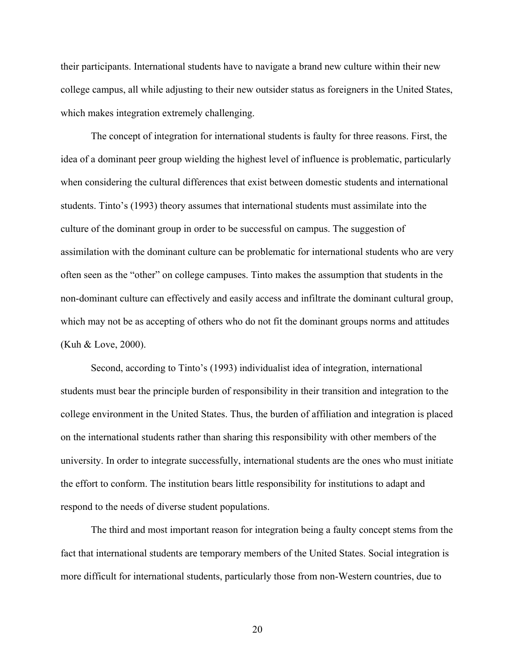their participants. International students have to navigate a brand new culture within their new college campus, all while adjusting to their new outsider status as foreigners in the United States, which makes integration extremely challenging.

The concept of integration for international students is faulty for three reasons. First, the idea of a dominant peer group wielding the highest level of influence is problematic, particularly when considering the cultural differences that exist between domestic students and international students. Tinto's (1993) theory assumes that international students must assimilate into the culture of the dominant group in order to be successful on campus. The suggestion of assimilation with the dominant culture can be problematic for international students who are very often seen as the "other" on college campuses. Tinto makes the assumption that students in the non-dominant culture can effectively and easily access and infiltrate the dominant cultural group, which may not be as accepting of others who do not fit the dominant groups norms and attitudes (Kuh & Love, 2000).

Second, according to Tinto's (1993) individualist idea of integration, international students must bear the principle burden of responsibility in their transition and integration to the college environment in the United States. Thus, the burden of affiliation and integration is placed on the international students rather than sharing this responsibility with other members of the university. In order to integrate successfully, international students are the ones who must initiate the effort to conform. The institution bears little responsibility for institutions to adapt and respond to the needs of diverse student populations.

The third and most important reason for integration being a faulty concept stems from the fact that international students are temporary members of the United States. Social integration is more difficult for international students, particularly those from non-Western countries, due to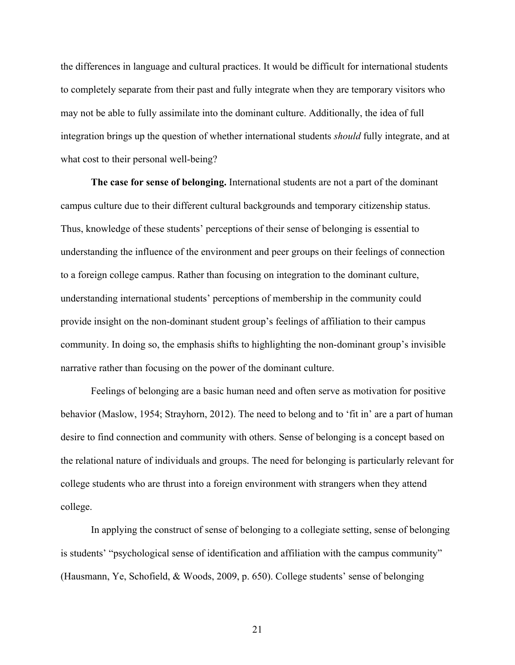the differences in language and cultural practices. It would be difficult for international students to completely separate from their past and fully integrate when they are temporary visitors who may not be able to fully assimilate into the dominant culture. Additionally, the idea of full integration brings up the question of whether international students *should* fully integrate, and at what cost to their personal well-being?

**The case for sense of belonging.** International students are not a part of the dominant campus culture due to their different cultural backgrounds and temporary citizenship status. Thus, knowledge of these students' perceptions of their sense of belonging is essential to understanding the influence of the environment and peer groups on their feelings of connection to a foreign college campus. Rather than focusing on integration to the dominant culture, understanding international students' perceptions of membership in the community could provide insight on the non-dominant student group's feelings of affiliation to their campus community. In doing so, the emphasis shifts to highlighting the non-dominant group's invisible narrative rather than focusing on the power of the dominant culture.

Feelings of belonging are a basic human need and often serve as motivation for positive behavior (Maslow, 1954; Strayhorn, 2012). The need to belong and to 'fit in' are a part of human desire to find connection and community with others. Sense of belonging is a concept based on the relational nature of individuals and groups. The need for belonging is particularly relevant for college students who are thrust into a foreign environment with strangers when they attend college.

In applying the construct of sense of belonging to a collegiate setting, sense of belonging is students' "psychological sense of identification and affiliation with the campus community" (Hausmann, Ye, Schofield, & Woods, 2009, p. 650). College students' sense of belonging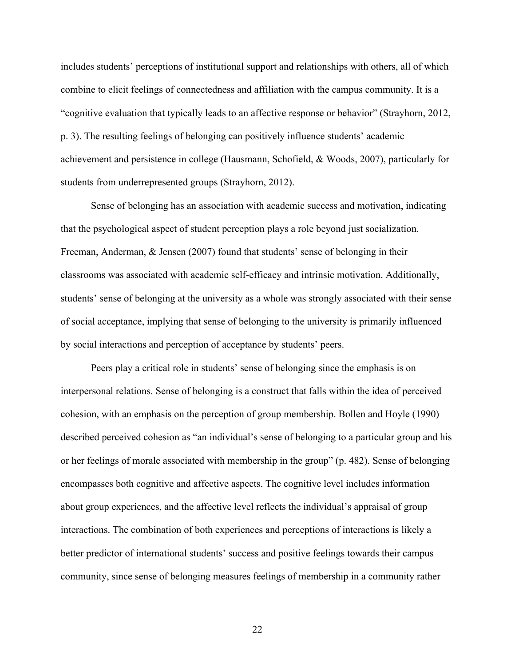includes students' perceptions of institutional support and relationships with others, all of which combine to elicit feelings of connectedness and affiliation with the campus community. It is a "cognitive evaluation that typically leads to an affective response or behavior" (Strayhorn, 2012, p. 3). The resulting feelings of belonging can positively influence students' academic achievement and persistence in college (Hausmann, Schofield, & Woods, 2007), particularly for students from underrepresented groups (Strayhorn, 2012).

Sense of belonging has an association with academic success and motivation, indicating that the psychological aspect of student perception plays a role beyond just socialization. Freeman, Anderman, & Jensen (2007) found that students' sense of belonging in their classrooms was associated with academic self-efficacy and intrinsic motivation. Additionally, students' sense of belonging at the university as a whole was strongly associated with their sense of social acceptance, implying that sense of belonging to the university is primarily influenced by social interactions and perception of acceptance by students' peers.

Peers play a critical role in students' sense of belonging since the emphasis is on interpersonal relations. Sense of belonging is a construct that falls within the idea of perceived cohesion, with an emphasis on the perception of group membership. Bollen and Hoyle (1990) described perceived cohesion as "an individual's sense of belonging to a particular group and his or her feelings of morale associated with membership in the group" (p. 482). Sense of belonging encompasses both cognitive and affective aspects. The cognitive level includes information about group experiences, and the affective level reflects the individual's appraisal of group interactions. The combination of both experiences and perceptions of interactions is likely a better predictor of international students' success and positive feelings towards their campus community, since sense of belonging measures feelings of membership in a community rather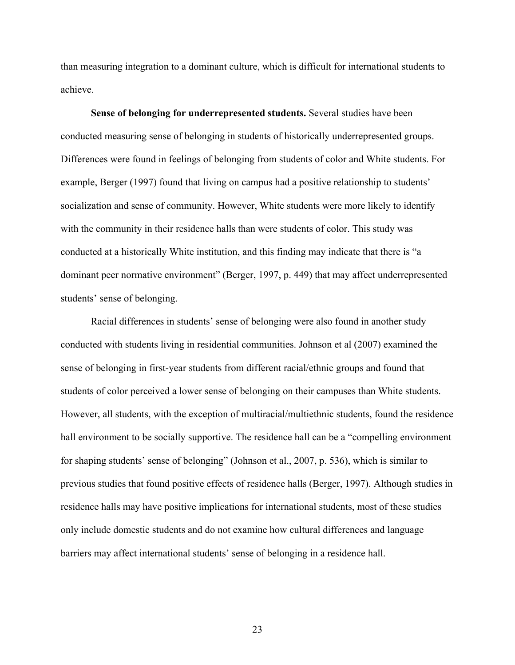than measuring integration to a dominant culture, which is difficult for international students to achieve.

**Sense of belonging for underrepresented students.** Several studies have been conducted measuring sense of belonging in students of historically underrepresented groups. Differences were found in feelings of belonging from students of color and White students. For example, Berger (1997) found that living on campus had a positive relationship to students' socialization and sense of community. However, White students were more likely to identify with the community in their residence halls than were students of color. This study was conducted at a historically White institution, and this finding may indicate that there is "a dominant peer normative environment" (Berger, 1997, p. 449) that may affect underrepresented students' sense of belonging.

Racial differences in students' sense of belonging were also found in another study conducted with students living in residential communities. Johnson et al (2007) examined the sense of belonging in first-year students from different racial/ethnic groups and found that students of color perceived a lower sense of belonging on their campuses than White students. However, all students, with the exception of multiracial/multiethnic students, found the residence hall environment to be socially supportive. The residence hall can be a "compelling environment" for shaping students' sense of belonging" (Johnson et al., 2007, p. 536), which is similar to previous studies that found positive effects of residence halls (Berger, 1997). Although studies in residence halls may have positive implications for international students, most of these studies only include domestic students and do not examine how cultural differences and language barriers may affect international students' sense of belonging in a residence hall.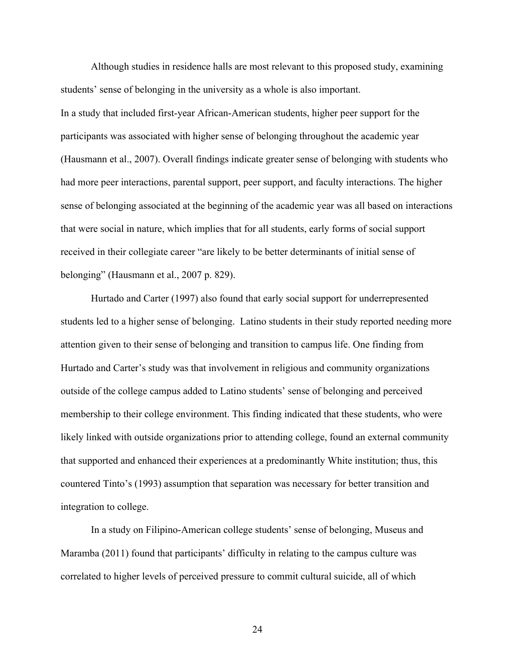Although studies in residence halls are most relevant to this proposed study, examining students' sense of belonging in the university as a whole is also important.

In a study that included first-year African-American students, higher peer support for the participants was associated with higher sense of belonging throughout the academic year (Hausmann et al., 2007). Overall findings indicate greater sense of belonging with students who had more peer interactions, parental support, peer support, and faculty interactions. The higher sense of belonging associated at the beginning of the academic year was all based on interactions that were social in nature, which implies that for all students, early forms of social support received in their collegiate career "are likely to be better determinants of initial sense of belonging" (Hausmann et al., 2007 p. 829).

Hurtado and Carter (1997) also found that early social support for underrepresented students led to a higher sense of belonging. Latino students in their study reported needing more attention given to their sense of belonging and transition to campus life. One finding from Hurtado and Carter's study was that involvement in religious and community organizations outside of the college campus added to Latino students' sense of belonging and perceived membership to their college environment. This finding indicated that these students, who were likely linked with outside organizations prior to attending college, found an external community that supported and enhanced their experiences at a predominantly White institution; thus, this countered Tinto's (1993) assumption that separation was necessary for better transition and integration to college.

In a study on Filipino-American college students' sense of belonging, Museus and Maramba (2011) found that participants' difficulty in relating to the campus culture was correlated to higher levels of perceived pressure to commit cultural suicide, all of which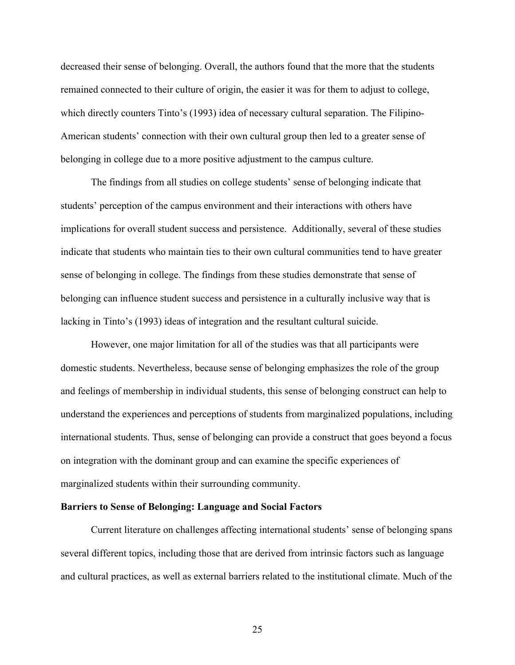decreased their sense of belonging. Overall, the authors found that the more that the students remained connected to their culture of origin, the easier it was for them to adjust to college, which directly counters Tinto's (1993) idea of necessary cultural separation. The Filipino-American students' connection with their own cultural group then led to a greater sense of belonging in college due to a more positive adjustment to the campus culture.

The findings from all studies on college students' sense of belonging indicate that students' perception of the campus environment and their interactions with others have implications for overall student success and persistence. Additionally, several of these studies indicate that students who maintain ties to their own cultural communities tend to have greater sense of belonging in college. The findings from these studies demonstrate that sense of belonging can influence student success and persistence in a culturally inclusive way that is lacking in Tinto's (1993) ideas of integration and the resultant cultural suicide.

However, one major limitation for all of the studies was that all participants were domestic students. Nevertheless, because sense of belonging emphasizes the role of the group and feelings of membership in individual students, this sense of belonging construct can help to understand the experiences and perceptions of students from marginalized populations, including international students. Thus, sense of belonging can provide a construct that goes beyond a focus on integration with the dominant group and can examine the specific experiences of marginalized students within their surrounding community.

## **Barriers to Sense of Belonging: Language and Social Factors**

Current literature on challenges affecting international students' sense of belonging spans several different topics, including those that are derived from intrinsic factors such as language and cultural practices, as well as external barriers related to the institutional climate. Much of the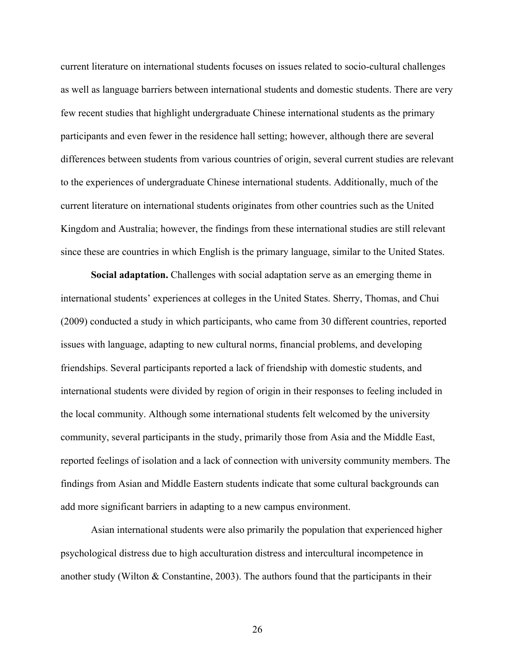current literature on international students focuses on issues related to socio-cultural challenges as well as language barriers between international students and domestic students. There are very few recent studies that highlight undergraduate Chinese international students as the primary participants and even fewer in the residence hall setting; however, although there are several differences between students from various countries of origin, several current studies are relevant to the experiences of undergraduate Chinese international students. Additionally, much of the current literature on international students originates from other countries such as the United Kingdom and Australia; however, the findings from these international studies are still relevant since these are countries in which English is the primary language, similar to the United States.

**Social adaptation.** Challenges with social adaptation serve as an emerging theme in international students' experiences at colleges in the United States. Sherry, Thomas, and Chui (2009) conducted a study in which participants, who came from 30 different countries, reported issues with language, adapting to new cultural norms, financial problems, and developing friendships. Several participants reported a lack of friendship with domestic students, and international students were divided by region of origin in their responses to feeling included in the local community. Although some international students felt welcomed by the university community, several participants in the study, primarily those from Asia and the Middle East, reported feelings of isolation and a lack of connection with university community members. The findings from Asian and Middle Eastern students indicate that some cultural backgrounds can add more significant barriers in adapting to a new campus environment.

Asian international students were also primarily the population that experienced higher psychological distress due to high acculturation distress and intercultural incompetence in another study (Wilton  $& Constantine, 2003$ ). The authors found that the participants in their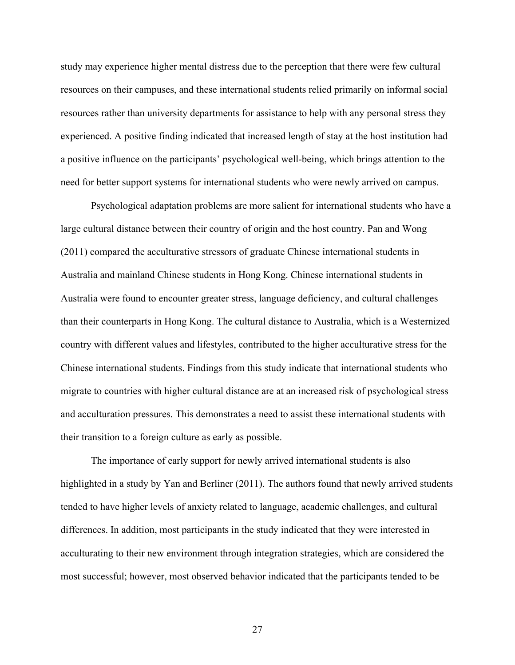study may experience higher mental distress due to the perception that there were few cultural resources on their campuses, and these international students relied primarily on informal social resources rather than university departments for assistance to help with any personal stress they experienced. A positive finding indicated that increased length of stay at the host institution had a positive influence on the participants' psychological well-being, which brings attention to the need for better support systems for international students who were newly arrived on campus.

Psychological adaptation problems are more salient for international students who have a large cultural distance between their country of origin and the host country. Pan and Wong (2011) compared the acculturative stressors of graduate Chinese international students in Australia and mainland Chinese students in Hong Kong. Chinese international students in Australia were found to encounter greater stress, language deficiency, and cultural challenges than their counterparts in Hong Kong. The cultural distance to Australia, which is a Westernized country with different values and lifestyles, contributed to the higher acculturative stress for the Chinese international students. Findings from this study indicate that international students who migrate to countries with higher cultural distance are at an increased risk of psychological stress and acculturation pressures. This demonstrates a need to assist these international students with their transition to a foreign culture as early as possible.

The importance of early support for newly arrived international students is also highlighted in a study by Yan and Berliner (2011). The authors found that newly arrived students tended to have higher levels of anxiety related to language, academic challenges, and cultural differences. In addition, most participants in the study indicated that they were interested in acculturating to their new environment through integration strategies, which are considered the most successful; however, most observed behavior indicated that the participants tended to be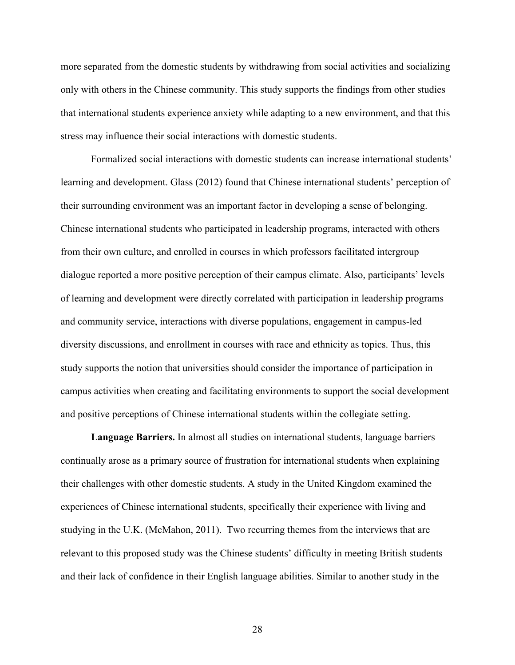more separated from the domestic students by withdrawing from social activities and socializing only with others in the Chinese community. This study supports the findings from other studies that international students experience anxiety while adapting to a new environment, and that this stress may influence their social interactions with domestic students.

Formalized social interactions with domestic students can increase international students' learning and development. Glass (2012) found that Chinese international students' perception of their surrounding environment was an important factor in developing a sense of belonging. Chinese international students who participated in leadership programs, interacted with others from their own culture, and enrolled in courses in which professors facilitated intergroup dialogue reported a more positive perception of their campus climate. Also, participants' levels of learning and development were directly correlated with participation in leadership programs and community service, interactions with diverse populations, engagement in campus-led diversity discussions, and enrollment in courses with race and ethnicity as topics. Thus, this study supports the notion that universities should consider the importance of participation in campus activities when creating and facilitating environments to support the social development and positive perceptions of Chinese international students within the collegiate setting.

**Language Barriers.** In almost all studies on international students, language barriers continually arose as a primary source of frustration for international students when explaining their challenges with other domestic students. A study in the United Kingdom examined the experiences of Chinese international students, specifically their experience with living and studying in the U.K. (McMahon, 2011). Two recurring themes from the interviews that are relevant to this proposed study was the Chinese students' difficulty in meeting British students and their lack of confidence in their English language abilities. Similar to another study in the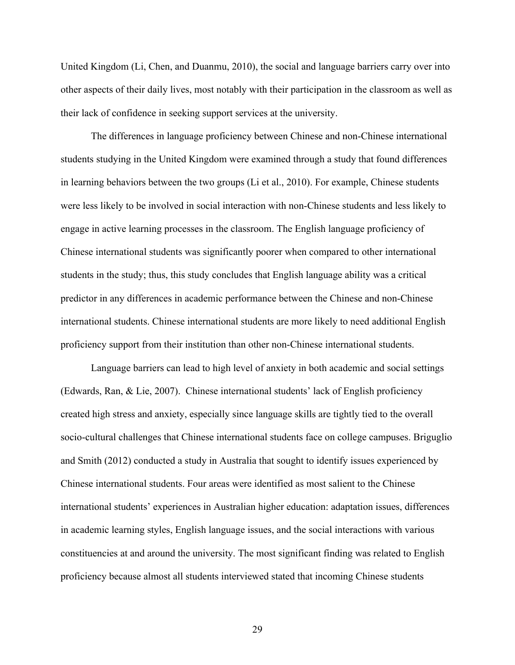United Kingdom (Li, Chen, and Duanmu, 2010), the social and language barriers carry over into other aspects of their daily lives, most notably with their participation in the classroom as well as their lack of confidence in seeking support services at the university.

The differences in language proficiency between Chinese and non-Chinese international students studying in the United Kingdom were examined through a study that found differences in learning behaviors between the two groups (Li et al., 2010). For example, Chinese students were less likely to be involved in social interaction with non-Chinese students and less likely to engage in active learning processes in the classroom. The English language proficiency of Chinese international students was significantly poorer when compared to other international students in the study; thus, this study concludes that English language ability was a critical predictor in any differences in academic performance between the Chinese and non-Chinese international students. Chinese international students are more likely to need additional English proficiency support from their institution than other non-Chinese international students.

Language barriers can lead to high level of anxiety in both academic and social settings (Edwards, Ran, & Lie, 2007). Chinese international students' lack of English proficiency created high stress and anxiety, especially since language skills are tightly tied to the overall socio-cultural challenges that Chinese international students face on college campuses. Briguglio and Smith (2012) conducted a study in Australia that sought to identify issues experienced by Chinese international students. Four areas were identified as most salient to the Chinese international students' experiences in Australian higher education: adaptation issues, differences in academic learning styles, English language issues, and the social interactions with various constituencies at and around the university. The most significant finding was related to English proficiency because almost all students interviewed stated that incoming Chinese students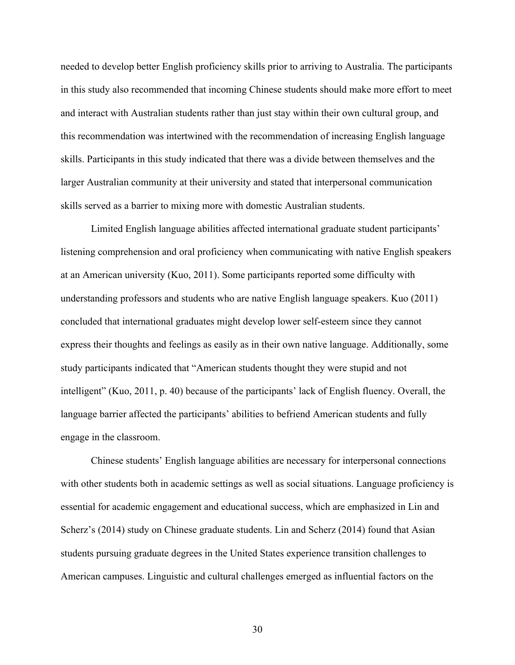needed to develop better English proficiency skills prior to arriving to Australia. The participants in this study also recommended that incoming Chinese students should make more effort to meet and interact with Australian students rather than just stay within their own cultural group, and this recommendation was intertwined with the recommendation of increasing English language skills. Participants in this study indicated that there was a divide between themselves and the larger Australian community at their university and stated that interpersonal communication skills served as a barrier to mixing more with domestic Australian students.

Limited English language abilities affected international graduate student participants' listening comprehension and oral proficiency when communicating with native English speakers at an American university (Kuo, 2011). Some participants reported some difficulty with understanding professors and students who are native English language speakers. Kuo (2011) concluded that international graduates might develop lower self-esteem since they cannot express their thoughts and feelings as easily as in their own native language. Additionally, some study participants indicated that "American students thought they were stupid and not intelligent" (Kuo, 2011, p. 40) because of the participants' lack of English fluency. Overall, the language barrier affected the participants' abilities to befriend American students and fully engage in the classroom.

Chinese students' English language abilities are necessary for interpersonal connections with other students both in academic settings as well as social situations. Language proficiency is essential for academic engagement and educational success, which are emphasized in Lin and Scherz's (2014) study on Chinese graduate students. Lin and Scherz (2014) found that Asian students pursuing graduate degrees in the United States experience transition challenges to American campuses. Linguistic and cultural challenges emerged as influential factors on the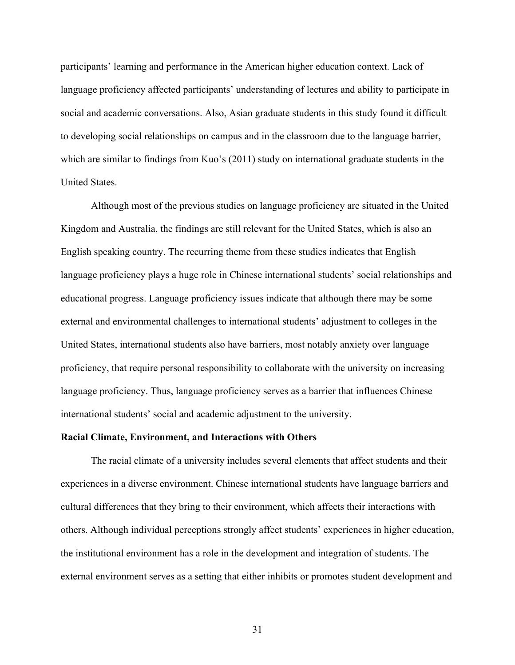participants' learning and performance in the American higher education context. Lack of language proficiency affected participants' understanding of lectures and ability to participate in social and academic conversations. Also, Asian graduate students in this study found it difficult to developing social relationships on campus and in the classroom due to the language barrier, which are similar to findings from Kuo's (2011) study on international graduate students in the United States.

Although most of the previous studies on language proficiency are situated in the United Kingdom and Australia, the findings are still relevant for the United States, which is also an English speaking country. The recurring theme from these studies indicates that English language proficiency plays a huge role in Chinese international students' social relationships and educational progress. Language proficiency issues indicate that although there may be some external and environmental challenges to international students' adjustment to colleges in the United States, international students also have barriers, most notably anxiety over language proficiency, that require personal responsibility to collaborate with the university on increasing language proficiency. Thus, language proficiency serves as a barrier that influences Chinese international students' social and academic adjustment to the university.

#### **Racial Climate, Environment, and Interactions with Others**

The racial climate of a university includes several elements that affect students and their experiences in a diverse environment. Chinese international students have language barriers and cultural differences that they bring to their environment, which affects their interactions with others. Although individual perceptions strongly affect students' experiences in higher education, the institutional environment has a role in the development and integration of students. The external environment serves as a setting that either inhibits or promotes student development and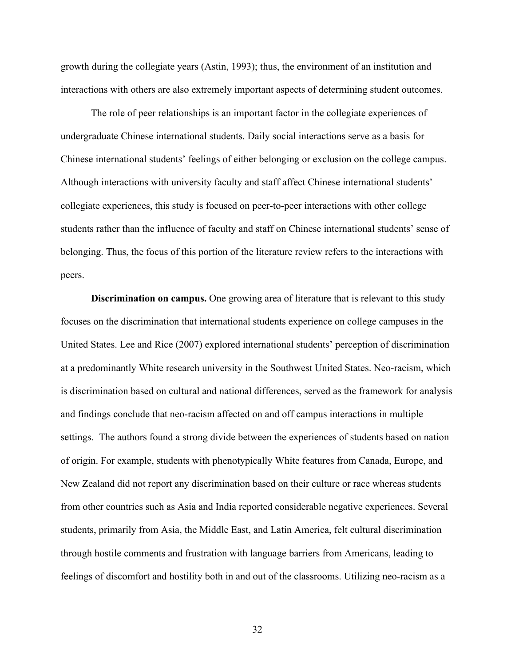growth during the collegiate years (Astin, 1993); thus, the environment of an institution and interactions with others are also extremely important aspects of determining student outcomes.

The role of peer relationships is an important factor in the collegiate experiences of undergraduate Chinese international students. Daily social interactions serve as a basis for Chinese international students' feelings of either belonging or exclusion on the college campus. Although interactions with university faculty and staff affect Chinese international students' collegiate experiences, this study is focused on peer-to-peer interactions with other college students rather than the influence of faculty and staff on Chinese international students' sense of belonging. Thus, the focus of this portion of the literature review refers to the interactions with peers.

**Discrimination on campus.** One growing area of literature that is relevant to this study focuses on the discrimination that international students experience on college campuses in the United States. Lee and Rice (2007) explored international students' perception of discrimination at a predominantly White research university in the Southwest United States. Neo-racism, which is discrimination based on cultural and national differences, served as the framework for analysis and findings conclude that neo-racism affected on and off campus interactions in multiple settings. The authors found a strong divide between the experiences of students based on nation of origin. For example, students with phenotypically White features from Canada, Europe, and New Zealand did not report any discrimination based on their culture or race whereas students from other countries such as Asia and India reported considerable negative experiences. Several students, primarily from Asia, the Middle East, and Latin America, felt cultural discrimination through hostile comments and frustration with language barriers from Americans, leading to feelings of discomfort and hostility both in and out of the classrooms. Utilizing neo-racism as a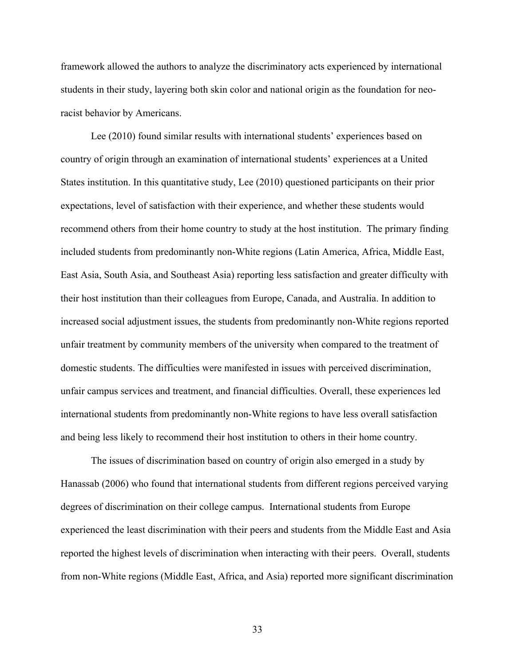framework allowed the authors to analyze the discriminatory acts experienced by international students in their study, layering both skin color and national origin as the foundation for neoracist behavior by Americans.

Lee (2010) found similar results with international students' experiences based on country of origin through an examination of international students' experiences at a United States institution. In this quantitative study, Lee (2010) questioned participants on their prior expectations, level of satisfaction with their experience, and whether these students would recommend others from their home country to study at the host institution. The primary finding included students from predominantly non-White regions (Latin America, Africa, Middle East, East Asia, South Asia, and Southeast Asia) reporting less satisfaction and greater difficulty with their host institution than their colleagues from Europe, Canada, and Australia. In addition to increased social adjustment issues, the students from predominantly non-White regions reported unfair treatment by community members of the university when compared to the treatment of domestic students. The difficulties were manifested in issues with perceived discrimination, unfair campus services and treatment, and financial difficulties. Overall, these experiences led international students from predominantly non-White regions to have less overall satisfaction and being less likely to recommend their host institution to others in their home country.

The issues of discrimination based on country of origin also emerged in a study by Hanassab (2006) who found that international students from different regions perceived varying degrees of discrimination on their college campus. International students from Europe experienced the least discrimination with their peers and students from the Middle East and Asia reported the highest levels of discrimination when interacting with their peers. Overall, students from non-White regions (Middle East, Africa, and Asia) reported more significant discrimination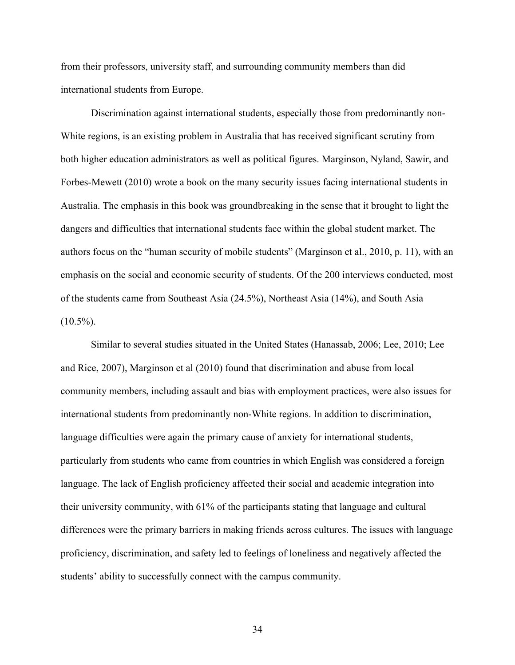from their professors, university staff, and surrounding community members than did international students from Europe.

Discrimination against international students, especially those from predominantly non-White regions, is an existing problem in Australia that has received significant scrutiny from both higher education administrators as well as political figures. Marginson, Nyland, Sawir, and Forbes-Mewett (2010) wrote a book on the many security issues facing international students in Australia. The emphasis in this book was groundbreaking in the sense that it brought to light the dangers and difficulties that international students face within the global student market. The authors focus on the "human security of mobile students" (Marginson et al., 2010, p. 11), with an emphasis on the social and economic security of students. Of the 200 interviews conducted, most of the students came from Southeast Asia (24.5%), Northeast Asia (14%), and South Asia  $(10.5\%)$ .

Similar to several studies situated in the United States (Hanassab, 2006; Lee, 2010; Lee and Rice, 2007), Marginson et al (2010) found that discrimination and abuse from local community members, including assault and bias with employment practices, were also issues for international students from predominantly non-White regions. In addition to discrimination, language difficulties were again the primary cause of anxiety for international students, particularly from students who came from countries in which English was considered a foreign language. The lack of English proficiency affected their social and academic integration into their university community, with 61% of the participants stating that language and cultural differences were the primary barriers in making friends across cultures. The issues with language proficiency, discrimination, and safety led to feelings of loneliness and negatively affected the students' ability to successfully connect with the campus community.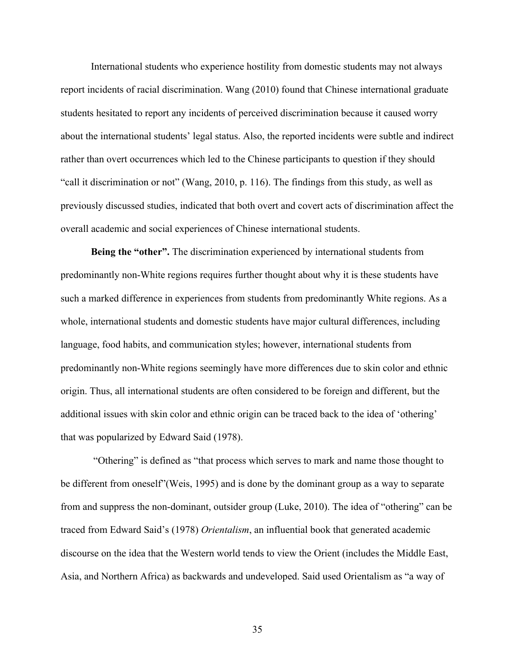International students who experience hostility from domestic students may not always report incidents of racial discrimination. Wang (2010) found that Chinese international graduate students hesitated to report any incidents of perceived discrimination because it caused worry about the international students' legal status. Also, the reported incidents were subtle and indirect rather than overt occurrences which led to the Chinese participants to question if they should "call it discrimination or not" (Wang, 2010, p. 116). The findings from this study, as well as previously discussed studies, indicated that both overt and covert acts of discrimination affect the overall academic and social experiences of Chinese international students.

**Being the "other".** The discrimination experienced by international students from predominantly non-White regions requires further thought about why it is these students have such a marked difference in experiences from students from predominantly White regions. As a whole, international students and domestic students have major cultural differences, including language, food habits, and communication styles; however, international students from predominantly non-White regions seemingly have more differences due to skin color and ethnic origin. Thus, all international students are often considered to be foreign and different, but the additional issues with skin color and ethnic origin can be traced back to the idea of 'othering' that was popularized by Edward Said (1978).

 "Othering" is defined as "that process which serves to mark and name those thought to be different from oneself"(Weis, 1995) and is done by the dominant group as a way to separate from and suppress the non-dominant, outsider group (Luke, 2010). The idea of "othering" can be traced from Edward Said's (1978) *Orientalism*, an influential book that generated academic discourse on the idea that the Western world tends to view the Orient (includes the Middle East, Asia, and Northern Africa) as backwards and undeveloped. Said used Orientalism as "a way of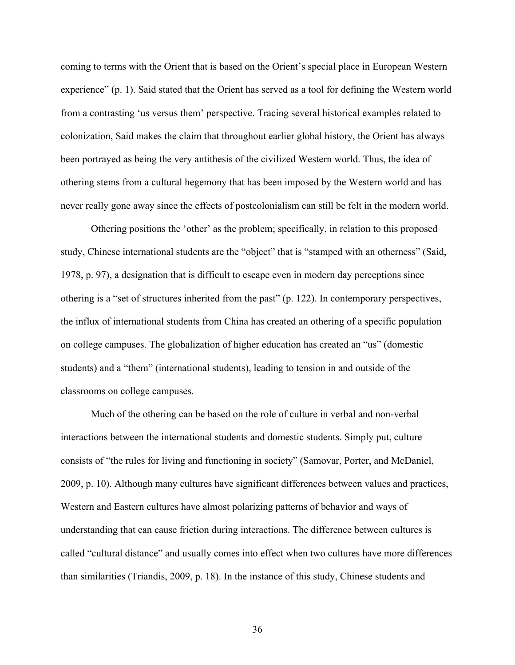coming to terms with the Orient that is based on the Orient's special place in European Western experience" (p. 1). Said stated that the Orient has served as a tool for defining the Western world from a contrasting 'us versus them' perspective. Tracing several historical examples related to colonization, Said makes the claim that throughout earlier global history, the Orient has always been portrayed as being the very antithesis of the civilized Western world. Thus, the idea of othering stems from a cultural hegemony that has been imposed by the Western world and has never really gone away since the effects of postcolonialism can still be felt in the modern world.

Othering positions the 'other' as the problem; specifically, in relation to this proposed study, Chinese international students are the "object" that is "stamped with an otherness" (Said, 1978, p. 97), a designation that is difficult to escape even in modern day perceptions since othering is a "set of structures inherited from the past" (p. 122). In contemporary perspectives, the influx of international students from China has created an othering of a specific population on college campuses. The globalization of higher education has created an "us" (domestic students) and a "them" (international students), leading to tension in and outside of the classrooms on college campuses.

Much of the othering can be based on the role of culture in verbal and non-verbal interactions between the international students and domestic students. Simply put, culture consists of "the rules for living and functioning in society" (Samovar, Porter, and McDaniel, 2009, p. 10). Although many cultures have significant differences between values and practices, Western and Eastern cultures have almost polarizing patterns of behavior and ways of understanding that can cause friction during interactions. The difference between cultures is called "cultural distance" and usually comes into effect when two cultures have more differences than similarities (Triandis, 2009, p. 18). In the instance of this study, Chinese students and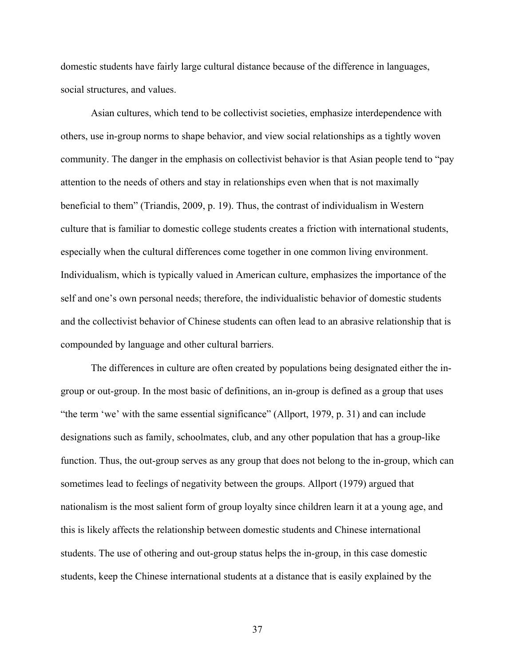domestic students have fairly large cultural distance because of the difference in languages, social structures, and values.

Asian cultures, which tend to be collectivist societies, emphasize interdependence with others, use in-group norms to shape behavior, and view social relationships as a tightly woven community. The danger in the emphasis on collectivist behavior is that Asian people tend to "pay attention to the needs of others and stay in relationships even when that is not maximally beneficial to them" (Triandis, 2009, p. 19). Thus, the contrast of individualism in Western culture that is familiar to domestic college students creates a friction with international students, especially when the cultural differences come together in one common living environment. Individualism, which is typically valued in American culture, emphasizes the importance of the self and one's own personal needs; therefore, the individualistic behavior of domestic students and the collectivist behavior of Chinese students can often lead to an abrasive relationship that is compounded by language and other cultural barriers.

The differences in culture are often created by populations being designated either the ingroup or out-group. In the most basic of definitions, an in-group is defined as a group that uses "the term 'we' with the same essential significance" (Allport, 1979, p. 31) and can include designations such as family, schoolmates, club, and any other population that has a group-like function. Thus, the out-group serves as any group that does not belong to the in-group, which can sometimes lead to feelings of negativity between the groups. Allport (1979) argued that nationalism is the most salient form of group loyalty since children learn it at a young age, and this is likely affects the relationship between domestic students and Chinese international students. The use of othering and out-group status helps the in-group, in this case domestic students, keep the Chinese international students at a distance that is easily explained by the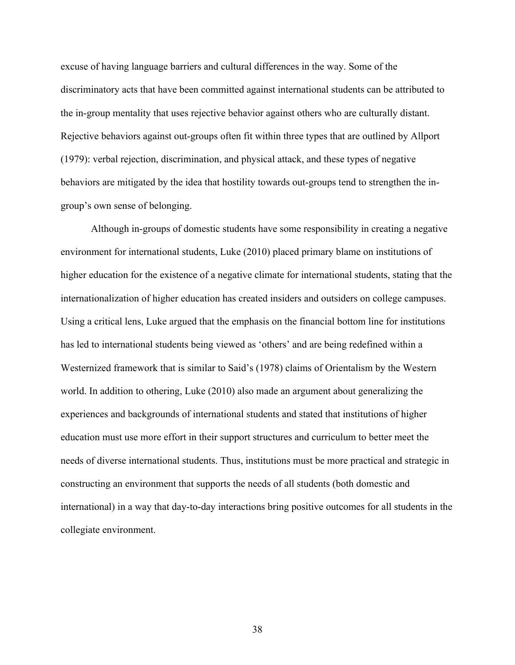excuse of having language barriers and cultural differences in the way. Some of the discriminatory acts that have been committed against international students can be attributed to the in-group mentality that uses rejective behavior against others who are culturally distant. Rejective behaviors against out-groups often fit within three types that are outlined by Allport (1979): verbal rejection, discrimination, and physical attack, and these types of negative behaviors are mitigated by the idea that hostility towards out-groups tend to strengthen the ingroup's own sense of belonging.

Although in-groups of domestic students have some responsibility in creating a negative environment for international students, Luke (2010) placed primary blame on institutions of higher education for the existence of a negative climate for international students, stating that the internationalization of higher education has created insiders and outsiders on college campuses. Using a critical lens, Luke argued that the emphasis on the financial bottom line for institutions has led to international students being viewed as 'others' and are being redefined within a Westernized framework that is similar to Said's (1978) claims of Orientalism by the Western world. In addition to othering, Luke (2010) also made an argument about generalizing the experiences and backgrounds of international students and stated that institutions of higher education must use more effort in their support structures and curriculum to better meet the needs of diverse international students. Thus, institutions must be more practical and strategic in constructing an environment that supports the needs of all students (both domestic and international) in a way that day-to-day interactions bring positive outcomes for all students in the collegiate environment.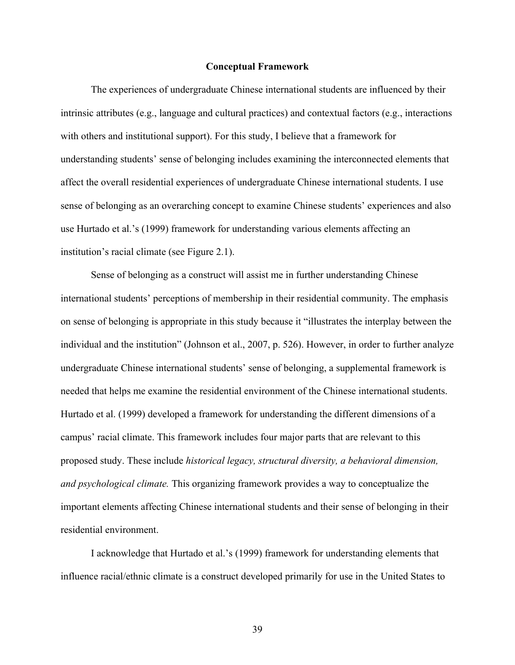#### **Conceptual Framework**

The experiences of undergraduate Chinese international students are influenced by their intrinsic attributes (e.g., language and cultural practices) and contextual factors (e.g., interactions with others and institutional support). For this study, I believe that a framework for understanding students' sense of belonging includes examining the interconnected elements that affect the overall residential experiences of undergraduate Chinese international students. I use sense of belonging as an overarching concept to examine Chinese students' experiences and also use Hurtado et al.'s (1999) framework for understanding various elements affecting an institution's racial climate (see Figure 2.1).

Sense of belonging as a construct will assist me in further understanding Chinese international students' perceptions of membership in their residential community. The emphasis on sense of belonging is appropriate in this study because it "illustrates the interplay between the individual and the institution" (Johnson et al., 2007, p. 526). However, in order to further analyze undergraduate Chinese international students' sense of belonging, a supplemental framework is needed that helps me examine the residential environment of the Chinese international students. Hurtado et al. (1999) developed a framework for understanding the different dimensions of a campus' racial climate. This framework includes four major parts that are relevant to this proposed study. These include *historical legacy, structural diversity, a behavioral dimension, and psychological climate.* This organizing framework provides a way to conceptualize the important elements affecting Chinese international students and their sense of belonging in their residential environment.

I acknowledge that Hurtado et al.'s (1999) framework for understanding elements that influence racial/ethnic climate is a construct developed primarily for use in the United States to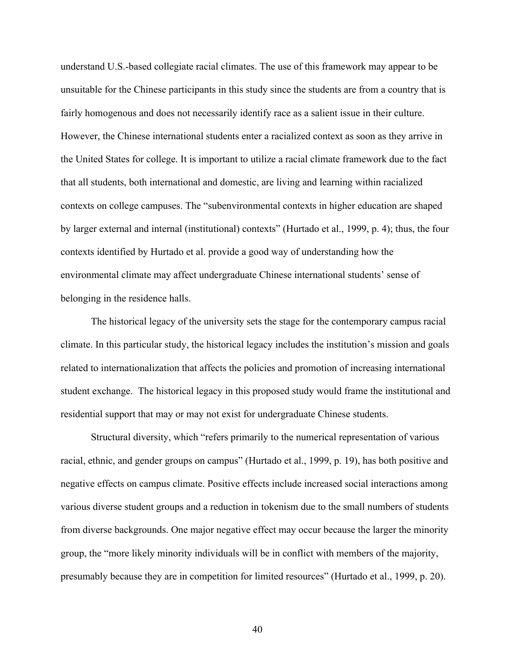understand U.S.-based collegiate racial climates. The use of this framework may appear to be unsuitable for the Chinese participants in this study since the students are from a country that is fairly homogenous and does not necessarily identify race as a salient issue in their culture. However, the Chinese international students enter a racialized context as soon as they arrive in the United States for college. It is important to utilize a racial climate framework due to the fact that all students, both international and domestic, are living and learning within racialized contexts on college campuses. The "subenvironmental contexts in higher education are shaped by larger external and internal (institutional) contexts" (Hurtado et al., 1999, p. 4); thus, the four contexts identified by Hurtado et al. provide a good way of understanding how the environmental climate may affect undergraduate Chinese international students' sense of belonging in the residence halls.

The historical legacy of the university sets the stage for the contemporary campus racial climate. In this particular study, the historical legacy includes the institution's mission and goals related to internationalization that affects the policies and promotion of increasing international student exchange. The historical legacy in this proposed study would frame the institutional and residential support that may or may not exist for undergraduate Chinese students.

Structural diversity, which "refers primarily to the numerical representation of various racial, ethnic, and gender groups on campus" (Hurtado et al., 1999, p. 19), has both positive and negative effects on campus climate. Positive effects include increased social interactions among various diverse student groups and a reduction in tokenism due to the small numbers of students from diverse backgrounds. One major negative effect may occur because the larger the minority group, the "more likely minority individuals will be in conflict with members of the majority, presumably because they are in competition for limited resources" (Hurtado et al., 1999, p. 20).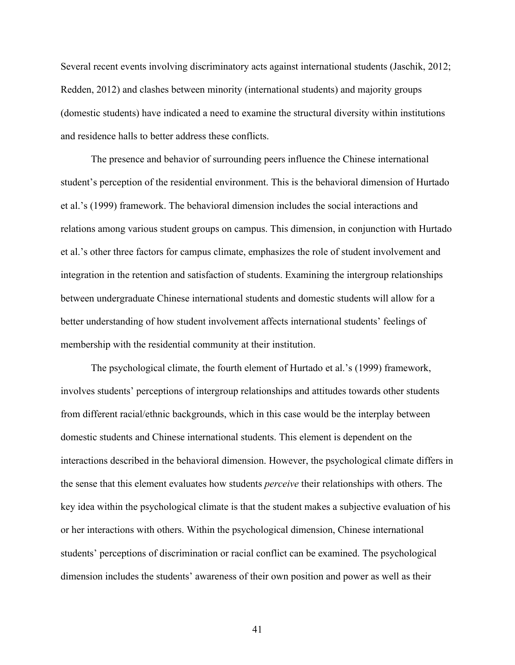Several recent events involving discriminatory acts against international students (Jaschik, 2012; Redden, 2012) and clashes between minority (international students) and majority groups (domestic students) have indicated a need to examine the structural diversity within institutions and residence halls to better address these conflicts.

The presence and behavior of surrounding peers influence the Chinese international student's perception of the residential environment. This is the behavioral dimension of Hurtado et al.'s (1999) framework. The behavioral dimension includes the social interactions and relations among various student groups on campus. This dimension, in conjunction with Hurtado et al.'s other three factors for campus climate, emphasizes the role of student involvement and integration in the retention and satisfaction of students. Examining the intergroup relationships between undergraduate Chinese international students and domestic students will allow for a better understanding of how student involvement affects international students' feelings of membership with the residential community at their institution.

The psychological climate, the fourth element of Hurtado et al.'s (1999) framework, involves students' perceptions of intergroup relationships and attitudes towards other students from different racial/ethnic backgrounds, which in this case would be the interplay between domestic students and Chinese international students. This element is dependent on the interactions described in the behavioral dimension. However, the psychological climate differs in the sense that this element evaluates how students *perceive* their relationships with others. The key idea within the psychological climate is that the student makes a subjective evaluation of his or her interactions with others. Within the psychological dimension, Chinese international students' perceptions of discrimination or racial conflict can be examined. The psychological dimension includes the students' awareness of their own position and power as well as their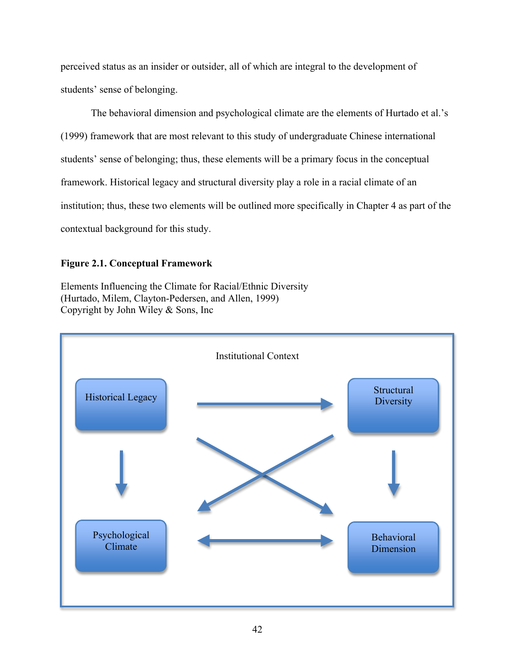perceived status as an insider or outsider, all of which are integral to the development of students' sense of belonging.

The behavioral dimension and psychological climate are the elements of Hurtado et al.'s (1999) framework that are most relevant to this study of undergraduate Chinese international students' sense of belonging; thus, these elements will be a primary focus in the conceptual framework. Historical legacy and structural diversity play a role in a racial climate of an institution; thus, these two elements will be outlined more specifically in Chapter 4 as part of the contextual background for this study.

# **Figure 2.1. Conceptual Framework**

Elements Influencing the Climate for Racial/Ethnic Diversity (Hurtado, Milem, Clayton-Pedersen, and Allen, 1999) Copyright by John Wiley & Sons, Inc

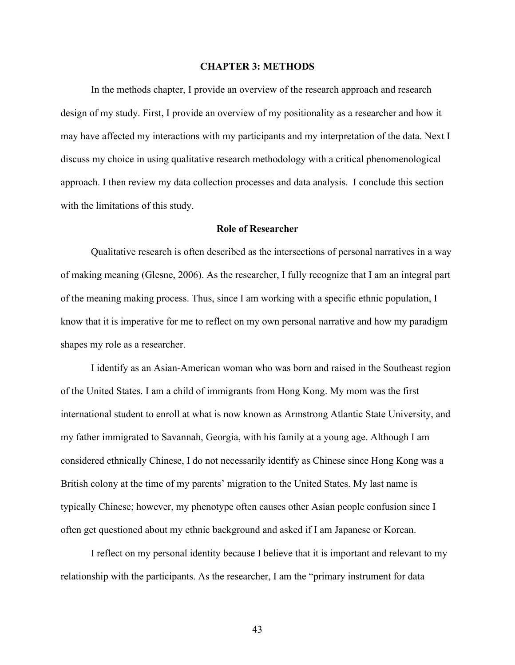#### **CHAPTER 3: METHODS**

In the methods chapter, I provide an overview of the research approach and research design of my study. First, I provide an overview of my positionality as a researcher and how it may have affected my interactions with my participants and my interpretation of the data. Next I discuss my choice in using qualitative research methodology with a critical phenomenological approach. I then review my data collection processes and data analysis. I conclude this section with the limitations of this study.

## **Role of Researcher**

Qualitative research is often described as the intersections of personal narratives in a way of making meaning (Glesne, 2006). As the researcher, I fully recognize that I am an integral part of the meaning making process. Thus, since I am working with a specific ethnic population, I know that it is imperative for me to reflect on my own personal narrative and how my paradigm shapes my role as a researcher.

I identify as an Asian-American woman who was born and raised in the Southeast region of the United States. I am a child of immigrants from Hong Kong. My mom was the first international student to enroll at what is now known as Armstrong Atlantic State University, and my father immigrated to Savannah, Georgia, with his family at a young age. Although I am considered ethnically Chinese, I do not necessarily identify as Chinese since Hong Kong was a British colony at the time of my parents' migration to the United States. My last name is typically Chinese; however, my phenotype often causes other Asian people confusion since I often get questioned about my ethnic background and asked if I am Japanese or Korean.

I reflect on my personal identity because I believe that it is important and relevant to my relationship with the participants. As the researcher, I am the "primary instrument for data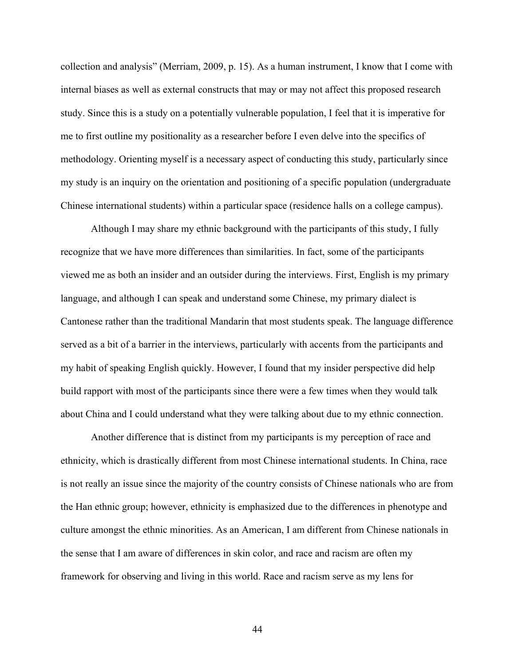collection and analysis" (Merriam, 2009, p. 15). As a human instrument, I know that I come with internal biases as well as external constructs that may or may not affect this proposed research study. Since this is a study on a potentially vulnerable population, I feel that it is imperative for me to first outline my positionality as a researcher before I even delve into the specifics of methodology. Orienting myself is a necessary aspect of conducting this study, particularly since my study is an inquiry on the orientation and positioning of a specific population (undergraduate Chinese international students) within a particular space (residence halls on a college campus).

Although I may share my ethnic background with the participants of this study, I fully recognize that we have more differences than similarities. In fact, some of the participants viewed me as both an insider and an outsider during the interviews. First, English is my primary language, and although I can speak and understand some Chinese, my primary dialect is Cantonese rather than the traditional Mandarin that most students speak. The language difference served as a bit of a barrier in the interviews, particularly with accents from the participants and my habit of speaking English quickly. However, I found that my insider perspective did help build rapport with most of the participants since there were a few times when they would talk about China and I could understand what they were talking about due to my ethnic connection.

Another difference that is distinct from my participants is my perception of race and ethnicity, which is drastically different from most Chinese international students. In China, race is not really an issue since the majority of the country consists of Chinese nationals who are from the Han ethnic group; however, ethnicity is emphasized due to the differences in phenotype and culture amongst the ethnic minorities. As an American, I am different from Chinese nationals in the sense that I am aware of differences in skin color, and race and racism are often my framework for observing and living in this world. Race and racism serve as my lens for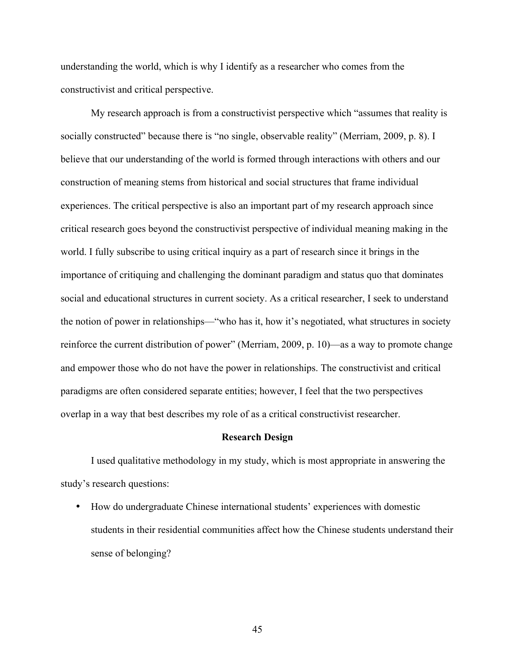understanding the world, which is why I identify as a researcher who comes from the constructivist and critical perspective.

My research approach is from a constructivist perspective which "assumes that reality is socially constructed" because there is "no single, observable reality" (Merriam, 2009, p. 8). I believe that our understanding of the world is formed through interactions with others and our construction of meaning stems from historical and social structures that frame individual experiences. The critical perspective is also an important part of my research approach since critical research goes beyond the constructivist perspective of individual meaning making in the world. I fully subscribe to using critical inquiry as a part of research since it brings in the importance of critiquing and challenging the dominant paradigm and status quo that dominates social and educational structures in current society. As a critical researcher, I seek to understand the notion of power in relationships—"who has it, how it's negotiated, what structures in society reinforce the current distribution of power" (Merriam, 2009, p. 10)—as a way to promote change and empower those who do not have the power in relationships. The constructivist and critical paradigms are often considered separate entities; however, I feel that the two perspectives overlap in a way that best describes my role of as a critical constructivist researcher.

## **Research Design**

I used qualitative methodology in my study, which is most appropriate in answering the study's research questions:

• How do undergraduate Chinese international students' experiences with domestic students in their residential communities affect how the Chinese students understand their sense of belonging?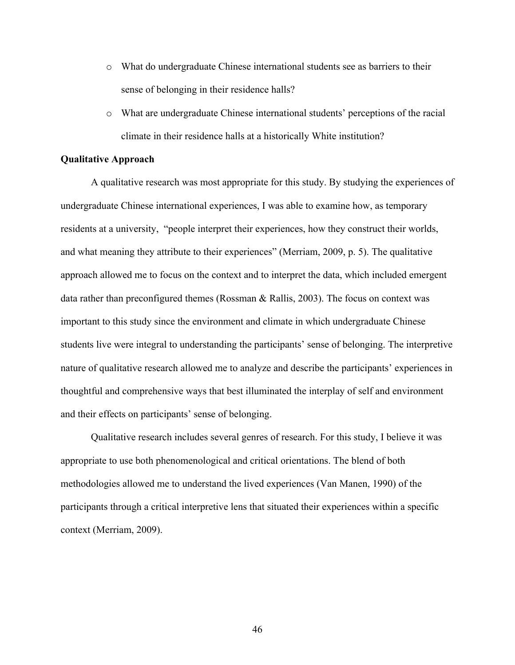- o What do undergraduate Chinese international students see as barriers to their sense of belonging in their residence halls?
- o What are undergraduate Chinese international students' perceptions of the racial climate in their residence halls at a historically White institution?

# **Qualitative Approach**

A qualitative research was most appropriate for this study. By studying the experiences of undergraduate Chinese international experiences, I was able to examine how, as temporary residents at a university, "people interpret their experiences, how they construct their worlds, and what meaning they attribute to their experiences" (Merriam, 2009, p. 5). The qualitative approach allowed me to focus on the context and to interpret the data, which included emergent data rather than preconfigured themes (Rossman & Rallis, 2003). The focus on context was important to this study since the environment and climate in which undergraduate Chinese students live were integral to understanding the participants' sense of belonging. The interpretive nature of qualitative research allowed me to analyze and describe the participants' experiences in thoughtful and comprehensive ways that best illuminated the interplay of self and environment and their effects on participants' sense of belonging.

Qualitative research includes several genres of research. For this study, I believe it was appropriate to use both phenomenological and critical orientations. The blend of both methodologies allowed me to understand the lived experiences (Van Manen, 1990) of the participants through a critical interpretive lens that situated their experiences within a specific context (Merriam, 2009).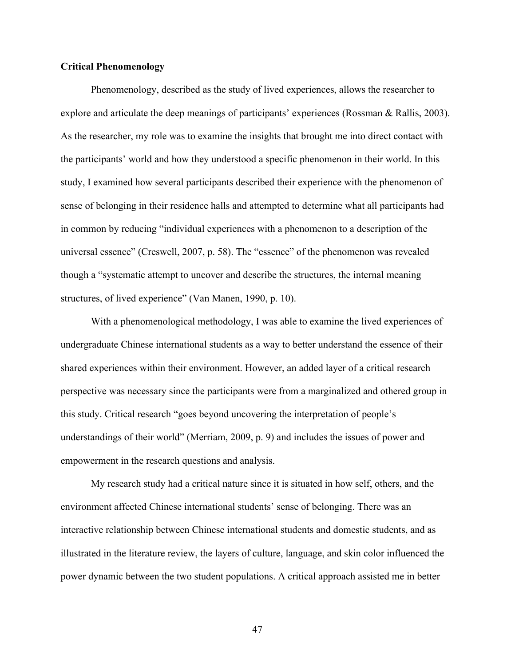## **Critical Phenomenology**

Phenomenology, described as the study of lived experiences, allows the researcher to explore and articulate the deep meanings of participants' experiences (Rossman & Rallis, 2003). As the researcher, my role was to examine the insights that brought me into direct contact with the participants' world and how they understood a specific phenomenon in their world. In this study, I examined how several participants described their experience with the phenomenon of sense of belonging in their residence halls and attempted to determine what all participants had in common by reducing "individual experiences with a phenomenon to a description of the universal essence" (Creswell, 2007, p. 58). The "essence" of the phenomenon was revealed though a "systematic attempt to uncover and describe the structures, the internal meaning structures, of lived experience" (Van Manen, 1990, p. 10).

With a phenomenological methodology, I was able to examine the lived experiences of undergraduate Chinese international students as a way to better understand the essence of their shared experiences within their environment. However, an added layer of a critical research perspective was necessary since the participants were from a marginalized and othered group in this study. Critical research "goes beyond uncovering the interpretation of people's understandings of their world" (Merriam, 2009, p. 9) and includes the issues of power and empowerment in the research questions and analysis.

My research study had a critical nature since it is situated in how self, others, and the environment affected Chinese international students' sense of belonging. There was an interactive relationship between Chinese international students and domestic students, and as illustrated in the literature review, the layers of culture, language, and skin color influenced the power dynamic between the two student populations. A critical approach assisted me in better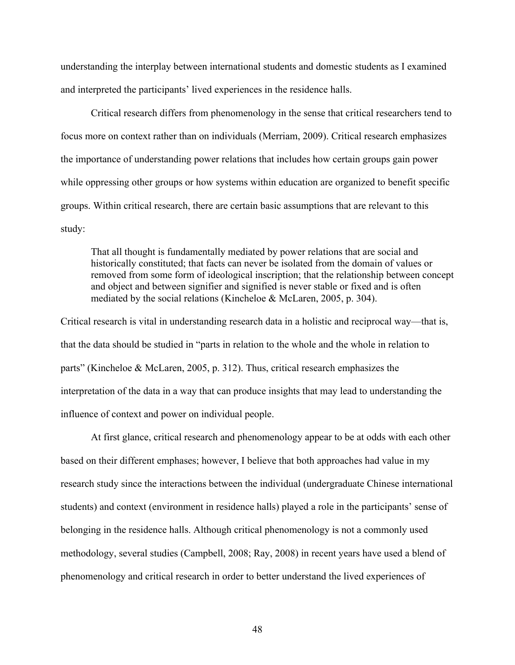understanding the interplay between international students and domestic students as I examined and interpreted the participants' lived experiences in the residence halls.

Critical research differs from phenomenology in the sense that critical researchers tend to focus more on context rather than on individuals (Merriam, 2009). Critical research emphasizes the importance of understanding power relations that includes how certain groups gain power while oppressing other groups or how systems within education are organized to benefit specific groups. Within critical research, there are certain basic assumptions that are relevant to this study:

That all thought is fundamentally mediated by power relations that are social and historically constituted; that facts can never be isolated from the domain of values or removed from some form of ideological inscription; that the relationship between concept and object and between signifier and signified is never stable or fixed and is often mediated by the social relations (Kincheloe & McLaren, 2005, p. 304).

Critical research is vital in understanding research data in a holistic and reciprocal way—that is, that the data should be studied in "parts in relation to the whole and the whole in relation to parts" (Kincheloe & McLaren, 2005, p. 312). Thus, critical research emphasizes the interpretation of the data in a way that can produce insights that may lead to understanding the influence of context and power on individual people.

At first glance, critical research and phenomenology appear to be at odds with each other based on their different emphases; however, I believe that both approaches had value in my research study since the interactions between the individual (undergraduate Chinese international students) and context (environment in residence halls) played a role in the participants' sense of belonging in the residence halls. Although critical phenomenology is not a commonly used methodology, several studies (Campbell, 2008; Ray, 2008) in recent years have used a blend of phenomenology and critical research in order to better understand the lived experiences of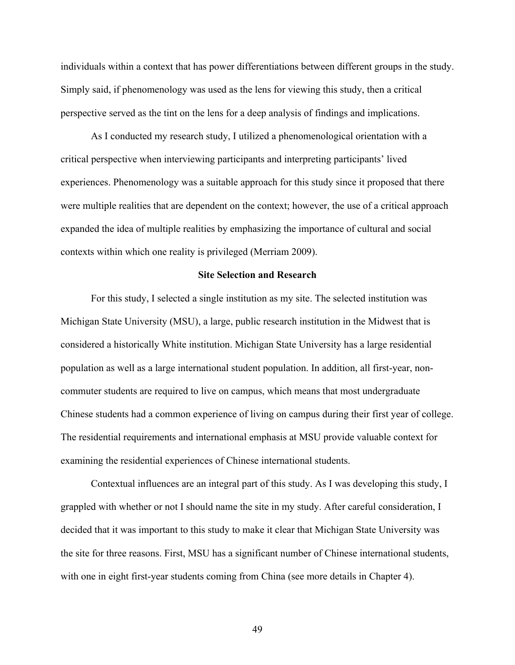individuals within a context that has power differentiations between different groups in the study. Simply said, if phenomenology was used as the lens for viewing this study, then a critical perspective served as the tint on the lens for a deep analysis of findings and implications.

As I conducted my research study, I utilized a phenomenological orientation with a critical perspective when interviewing participants and interpreting participants' lived experiences. Phenomenology was a suitable approach for this study since it proposed that there were multiple realities that are dependent on the context; however, the use of a critical approach expanded the idea of multiple realities by emphasizing the importance of cultural and social contexts within which one reality is privileged (Merriam 2009).

## **Site Selection and Research**

For this study, I selected a single institution as my site. The selected institution was Michigan State University (MSU), a large, public research institution in the Midwest that is considered a historically White institution. Michigan State University has a large residential population as well as a large international student population. In addition, all first-year, noncommuter students are required to live on campus, which means that most undergraduate Chinese students had a common experience of living on campus during their first year of college. The residential requirements and international emphasis at MSU provide valuable context for examining the residential experiences of Chinese international students.

Contextual influences are an integral part of this study. As I was developing this study, I grappled with whether or not I should name the site in my study. After careful consideration, I decided that it was important to this study to make it clear that Michigan State University was the site for three reasons. First, MSU has a significant number of Chinese international students, with one in eight first-year students coming from China (see more details in Chapter 4).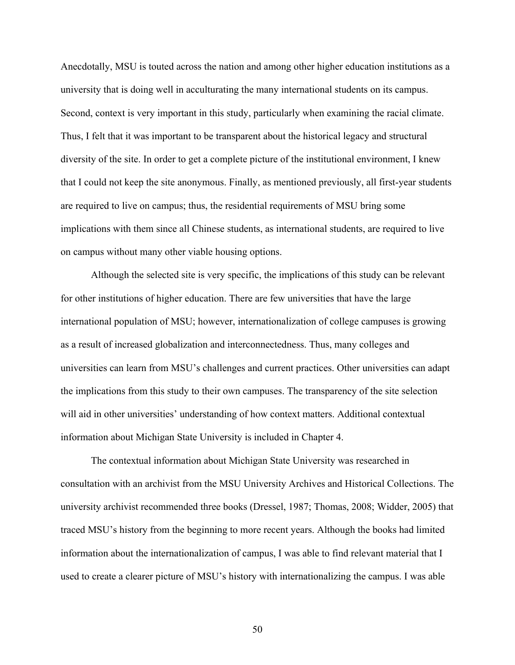Anecdotally, MSU is touted across the nation and among other higher education institutions as a university that is doing well in acculturating the many international students on its campus. Second, context is very important in this study, particularly when examining the racial climate. Thus, I felt that it was important to be transparent about the historical legacy and structural diversity of the site. In order to get a complete picture of the institutional environment, I knew that I could not keep the site anonymous. Finally, as mentioned previously, all first-year students are required to live on campus; thus, the residential requirements of MSU bring some implications with them since all Chinese students, as international students, are required to live on campus without many other viable housing options.

Although the selected site is very specific, the implications of this study can be relevant for other institutions of higher education. There are few universities that have the large international population of MSU; however, internationalization of college campuses is growing as a result of increased globalization and interconnectedness. Thus, many colleges and universities can learn from MSU's challenges and current practices. Other universities can adapt the implications from this study to their own campuses. The transparency of the site selection will aid in other universities' understanding of how context matters. Additional contextual information about Michigan State University is included in Chapter 4.

The contextual information about Michigan State University was researched in consultation with an archivist from the MSU University Archives and Historical Collections. The university archivist recommended three books (Dressel, 1987; Thomas, 2008; Widder, 2005) that traced MSU's history from the beginning to more recent years. Although the books had limited information about the internationalization of campus, I was able to find relevant material that I used to create a clearer picture of MSU's history with internationalizing the campus. I was able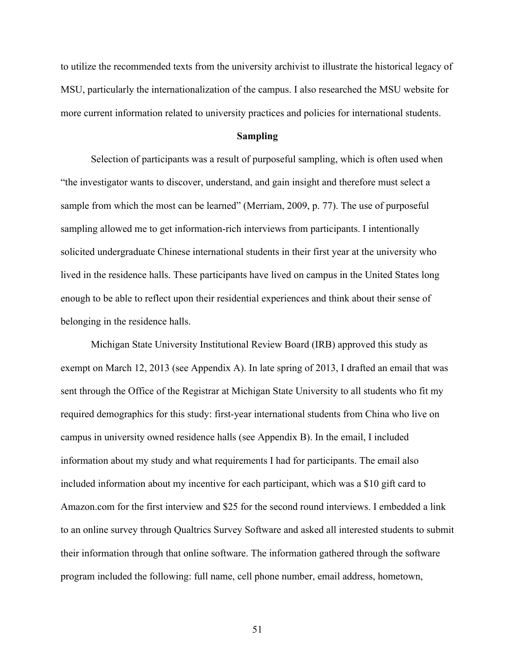to utilize the recommended texts from the university archivist to illustrate the historical legacy of MSU, particularly the internationalization of the campus. I also researched the MSU website for more current information related to university practices and policies for international students.

# **Sampling**

Selection of participants was a result of purposeful sampling, which is often used when "the investigator wants to discover, understand, and gain insight and therefore must select a sample from which the most can be learned" (Merriam, 2009, p. 77). The use of purposeful sampling allowed me to get information-rich interviews from participants. I intentionally solicited undergraduate Chinese international students in their first year at the university who lived in the residence halls. These participants have lived on campus in the United States long enough to be able to reflect upon their residential experiences and think about their sense of belonging in the residence halls.

Michigan State University Institutional Review Board (IRB) approved this study as exempt on March 12, 2013 (see Appendix A). In late spring of 2013, I drafted an email that was sent through the Office of the Registrar at Michigan State University to all students who fit my required demographics for this study: first-year international students from China who live on campus in university owned residence halls (see Appendix B). In the email, I included information about my study and what requirements I had for participants. The email also included information about my incentive for each participant, which was a \$10 gift card to Amazon.com for the first interview and \$25 for the second round interviews. I embedded a link to an online survey through Qualtrics Survey Software and asked all interested students to submit their information through that online software. The information gathered through the software program included the following: full name, cell phone number, email address, hometown,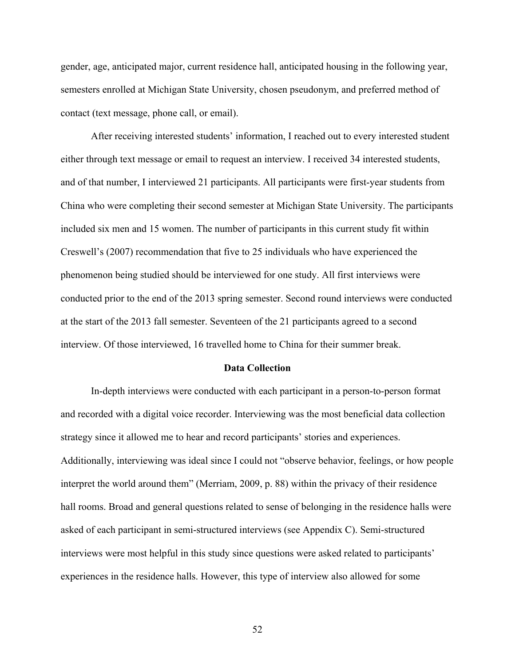gender, age, anticipated major, current residence hall, anticipated housing in the following year, semesters enrolled at Michigan State University, chosen pseudonym, and preferred method of contact (text message, phone call, or email).

After receiving interested students' information, I reached out to every interested student either through text message or email to request an interview. I received 34 interested students, and of that number, I interviewed 21 participants. All participants were first-year students from China who were completing their second semester at Michigan State University. The participants included six men and 15 women. The number of participants in this current study fit within Creswell's (2007) recommendation that five to 25 individuals who have experienced the phenomenon being studied should be interviewed for one study. All first interviews were conducted prior to the end of the 2013 spring semester. Second round interviews were conducted at the start of the 2013 fall semester. Seventeen of the 21 participants agreed to a second interview. Of those interviewed, 16 travelled home to China for their summer break.

#### **Data Collection**

In-depth interviews were conducted with each participant in a person-to-person format and recorded with a digital voice recorder. Interviewing was the most beneficial data collection strategy since it allowed me to hear and record participants' stories and experiences. Additionally, interviewing was ideal since I could not "observe behavior, feelings, or how people interpret the world around them" (Merriam, 2009, p. 88) within the privacy of their residence hall rooms. Broad and general questions related to sense of belonging in the residence halls were asked of each participant in semi-structured interviews (see Appendix C). Semi-structured interviews were most helpful in this study since questions were asked related to participants' experiences in the residence halls. However, this type of interview also allowed for some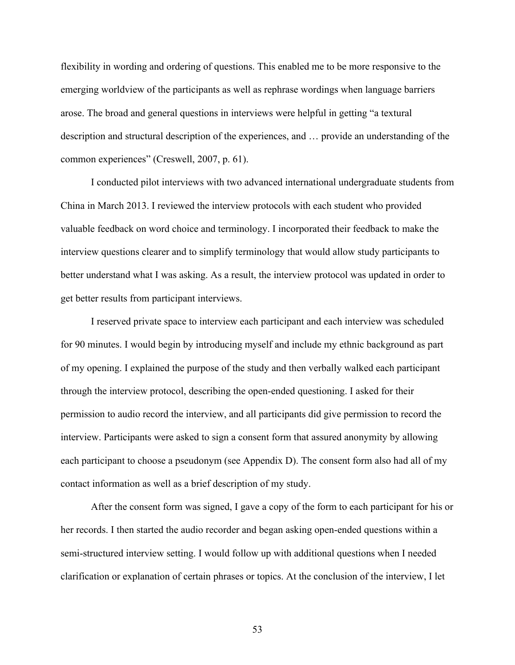flexibility in wording and ordering of questions. This enabled me to be more responsive to the emerging worldview of the participants as well as rephrase wordings when language barriers arose. The broad and general questions in interviews were helpful in getting "a textural description and structural description of the experiences, and … provide an understanding of the common experiences" (Creswell, 2007, p. 61).

I conducted pilot interviews with two advanced international undergraduate students from China in March 2013. I reviewed the interview protocols with each student who provided valuable feedback on word choice and terminology. I incorporated their feedback to make the interview questions clearer and to simplify terminology that would allow study participants to better understand what I was asking. As a result, the interview protocol was updated in order to get better results from participant interviews.

I reserved private space to interview each participant and each interview was scheduled for 90 minutes. I would begin by introducing myself and include my ethnic background as part of my opening. I explained the purpose of the study and then verbally walked each participant through the interview protocol, describing the open-ended questioning. I asked for their permission to audio record the interview, and all participants did give permission to record the interview. Participants were asked to sign a consent form that assured anonymity by allowing each participant to choose a pseudonym (see Appendix D). The consent form also had all of my contact information as well as a brief description of my study.

After the consent form was signed, I gave a copy of the form to each participant for his or her records. I then started the audio recorder and began asking open-ended questions within a semi-structured interview setting. I would follow up with additional questions when I needed clarification or explanation of certain phrases or topics. At the conclusion of the interview, I let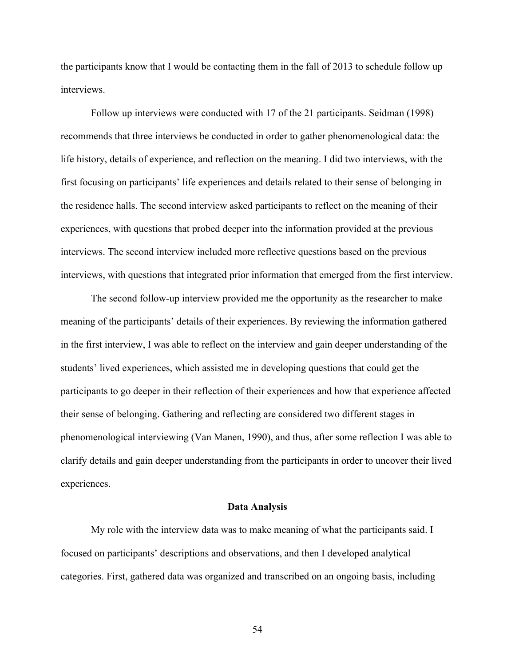the participants know that I would be contacting them in the fall of 2013 to schedule follow up interviews.

Follow up interviews were conducted with 17 of the 21 participants. Seidman (1998) recommends that three interviews be conducted in order to gather phenomenological data: the life history, details of experience, and reflection on the meaning. I did two interviews, with the first focusing on participants' life experiences and details related to their sense of belonging in the residence halls. The second interview asked participants to reflect on the meaning of their experiences, with questions that probed deeper into the information provided at the previous interviews. The second interview included more reflective questions based on the previous interviews, with questions that integrated prior information that emerged from the first interview.

The second follow-up interview provided me the opportunity as the researcher to make meaning of the participants' details of their experiences. By reviewing the information gathered in the first interview, I was able to reflect on the interview and gain deeper understanding of the students' lived experiences, which assisted me in developing questions that could get the participants to go deeper in their reflection of their experiences and how that experience affected their sense of belonging. Gathering and reflecting are considered two different stages in phenomenological interviewing (Van Manen, 1990), and thus, after some reflection I was able to clarify details and gain deeper understanding from the participants in order to uncover their lived experiences.

### **Data Analysis**

My role with the interview data was to make meaning of what the participants said. I focused on participants' descriptions and observations, and then I developed analytical categories. First, gathered data was organized and transcribed on an ongoing basis, including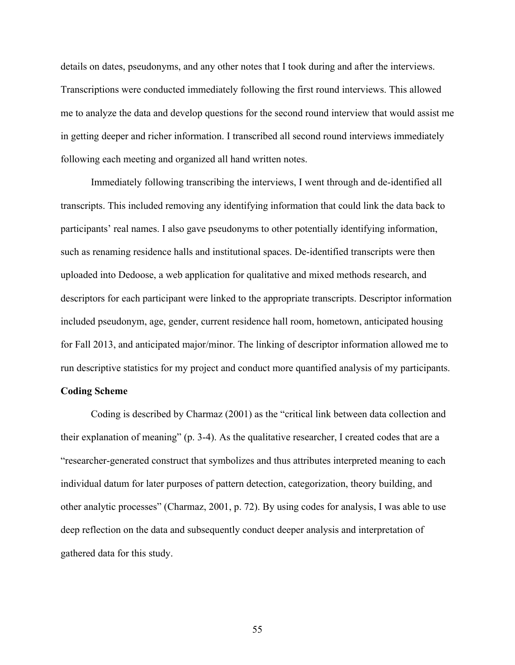details on dates, pseudonyms, and any other notes that I took during and after the interviews. Transcriptions were conducted immediately following the first round interviews. This allowed me to analyze the data and develop questions for the second round interview that would assist me in getting deeper and richer information. I transcribed all second round interviews immediately following each meeting and organized all hand written notes.

Immediately following transcribing the interviews, I went through and de-identified all transcripts. This included removing any identifying information that could link the data back to participants' real names. I also gave pseudonyms to other potentially identifying information, such as renaming residence halls and institutional spaces. De-identified transcripts were then uploaded into Dedoose, a web application for qualitative and mixed methods research, and descriptors for each participant were linked to the appropriate transcripts. Descriptor information included pseudonym, age, gender, current residence hall room, hometown, anticipated housing for Fall 2013, and anticipated major/minor. The linking of descriptor information allowed me to run descriptive statistics for my project and conduct more quantified analysis of my participants.

# **Coding Scheme**

Coding is described by Charmaz (2001) as the "critical link between data collection and their explanation of meaning" (p. 3-4). As the qualitative researcher, I created codes that are a "researcher-generated construct that symbolizes and thus attributes interpreted meaning to each individual datum for later purposes of pattern detection, categorization, theory building, and other analytic processes" (Charmaz, 2001, p. 72). By using codes for analysis, I was able to use deep reflection on the data and subsequently conduct deeper analysis and interpretation of gathered data for this study.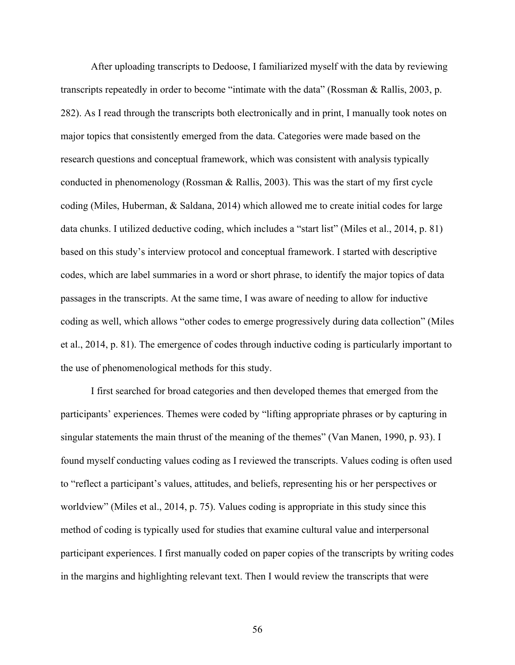After uploading transcripts to Dedoose, I familiarized myself with the data by reviewing transcripts repeatedly in order to become "intimate with the data" (Rossman & Rallis, 2003, p. 282). As I read through the transcripts both electronically and in print, I manually took notes on major topics that consistently emerged from the data. Categories were made based on the research questions and conceptual framework, which was consistent with analysis typically conducted in phenomenology (Rossman & Rallis, 2003). This was the start of my first cycle coding (Miles, Huberman, & Saldana, 2014) which allowed me to create initial codes for large data chunks. I utilized deductive coding, which includes a "start list" (Miles et al., 2014, p. 81) based on this study's interview protocol and conceptual framework. I started with descriptive codes, which are label summaries in a word or short phrase, to identify the major topics of data passages in the transcripts. At the same time, I was aware of needing to allow for inductive coding as well, which allows "other codes to emerge progressively during data collection" (Miles et al., 2014, p. 81). The emergence of codes through inductive coding is particularly important to the use of phenomenological methods for this study.

I first searched for broad categories and then developed themes that emerged from the participants' experiences. Themes were coded by "lifting appropriate phrases or by capturing in singular statements the main thrust of the meaning of the themes" (Van Manen, 1990, p. 93). I found myself conducting values coding as I reviewed the transcripts. Values coding is often used to "reflect a participant's values, attitudes, and beliefs, representing his or her perspectives or worldview" (Miles et al., 2014, p. 75). Values coding is appropriate in this study since this method of coding is typically used for studies that examine cultural value and interpersonal participant experiences. I first manually coded on paper copies of the transcripts by writing codes in the margins and highlighting relevant text. Then I would review the transcripts that were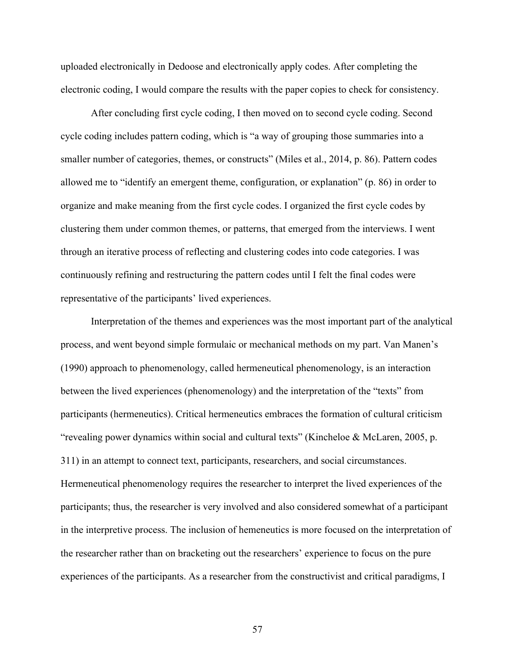uploaded electronically in Dedoose and electronically apply codes. After completing the electronic coding, I would compare the results with the paper copies to check for consistency.

After concluding first cycle coding, I then moved on to second cycle coding. Second cycle coding includes pattern coding, which is "a way of grouping those summaries into a smaller number of categories, themes, or constructs" (Miles et al., 2014, p. 86). Pattern codes allowed me to "identify an emergent theme, configuration, or explanation" (p. 86) in order to organize and make meaning from the first cycle codes. I organized the first cycle codes by clustering them under common themes, or patterns, that emerged from the interviews. I went through an iterative process of reflecting and clustering codes into code categories. I was continuously refining and restructuring the pattern codes until I felt the final codes were representative of the participants' lived experiences.

Interpretation of the themes and experiences was the most important part of the analytical process, and went beyond simple formulaic or mechanical methods on my part. Van Manen's (1990) approach to phenomenology, called hermeneutical phenomenology, is an interaction between the lived experiences (phenomenology) and the interpretation of the "texts" from participants (hermeneutics). Critical hermeneutics embraces the formation of cultural criticism "revealing power dynamics within social and cultural texts" (Kincheloe & McLaren, 2005, p. 311) in an attempt to connect text, participants, researchers, and social circumstances. Hermeneutical phenomenology requires the researcher to interpret the lived experiences of the participants; thus, the researcher is very involved and also considered somewhat of a participant in the interpretive process. The inclusion of hemeneutics is more focused on the interpretation of the researcher rather than on bracketing out the researchers' experience to focus on the pure experiences of the participants. As a researcher from the constructivist and critical paradigms, I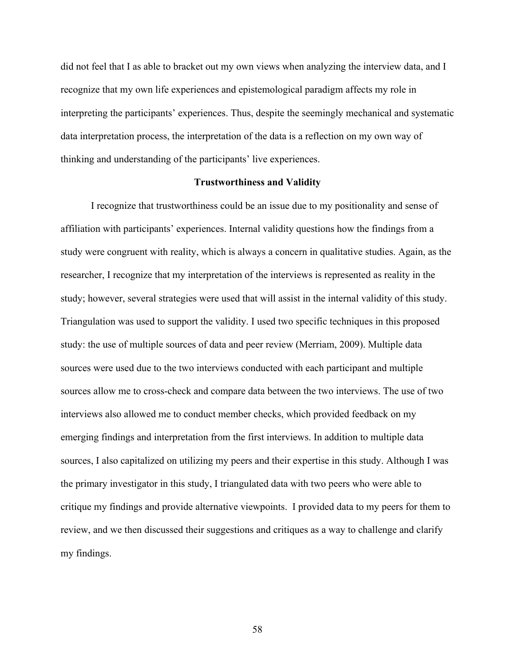did not feel that I as able to bracket out my own views when analyzing the interview data, and I recognize that my own life experiences and epistemological paradigm affects my role in interpreting the participants' experiences. Thus, despite the seemingly mechanical and systematic data interpretation process, the interpretation of the data is a reflection on my own way of thinking and understanding of the participants' live experiences.

#### **Trustworthiness and Validity**

I recognize that trustworthiness could be an issue due to my positionality and sense of affiliation with participants' experiences. Internal validity questions how the findings from a study were congruent with reality, which is always a concern in qualitative studies. Again, as the researcher, I recognize that my interpretation of the interviews is represented as reality in the study; however, several strategies were used that will assist in the internal validity of this study. Triangulation was used to support the validity. I used two specific techniques in this proposed study: the use of multiple sources of data and peer review (Merriam, 2009). Multiple data sources were used due to the two interviews conducted with each participant and multiple sources allow me to cross-check and compare data between the two interviews. The use of two interviews also allowed me to conduct member checks, which provided feedback on my emerging findings and interpretation from the first interviews. In addition to multiple data sources, I also capitalized on utilizing my peers and their expertise in this study. Although I was the primary investigator in this study, I triangulated data with two peers who were able to critique my findings and provide alternative viewpoints. I provided data to my peers for them to review, and we then discussed their suggestions and critiques as a way to challenge and clarify my findings.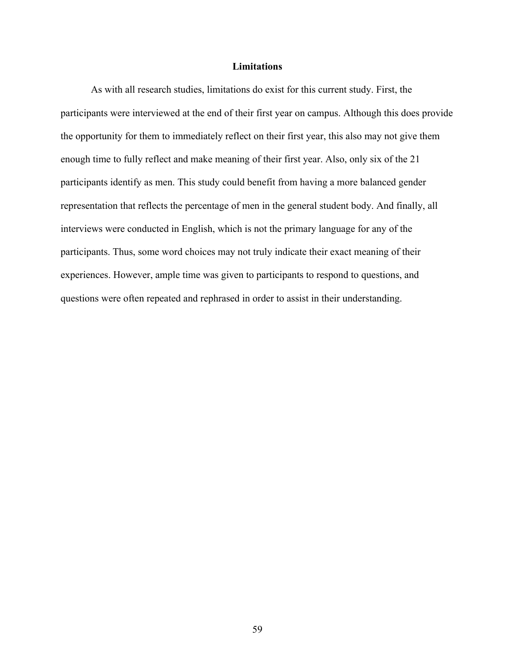## **Limitations**

As with all research studies, limitations do exist for this current study. First, the participants were interviewed at the end of their first year on campus. Although this does provide the opportunity for them to immediately reflect on their first year, this also may not give them enough time to fully reflect and make meaning of their first year. Also, only six of the 21 participants identify as men. This study could benefit from having a more balanced gender representation that reflects the percentage of men in the general student body. And finally, all interviews were conducted in English, which is not the primary language for any of the participants. Thus, some word choices may not truly indicate their exact meaning of their experiences. However, ample time was given to participants to respond to questions, and questions were often repeated and rephrased in order to assist in their understanding.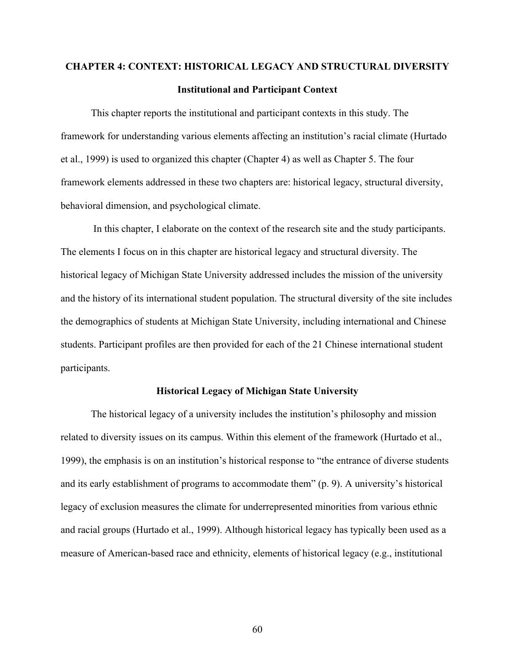# **CHAPTER 4: CONTEXT: HISTORICAL LEGACY AND STRUCTURAL DIVERSITY Institutional and Participant Context**

This chapter reports the institutional and participant contexts in this study. The framework for understanding various elements affecting an institution's racial climate (Hurtado et al., 1999) is used to organized this chapter (Chapter 4) as well as Chapter 5. The four framework elements addressed in these two chapters are: historical legacy, structural diversity, behavioral dimension, and psychological climate.

In this chapter, I elaborate on the context of the research site and the study participants. The elements I focus on in this chapter are historical legacy and structural diversity. The historical legacy of Michigan State University addressed includes the mission of the university and the history of its international student population. The structural diversity of the site includes the demographics of students at Michigan State University, including international and Chinese students. Participant profiles are then provided for each of the 21 Chinese international student participants.

#### **Historical Legacy of Michigan State University**

The historical legacy of a university includes the institution's philosophy and mission related to diversity issues on its campus. Within this element of the framework (Hurtado et al., 1999), the emphasis is on an institution's historical response to "the entrance of diverse students and its early establishment of programs to accommodate them" (p. 9). A university's historical legacy of exclusion measures the climate for underrepresented minorities from various ethnic and racial groups (Hurtado et al., 1999). Although historical legacy has typically been used as a measure of American-based race and ethnicity, elements of historical legacy (e.g., institutional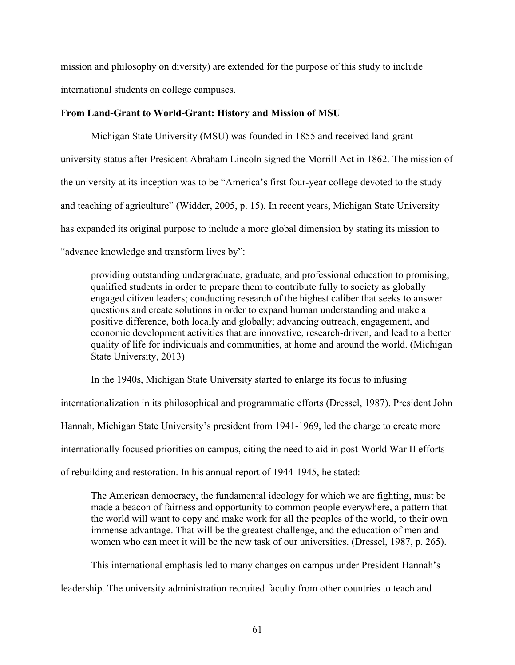mission and philosophy on diversity) are extended for the purpose of this study to include international students on college campuses.

# **From Land-Grant to World-Grant: History and Mission of MSU**

Michigan State University (MSU) was founded in 1855 and received land-grant university status after President Abraham Lincoln signed the Morrill Act in 1862. The mission of the university at its inception was to be "America's first four-year college devoted to the study and teaching of agriculture" (Widder, 2005, p. 15). In recent years, Michigan State University has expanded its original purpose to include a more global dimension by stating its mission to "advance knowledge and transform lives by":

providing outstanding undergraduate, graduate, and professional education to promising, qualified students in order to prepare them to contribute fully to society as globally engaged citizen leaders; conducting research of the highest caliber that seeks to answer questions and create solutions in order to expand human understanding and make a positive difference, both locally and globally; advancing outreach, engagement, and economic development activities that are innovative, research-driven, and lead to a better quality of life for individuals and communities, at home and around the world. (Michigan State University, 2013)

In the 1940s, Michigan State University started to enlarge its focus to infusing

internationalization in its philosophical and programmatic efforts (Dressel, 1987). President John

Hannah, Michigan State University's president from 1941-1969, led the charge to create more

internationally focused priorities on campus, citing the need to aid in post-World War II efforts

of rebuilding and restoration. In his annual report of 1944-1945, he stated:

The American democracy, the fundamental ideology for which we are fighting, must be made a beacon of fairness and opportunity to common people everywhere, a pattern that the world will want to copy and make work for all the peoples of the world, to their own immense advantage. That will be the greatest challenge, and the education of men and women who can meet it will be the new task of our universities. (Dressel, 1987, p. 265).

This international emphasis led to many changes on campus under President Hannah's

leadership. The university administration recruited faculty from other countries to teach and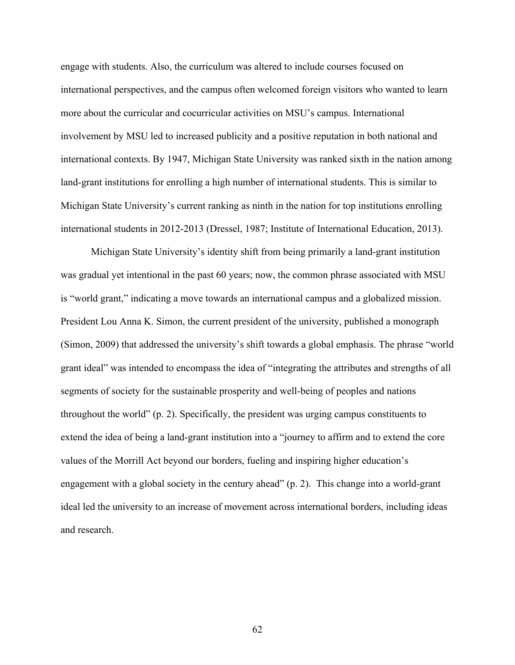engage with students. Also, the curriculum was altered to include courses focused on international perspectives, and the campus often welcomed foreign visitors who wanted to learn more about the curricular and cocurricular activities on MSU's campus. International involvement by MSU led to increased publicity and a positive reputation in both national and international contexts. By 1947, Michigan State University was ranked sixth in the nation among land-grant institutions for enrolling a high number of international students. This is similar to Michigan State University's current ranking as ninth in the nation for top institutions enrolling international students in 2012-2013 (Dressel, 1987; Institute of International Education, 2013).

Michigan State University's identity shift from being primarily a land-grant institution was gradual yet intentional in the past 60 years; now, the common phrase associated with MSU is "world grant," indicating a move towards an international campus and a globalized mission. President Lou Anna K. Simon, the current president of the university, published a monograph (Simon, 2009) that addressed the university's shift towards a global emphasis. The phrase "world grant ideal" was intended to encompass the idea of "integrating the attributes and strengths of all segments of society for the sustainable prosperity and well-being of peoples and nations throughout the world" (p. 2). Specifically, the president was urging campus constituents to extend the idea of being a land-grant institution into a "journey to affirm and to extend the core values of the Morrill Act beyond our borders, fueling and inspiring higher education's engagement with a global society in the century ahead" (p. 2). This change into a world-grant ideal led the university to an increase of movement across international borders, including ideas and research.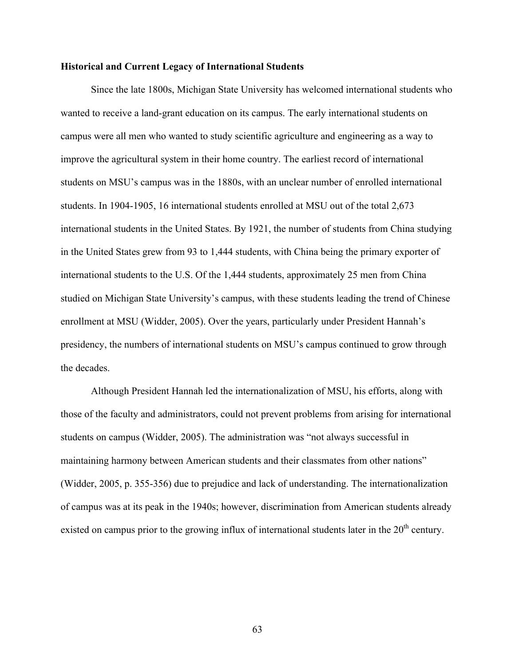#### **Historical and Current Legacy of International Students**

Since the late 1800s, Michigan State University has welcomed international students who wanted to receive a land-grant education on its campus. The early international students on campus were all men who wanted to study scientific agriculture and engineering as a way to improve the agricultural system in their home country. The earliest record of international students on MSU's campus was in the 1880s, with an unclear number of enrolled international students. In 1904-1905, 16 international students enrolled at MSU out of the total 2,673 international students in the United States. By 1921, the number of students from China studying in the United States grew from 93 to 1,444 students, with China being the primary exporter of international students to the U.S. Of the 1,444 students, approximately 25 men from China studied on Michigan State University's campus, with these students leading the trend of Chinese enrollment at MSU (Widder, 2005). Over the years, particularly under President Hannah's presidency, the numbers of international students on MSU's campus continued to grow through the decades.

Although President Hannah led the internationalization of MSU, his efforts, along with those of the faculty and administrators, could not prevent problems from arising for international students on campus (Widder, 2005). The administration was "not always successful in maintaining harmony between American students and their classmates from other nations" (Widder, 2005, p. 355-356) due to prejudice and lack of understanding. The internationalization of campus was at its peak in the 1940s; however, discrimination from American students already existed on campus prior to the growing influx of international students later in the  $20<sup>th</sup>$  century.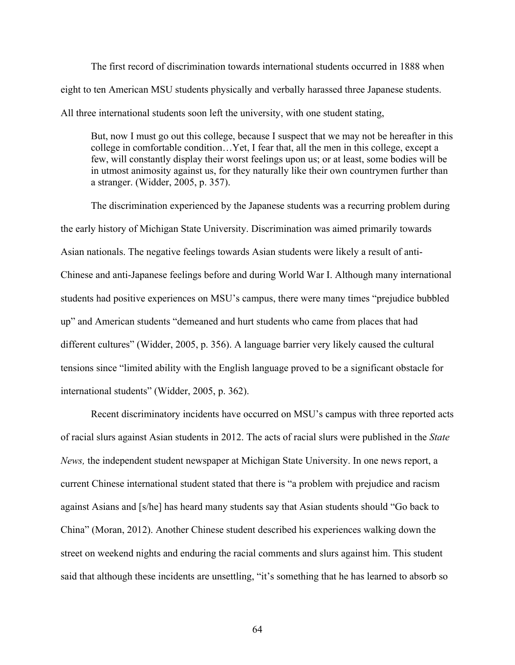The first record of discrimination towards international students occurred in 1888 when eight to ten American MSU students physically and verbally harassed three Japanese students. All three international students soon left the university, with one student stating,

But, now I must go out this college, because I suspect that we may not be hereafter in this college in comfortable condition…Yet, I fear that, all the men in this college, except a few, will constantly display their worst feelings upon us; or at least, some bodies will be in utmost animosity against us, for they naturally like their own countrymen further than a stranger. (Widder, 2005, p. 357).

The discrimination experienced by the Japanese students was a recurring problem during the early history of Michigan State University. Discrimination was aimed primarily towards Asian nationals. The negative feelings towards Asian students were likely a result of anti-Chinese and anti-Japanese feelings before and during World War I. Although many international students had positive experiences on MSU's campus, there were many times "prejudice bubbled up" and American students "demeaned and hurt students who came from places that had different cultures" (Widder, 2005, p. 356). A language barrier very likely caused the cultural tensions since "limited ability with the English language proved to be a significant obstacle for international students" (Widder, 2005, p. 362).

Recent discriminatory incidents have occurred on MSU's campus with three reported acts of racial slurs against Asian students in 2012. The acts of racial slurs were published in the *State News,* the independent student newspaper at Michigan State University. In one news report, a current Chinese international student stated that there is "a problem with prejudice and racism against Asians and [s/he] has heard many students say that Asian students should "Go back to China" (Moran, 2012). Another Chinese student described his experiences walking down the street on weekend nights and enduring the racial comments and slurs against him. This student said that although these incidents are unsettling, "it's something that he has learned to absorb so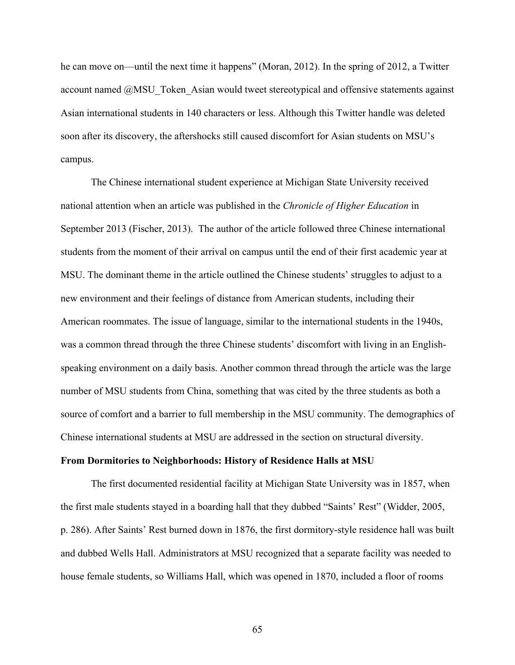he can move on—until the next time it happens" (Moran, 2012). In the spring of 2012, a Twitter account named @MSU\_Token\_Asian would tweet stereotypical and offensive statements against Asian international students in 140 characters or less. Although this Twitter handle was deleted soon after its discovery, the aftershocks still caused discomfort for Asian students on MSU's campus.

The Chinese international student experience at Michigan State University received national attention when an article was published in the *Chronicle of Higher Education* in September 2013 (Fischer, 2013). The author of the article followed three Chinese international students from the moment of their arrival on campus until the end of their first academic year at MSU. The dominant theme in the article outlined the Chinese students' struggles to adjust to a new environment and their feelings of distance from American students, including their American roommates. The issue of language, similar to the international students in the 1940s, was a common thread through the three Chinese students' discomfort with living in an Englishspeaking environment on a daily basis. Another common thread through the article was the large number of MSU students from China, something that was cited by the three students as both a source of comfort and a barrier to full membership in the MSU community. The demographics of Chinese international students at MSU are addressed in the section on structural diversity.

#### **From Dormitories to Neighborhoods: History of Residence Halls at MSU**

The first documented residential facility at Michigan State University was in 1857, when the first male students stayed in a boarding hall that they dubbed "Saints' Rest" (Widder, 2005, p. 286). After Saints' Rest burned down in 1876, the first dormitory-style residence hall was built and dubbed Wells Hall. Administrators at MSU recognized that a separate facility was needed to house female students, so Williams Hall, which was opened in 1870, included a floor of rooms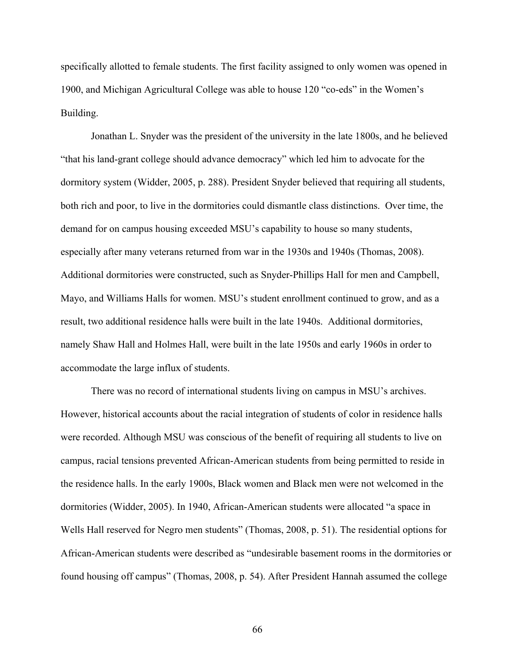specifically allotted to female students. The first facility assigned to only women was opened in 1900, and Michigan Agricultural College was able to house 120 "co-eds" in the Women's Building.

Jonathan L. Snyder was the president of the university in the late 1800s, and he believed "that his land-grant college should advance democracy" which led him to advocate for the dormitory system (Widder, 2005, p. 288). President Snyder believed that requiring all students, both rich and poor, to live in the dormitories could dismantle class distinctions. Over time, the demand for on campus housing exceeded MSU's capability to house so many students, especially after many veterans returned from war in the 1930s and 1940s (Thomas, 2008). Additional dormitories were constructed, such as Snyder-Phillips Hall for men and Campbell, Mayo, and Williams Halls for women. MSU's student enrollment continued to grow, and as a result, two additional residence halls were built in the late 1940s. Additional dormitories, namely Shaw Hall and Holmes Hall, were built in the late 1950s and early 1960s in order to accommodate the large influx of students.

There was no record of international students living on campus in MSU's archives. However, historical accounts about the racial integration of students of color in residence halls were recorded. Although MSU was conscious of the benefit of requiring all students to live on campus, racial tensions prevented African-American students from being permitted to reside in the residence halls. In the early 1900s, Black women and Black men were not welcomed in the dormitories (Widder, 2005). In 1940, African-American students were allocated "a space in Wells Hall reserved for Negro men students" (Thomas, 2008, p. 51). The residential options for African-American students were described as "undesirable basement rooms in the dormitories or found housing off campus" (Thomas, 2008, p. 54). After President Hannah assumed the college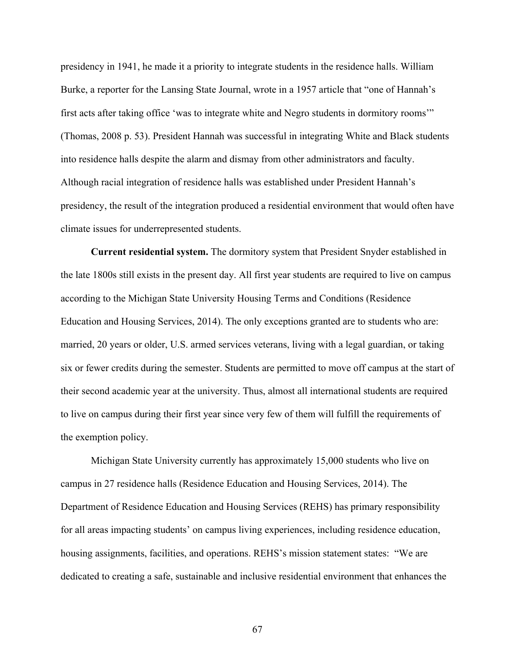presidency in 1941, he made it a priority to integrate students in the residence halls. William Burke, a reporter for the Lansing State Journal, wrote in a 1957 article that "one of Hannah's first acts after taking office 'was to integrate white and Negro students in dormitory rooms'" (Thomas, 2008 p. 53). President Hannah was successful in integrating White and Black students into residence halls despite the alarm and dismay from other administrators and faculty. Although racial integration of residence halls was established under President Hannah's presidency, the result of the integration produced a residential environment that would often have climate issues for underrepresented students.

**Current residential system.** The dormitory system that President Snyder established in the late 1800s still exists in the present day. All first year students are required to live on campus according to the Michigan State University Housing Terms and Conditions (Residence Education and Housing Services, 2014). The only exceptions granted are to students who are: married, 20 years or older, U.S. armed services veterans, living with a legal guardian, or taking six or fewer credits during the semester. Students are permitted to move off campus at the start of their second academic year at the university. Thus, almost all international students are required to live on campus during their first year since very few of them will fulfill the requirements of the exemption policy.

Michigan State University currently has approximately 15,000 students who live on campus in 27 residence halls (Residence Education and Housing Services, 2014). The Department of Residence Education and Housing Services (REHS) has primary responsibility for all areas impacting students' on campus living experiences, including residence education, housing assignments, facilities, and operations. REHS's mission statement states: "We are dedicated to creating a safe, sustainable and inclusive residential environment that enhances the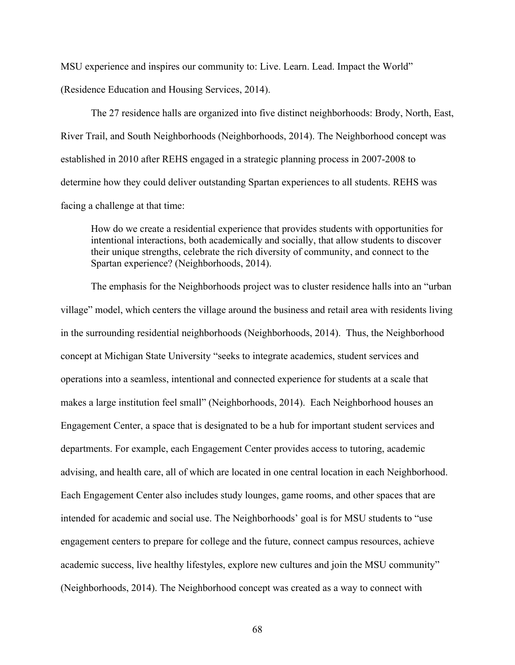MSU experience and inspires our community to: Live. Learn. Lead. Impact the World"

(Residence Education and Housing Services, 2014).

The 27 residence halls are organized into five distinct neighborhoods: Brody, North, East, River Trail, and South Neighborhoods (Neighborhoods, 2014). The Neighborhood concept was established in 2010 after REHS engaged in a strategic planning process in 2007-2008 to determine how they could deliver outstanding Spartan experiences to all students. REHS was facing a challenge at that time:

How do we create a residential experience that provides students with opportunities for intentional interactions, both academically and socially, that allow students to discover their unique strengths, celebrate the rich diversity of community, and connect to the Spartan experience? (Neighborhoods, 2014).

The emphasis for the Neighborhoods project was to cluster residence halls into an "urban village" model, which centers the village around the business and retail area with residents living in the surrounding residential neighborhoods (Neighborhoods, 2014). Thus, the Neighborhood concept at Michigan State University "seeks to integrate academics, student services and operations into a seamless, intentional and connected experience for students at a scale that makes a large institution feel small" (Neighborhoods, 2014). Each Neighborhood houses an Engagement Center, a space that is designated to be a hub for important student services and departments. For example, each Engagement Center provides access to tutoring, academic advising, and health care, all of which are located in one central location in each Neighborhood. Each Engagement Center also includes study lounges, game rooms, and other spaces that are intended for academic and social use. The Neighborhoods' goal is for MSU students to "use engagement centers to prepare for college and the future, connect campus resources, achieve academic success, live healthy lifestyles, explore new cultures and join the MSU community" (Neighborhoods, 2014). The Neighborhood concept was created as a way to connect with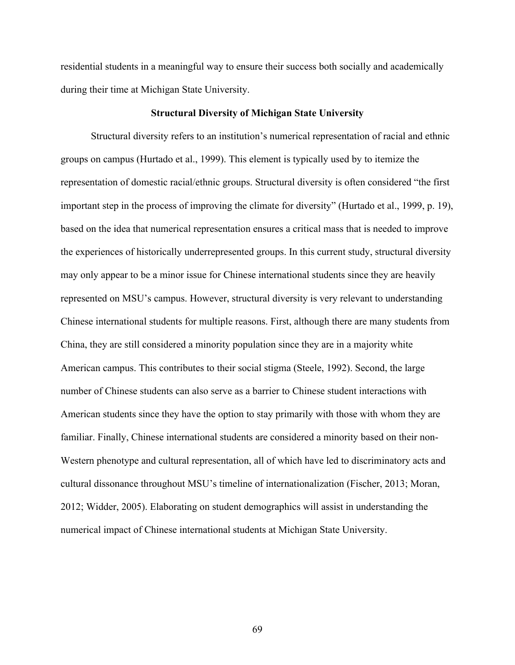residential students in a meaningful way to ensure their success both socially and academically during their time at Michigan State University.

#### **Structural Diversity of Michigan State University**

Structural diversity refers to an institution's numerical representation of racial and ethnic groups on campus (Hurtado et al., 1999). This element is typically used by to itemize the representation of domestic racial/ethnic groups. Structural diversity is often considered "the first important step in the process of improving the climate for diversity" (Hurtado et al., 1999, p. 19), based on the idea that numerical representation ensures a critical mass that is needed to improve the experiences of historically underrepresented groups. In this current study, structural diversity may only appear to be a minor issue for Chinese international students since they are heavily represented on MSU's campus. However, structural diversity is very relevant to understanding Chinese international students for multiple reasons. First, although there are many students from China, they are still considered a minority population since they are in a majority white American campus. This contributes to their social stigma (Steele, 1992). Second, the large number of Chinese students can also serve as a barrier to Chinese student interactions with American students since they have the option to stay primarily with those with whom they are familiar. Finally, Chinese international students are considered a minority based on their non-Western phenotype and cultural representation, all of which have led to discriminatory acts and cultural dissonance throughout MSU's timeline of internationalization (Fischer, 2013; Moran, 2012; Widder, 2005). Elaborating on student demographics will assist in understanding the numerical impact of Chinese international students at Michigan State University.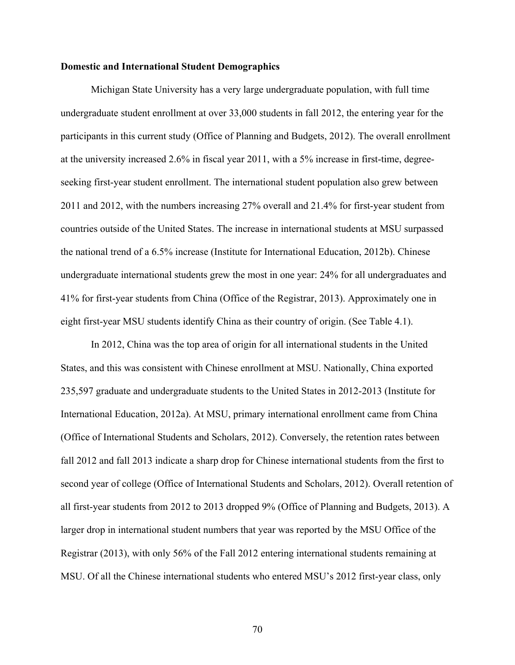#### **Domestic and International Student Demographics**

Michigan State University has a very large undergraduate population, with full time undergraduate student enrollment at over 33,000 students in fall 2012, the entering year for the participants in this current study (Office of Planning and Budgets, 2012). The overall enrollment at the university increased 2.6% in fiscal year 2011, with a 5% increase in first-time, degreeseeking first-year student enrollment. The international student population also grew between 2011 and 2012, with the numbers increasing 27% overall and 21.4% for first-year student from countries outside of the United States. The increase in international students at MSU surpassed the national trend of a 6.5% increase (Institute for International Education, 2012b). Chinese undergraduate international students grew the most in one year: 24% for all undergraduates and 41% for first-year students from China (Office of the Registrar, 2013). Approximately one in eight first-year MSU students identify China as their country of origin. (See Table 4.1).

In 2012, China was the top area of origin for all international students in the United States, and this was consistent with Chinese enrollment at MSU. Nationally, China exported 235,597 graduate and undergraduate students to the United States in 2012-2013 (Institute for International Education, 2012a). At MSU, primary international enrollment came from China (Office of International Students and Scholars, 2012). Conversely, the retention rates between fall 2012 and fall 2013 indicate a sharp drop for Chinese international students from the first to second year of college (Office of International Students and Scholars, 2012). Overall retention of all first-year students from 2012 to 2013 dropped 9% (Office of Planning and Budgets, 2013). A larger drop in international student numbers that year was reported by the MSU Office of the Registrar (2013), with only 56% of the Fall 2012 entering international students remaining at MSU. Of all the Chinese international students who entered MSU's 2012 first-year class, only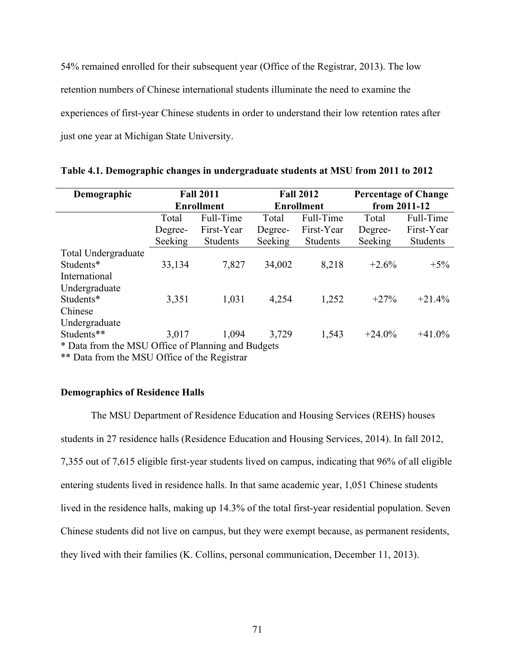54% remained enrolled for their subsequent year (Office of the Registrar, 2013). The low retention numbers of Chinese international students illuminate the need to examine the experiences of first-year Chinese students in order to understand their low retention rates after just one year at Michigan State University.

| Demographic                                        | <b>Fall 2011</b>  |                 | <b>Fall 2012</b>  |                 | <b>Percentage of Change</b> |                 |
|----------------------------------------------------|-------------------|-----------------|-------------------|-----------------|-----------------------------|-----------------|
|                                                    | <b>Enrollment</b> |                 | <b>Enrollment</b> |                 | from 2011-12                |                 |
|                                                    | Total             | Full-Time       | Total             | Full-Time       | Total                       | Full-Time       |
|                                                    | Degree-           | First-Year      | Degree-           | First-Year      | Degree-                     | First-Year      |
|                                                    | Seeking           | <b>Students</b> | Seeking           | <b>Students</b> | Seeking                     | <b>Students</b> |
| Total Undergraduate                                |                   |                 |                   |                 |                             |                 |
| Students*                                          | 33,134            | 7,827           | 34,002            | 8,218           | $+2.6%$                     | $+5\%$          |
| International                                      |                   |                 |                   |                 |                             |                 |
| Undergraduate                                      |                   |                 |                   |                 |                             |                 |
| Students*                                          | 3,351             | 1,031           | 4,254             | 1,252           | $+27%$                      | $+21.4%$        |
| Chinese                                            |                   |                 |                   |                 |                             |                 |
| Undergraduate                                      |                   |                 |                   |                 |                             |                 |
| Students**                                         | 3,017             | 1,094           | 3,729             | 1,543           | $+24.0%$                    | $+41.0\%$       |
| * Data from the MSU Office of Planning and Budgets |                   |                 |                   |                 |                             |                 |

**Table 4.1. Demographic changes in undergraduate students at MSU from 2011 to 2012**

\*\* Data from the MSU Office of the Registrar

#### **Demographics of Residence Halls**

The MSU Department of Residence Education and Housing Services (REHS) houses students in 27 residence halls (Residence Education and Housing Services, 2014). In fall 2012, 7,355 out of 7,615 eligible first-year students lived on campus, indicating that 96% of all eligible entering students lived in residence halls. In that same academic year, 1,051 Chinese students lived in the residence halls, making up 14.3% of the total first-year residential population. Seven Chinese students did not live on campus, but they were exempt because, as permanent residents, they lived with their families (K. Collins, personal communication, December 11, 2013).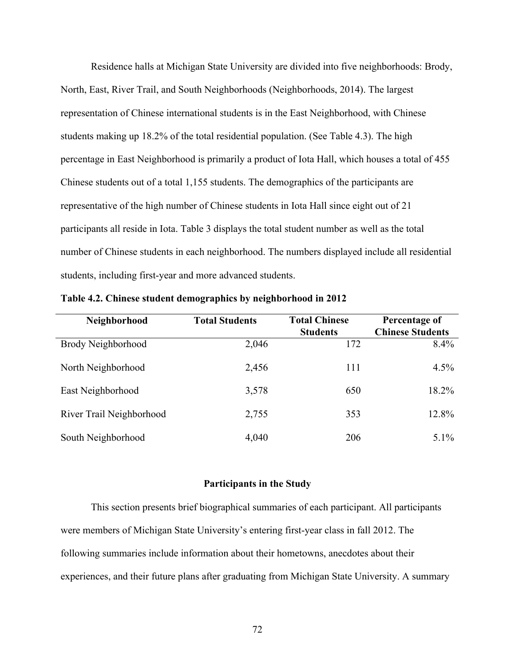Residence halls at Michigan State University are divided into five neighborhoods: Brody, North, East, River Trail, and South Neighborhoods (Neighborhoods, 2014). The largest representation of Chinese international students is in the East Neighborhood, with Chinese students making up 18.2% of the total residential population. (See Table 4.3). The high percentage in East Neighborhood is primarily a product of Iota Hall, which houses a total of 455 Chinese students out of a total 1,155 students. The demographics of the participants are representative of the high number of Chinese students in Iota Hall since eight out of 21 participants all reside in Iota. Table 3 displays the total student number as well as the total number of Chinese students in each neighborhood. The numbers displayed include all residential students, including first-year and more advanced students.

| Neighborhood             | <b>Total Students</b> | <b>Total Chinese</b><br><b>Students</b> | Percentage of<br><b>Chinese Students</b> |
|--------------------------|-----------------------|-----------------------------------------|------------------------------------------|
| Brody Neighborhood       | 2,046                 | 172                                     | 8.4%                                     |
| North Neighborhood       | 2,456                 | 111                                     | 4.5%                                     |
| East Neighborhood        | 3,578                 | 650                                     | 18.2%                                    |
| River Trail Neighborhood | 2,755                 | 353                                     | 12.8%                                    |
| South Neighborhood       | 4,040                 | 206                                     | $5.1\%$                                  |

**Table 4.2. Chinese student demographics by neighborhood in 2012**

#### **Participants in the Study**

This section presents brief biographical summaries of each participant. All participants were members of Michigan State University's entering first-year class in fall 2012. The following summaries include information about their hometowns, anecdotes about their experiences, and their future plans after graduating from Michigan State University. A summary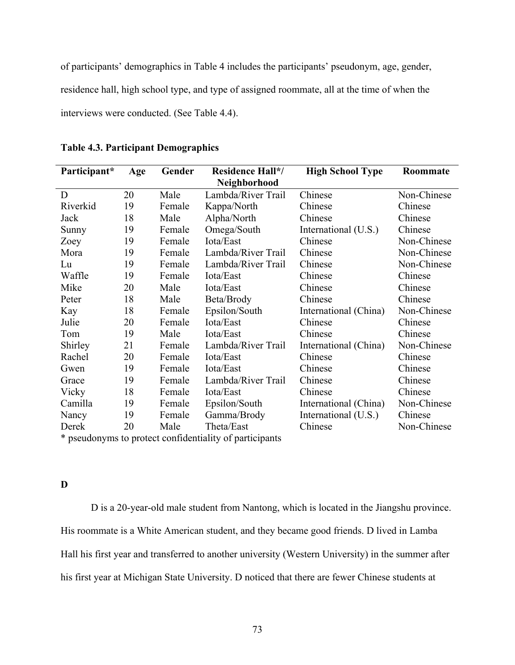of participants' demographics in Table 4 includes the participants' pseudonym, age, gender, residence hall, high school type, and type of assigned roommate, all at the time of when the interviews were conducted. (See Table 4.4).

| Participant*                                            | Age | Gender | <b>Residence Hall*/</b> | <b>High School Type</b> | Roommate    |
|---------------------------------------------------------|-----|--------|-------------------------|-------------------------|-------------|
|                                                         |     |        | Neighborhood            |                         |             |
| D                                                       | 20  | Male   | Lambda/River Trail      | Chinese                 | Non-Chinese |
| Riverkid                                                | 19  | Female | Kappa/North             | Chinese                 | Chinese     |
| Jack                                                    | 18  | Male   | Alpha/North             | Chinese                 | Chinese     |
| Sunny                                                   | 19  | Female | Omega/South             | International (U.S.)    | Chinese     |
| Zoey                                                    | 19  | Female | Iota/East               | Chinese                 | Non-Chinese |
| Mora                                                    | 19  | Female | Lambda/River Trail      | Chinese                 | Non-Chinese |
| Lu                                                      | 19  | Female | Lambda/River Trail      | Chinese                 | Non-Chinese |
| Waffle                                                  | 19  | Female | Iota/East               | Chinese                 | Chinese     |
| Mike                                                    | 20  | Male   | Iota/East               | Chinese                 | Chinese     |
| Peter                                                   | 18  | Male   | Beta/Brody              | Chinese                 | Chinese     |
| Kay                                                     | 18  | Female | Epsilon/South           | International (China)   | Non-Chinese |
| Julie                                                   | 20  | Female | Iota/East               | Chinese                 | Chinese     |
| Tom                                                     | 19  | Male   | Iota/East               | Chinese                 | Chinese     |
| Shirley                                                 | 21  | Female | Lambda/River Trail      | International (China)   | Non-Chinese |
| Rachel                                                  | 20  | Female | Iota/East               | Chinese                 | Chinese     |
| Gwen                                                    | 19  | Female | Iota/East               | Chinese                 | Chinese     |
| Grace                                                   | 19  | Female | Lambda/River Trail      | Chinese                 | Chinese     |
| Vicky                                                   | 18  | Female | Iota/East               | Chinese                 | Chinese     |
| Camilla                                                 | 19  | Female | Epsilon/South           | International (China)   | Non-Chinese |
| Nancy                                                   | 19  | Female | Gamma/Brody             | International (U.S.)    | Chinese     |
| Derek                                                   | 20  | Male   | Theta/East              | Chinese                 | Non-Chinese |
| * neeudonyms to protect confidentiality of participants |     |        |                         |                         |             |

**Table 4.3. Participant Demographics**

pseudonyms to protect confidentiality of participants

# **D**

D is a 20-year-old male student from Nantong, which is located in the Jiangshu province. His roommate is a White American student, and they became good friends. D lived in Lamba Hall his first year and transferred to another university (Western University) in the summer after his first year at Michigan State University. D noticed that there are fewer Chinese students at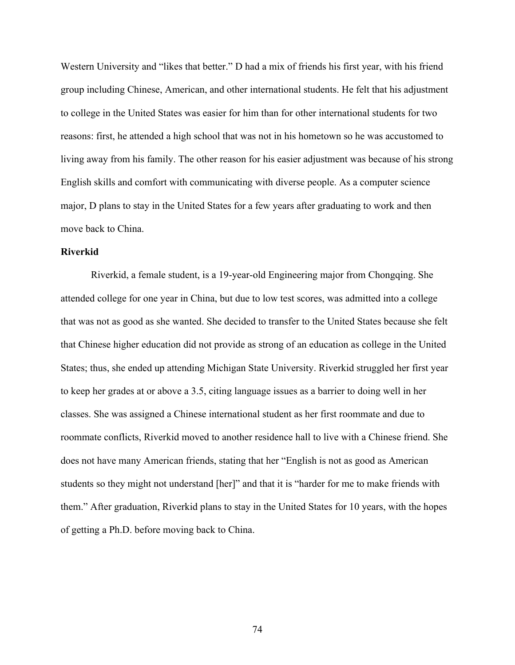Western University and "likes that better." D had a mix of friends his first year, with his friend group including Chinese, American, and other international students. He felt that his adjustment to college in the United States was easier for him than for other international students for two reasons: first, he attended a high school that was not in his hometown so he was accustomed to living away from his family. The other reason for his easier adjustment was because of his strong English skills and comfort with communicating with diverse people. As a computer science major, D plans to stay in the United States for a few years after graduating to work and then move back to China.

#### **Riverkid**

Riverkid, a female student, is a 19-year-old Engineering major from Chongqing. She attended college for one year in China, but due to low test scores, was admitted into a college that was not as good as she wanted. She decided to transfer to the United States because she felt that Chinese higher education did not provide as strong of an education as college in the United States; thus, she ended up attending Michigan State University. Riverkid struggled her first year to keep her grades at or above a 3.5, citing language issues as a barrier to doing well in her classes. She was assigned a Chinese international student as her first roommate and due to roommate conflicts, Riverkid moved to another residence hall to live with a Chinese friend. She does not have many American friends, stating that her "English is not as good as American students so they might not understand [her]" and that it is "harder for me to make friends with them." After graduation, Riverkid plans to stay in the United States for 10 years, with the hopes of getting a Ph.D. before moving back to China.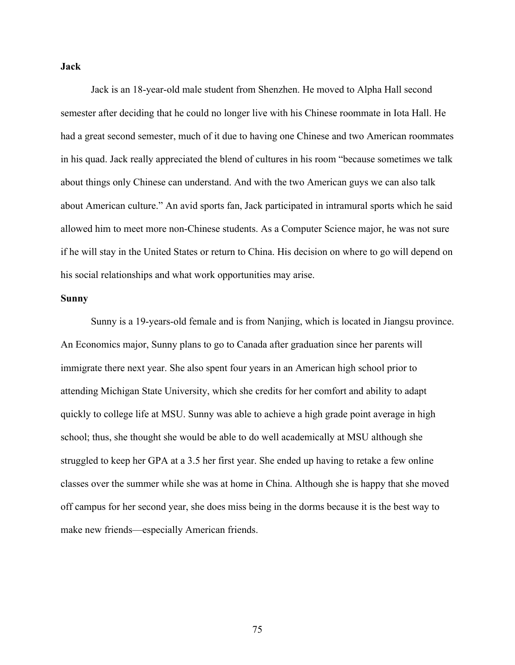**Jack**

Jack is an 18-year-old male student from Shenzhen. He moved to Alpha Hall second semester after deciding that he could no longer live with his Chinese roommate in Iota Hall. He had a great second semester, much of it due to having one Chinese and two American roommates in his quad. Jack really appreciated the blend of cultures in his room "because sometimes we talk about things only Chinese can understand. And with the two American guys we can also talk about American culture." An avid sports fan, Jack participated in intramural sports which he said allowed him to meet more non-Chinese students. As a Computer Science major, he was not sure if he will stay in the United States or return to China. His decision on where to go will depend on his social relationships and what work opportunities may arise.

#### **Sunny**

Sunny is a 19-years-old female and is from Nanjing, which is located in Jiangsu province. An Economics major, Sunny plans to go to Canada after graduation since her parents will immigrate there next year. She also spent four years in an American high school prior to attending Michigan State University, which she credits for her comfort and ability to adapt quickly to college life at MSU. Sunny was able to achieve a high grade point average in high school; thus, she thought she would be able to do well academically at MSU although she struggled to keep her GPA at a 3.5 her first year. She ended up having to retake a few online classes over the summer while she was at home in China. Although she is happy that she moved off campus for her second year, she does miss being in the dorms because it is the best way to make new friends—especially American friends.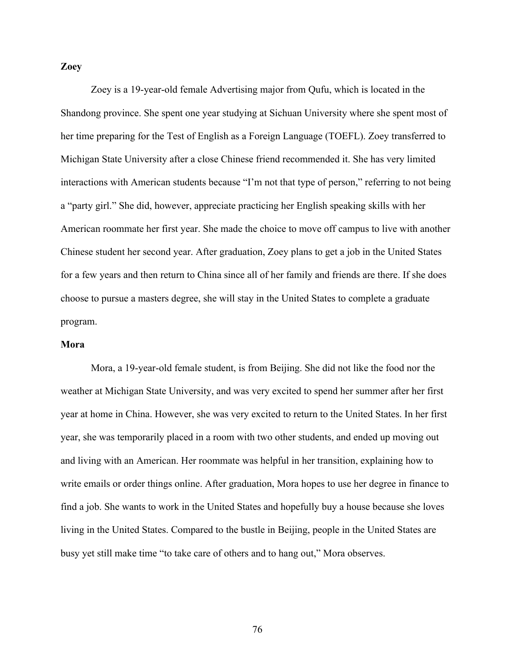#### **Zoey**

Zoey is a 19-year-old female Advertising major from Qufu, which is located in the Shandong province. She spent one year studying at Sichuan University where she spent most of her time preparing for the Test of English as a Foreign Language (TOEFL). Zoey transferred to Michigan State University after a close Chinese friend recommended it. She has very limited interactions with American students because "I'm not that type of person," referring to not being a "party girl." She did, however, appreciate practicing her English speaking skills with her American roommate her first year. She made the choice to move off campus to live with another Chinese student her second year. After graduation, Zoey plans to get a job in the United States for a few years and then return to China since all of her family and friends are there. If she does choose to pursue a masters degree, she will stay in the United States to complete a graduate program.

#### **Mora**

Mora, a 19-year-old female student, is from Beijing. She did not like the food nor the weather at Michigan State University, and was very excited to spend her summer after her first year at home in China. However, she was very excited to return to the United States. In her first year, she was temporarily placed in a room with two other students, and ended up moving out and living with an American. Her roommate was helpful in her transition, explaining how to write emails or order things online. After graduation, Mora hopes to use her degree in finance to find a job. She wants to work in the United States and hopefully buy a house because she loves living in the United States. Compared to the bustle in Beijing, people in the United States are busy yet still make time "to take care of others and to hang out," Mora observes.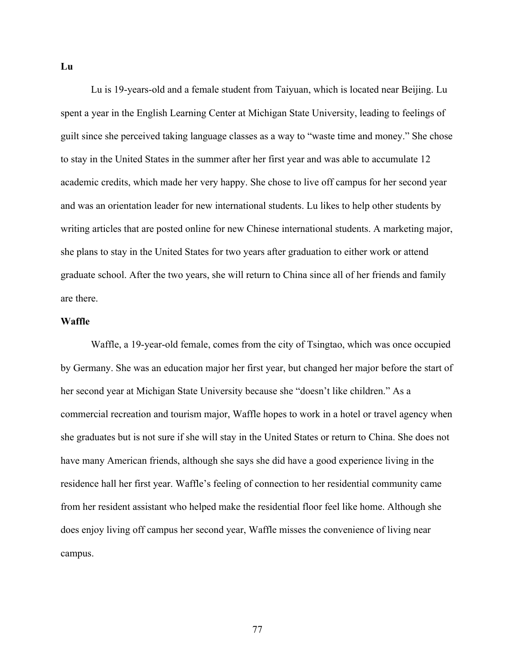Lu is 19-years-old and a female student from Taiyuan, which is located near Beijing. Lu spent a year in the English Learning Center at Michigan State University, leading to feelings of guilt since she perceived taking language classes as a way to "waste time and money." She chose to stay in the United States in the summer after her first year and was able to accumulate 12 academic credits, which made her very happy. She chose to live off campus for her second year and was an orientation leader for new international students. Lu likes to help other students by writing articles that are posted online for new Chinese international students. A marketing major, she plans to stay in the United States for two years after graduation to either work or attend graduate school. After the two years, she will return to China since all of her friends and family are there.

#### **Waffle**

Waffle, a 19-year-old female, comes from the city of Tsingtao, which was once occupied by Germany. She was an education major her first year, but changed her major before the start of her second year at Michigan State University because she "doesn't like children." As a commercial recreation and tourism major, Waffle hopes to work in a hotel or travel agency when she graduates but is not sure if she will stay in the United States or return to China. She does not have many American friends, although she says she did have a good experience living in the residence hall her first year. Waffle's feeling of connection to her residential community came from her resident assistant who helped make the residential floor feel like home. Although she does enjoy living off campus her second year, Waffle misses the convenience of living near campus.

**Lu**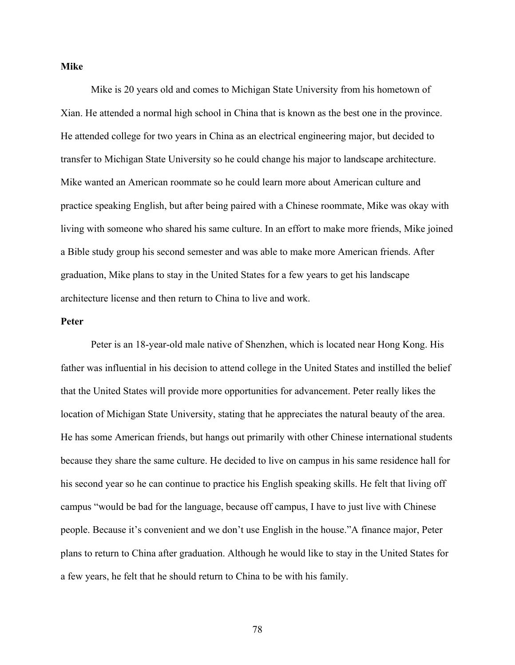#### **Mike**

Mike is 20 years old and comes to Michigan State University from his hometown of Xian. He attended a normal high school in China that is known as the best one in the province. He attended college for two years in China as an electrical engineering major, but decided to transfer to Michigan State University so he could change his major to landscape architecture. Mike wanted an American roommate so he could learn more about American culture and practice speaking English, but after being paired with a Chinese roommate, Mike was okay with living with someone who shared his same culture. In an effort to make more friends, Mike joined a Bible study group his second semester and was able to make more American friends. After graduation, Mike plans to stay in the United States for a few years to get his landscape architecture license and then return to China to live and work.

#### **Peter**

Peter is an 18-year-old male native of Shenzhen, which is located near Hong Kong. His father was influential in his decision to attend college in the United States and instilled the belief that the United States will provide more opportunities for advancement. Peter really likes the location of Michigan State University, stating that he appreciates the natural beauty of the area. He has some American friends, but hangs out primarily with other Chinese international students because they share the same culture. He decided to live on campus in his same residence hall for his second year so he can continue to practice his English speaking skills. He felt that living off campus "would be bad for the language, because off campus, I have to just live with Chinese people. Because it's convenient and we don't use English in the house."A finance major, Peter plans to return to China after graduation. Although he would like to stay in the United States for a few years, he felt that he should return to China to be with his family.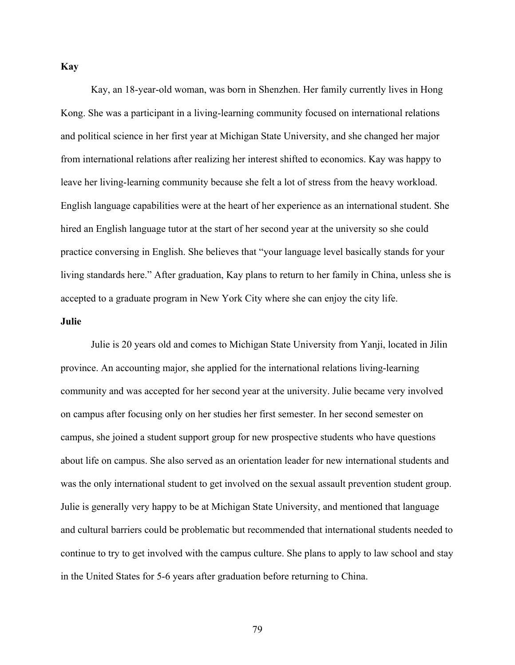**Kay**

Kay, an 18-year-old woman, was born in Shenzhen. Her family currently lives in Hong Kong. She was a participant in a living-learning community focused on international relations and political science in her first year at Michigan State University, and she changed her major from international relations after realizing her interest shifted to economics. Kay was happy to leave her living-learning community because she felt a lot of stress from the heavy workload. English language capabilities were at the heart of her experience as an international student. She hired an English language tutor at the start of her second year at the university so she could practice conversing in English. She believes that "your language level basically stands for your living standards here." After graduation, Kay plans to return to her family in China, unless she is accepted to a graduate program in New York City where she can enjoy the city life.

#### **Julie**

Julie is 20 years old and comes to Michigan State University from Yanji, located in Jilin province. An accounting major, she applied for the international relations living-learning community and was accepted for her second year at the university. Julie became very involved on campus after focusing only on her studies her first semester. In her second semester on campus, she joined a student support group for new prospective students who have questions about life on campus. She also served as an orientation leader for new international students and was the only international student to get involved on the sexual assault prevention student group. Julie is generally very happy to be at Michigan State University, and mentioned that language and cultural barriers could be problematic but recommended that international students needed to continue to try to get involved with the campus culture. She plans to apply to law school and stay in the United States for 5-6 years after graduation before returning to China.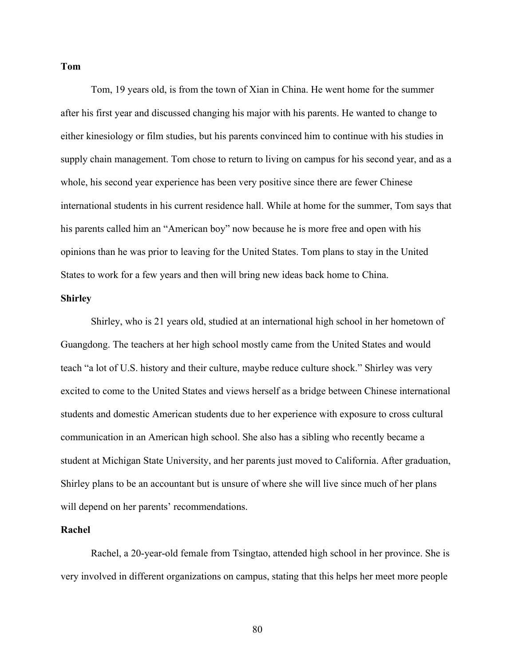**Tom**

Tom, 19 years old, is from the town of Xian in China. He went home for the summer after his first year and discussed changing his major with his parents. He wanted to change to either kinesiology or film studies, but his parents convinced him to continue with his studies in supply chain management. Tom chose to return to living on campus for his second year, and as a whole, his second year experience has been very positive since there are fewer Chinese international students in his current residence hall. While at home for the summer, Tom says that his parents called him an "American boy" now because he is more free and open with his opinions than he was prior to leaving for the United States. Tom plans to stay in the United States to work for a few years and then will bring new ideas back home to China.

#### **Shirley**

Shirley, who is 21 years old, studied at an international high school in her hometown of Guangdong. The teachers at her high school mostly came from the United States and would teach "a lot of U.S. history and their culture, maybe reduce culture shock." Shirley was very excited to come to the United States and views herself as a bridge between Chinese international students and domestic American students due to her experience with exposure to cross cultural communication in an American high school. She also has a sibling who recently became a student at Michigan State University, and her parents just moved to California. After graduation, Shirley plans to be an accountant but is unsure of where she will live since much of her plans will depend on her parents' recommendations.

#### **Rachel**

Rachel, a 20-year-old female from Tsingtao, attended high school in her province. She is very involved in different organizations on campus, stating that this helps her meet more people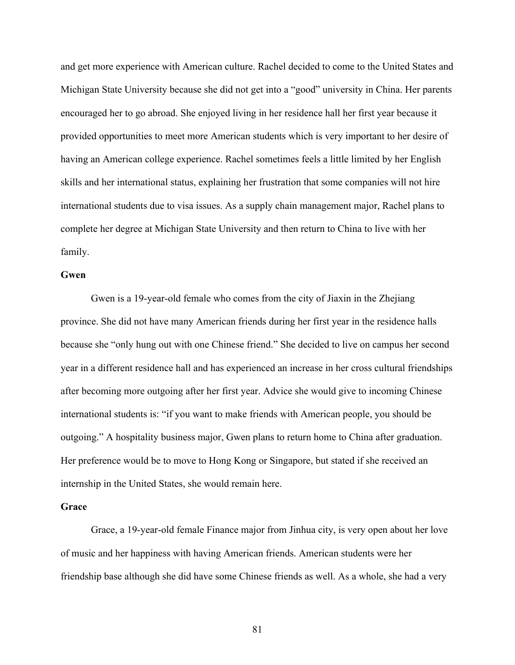and get more experience with American culture. Rachel decided to come to the United States and Michigan State University because she did not get into a "good" university in China. Her parents encouraged her to go abroad. She enjoyed living in her residence hall her first year because it provided opportunities to meet more American students which is very important to her desire of having an American college experience. Rachel sometimes feels a little limited by her English skills and her international status, explaining her frustration that some companies will not hire international students due to visa issues. As a supply chain management major, Rachel plans to complete her degree at Michigan State University and then return to China to live with her family.

## **Gwen**

Gwen is a 19-year-old female who comes from the city of Jiaxin in the Zhejiang province. She did not have many American friends during her first year in the residence halls because she "only hung out with one Chinese friend." She decided to live on campus her second year in a different residence hall and has experienced an increase in her cross cultural friendships after becoming more outgoing after her first year. Advice she would give to incoming Chinese international students is: "if you want to make friends with American people, you should be outgoing." A hospitality business major, Gwen plans to return home to China after graduation. Her preference would be to move to Hong Kong or Singapore, but stated if she received an internship in the United States, she would remain here.

#### **Grace**

Grace, a 19-year-old female Finance major from Jinhua city, is very open about her love of music and her happiness with having American friends. American students were her friendship base although she did have some Chinese friends as well. As a whole, she had a very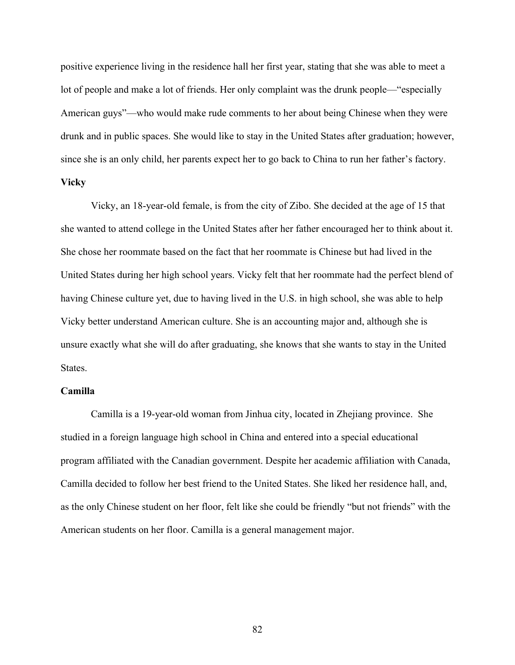positive experience living in the residence hall her first year, stating that she was able to meet a lot of people and make a lot of friends. Her only complaint was the drunk people—"especially American guys"—who would make rude comments to her about being Chinese when they were drunk and in public spaces. She would like to stay in the United States after graduation; however, since she is an only child, her parents expect her to go back to China to run her father's factory. **Vicky**

Vicky, an 18-year-old female, is from the city of Zibo. She decided at the age of 15 that she wanted to attend college in the United States after her father encouraged her to think about it. She chose her roommate based on the fact that her roommate is Chinese but had lived in the United States during her high school years. Vicky felt that her roommate had the perfect blend of having Chinese culture yet, due to having lived in the U.S. in high school, she was able to help Vicky better understand American culture. She is an accounting major and, although she is unsure exactly what she will do after graduating, she knows that she wants to stay in the United States.

#### **Camilla**

Camilla is a 19-year-old woman from Jinhua city, located in Zhejiang province. She studied in a foreign language high school in China and entered into a special educational program affiliated with the Canadian government. Despite her academic affiliation with Canada, Camilla decided to follow her best friend to the United States. She liked her residence hall, and, as the only Chinese student on her floor, felt like she could be friendly "but not friends" with the American students on her floor. Camilla is a general management major.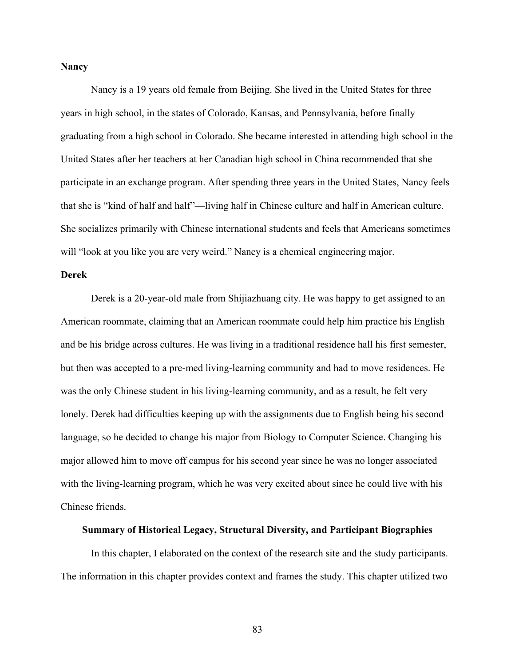#### **Nancy**

Nancy is a 19 years old female from Beijing. She lived in the United States for three years in high school, in the states of Colorado, Kansas, and Pennsylvania, before finally graduating from a high school in Colorado. She became interested in attending high school in the United States after her teachers at her Canadian high school in China recommended that she participate in an exchange program. After spending three years in the United States, Nancy feels that she is "kind of half and half"—living half in Chinese culture and half in American culture. She socializes primarily with Chinese international students and feels that Americans sometimes will "look at you like you are very weird." Nancy is a chemical engineering major.

## **Derek**

Derek is a 20-year-old male from Shijiazhuang city. He was happy to get assigned to an American roommate, claiming that an American roommate could help him practice his English and be his bridge across cultures. He was living in a traditional residence hall his first semester, but then was accepted to a pre-med living-learning community and had to move residences. He was the only Chinese student in his living-learning community, and as a result, he felt very lonely. Derek had difficulties keeping up with the assignments due to English being his second language, so he decided to change his major from Biology to Computer Science. Changing his major allowed him to move off campus for his second year since he was no longer associated with the living-learning program, which he was very excited about since he could live with his Chinese friends.

#### **Summary of Historical Legacy, Structural Diversity, and Participant Biographies**

In this chapter, I elaborated on the context of the research site and the study participants. The information in this chapter provides context and frames the study. This chapter utilized two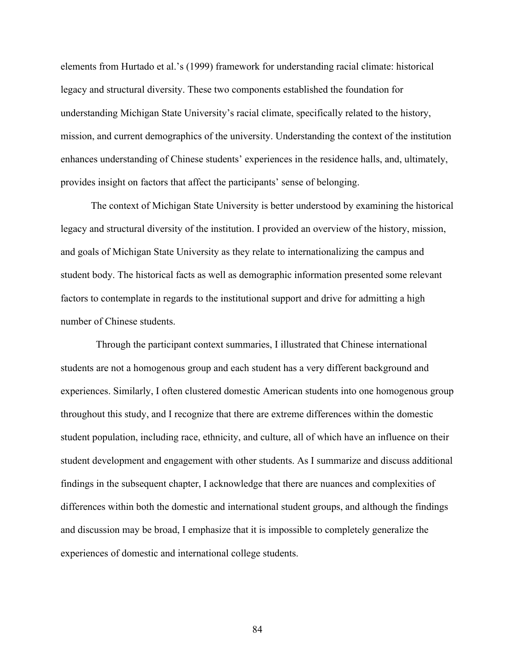elements from Hurtado et al.'s (1999) framework for understanding racial climate: historical legacy and structural diversity. These two components established the foundation for understanding Michigan State University's racial climate, specifically related to the history, mission, and current demographics of the university. Understanding the context of the institution enhances understanding of Chinese students' experiences in the residence halls, and, ultimately, provides insight on factors that affect the participants' sense of belonging.

The context of Michigan State University is better understood by examining the historical legacy and structural diversity of the institution. I provided an overview of the history, mission, and goals of Michigan State University as they relate to internationalizing the campus and student body. The historical facts as well as demographic information presented some relevant factors to contemplate in regards to the institutional support and drive for admitting a high number of Chinese students.

 Through the participant context summaries, I illustrated that Chinese international students are not a homogenous group and each student has a very different background and experiences. Similarly, I often clustered domestic American students into one homogenous group throughout this study, and I recognize that there are extreme differences within the domestic student population, including race, ethnicity, and culture, all of which have an influence on their student development and engagement with other students. As I summarize and discuss additional findings in the subsequent chapter, I acknowledge that there are nuances and complexities of differences within both the domestic and international student groups, and although the findings and discussion may be broad, I emphasize that it is impossible to completely generalize the experiences of domestic and international college students.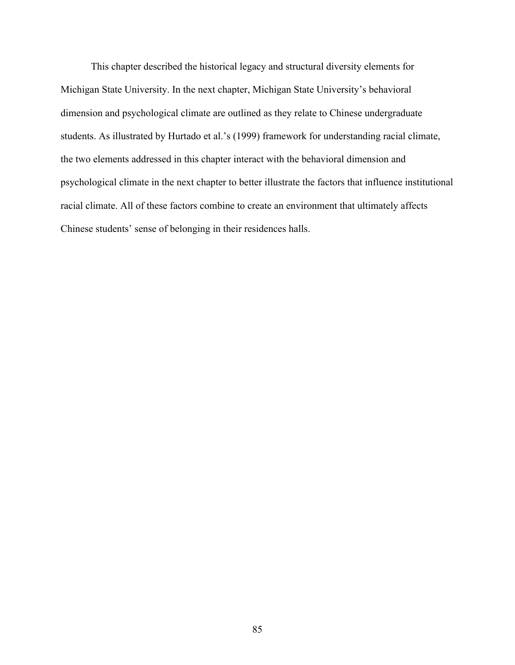This chapter described the historical legacy and structural diversity elements for Michigan State University. In the next chapter, Michigan State University's behavioral dimension and psychological climate are outlined as they relate to Chinese undergraduate students. As illustrated by Hurtado et al.'s (1999) framework for understanding racial climate, the two elements addressed in this chapter interact with the behavioral dimension and psychological climate in the next chapter to better illustrate the factors that influence institutional racial climate. All of these factors combine to create an environment that ultimately affects Chinese students' sense of belonging in their residences halls.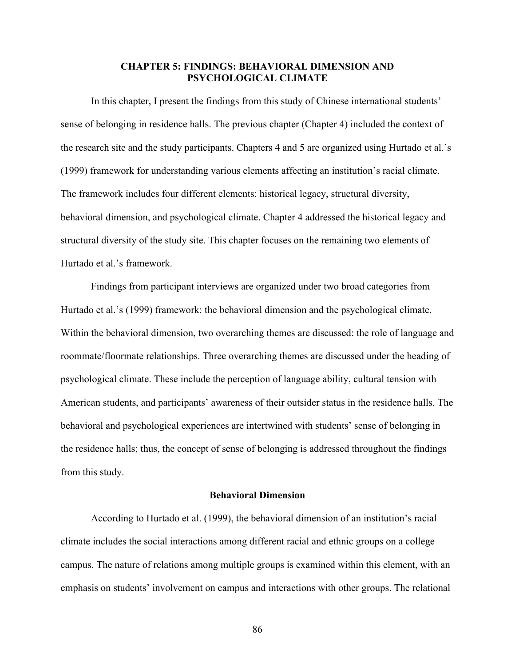# **CHAPTER 5: FINDINGS: BEHAVIORAL DIMENSION AND PSYCHOLOGICAL CLIMATE**

In this chapter, I present the findings from this study of Chinese international students' sense of belonging in residence halls. The previous chapter (Chapter 4) included the context of the research site and the study participants. Chapters 4 and 5 are organized using Hurtado et al.'s (1999) framework for understanding various elements affecting an institution's racial climate. The framework includes four different elements: historical legacy, structural diversity, behavioral dimension, and psychological climate. Chapter 4 addressed the historical legacy and structural diversity of the study site. This chapter focuses on the remaining two elements of Hurtado et al.'s framework.

Findings from participant interviews are organized under two broad categories from Hurtado et al.'s (1999) framework: the behavioral dimension and the psychological climate. Within the behavioral dimension, two overarching themes are discussed: the role of language and roommate/floormate relationships. Three overarching themes are discussed under the heading of psychological climate. These include the perception of language ability, cultural tension with American students, and participants' awareness of their outsider status in the residence halls. The behavioral and psychological experiences are intertwined with students' sense of belonging in the residence halls; thus, the concept of sense of belonging is addressed throughout the findings from this study.

## **Behavioral Dimension**

According to Hurtado et al. (1999), the behavioral dimension of an institution's racial climate includes the social interactions among different racial and ethnic groups on a college campus. The nature of relations among multiple groups is examined within this element, with an emphasis on students' involvement on campus and interactions with other groups. The relational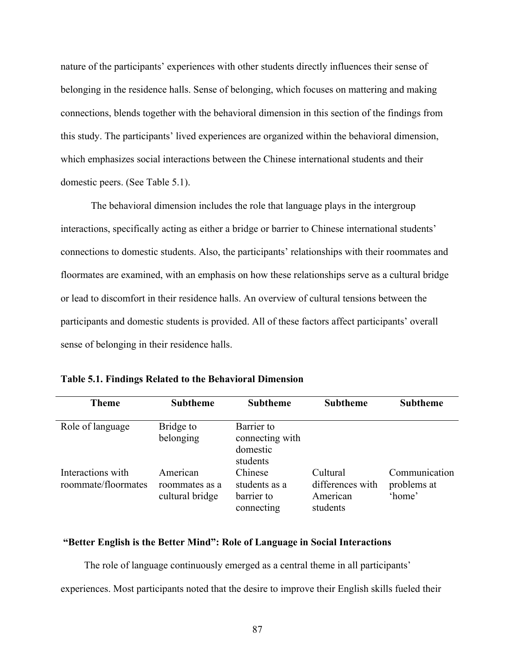nature of the participants' experiences with other students directly influences their sense of belonging in the residence halls. Sense of belonging, which focuses on mattering and making connections, blends together with the behavioral dimension in this section of the findings from this study. The participants' lived experiences are organized within the behavioral dimension, which emphasizes social interactions between the Chinese international students and their domestic peers. (See Table 5.1).

The behavioral dimension includes the role that language plays in the intergroup interactions, specifically acting as either a bridge or barrier to Chinese international students' connections to domestic students. Also, the participants' relationships with their roommates and floormates are examined, with an emphasis on how these relationships serve as a cultural bridge or lead to discomfort in their residence halls. An overview of cultural tensions between the participants and domestic students is provided. All of these factors affect participants' overall sense of belonging in their residence halls.

| <b>Theme</b>                             | <b>Subtheme</b>                               | <b>Subtheme</b>                                       | <b>Subtheme</b>                                      | <b>Subtheme</b>                        |
|------------------------------------------|-----------------------------------------------|-------------------------------------------------------|------------------------------------------------------|----------------------------------------|
| Role of language                         | Bridge to<br>belonging                        | Barrier to<br>connecting with<br>domestic<br>students |                                                      |                                        |
| Interactions with<br>roommate/floormates | American<br>roommates as a<br>cultural bridge | Chinese<br>students as a<br>barrier to<br>connecting  | Cultural<br>differences with<br>American<br>students | Communication<br>problems at<br>'home' |

**Table 5.1. Findings Related to the Behavioral Dimension** 

## **"Better English is the Better Mind": Role of Language in Social Interactions**

The role of language continuously emerged as a central theme in all participants' experiences. Most participants noted that the desire to improve their English skills fueled their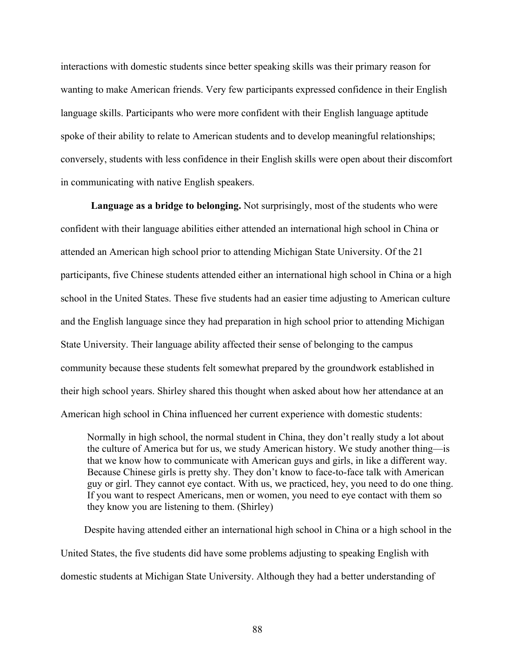interactions with domestic students since better speaking skills was their primary reason for wanting to make American friends. Very few participants expressed confidence in their English language skills. Participants who were more confident with their English language aptitude spoke of their ability to relate to American students and to develop meaningful relationships; conversely, students with less confidence in their English skills were open about their discomfort in communicating with native English speakers.

**Language as a bridge to belonging.** Not surprisingly, most of the students who were confident with their language abilities either attended an international high school in China or attended an American high school prior to attending Michigan State University. Of the 21 participants, five Chinese students attended either an international high school in China or a high school in the United States. These five students had an easier time adjusting to American culture and the English language since they had preparation in high school prior to attending Michigan State University. Their language ability affected their sense of belonging to the campus community because these students felt somewhat prepared by the groundwork established in their high school years. Shirley shared this thought when asked about how her attendance at an American high school in China influenced her current experience with domestic students:

Normally in high school, the normal student in China, they don't really study a lot about the culture of America but for us, we study American history. We study another thing—is that we know how to communicate with American guys and girls, in like a different way. Because Chinese girls is pretty shy. They don't know to face-to-face talk with American guy or girl. They cannot eye contact. With us, we practiced, hey, you need to do one thing. If you want to respect Americans, men or women, you need to eye contact with them so they know you are listening to them. (Shirley)

Despite having attended either an international high school in China or a high school in the United States, the five students did have some problems adjusting to speaking English with domestic students at Michigan State University. Although they had a better understanding of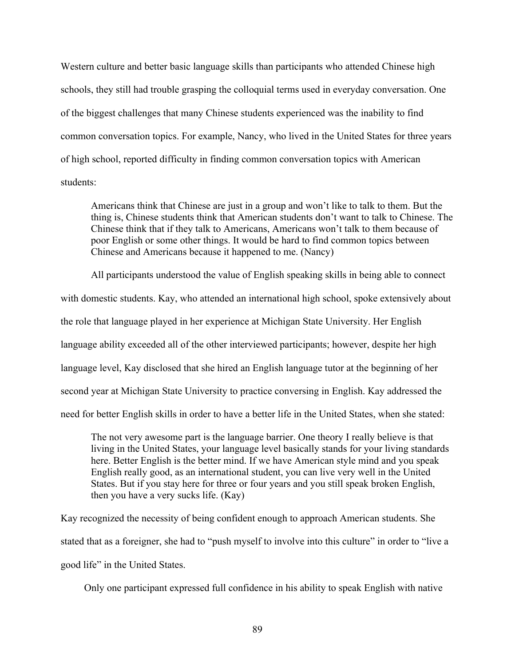Western culture and better basic language skills than participants who attended Chinese high schools, they still had trouble grasping the colloquial terms used in everyday conversation. One of the biggest challenges that many Chinese students experienced was the inability to find common conversation topics. For example, Nancy, who lived in the United States for three years of high school, reported difficulty in finding common conversation topics with American students:

Americans think that Chinese are just in a group and won't like to talk to them. But the thing is, Chinese students think that American students don't want to talk to Chinese. The Chinese think that if they talk to Americans, Americans won't talk to them because of poor English or some other things. It would be hard to find common topics between Chinese and Americans because it happened to me. (Nancy)

All participants understood the value of English speaking skills in being able to connect with domestic students. Kay, who attended an international high school, spoke extensively about the role that language played in her experience at Michigan State University. Her English language ability exceeded all of the other interviewed participants; however, despite her high language level, Kay disclosed that she hired an English language tutor at the beginning of her second year at Michigan State University to practice conversing in English. Kay addressed the need for better English skills in order to have a better life in the United States, when she stated:

The not very awesome part is the language barrier. One theory I really believe is that living in the United States, your language level basically stands for your living standards here. Better English is the better mind. If we have American style mind and you speak English really good, as an international student, you can live very well in the United States. But if you stay here for three or four years and you still speak broken English, then you have a very sucks life. (Kay)

Kay recognized the necessity of being confident enough to approach American students. She stated that as a foreigner, she had to "push myself to involve into this culture" in order to "live a good life" in the United States.

Only one participant expressed full confidence in his ability to speak English with native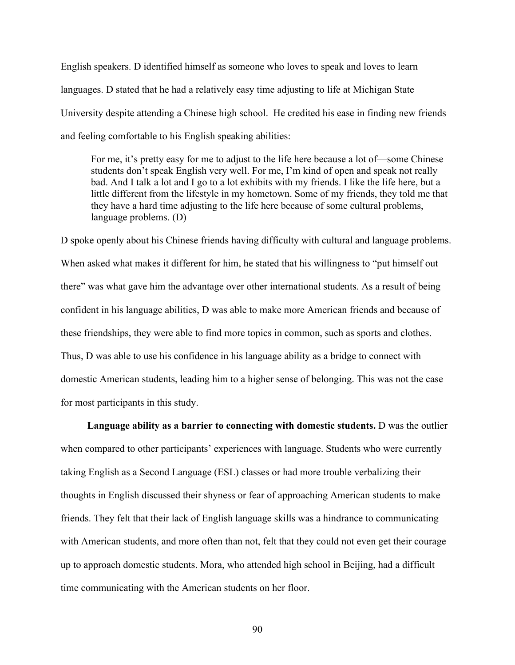English speakers. D identified himself as someone who loves to speak and loves to learn languages. D stated that he had a relatively easy time adjusting to life at Michigan State University despite attending a Chinese high school. He credited his ease in finding new friends and feeling comfortable to his English speaking abilities:

For me, it's pretty easy for me to adjust to the life here because a lot of—some Chinese students don't speak English very well. For me, I'm kind of open and speak not really bad. And I talk a lot and I go to a lot exhibits with my friends. I like the life here, but a little different from the lifestyle in my hometown. Some of my friends, they told me that they have a hard time adjusting to the life here because of some cultural problems, language problems. (D)

D spoke openly about his Chinese friends having difficulty with cultural and language problems. When asked what makes it different for him, he stated that his willingness to "put himself out there" was what gave him the advantage over other international students. As a result of being confident in his language abilities, D was able to make more American friends and because of these friendships, they were able to find more topics in common, such as sports and clothes. Thus, D was able to use his confidence in his language ability as a bridge to connect with domestic American students, leading him to a higher sense of belonging. This was not the case for most participants in this study.

**Language ability as a barrier to connecting with domestic students.** D was the outlier when compared to other participants' experiences with language. Students who were currently taking English as a Second Language (ESL) classes or had more trouble verbalizing their thoughts in English discussed their shyness or fear of approaching American students to make friends. They felt that their lack of English language skills was a hindrance to communicating with American students, and more often than not, felt that they could not even get their courage up to approach domestic students. Mora, who attended high school in Beijing, had a difficult time communicating with the American students on her floor.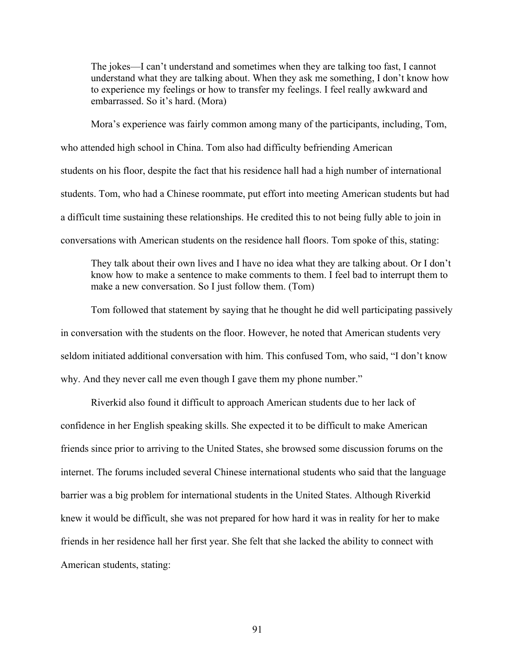The jokes—I can't understand and sometimes when they are talking too fast, I cannot understand what they are talking about. When they ask me something, I don't know how to experience my feelings or how to transfer my feelings. I feel really awkward and embarrassed. So it's hard. (Mora)

Mora's experience was fairly common among many of the participants, including, Tom, who attended high school in China. Tom also had difficulty befriending American students on his floor, despite the fact that his residence hall had a high number of international students. Tom, who had a Chinese roommate, put effort into meeting American students but had a difficult time sustaining these relationships. He credited this to not being fully able to join in conversations with American students on the residence hall floors. Tom spoke of this, stating:

They talk about their own lives and I have no idea what they are talking about. Or I don't know how to make a sentence to make comments to them. I feel bad to interrupt them to make a new conversation. So I just follow them. (Tom)

Tom followed that statement by saying that he thought he did well participating passively in conversation with the students on the floor. However, he noted that American students very seldom initiated additional conversation with him. This confused Tom, who said, "I don't know why. And they never call me even though I gave them my phone number."

Riverkid also found it difficult to approach American students due to her lack of confidence in her English speaking skills. She expected it to be difficult to make American friends since prior to arriving to the United States, she browsed some discussion forums on the internet. The forums included several Chinese international students who said that the language barrier was a big problem for international students in the United States. Although Riverkid knew it would be difficult, she was not prepared for how hard it was in reality for her to make friends in her residence hall her first year. She felt that she lacked the ability to connect with American students, stating: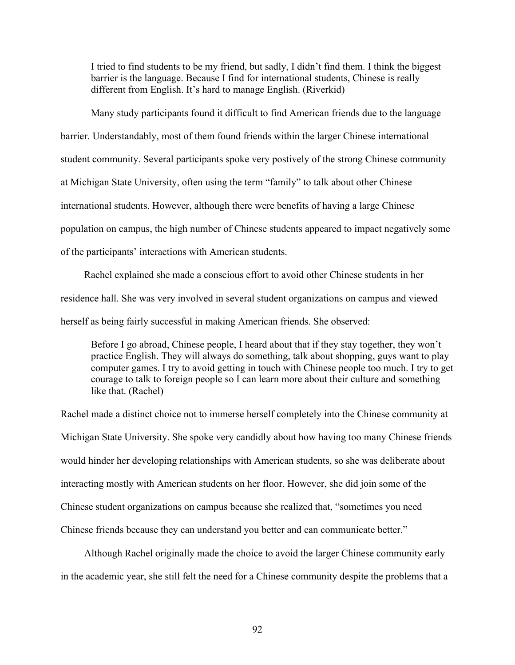I tried to find students to be my friend, but sadly, I didn't find them. I think the biggest barrier is the language. Because I find for international students, Chinese is really different from English. It's hard to manage English. (Riverkid)

Many study participants found it difficult to find American friends due to the language barrier. Understandably, most of them found friends within the larger Chinese international student community. Several participants spoke very postively of the strong Chinese community at Michigan State University, often using the term "family" to talk about other Chinese international students. However, although there were benefits of having a large Chinese population on campus, the high number of Chinese students appeared to impact negatively some of the participants' interactions with American students.

Rachel explained she made a conscious effort to avoid other Chinese students in her residence hall. She was very involved in several student organizations on campus and viewed herself as being fairly successful in making American friends. She observed:

Before I go abroad, Chinese people, I heard about that if they stay together, they won't practice English. They will always do something, talk about shopping, guys want to play computer games. I try to avoid getting in touch with Chinese people too much. I try to get courage to talk to foreign people so I can learn more about their culture and something like that. (Rachel)

Rachel made a distinct choice not to immerse herself completely into the Chinese community at Michigan State University. She spoke very candidly about how having too many Chinese friends would hinder her developing relationships with American students, so she was deliberate about interacting mostly with American students on her floor. However, she did join some of the Chinese student organizations on campus because she realized that, "sometimes you need Chinese friends because they can understand you better and can communicate better."

Although Rachel originally made the choice to avoid the larger Chinese community early in the academic year, she still felt the need for a Chinese community despite the problems that a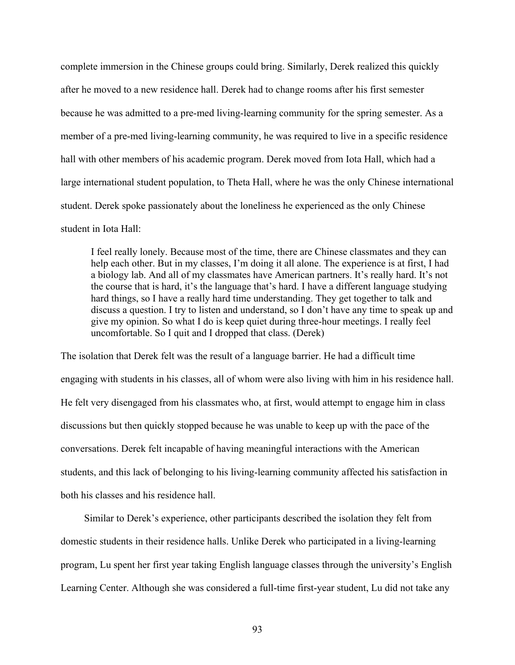complete immersion in the Chinese groups could bring. Similarly, Derek realized this quickly after he moved to a new residence hall. Derek had to change rooms after his first semester because he was admitted to a pre-med living-learning community for the spring semester. As a member of a pre-med living-learning community, he was required to live in a specific residence hall with other members of his academic program. Derek moved from Iota Hall, which had a large international student population, to Theta Hall, where he was the only Chinese international student. Derek spoke passionately about the loneliness he experienced as the only Chinese student in Iota Hall:

I feel really lonely. Because most of the time, there are Chinese classmates and they can help each other. But in my classes, I'm doing it all alone. The experience is at first, I had a biology lab. And all of my classmates have American partners. It's really hard. It's not the course that is hard, it's the language that's hard. I have a different language studying hard things, so I have a really hard time understanding. They get together to talk and discuss a question. I try to listen and understand, so I don't have any time to speak up and give my opinion. So what I do is keep quiet during three-hour meetings. I really feel uncomfortable. So I quit and I dropped that class. (Derek)

The isolation that Derek felt was the result of a language barrier. He had a difficult time engaging with students in his classes, all of whom were also living with him in his residence hall. He felt very disengaged from his classmates who, at first, would attempt to engage him in class discussions but then quickly stopped because he was unable to keep up with the pace of the conversations. Derek felt incapable of having meaningful interactions with the American students, and this lack of belonging to his living-learning community affected his satisfaction in both his classes and his residence hall.

Similar to Derek's experience, other participants described the isolation they felt from domestic students in their residence halls. Unlike Derek who participated in a living-learning program, Lu spent her first year taking English language classes through the university's English Learning Center. Although she was considered a full-time first-year student, Lu did not take any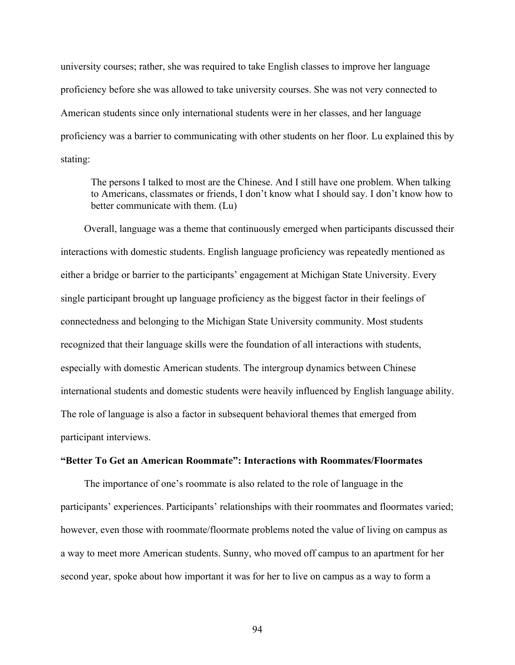university courses; rather, she was required to take English classes to improve her language proficiency before she was allowed to take university courses. She was not very connected to American students since only international students were in her classes, and her language proficiency was a barrier to communicating with other students on her floor. Lu explained this by stating:

The persons I talked to most are the Chinese. And I still have one problem. When talking to Americans, classmates or friends, I don't know what I should say. I don't know how to better communicate with them. (Lu)

Overall, language was a theme that continuously emerged when participants discussed their interactions with domestic students. English language proficiency was repeatedly mentioned as either a bridge or barrier to the participants' engagement at Michigan State University. Every single participant brought up language proficiency as the biggest factor in their feelings of connectedness and belonging to the Michigan State University community. Most students recognized that their language skills were the foundation of all interactions with students, especially with domestic American students. The intergroup dynamics between Chinese international students and domestic students were heavily influenced by English language ability. The role of language is also a factor in subsequent behavioral themes that emerged from participant interviews.

#### **"Better To Get an American Roommate": Interactions with Roommates/Floormates**

The importance of one's roommate is also related to the role of language in the participants' experiences. Participants' relationships with their roommates and floormates varied; however, even those with roommate/floormate problems noted the value of living on campus as a way to meet more American students. Sunny, who moved off campus to an apartment for her second year, spoke about how important it was for her to live on campus as a way to form a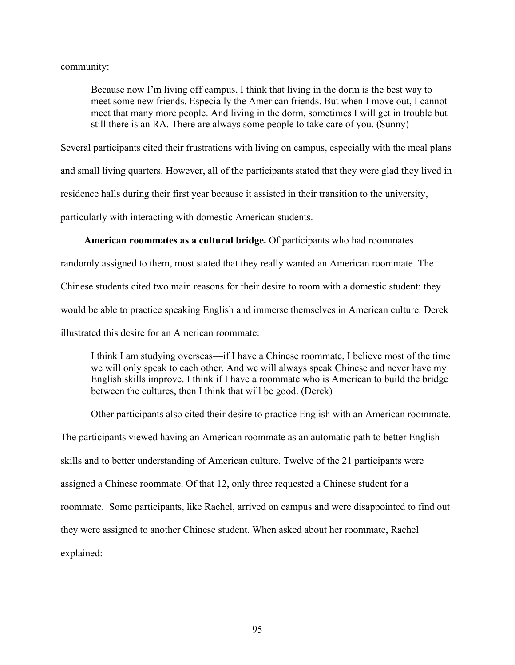community:

Because now I'm living off campus, I think that living in the dorm is the best way to meet some new friends. Especially the American friends. But when I move out, I cannot meet that many more people. And living in the dorm, sometimes I will get in trouble but still there is an RA. There are always some people to take care of you. (Sunny)

Several participants cited their frustrations with living on campus, especially with the meal plans and small living quarters. However, all of the participants stated that they were glad they lived in residence halls during their first year because it assisted in their transition to the university, particularly with interacting with domestic American students.

# **American roommates as a cultural bridge.** Of participants who had roommates

randomly assigned to them, most stated that they really wanted an American roommate. The

Chinese students cited two main reasons for their desire to room with a domestic student: they

would be able to practice speaking English and immerse themselves in American culture. Derek

illustrated this desire for an American roommate:

I think I am studying overseas—if I have a Chinese roommate, I believe most of the time we will only speak to each other. And we will always speak Chinese and never have my English skills improve. I think if I have a roommate who is American to build the bridge between the cultures, then I think that will be good. (Derek)

Other participants also cited their desire to practice English with an American roommate. The participants viewed having an American roommate as an automatic path to better English skills and to better understanding of American culture. Twelve of the 21 participants were assigned a Chinese roommate. Of that 12, only three requested a Chinese student for a roommate. Some participants, like Rachel, arrived on campus and were disappointed to find out they were assigned to another Chinese student. When asked about her roommate, Rachel explained: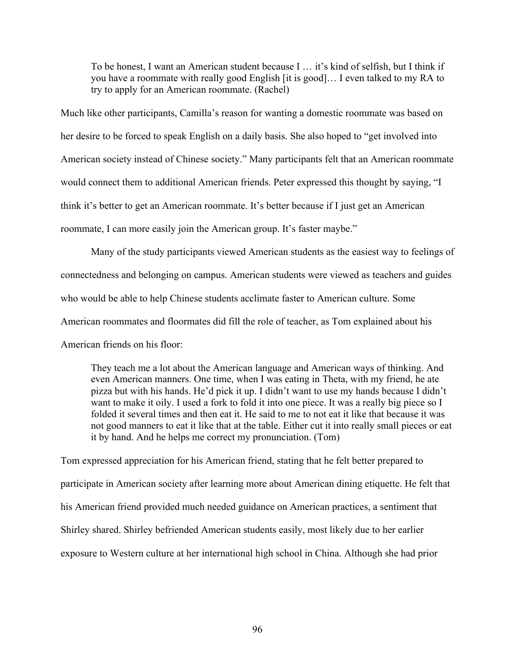To be honest, I want an American student because I … it's kind of selfish, but I think if you have a roommate with really good English [it is good]… I even talked to my RA to try to apply for an American roommate. (Rachel)

Much like other participants, Camilla's reason for wanting a domestic roommate was based on her desire to be forced to speak English on a daily basis. She also hoped to "get involved into American society instead of Chinese society." Many participants felt that an American roommate would connect them to additional American friends. Peter expressed this thought by saying, "I think it's better to get an American roommate. It's better because if I just get an American roommate, I can more easily join the American group. It's faster maybe."

Many of the study participants viewed American students as the easiest way to feelings of connectedness and belonging on campus. American students were viewed as teachers and guides who would be able to help Chinese students acclimate faster to American culture. Some American roommates and floormates did fill the role of teacher, as Tom explained about his American friends on his floor:

They teach me a lot about the American language and American ways of thinking. And even American manners. One time, when I was eating in Theta, with my friend, he ate pizza but with his hands. He'd pick it up. I didn't want to use my hands because I didn't want to make it oily. I used a fork to fold it into one piece. It was a really big piece so I folded it several times and then eat it. He said to me to not eat it like that because it was not good manners to eat it like that at the table. Either cut it into really small pieces or eat it by hand. And he helps me correct my pronunciation. (Tom)

Tom expressed appreciation for his American friend, stating that he felt better prepared to participate in American society after learning more about American dining etiquette. He felt that his American friend provided much needed guidance on American practices, a sentiment that Shirley shared. Shirley befriended American students easily, most likely due to her earlier exposure to Western culture at her international high school in China. Although she had prior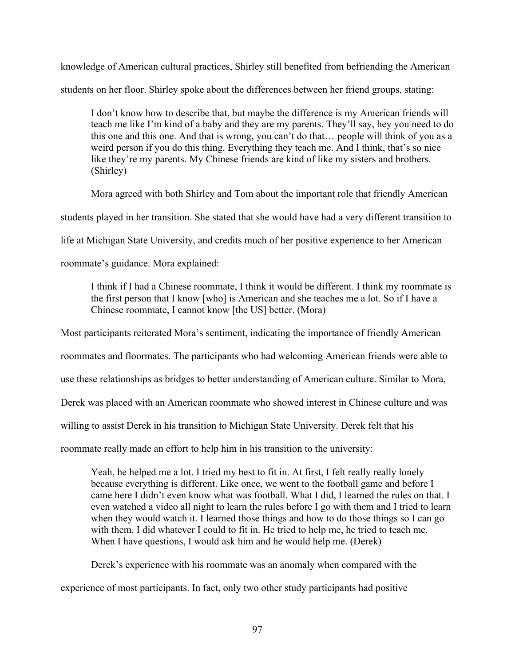knowledge of American cultural practices, Shirley still benefited from befriending the American students on her floor. Shirley spoke about the differences between her friend groups, stating:

I don't know how to describe that, but maybe the difference is my American friends will teach me like I'm kind of a baby and they are my parents. They'll say, hey you need to do this one and this one. And that is wrong, you can't do that… people will think of you as a weird person if you do this thing. Everything they teach me. And I think, that's so nice like they're my parents. My Chinese friends are kind of like my sisters and brothers. (Shirley)

Mora agreed with both Shirley and Tom about the important role that friendly American

students played in her transition. She stated that she would have had a very different transition to

life at Michigan State University, and credits much of her positive experience to her American

roommate's guidance. Mora explained:

I think if I had a Chinese roommate, I think it would be different. I think my roommate is the first person that I know [who] is American and she teaches me a lot. So if I have a Chinese roommate, I cannot know [the US] better. (Mora)

Most participants reiterated Mora's sentiment, indicating the importance of friendly American

roommates and floormates. The participants who had welcoming American friends were able to

use these relationships as bridges to better understanding of American culture. Similar to Mora,

Derek was placed with an American roommate who showed interest in Chinese culture and was

willing to assist Derek in his transition to Michigan State University. Derek felt that his

roommate really made an effort to help him in his transition to the university:

Yeah, he helped me a lot. I tried my best to fit in. At first, I felt really really lonely because everything is different. Like once, we went to the football game and before I came here I didn't even know what was football. What I did, I learned the rules on that. I even watched a video all night to learn the rules before I go with them and I tried to learn when they would watch it. I learned those things and how to do those things so I can go with them. I did whatever I could to fit in. He tried to help me, he tried to teach me. When I have questions, I would ask him and he would help me. (Derek)

Derek's experience with his roommate was an anomaly when compared with the experience of most participants. In fact, only two other study participants had positive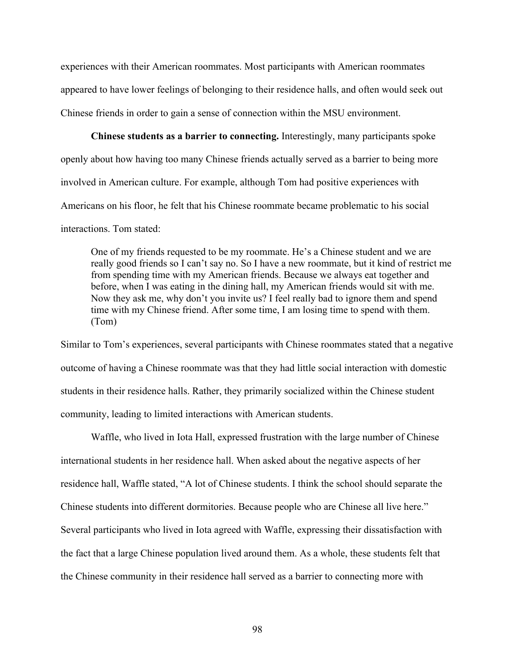experiences with their American roommates. Most participants with American roommates appeared to have lower feelings of belonging to their residence halls, and often would seek out Chinese friends in order to gain a sense of connection within the MSU environment.

**Chinese students as a barrier to connecting.** Interestingly, many participants spoke openly about how having too many Chinese friends actually served as a barrier to being more involved in American culture. For example, although Tom had positive experiences with Americans on his floor, he felt that his Chinese roommate became problematic to his social interactions. Tom stated:

One of my friends requested to be my roommate. He's a Chinese student and we are really good friends so I can't say no. So I have a new roommate, but it kind of restrict me from spending time with my American friends. Because we always eat together and before, when I was eating in the dining hall, my American friends would sit with me. Now they ask me, why don't you invite us? I feel really bad to ignore them and spend time with my Chinese friend. After some time, I am losing time to spend with them. (Tom)

Similar to Tom's experiences, several participants with Chinese roommates stated that a negative outcome of having a Chinese roommate was that they had little social interaction with domestic students in their residence halls. Rather, they primarily socialized within the Chinese student community, leading to limited interactions with American students.

Waffle, who lived in Iota Hall, expressed frustration with the large number of Chinese international students in her residence hall. When asked about the negative aspects of her residence hall, Waffle stated, "A lot of Chinese students. I think the school should separate the Chinese students into different dormitories. Because people who are Chinese all live here." Several participants who lived in Iota agreed with Waffle, expressing their dissatisfaction with the fact that a large Chinese population lived around them. As a whole, these students felt that the Chinese community in their residence hall served as a barrier to connecting more with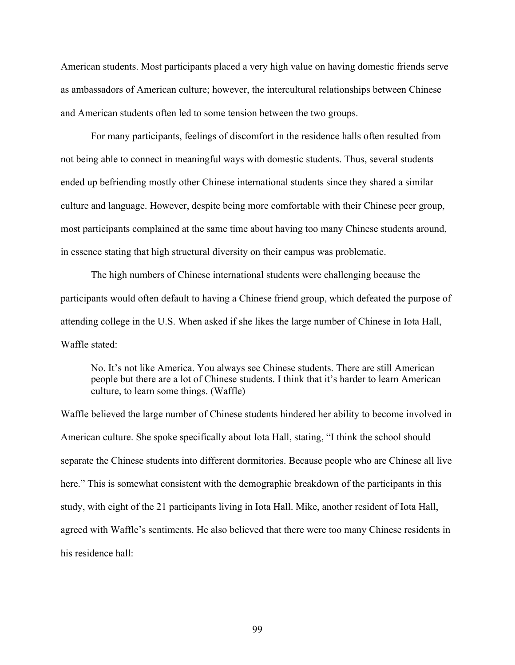American students. Most participants placed a very high value on having domestic friends serve as ambassadors of American culture; however, the intercultural relationships between Chinese and American students often led to some tension between the two groups.

For many participants, feelings of discomfort in the residence halls often resulted from not being able to connect in meaningful ways with domestic students. Thus, several students ended up befriending mostly other Chinese international students since they shared a similar culture and language. However, despite being more comfortable with their Chinese peer group, most participants complained at the same time about having too many Chinese students around, in essence stating that high structural diversity on their campus was problematic.

The high numbers of Chinese international students were challenging because the participants would often default to having a Chinese friend group, which defeated the purpose of attending college in the U.S. When asked if she likes the large number of Chinese in Iota Hall, Waffle stated:

No. It's not like America. You always see Chinese students. There are still American people but there are a lot of Chinese students. I think that it's harder to learn American culture, to learn some things. (Waffle)

Waffle believed the large number of Chinese students hindered her ability to become involved in American culture. She spoke specifically about Iota Hall, stating, "I think the school should separate the Chinese students into different dormitories. Because people who are Chinese all live here." This is somewhat consistent with the demographic breakdown of the participants in this study, with eight of the 21 participants living in Iota Hall. Mike, another resident of Iota Hall, agreed with Waffle's sentiments. He also believed that there were too many Chinese residents in his residence hall: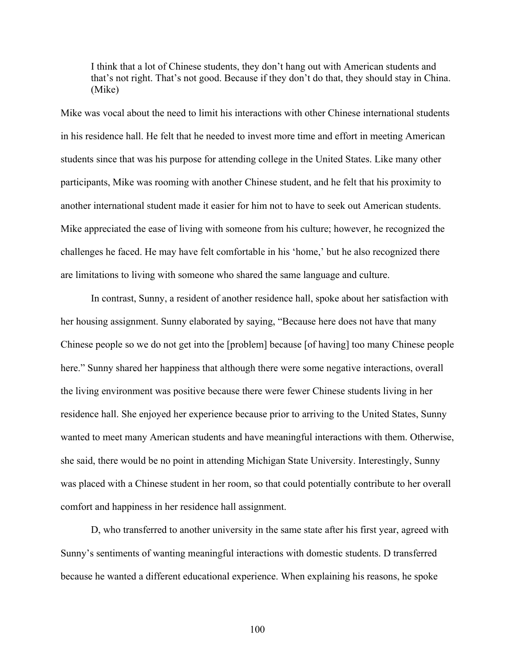I think that a lot of Chinese students, they don't hang out with American students and that's not right. That's not good. Because if they don't do that, they should stay in China. (Mike)

Mike was vocal about the need to limit his interactions with other Chinese international students in his residence hall. He felt that he needed to invest more time and effort in meeting American students since that was his purpose for attending college in the United States. Like many other participants, Mike was rooming with another Chinese student, and he felt that his proximity to another international student made it easier for him not to have to seek out American students. Mike appreciated the ease of living with someone from his culture; however, he recognized the challenges he faced. He may have felt comfortable in his 'home,' but he also recognized there are limitations to living with someone who shared the same language and culture.

In contrast, Sunny, a resident of another residence hall, spoke about her satisfaction with her housing assignment. Sunny elaborated by saying, "Because here does not have that many Chinese people so we do not get into the [problem] because [of having] too many Chinese people here." Sunny shared her happiness that although there were some negative interactions, overall the living environment was positive because there were fewer Chinese students living in her residence hall. She enjoyed her experience because prior to arriving to the United States, Sunny wanted to meet many American students and have meaningful interactions with them. Otherwise, she said, there would be no point in attending Michigan State University. Interestingly, Sunny was placed with a Chinese student in her room, so that could potentially contribute to her overall comfort and happiness in her residence hall assignment.

D, who transferred to another university in the same state after his first year, agreed with Sunny's sentiments of wanting meaningful interactions with domestic students. D transferred because he wanted a different educational experience. When explaining his reasons, he spoke

100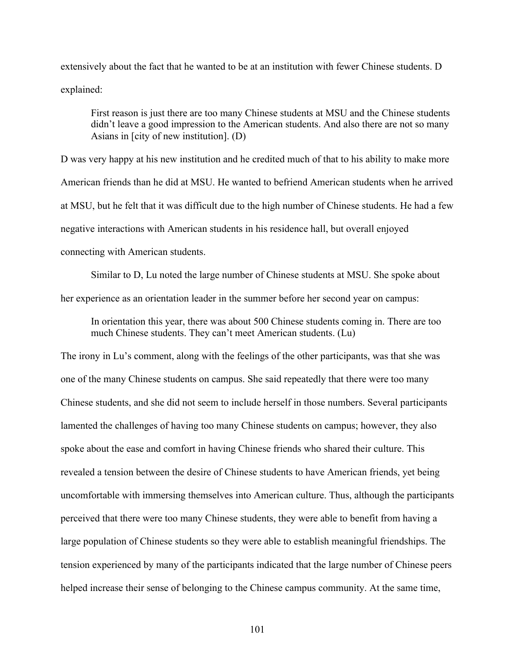extensively about the fact that he wanted to be at an institution with fewer Chinese students. D explained:

First reason is just there are too many Chinese students at MSU and the Chinese students didn't leave a good impression to the American students. And also there are not so many Asians in [city of new institution]. (D)

D was very happy at his new institution and he credited much of that to his ability to make more American friends than he did at MSU. He wanted to befriend American students when he arrived at MSU, but he felt that it was difficult due to the high number of Chinese students. He had a few negative interactions with American students in his residence hall, but overall enjoyed connecting with American students.

Similar to D, Lu noted the large number of Chinese students at MSU. She spoke about her experience as an orientation leader in the summer before her second year on campus:

In orientation this year, there was about 500 Chinese students coming in. There are too much Chinese students. They can't meet American students. (Lu)

The irony in Lu's comment, along with the feelings of the other participants, was that she was one of the many Chinese students on campus. She said repeatedly that there were too many Chinese students, and she did not seem to include herself in those numbers. Several participants lamented the challenges of having too many Chinese students on campus; however, they also spoke about the ease and comfort in having Chinese friends who shared their culture. This revealed a tension between the desire of Chinese students to have American friends, yet being uncomfortable with immersing themselves into American culture. Thus, although the participants perceived that there were too many Chinese students, they were able to benefit from having a large population of Chinese students so they were able to establish meaningful friendships. The tension experienced by many of the participants indicated that the large number of Chinese peers helped increase their sense of belonging to the Chinese campus community. At the same time,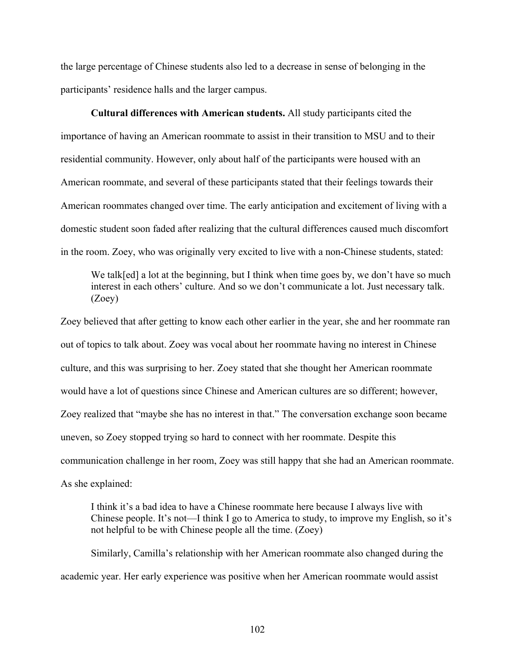the large percentage of Chinese students also led to a decrease in sense of belonging in the participants' residence halls and the larger campus.

**Cultural differences with American students.** All study participants cited the importance of having an American roommate to assist in their transition to MSU and to their residential community. However, only about half of the participants were housed with an American roommate, and several of these participants stated that their feelings towards their American roommates changed over time. The early anticipation and excitement of living with a domestic student soon faded after realizing that the cultural differences caused much discomfort in the room. Zoey, who was originally very excited to live with a non-Chinese students, stated:

We talk[ed] a lot at the beginning, but I think when time goes by, we don't have so much interest in each others' culture. And so we don't communicate a lot. Just necessary talk. (Zoey)

Zoey believed that after getting to know each other earlier in the year, she and her roommate ran out of topics to talk about. Zoey was vocal about her roommate having no interest in Chinese culture, and this was surprising to her. Zoey stated that she thought her American roommate would have a lot of questions since Chinese and American cultures are so different; however, Zoey realized that "maybe she has no interest in that." The conversation exchange soon became uneven, so Zoey stopped trying so hard to connect with her roommate. Despite this communication challenge in her room, Zoey was still happy that she had an American roommate. As she explained:

I think it's a bad idea to have a Chinese roommate here because I always live with Chinese people. It's not—I think I go to America to study, to improve my English, so it's not helpful to be with Chinese people all the time. (Zoey)

Similarly, Camilla's relationship with her American roommate also changed during the academic year. Her early experience was positive when her American roommate would assist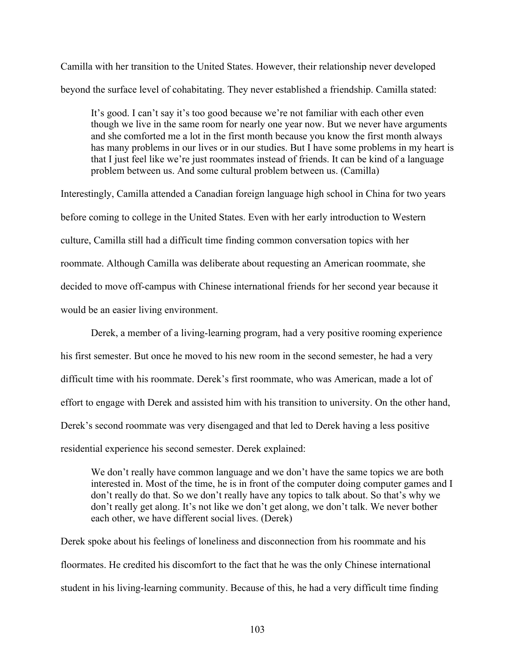Camilla with her transition to the United States. However, their relationship never developed beyond the surface level of cohabitating. They never established a friendship. Camilla stated:

It's good. I can't say it's too good because we're not familiar with each other even though we live in the same room for nearly one year now. But we never have arguments and she comforted me a lot in the first month because you know the first month always has many problems in our lives or in our studies. But I have some problems in my heart is that I just feel like we're just roommates instead of friends. It can be kind of a language problem between us. And some cultural problem between us. (Camilla)

Interestingly, Camilla attended a Canadian foreign language high school in China for two years before coming to college in the United States. Even with her early introduction to Western culture, Camilla still had a difficult time finding common conversation topics with her roommate. Although Camilla was deliberate about requesting an American roommate, she decided to move off-campus with Chinese international friends for her second year because it would be an easier living environment.

Derek, a member of a living-learning program, had a very positive rooming experience his first semester. But once he moved to his new room in the second semester, he had a very difficult time with his roommate. Derek's first roommate, who was American, made a lot of effort to engage with Derek and assisted him with his transition to university. On the other hand, Derek's second roommate was very disengaged and that led to Derek having a less positive residential experience his second semester. Derek explained:

We don't really have common language and we don't have the same topics we are both interested in. Most of the time, he is in front of the computer doing computer games and I don't really do that. So we don't really have any topics to talk about. So that's why we don't really get along. It's not like we don't get along, we don't talk. We never bother each other, we have different social lives. (Derek)

Derek spoke about his feelings of loneliness and disconnection from his roommate and his floormates. He credited his discomfort to the fact that he was the only Chinese international student in his living-learning community. Because of this, he had a very difficult time finding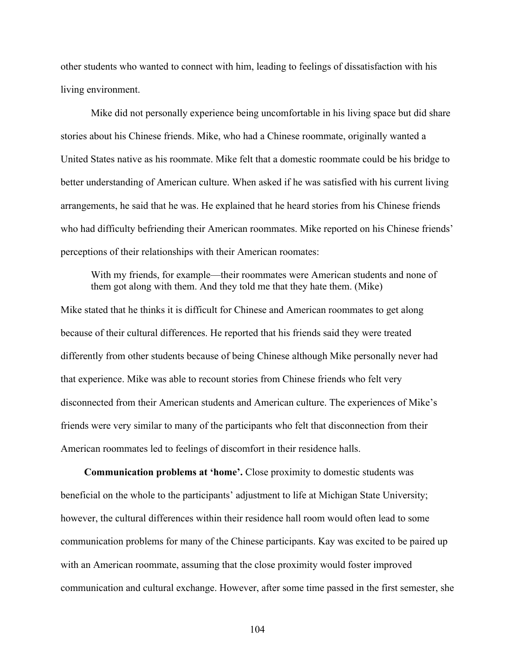other students who wanted to connect with him, leading to feelings of dissatisfaction with his living environment.

Mike did not personally experience being uncomfortable in his living space but did share stories about his Chinese friends. Mike, who had a Chinese roommate, originally wanted a United States native as his roommate. Mike felt that a domestic roommate could be his bridge to better understanding of American culture. When asked if he was satisfied with his current living arrangements, he said that he was. He explained that he heard stories from his Chinese friends who had difficulty befriending their American roommates. Mike reported on his Chinese friends' perceptions of their relationships with their American roomates:

With my friends, for example—their roommates were American students and none of them got along with them. And they told me that they hate them. (Mike)

Mike stated that he thinks it is difficult for Chinese and American roommates to get along because of their cultural differences. He reported that his friends said they were treated differently from other students because of being Chinese although Mike personally never had that experience. Mike was able to recount stories from Chinese friends who felt very disconnected from their American students and American culture. The experiences of Mike's friends were very similar to many of the participants who felt that disconnection from their American roommates led to feelings of discomfort in their residence halls.

**Communication problems at 'home'.** Close proximity to domestic students was beneficial on the whole to the participants' adjustment to life at Michigan State University; however, the cultural differences within their residence hall room would often lead to some communication problems for many of the Chinese participants. Kay was excited to be paired up with an American roommate, assuming that the close proximity would foster improved communication and cultural exchange. However, after some time passed in the first semester, she

104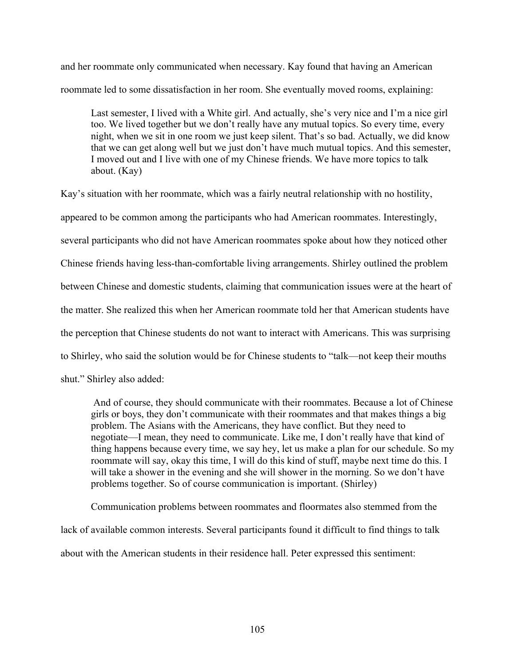and her roommate only communicated when necessary. Kay found that having an American roommate led to some dissatisfaction in her room. She eventually moved rooms, explaining:

Last semester, I lived with a White girl. And actually, she's very nice and I'm a nice girl too. We lived together but we don't really have any mutual topics. So every time, every night, when we sit in one room we just keep silent. That's so bad. Actually, we did know that we can get along well but we just don't have much mutual topics. And this semester, I moved out and I live with one of my Chinese friends. We have more topics to talk about. (Kay)

Kay's situation with her roommate, which was a fairly neutral relationship with no hostility, appeared to be common among the participants who had American roommates. Interestingly, several participants who did not have American roommates spoke about how they noticed other Chinese friends having less-than-comfortable living arrangements. Shirley outlined the problem between Chinese and domestic students, claiming that communication issues were at the heart of the matter. She realized this when her American roommate told her that American students have the perception that Chinese students do not want to interact with Americans. This was surprising to Shirley, who said the solution would be for Chinese students to "talk—not keep their mouths shut." Shirley also added:

And of course, they should communicate with their roommates. Because a lot of Chinese girls or boys, they don't communicate with their roommates and that makes things a big problem. The Asians with the Americans, they have conflict. But they need to negotiate—I mean, they need to communicate. Like me, I don't really have that kind of thing happens because every time, we say hey, let us make a plan for our schedule. So my roommate will say, okay this time, I will do this kind of stuff, maybe next time do this. I will take a shower in the evening and she will shower in the morning. So we don't have problems together. So of course communication is important. (Shirley)

Communication problems between roommates and floormates also stemmed from the lack of available common interests. Several participants found it difficult to find things to talk about with the American students in their residence hall. Peter expressed this sentiment: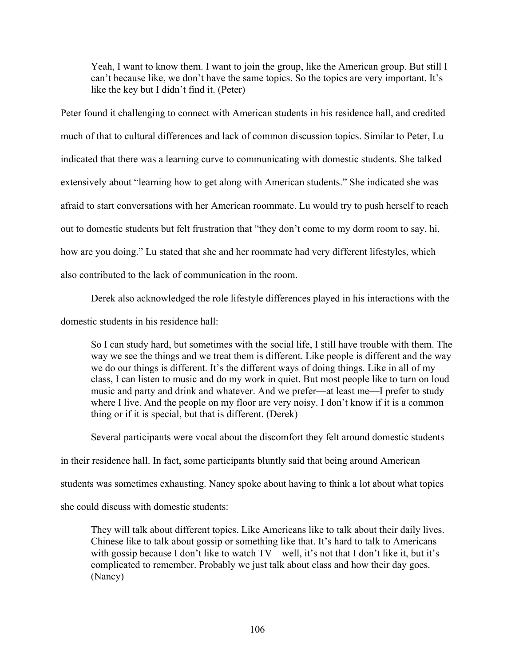Yeah, I want to know them. I want to join the group, like the American group. But still I can't because like, we don't have the same topics. So the topics are very important. It's like the key but I didn't find it. (Peter)

Peter found it challenging to connect with American students in his residence hall, and credited much of that to cultural differences and lack of common discussion topics. Similar to Peter, Lu indicated that there was a learning curve to communicating with domestic students. She talked extensively about "learning how to get along with American students." She indicated she was afraid to start conversations with her American roommate. Lu would try to push herself to reach out to domestic students but felt frustration that "they don't come to my dorm room to say, hi, how are you doing." Lu stated that she and her roommate had very different lifestyles, which also contributed to the lack of communication in the room.

Derek also acknowledged the role lifestyle differences played in his interactions with the

domestic students in his residence hall:

So I can study hard, but sometimes with the social life, I still have trouble with them. The way we see the things and we treat them is different. Like people is different and the way we do our things is different. It's the different ways of doing things. Like in all of my class, I can listen to music and do my work in quiet. But most people like to turn on loud music and party and drink and whatever. And we prefer—at least me—I prefer to study where I live. And the people on my floor are very noisy. I don't know if it is a common thing or if it is special, but that is different. (Derek)

Several participants were vocal about the discomfort they felt around domestic students

in their residence hall. In fact, some participants bluntly said that being around American

students was sometimes exhausting. Nancy spoke about having to think a lot about what topics

she could discuss with domestic students:

They will talk about different topics. Like Americans like to talk about their daily lives. Chinese like to talk about gossip or something like that. It's hard to talk to Americans with gossip because I don't like to watch TV—well, it's not that I don't like it, but it's complicated to remember. Probably we just talk about class and how their day goes. (Nancy)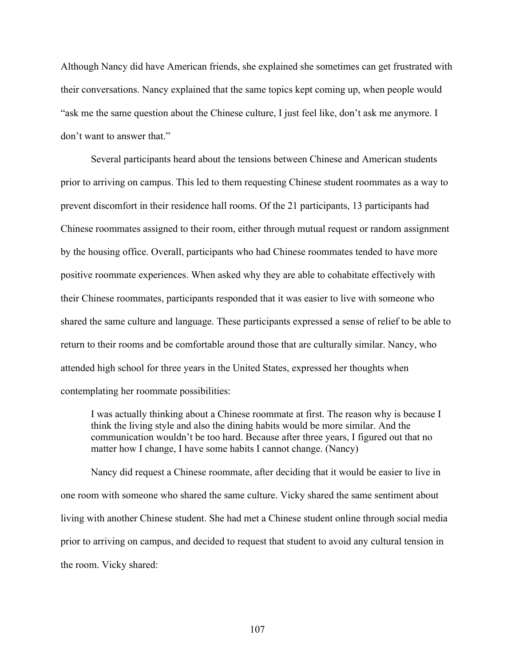Although Nancy did have American friends, she explained she sometimes can get frustrated with their conversations. Nancy explained that the same topics kept coming up, when people would "ask me the same question about the Chinese culture, I just feel like, don't ask me anymore. I don't want to answer that."

Several participants heard about the tensions between Chinese and American students prior to arriving on campus. This led to them requesting Chinese student roommates as a way to prevent discomfort in their residence hall rooms. Of the 21 participants, 13 participants had Chinese roommates assigned to their room, either through mutual request or random assignment by the housing office. Overall, participants who had Chinese roommates tended to have more positive roommate experiences. When asked why they are able to cohabitate effectively with their Chinese roommates, participants responded that it was easier to live with someone who shared the same culture and language. These participants expressed a sense of relief to be able to return to their rooms and be comfortable around those that are culturally similar. Nancy, who attended high school for three years in the United States, expressed her thoughts when contemplating her roommate possibilities:

I was actually thinking about a Chinese roommate at first. The reason why is because I think the living style and also the dining habits would be more similar. And the communication wouldn't be too hard. Because after three years, I figured out that no matter how I change, I have some habits I cannot change. (Nancy)

Nancy did request a Chinese roommate, after deciding that it would be easier to live in one room with someone who shared the same culture. Vicky shared the same sentiment about living with another Chinese student. She had met a Chinese student online through social media prior to arriving on campus, and decided to request that student to avoid any cultural tension in the room. Vicky shared: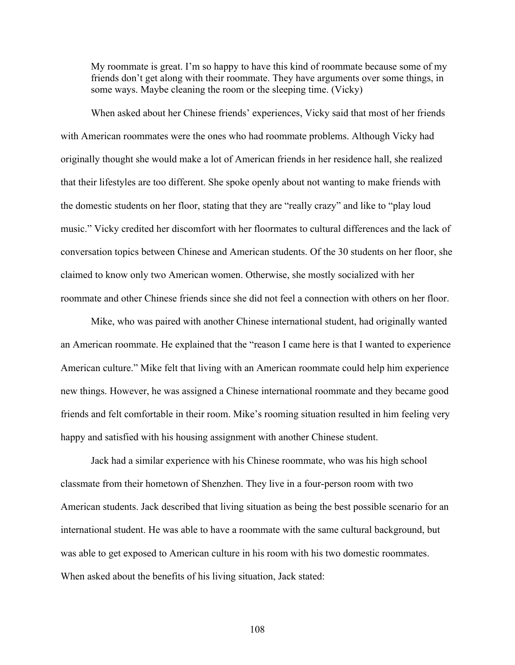My roommate is great. I'm so happy to have this kind of roommate because some of my friends don't get along with their roommate. They have arguments over some things, in some ways. Maybe cleaning the room or the sleeping time. (Vicky)

When asked about her Chinese friends' experiences, Vicky said that most of her friends with American roommates were the ones who had roommate problems. Although Vicky had originally thought she would make a lot of American friends in her residence hall, she realized that their lifestyles are too different. She spoke openly about not wanting to make friends with the domestic students on her floor, stating that they are "really crazy" and like to "play loud music." Vicky credited her discomfort with her floormates to cultural differences and the lack of conversation topics between Chinese and American students. Of the 30 students on her floor, she claimed to know only two American women. Otherwise, she mostly socialized with her roommate and other Chinese friends since she did not feel a connection with others on her floor.

Mike, who was paired with another Chinese international student, had originally wanted an American roommate. He explained that the "reason I came here is that I wanted to experience American culture." Mike felt that living with an American roommate could help him experience new things. However, he was assigned a Chinese international roommate and they became good friends and felt comfortable in their room. Mike's rooming situation resulted in him feeling very happy and satisfied with his housing assignment with another Chinese student.

Jack had a similar experience with his Chinese roommate, who was his high school classmate from their hometown of Shenzhen. They live in a four-person room with two American students. Jack described that living situation as being the best possible scenario for an international student. He was able to have a roommate with the same cultural background, but was able to get exposed to American culture in his room with his two domestic roommates. When asked about the benefits of his living situation, Jack stated:

108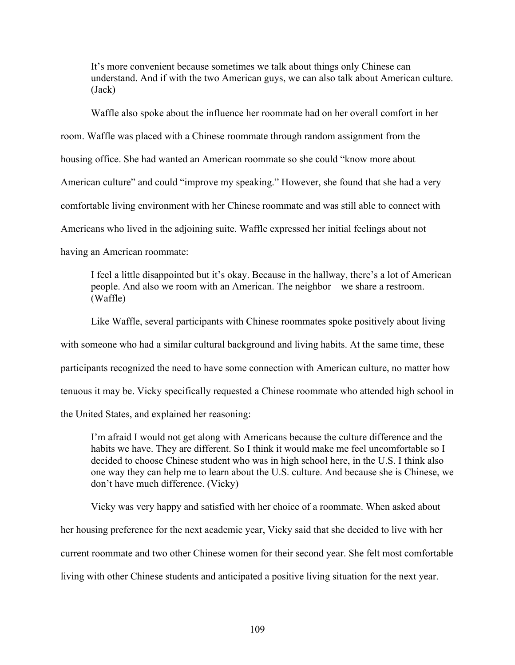It's more convenient because sometimes we talk about things only Chinese can understand. And if with the two American guys, we can also talk about American culture. (Jack)

Waffle also spoke about the influence her roommate had on her overall comfort in her room. Waffle was placed with a Chinese roommate through random assignment from the housing office. She had wanted an American roommate so she could "know more about American culture" and could "improve my speaking." However, she found that she had a very comfortable living environment with her Chinese roommate and was still able to connect with Americans who lived in the adjoining suite. Waffle expressed her initial feelings about not having an American roommate:

I feel a little disappointed but it's okay. Because in the hallway, there's a lot of American people. And also we room with an American. The neighbor—we share a restroom. (Waffle)

Like Waffle, several participants with Chinese roommates spoke positively about living with someone who had a similar cultural background and living habits. At the same time, these participants recognized the need to have some connection with American culture, no matter how tenuous it may be. Vicky specifically requested a Chinese roommate who attended high school in the United States, and explained her reasoning:

I'm afraid I would not get along with Americans because the culture difference and the habits we have. They are different. So I think it would make me feel uncomfortable so I decided to choose Chinese student who was in high school here, in the U.S. I think also one way they can help me to learn about the U.S. culture. And because she is Chinese, we don't have much difference. (Vicky)

Vicky was very happy and satisfied with her choice of a roommate. When asked about her housing preference for the next academic year, Vicky said that she decided to live with her current roommate and two other Chinese women for their second year. She felt most comfortable

living with other Chinese students and anticipated a positive living situation for the next year.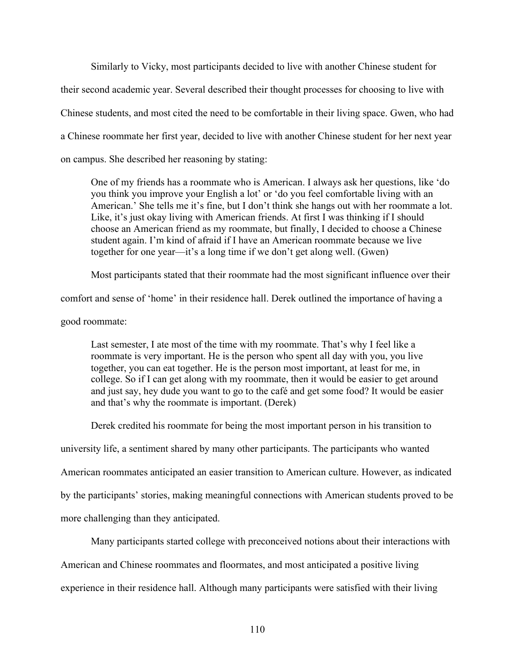Similarly to Vicky, most participants decided to live with another Chinese student for their second academic year. Several described their thought processes for choosing to live with Chinese students, and most cited the need to be comfortable in their living space. Gwen, who had a Chinese roommate her first year, decided to live with another Chinese student for her next year on campus. She described her reasoning by stating:

One of my friends has a roommate who is American. I always ask her questions, like 'do you think you improve your English a lot' or 'do you feel comfortable living with an American.' She tells me it's fine, but I don't think she hangs out with her roommate a lot. Like, it's just okay living with American friends. At first I was thinking if I should choose an American friend as my roommate, but finally, I decided to choose a Chinese student again. I'm kind of afraid if I have an American roommate because we live together for one year—it's a long time if we don't get along well. (Gwen)

Most participants stated that their roommate had the most significant influence over their

comfort and sense of 'home' in their residence hall. Derek outlined the importance of having a

good roommate:

Last semester, I ate most of the time with my roommate. That's why I feel like a roommate is very important. He is the person who spent all day with you, you live together, you can eat together. He is the person most important, at least for me, in college. So if I can get along with my roommate, then it would be easier to get around and just say, hey dude you want to go to the café and get some food? It would be easier and that's why the roommate is important. (Derek)

Derek credited his roommate for being the most important person in his transition to

university life, a sentiment shared by many other participants. The participants who wanted

American roommates anticipated an easier transition to American culture. However, as indicated

by the participants' stories, making meaningful connections with American students proved to be

more challenging than they anticipated.

Many participants started college with preconceived notions about their interactions with

American and Chinese roommates and floormates, and most anticipated a positive living

experience in their residence hall. Although many participants were satisfied with their living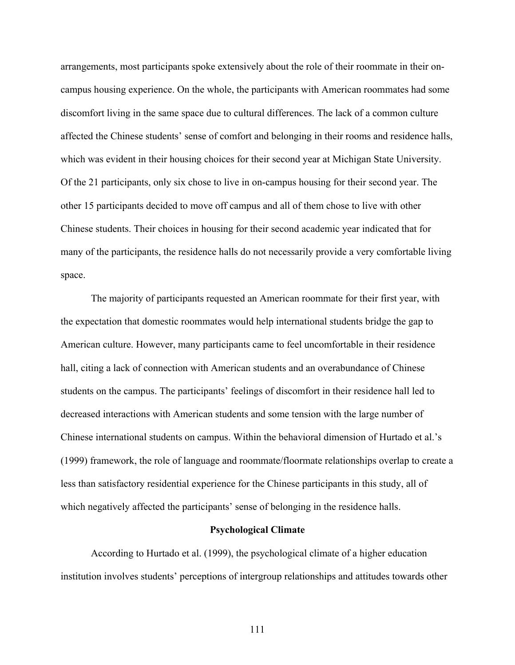arrangements, most participants spoke extensively about the role of their roommate in their oncampus housing experience. On the whole, the participants with American roommates had some discomfort living in the same space due to cultural differences. The lack of a common culture affected the Chinese students' sense of comfort and belonging in their rooms and residence halls, which was evident in their housing choices for their second year at Michigan State University. Of the 21 participants, only six chose to live in on-campus housing for their second year. The other 15 participants decided to move off campus and all of them chose to live with other Chinese students. Their choices in housing for their second academic year indicated that for many of the participants, the residence halls do not necessarily provide a very comfortable living space.

The majority of participants requested an American roommate for their first year, with the expectation that domestic roommates would help international students bridge the gap to American culture. However, many participants came to feel uncomfortable in their residence hall, citing a lack of connection with American students and an overabundance of Chinese students on the campus. The participants' feelings of discomfort in their residence hall led to decreased interactions with American students and some tension with the large number of Chinese international students on campus. Within the behavioral dimension of Hurtado et al.'s (1999) framework, the role of language and roommate/floormate relationships overlap to create a less than satisfactory residential experience for the Chinese participants in this study, all of which negatively affected the participants' sense of belonging in the residence halls.

### **Psychological Climate**

According to Hurtado et al. (1999), the psychological climate of a higher education institution involves students' perceptions of intergroup relationships and attitudes towards other

111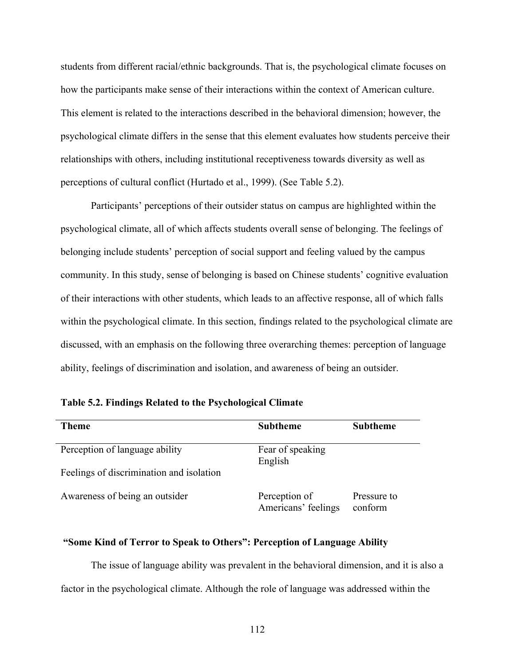students from different racial/ethnic backgrounds. That is, the psychological climate focuses on how the participants make sense of their interactions within the context of American culture. This element is related to the interactions described in the behavioral dimension; however, the psychological climate differs in the sense that this element evaluates how students perceive their relationships with others, including institutional receptiveness towards diversity as well as perceptions of cultural conflict (Hurtado et al., 1999). (See Table 5.2).

Participants' perceptions of their outsider status on campus are highlighted within the psychological climate, all of which affects students overall sense of belonging. The feelings of belonging include students' perception of social support and feeling valued by the campus community. In this study, sense of belonging is based on Chinese students' cognitive evaluation of their interactions with other students, which leads to an affective response, all of which falls within the psychological climate. In this section, findings related to the psychological climate are discussed, with an emphasis on the following three overarching themes: perception of language ability, feelings of discrimination and isolation, and awareness of being an outsider.

| <b>Theme</b>                             | <b>Subtheme</b>                      | <b>Subtheme</b>        |
|------------------------------------------|--------------------------------------|------------------------|
| Perception of language ability           | Fear of speaking<br>English          |                        |
| Feelings of discrimination and isolation |                                      |                        |
| Awareness of being an outsider           | Perception of<br>Americans' feelings | Pressure to<br>conform |

**Table 5.2. Findings Related to the Psychological Climate** 

## **"Some Kind of Terror to Speak to Others": Perception of Language Ability**

The issue of language ability was prevalent in the behavioral dimension, and it is also a factor in the psychological climate. Although the role of language was addressed within the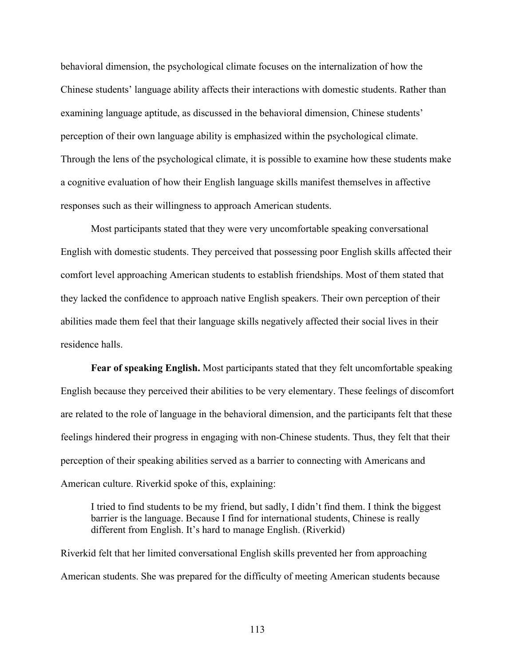behavioral dimension, the psychological climate focuses on the internalization of how the Chinese students' language ability affects their interactions with domestic students. Rather than examining language aptitude, as discussed in the behavioral dimension, Chinese students' perception of their own language ability is emphasized within the psychological climate. Through the lens of the psychological climate, it is possible to examine how these students make a cognitive evaluation of how their English language skills manifest themselves in affective responses such as their willingness to approach American students.

Most participants stated that they were very uncomfortable speaking conversational English with domestic students. They perceived that possessing poor English skills affected their comfort level approaching American students to establish friendships. Most of them stated that they lacked the confidence to approach native English speakers. Their own perception of their abilities made them feel that their language skills negatively affected their social lives in their residence halls.

**Fear of speaking English.** Most participants stated that they felt uncomfortable speaking English because they perceived their abilities to be very elementary. These feelings of discomfort are related to the role of language in the behavioral dimension, and the participants felt that these feelings hindered their progress in engaging with non-Chinese students. Thus, they felt that their perception of their speaking abilities served as a barrier to connecting with Americans and American culture. Riverkid spoke of this, explaining:

I tried to find students to be my friend, but sadly, I didn't find them. I think the biggest barrier is the language. Because I find for international students, Chinese is really different from English. It's hard to manage English. (Riverkid)

Riverkid felt that her limited conversational English skills prevented her from approaching American students. She was prepared for the difficulty of meeting American students because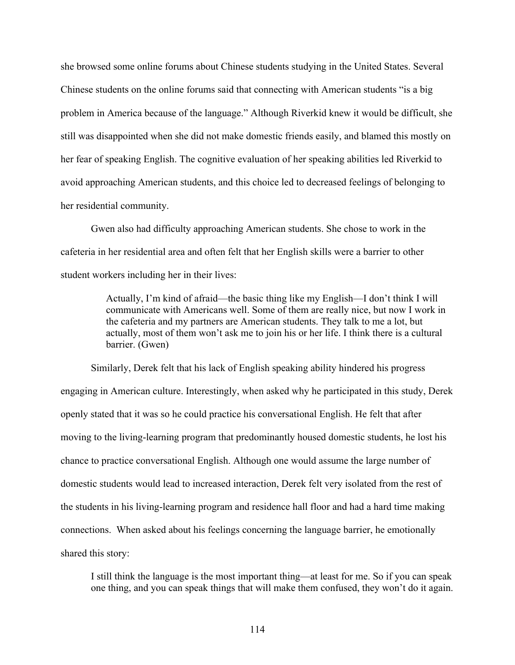she browsed some online forums about Chinese students studying in the United States. Several Chinese students on the online forums said that connecting with American students "is a big problem in America because of the language." Although Riverkid knew it would be difficult, she still was disappointed when she did not make domestic friends easily, and blamed this mostly on her fear of speaking English. The cognitive evaluation of her speaking abilities led Riverkid to avoid approaching American students, and this choice led to decreased feelings of belonging to her residential community.

Gwen also had difficulty approaching American students. She chose to work in the cafeteria in her residential area and often felt that her English skills were a barrier to other student workers including her in their lives:

> Actually, I'm kind of afraid—the basic thing like my English—I don't think I will communicate with Americans well. Some of them are really nice, but now I work in the cafeteria and my partners are American students. They talk to me a lot, but actually, most of them won't ask me to join his or her life. I think there is a cultural barrier. (Gwen)

Similarly, Derek felt that his lack of English speaking ability hindered his progress engaging in American culture. Interestingly, when asked why he participated in this study, Derek openly stated that it was so he could practice his conversational English. He felt that after moving to the living-learning program that predominantly housed domestic students, he lost his chance to practice conversational English. Although one would assume the large number of domestic students would lead to increased interaction, Derek felt very isolated from the rest of the students in his living-learning program and residence hall floor and had a hard time making connections. When asked about his feelings concerning the language barrier, he emotionally shared this story:

I still think the language is the most important thing—at least for me. So if you can speak one thing, and you can speak things that will make them confused, they won't do it again.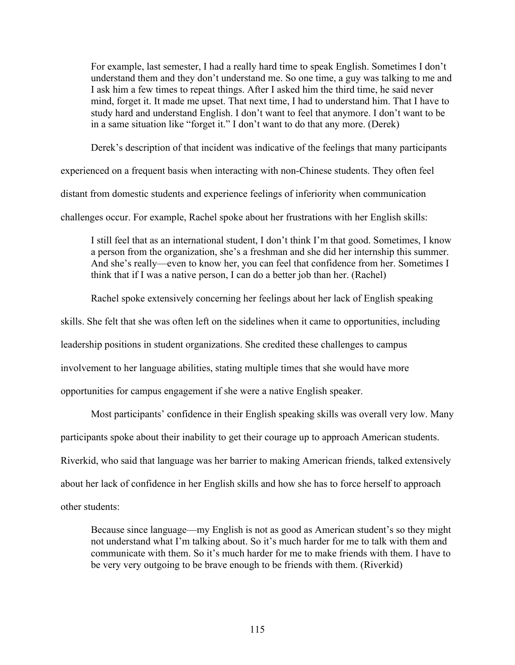For example, last semester, I had a really hard time to speak English. Sometimes I don't understand them and they don't understand me. So one time, a guy was talking to me and I ask him a few times to repeat things. After I asked him the third time, he said never mind, forget it. It made me upset. That next time, I had to understand him. That I have to study hard and understand English. I don't want to feel that anymore. I don't want to be in a same situation like "forget it." I don't want to do that any more. (Derek)

Derek's description of that incident was indicative of the feelings that many participants

experienced on a frequent basis when interacting with non-Chinese students. They often feel

distant from domestic students and experience feelings of inferiority when communication

challenges occur. For example, Rachel spoke about her frustrations with her English skills:

I still feel that as an international student, I don't think I'm that good. Sometimes, I know a person from the organization, she's a freshman and she did her internship this summer. And she's really—even to know her, you can feel that confidence from her. Sometimes I think that if I was a native person, I can do a better job than her. (Rachel)

Rachel spoke extensively concerning her feelings about her lack of English speaking

skills. She felt that she was often left on the sidelines when it came to opportunities, including

leadership positions in student organizations. She credited these challenges to campus

involvement to her language abilities, stating multiple times that she would have more

opportunities for campus engagement if she were a native English speaker.

Most participants' confidence in their English speaking skills was overall very low. Many

participants spoke about their inability to get their courage up to approach American students.

Riverkid, who said that language was her barrier to making American friends, talked extensively

about her lack of confidence in her English skills and how she has to force herself to approach

other students:

Because since language—my English is not as good as American student's so they might not understand what I'm talking about. So it's much harder for me to talk with them and communicate with them. So it's much harder for me to make friends with them. I have to be very very outgoing to be brave enough to be friends with them. (Riverkid)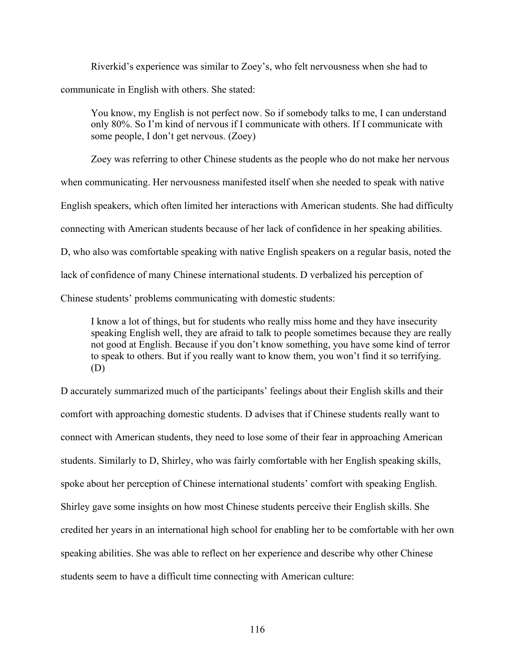Riverkid's experience was similar to Zoey's, who felt nervousness when she had to communicate in English with others. She stated:

You know, my English is not perfect now. So if somebody talks to me, I can understand only 80%. So I'm kind of nervous if I communicate with others. If I communicate with some people, I don't get nervous. (Zoey)

Zoey was referring to other Chinese students as the people who do not make her nervous

when communicating. Her nervousness manifested itself when she needed to speak with native

English speakers, which often limited her interactions with American students. She had difficulty

connecting with American students because of her lack of confidence in her speaking abilities.

D, who also was comfortable speaking with native English speakers on a regular basis, noted the

lack of confidence of many Chinese international students. D verbalized his perception of

Chinese students' problems communicating with domestic students:

I know a lot of things, but for students who really miss home and they have insecurity speaking English well, they are afraid to talk to people sometimes because they are really not good at English. Because if you don't know something, you have some kind of terror to speak to others. But if you really want to know them, you won't find it so terrifying. (D)

D accurately summarized much of the participants' feelings about their English skills and their comfort with approaching domestic students. D advises that if Chinese students really want to connect with American students, they need to lose some of their fear in approaching American students. Similarly to D, Shirley, who was fairly comfortable with her English speaking skills, spoke about her perception of Chinese international students' comfort with speaking English. Shirley gave some insights on how most Chinese students perceive their English skills. She credited her years in an international high school for enabling her to be comfortable with her own speaking abilities. She was able to reflect on her experience and describe why other Chinese students seem to have a difficult time connecting with American culture: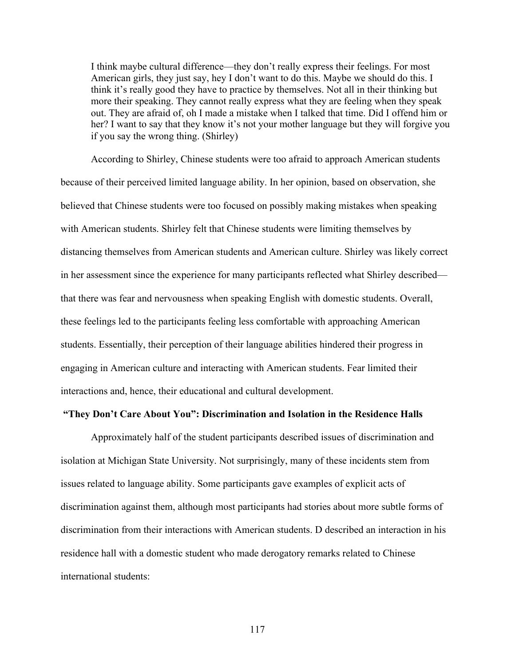I think maybe cultural difference—they don't really express their feelings. For most American girls, they just say, hey I don't want to do this. Maybe we should do this. I think it's really good they have to practice by themselves. Not all in their thinking but more their speaking. They cannot really express what they are feeling when they speak out. They are afraid of, oh I made a mistake when I talked that time. Did I offend him or her? I want to say that they know it's not your mother language but they will forgive you if you say the wrong thing. (Shirley)

According to Shirley, Chinese students were too afraid to approach American students because of their perceived limited language ability. In her opinion, based on observation, she believed that Chinese students were too focused on possibly making mistakes when speaking with American students. Shirley felt that Chinese students were limiting themselves by distancing themselves from American students and American culture. Shirley was likely correct in her assessment since the experience for many participants reflected what Shirley described that there was fear and nervousness when speaking English with domestic students. Overall, these feelings led to the participants feeling less comfortable with approaching American students. Essentially, their perception of their language abilities hindered their progress in engaging in American culture and interacting with American students. Fear limited their interactions and, hence, their educational and cultural development.

## **"They Don't Care About You": Discrimination and Isolation in the Residence Halls**

Approximately half of the student participants described issues of discrimination and isolation at Michigan State University. Not surprisingly, many of these incidents stem from issues related to language ability. Some participants gave examples of explicit acts of discrimination against them, although most participants had stories about more subtle forms of discrimination from their interactions with American students. D described an interaction in his residence hall with a domestic student who made derogatory remarks related to Chinese international students: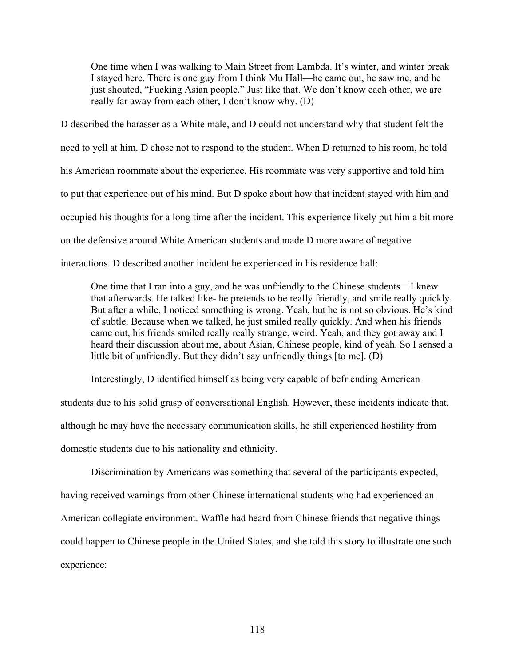One time when I was walking to Main Street from Lambda. It's winter, and winter break I stayed here. There is one guy from I think Mu Hall—he came out, he saw me, and he just shouted, "Fucking Asian people." Just like that. We don't know each other, we are really far away from each other, I don't know why. (D)

D described the harasser as a White male, and D could not understand why that student felt the need to yell at him. D chose not to respond to the student. When D returned to his room, he told his American roommate about the experience. His roommate was very supportive and told him to put that experience out of his mind. But D spoke about how that incident stayed with him and occupied his thoughts for a long time after the incident. This experience likely put him a bit more on the defensive around White American students and made D more aware of negative interactions. D described another incident he experienced in his residence hall:

One time that I ran into a guy, and he was unfriendly to the Chinese students—I knew that afterwards. He talked like- he pretends to be really friendly, and smile really quickly. But after a while, I noticed something is wrong. Yeah, but he is not so obvious. He's kind of subtle. Because when we talked, he just smiled really quickly. And when his friends came out, his friends smiled really really strange, weird. Yeah, and they got away and I heard their discussion about me, about Asian, Chinese people, kind of yeah. So I sensed a little bit of unfriendly. But they didn't say unfriendly things [to me]. (D)

Interestingly, D identified himself as being very capable of befriending American students due to his solid grasp of conversational English. However, these incidents indicate that, although he may have the necessary communication skills, he still experienced hostility from domestic students due to his nationality and ethnicity.

Discrimination by Americans was something that several of the participants expected, having received warnings from other Chinese international students who had experienced an American collegiate environment. Waffle had heard from Chinese friends that negative things could happen to Chinese people in the United States, and she told this story to illustrate one such experience: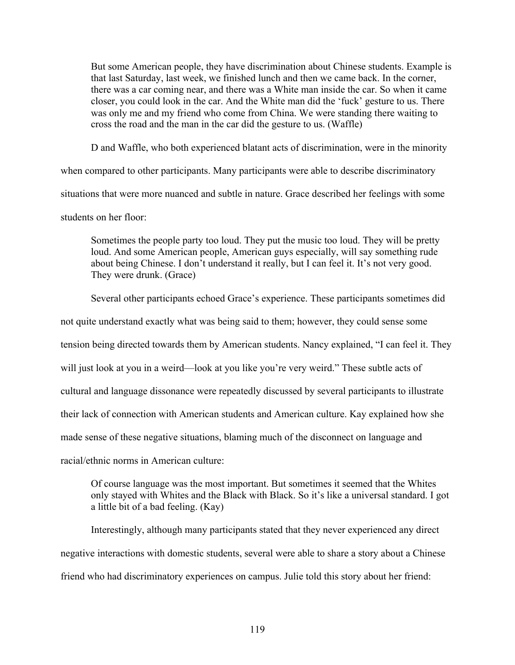But some American people, they have discrimination about Chinese students. Example is that last Saturday, last week, we finished lunch and then we came back. In the corner, there was a car coming near, and there was a White man inside the car. So when it came closer, you could look in the car. And the White man did the 'fuck' gesture to us. There was only me and my friend who come from China. We were standing there waiting to cross the road and the man in the car did the gesture to us. (Waffle)

D and Waffle, who both experienced blatant acts of discrimination, were in the minority

when compared to other participants. Many participants were able to describe discriminatory situations that were more nuanced and subtle in nature. Grace described her feelings with some students on her floor:

Sometimes the people party too loud. They put the music too loud. They will be pretty loud. And some American people, American guys especially, will say something rude about being Chinese. I don't understand it really, but I can feel it. It's not very good. They were drunk. (Grace)

Several other participants echoed Grace's experience. These participants sometimes did

not quite understand exactly what was being said to them; however, they could sense some

tension being directed towards them by American students. Nancy explained, "I can feel it. They

will just look at you in a weird—look at you like you're very weird." These subtle acts of

cultural and language dissonance were repeatedly discussed by several participants to illustrate

their lack of connection with American students and American culture. Kay explained how she

made sense of these negative situations, blaming much of the disconnect on language and

racial/ethnic norms in American culture:

Of course language was the most important. But sometimes it seemed that the Whites only stayed with Whites and the Black with Black. So it's like a universal standard. I got a little bit of a bad feeling. (Kay)

Interestingly, although many participants stated that they never experienced any direct negative interactions with domestic students, several were able to share a story about a Chinese friend who had discriminatory experiences on campus. Julie told this story about her friend: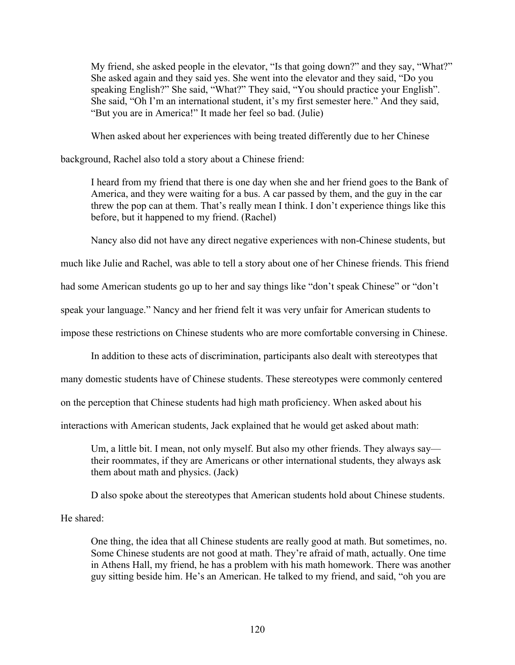My friend, she asked people in the elevator, "Is that going down?" and they say, "What?" She asked again and they said yes. She went into the elevator and they said, "Do you speaking English?" She said, "What?" They said, "You should practice your English". She said, "Oh I'm an international student, it's my first semester here." And they said, "But you are in America!" It made her feel so bad. (Julie)

When asked about her experiences with being treated differently due to her Chinese

background, Rachel also told a story about a Chinese friend:

I heard from my friend that there is one day when she and her friend goes to the Bank of America, and they were waiting for a bus. A car passed by them, and the guy in the car threw the pop can at them. That's really mean I think. I don't experience things like this before, but it happened to my friend. (Rachel)

Nancy also did not have any direct negative experiences with non-Chinese students, but

much like Julie and Rachel, was able to tell a story about one of her Chinese friends. This friend

had some American students go up to her and say things like "don't speak Chinese" or "don't

speak your language." Nancy and her friend felt it was very unfair for American students to

impose these restrictions on Chinese students who are more comfortable conversing in Chinese.

In addition to these acts of discrimination, participants also dealt with stereotypes that

many domestic students have of Chinese students. These stereotypes were commonly centered

on the perception that Chinese students had high math proficiency. When asked about his

interactions with American students, Jack explained that he would get asked about math:

Um, a little bit. I mean, not only myself. But also my other friends. They always say their roommates, if they are Americans or other international students, they always ask them about math and physics. (Jack)

D also spoke about the stereotypes that American students hold about Chinese students.

He shared:

One thing, the idea that all Chinese students are really good at math. But sometimes, no. Some Chinese students are not good at math. They're afraid of math, actually. One time in Athens Hall, my friend, he has a problem with his math homework. There was another guy sitting beside him. He's an American. He talked to my friend, and said, "oh you are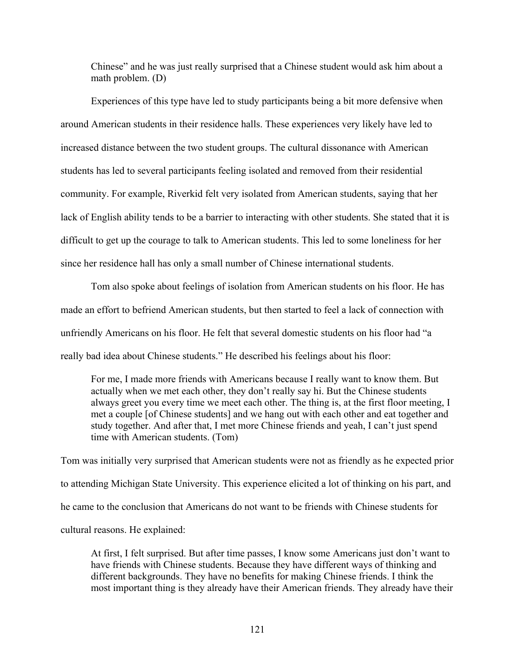Chinese" and he was just really surprised that a Chinese student would ask him about a math problem. (D)

Experiences of this type have led to study participants being a bit more defensive when around American students in their residence halls. These experiences very likely have led to increased distance between the two student groups. The cultural dissonance with American students has led to several participants feeling isolated and removed from their residential community. For example, Riverkid felt very isolated from American students, saying that her lack of English ability tends to be a barrier to interacting with other students. She stated that it is difficult to get up the courage to talk to American students. This led to some loneliness for her since her residence hall has only a small number of Chinese international students.

Tom also spoke about feelings of isolation from American students on his floor. He has made an effort to befriend American students, but then started to feel a lack of connection with unfriendly Americans on his floor. He felt that several domestic students on his floor had "a really bad idea about Chinese students." He described his feelings about his floor:

For me, I made more friends with Americans because I really want to know them. But actually when we met each other, they don't really say hi. But the Chinese students always greet you every time we meet each other. The thing is, at the first floor meeting, I met a couple [of Chinese students] and we hang out with each other and eat together and study together. And after that, I met more Chinese friends and yeah, I can't just spend time with American students. (Tom)

Tom was initially very surprised that American students were not as friendly as he expected prior to attending Michigan State University. This experience elicited a lot of thinking on his part, and he came to the conclusion that Americans do not want to be friends with Chinese students for cultural reasons. He explained:

At first, I felt surprised. But after time passes, I know some Americans just don't want to have friends with Chinese students. Because they have different ways of thinking and different backgrounds. They have no benefits for making Chinese friends. I think the most important thing is they already have their American friends. They already have their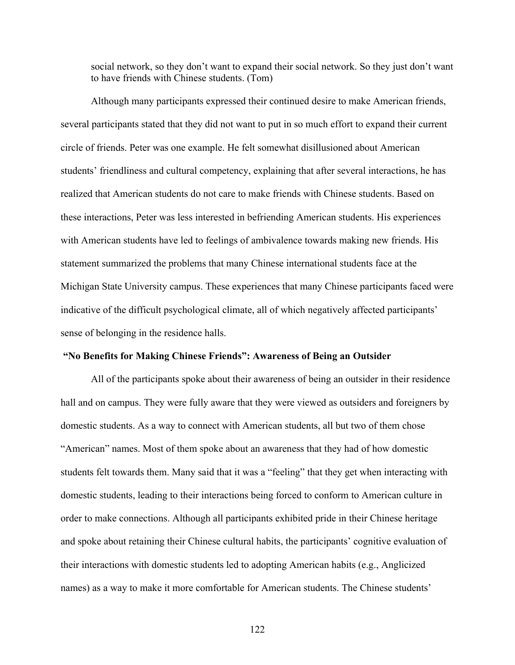social network, so they don't want to expand their social network. So they just don't want to have friends with Chinese students. (Tom)

Although many participants expressed their continued desire to make American friends, several participants stated that they did not want to put in so much effort to expand their current circle of friends. Peter was one example. He felt somewhat disillusioned about American students' friendliness and cultural competency, explaining that after several interactions, he has realized that American students do not care to make friends with Chinese students. Based on these interactions, Peter was less interested in befriending American students. His experiences with American students have led to feelings of ambivalence towards making new friends. His statement summarized the problems that many Chinese international students face at the Michigan State University campus. These experiences that many Chinese participants faced were indicative of the difficult psychological climate, all of which negatively affected participants' sense of belonging in the residence halls.

## **"No Benefits for Making Chinese Friends": Awareness of Being an Outsider**

All of the participants spoke about their awareness of being an outsider in their residence hall and on campus. They were fully aware that they were viewed as outsiders and foreigners by domestic students. As a way to connect with American students, all but two of them chose "American" names. Most of them spoke about an awareness that they had of how domestic students felt towards them. Many said that it was a "feeling" that they get when interacting with domestic students, leading to their interactions being forced to conform to American culture in order to make connections. Although all participants exhibited pride in their Chinese heritage and spoke about retaining their Chinese cultural habits, the participants' cognitive evaluation of their interactions with domestic students led to adopting American habits (e.g., Anglicized names) as a way to make it more comfortable for American students. The Chinese students'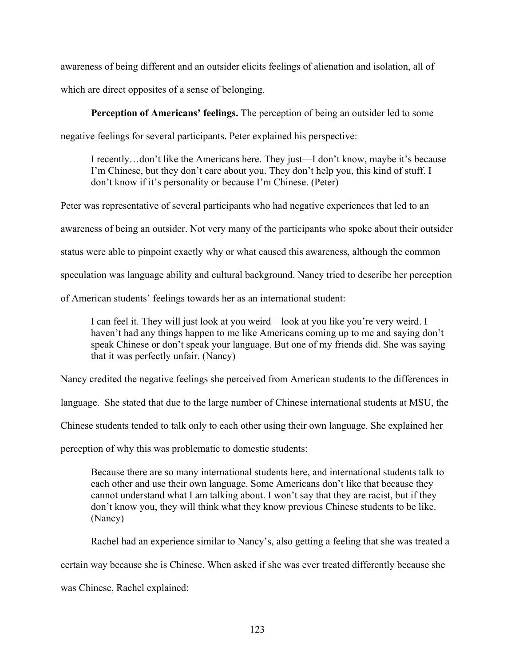awareness of being different and an outsider elicits feelings of alienation and isolation, all of which are direct opposites of a sense of belonging.

**Perception of Americans' feelings.** The perception of being an outsider led to some

negative feelings for several participants. Peter explained his perspective:

I recently…don't like the Americans here. They just—I don't know, maybe it's because I'm Chinese, but they don't care about you. They don't help you, this kind of stuff. I don't know if it's personality or because I'm Chinese. (Peter)

Peter was representative of several participants who had negative experiences that led to an

awareness of being an outsider. Not very many of the participants who spoke about their outsider

status were able to pinpoint exactly why or what caused this awareness, although the common

speculation was language ability and cultural background. Nancy tried to describe her perception

of American students' feelings towards her as an international student:

I can feel it. They will just look at you weird—look at you like you're very weird. I haven't had any things happen to me like Americans coming up to me and saying don't speak Chinese or don't speak your language. But one of my friends did. She was saying that it was perfectly unfair. (Nancy)

Nancy credited the negative feelings she perceived from American students to the differences in

language. She stated that due to the large number of Chinese international students at MSU, the

Chinese students tended to talk only to each other using their own language. She explained her

perception of why this was problematic to domestic students:

Because there are so many international students here, and international students talk to each other and use their own language. Some Americans don't like that because they cannot understand what I am talking about. I won't say that they are racist, but if they don't know you, they will think what they know previous Chinese students to be like. (Nancy)

Rachel had an experience similar to Nancy's, also getting a feeling that she was treated a

certain way because she is Chinese. When asked if she was ever treated differently because she

was Chinese, Rachel explained: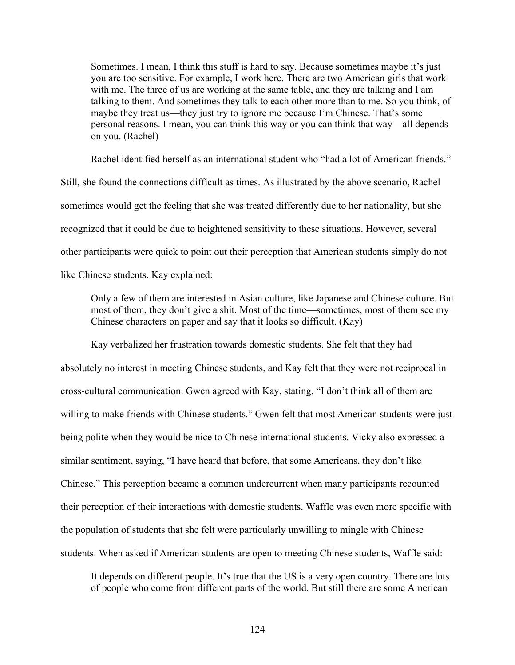Sometimes. I mean, I think this stuff is hard to say. Because sometimes maybe it's just you are too sensitive. For example, I work here. There are two American girls that work with me. The three of us are working at the same table, and they are talking and I am talking to them. And sometimes they talk to each other more than to me. So you think, of maybe they treat us—they just try to ignore me because I'm Chinese. That's some personal reasons. I mean, you can think this way or you can think that way—all depends on you. (Rachel)

Rachel identified herself as an international student who "had a lot of American friends."

Still, she found the connections difficult as times. As illustrated by the above scenario, Rachel sometimes would get the feeling that she was treated differently due to her nationality, but she recognized that it could be due to heightened sensitivity to these situations. However, several other participants were quick to point out their perception that American students simply do not like Chinese students. Kay explained:

Only a few of them are interested in Asian culture, like Japanese and Chinese culture. But most of them, they don't give a shit. Most of the time—sometimes, most of them see my Chinese characters on paper and say that it looks so difficult. (Kay)

Kay verbalized her frustration towards domestic students. She felt that they had absolutely no interest in meeting Chinese students, and Kay felt that they were not reciprocal in cross-cultural communication. Gwen agreed with Kay, stating, "I don't think all of them are willing to make friends with Chinese students." Gwen felt that most American students were just being polite when they would be nice to Chinese international students. Vicky also expressed a similar sentiment, saying, "I have heard that before, that some Americans, they don't like Chinese." This perception became a common undercurrent when many participants recounted their perception of their interactions with domestic students. Waffle was even more specific with the population of students that she felt were particularly unwilling to mingle with Chinese students. When asked if American students are open to meeting Chinese students, Waffle said:

It depends on different people. It's true that the US is a very open country. There are lots of people who come from different parts of the world. But still there are some American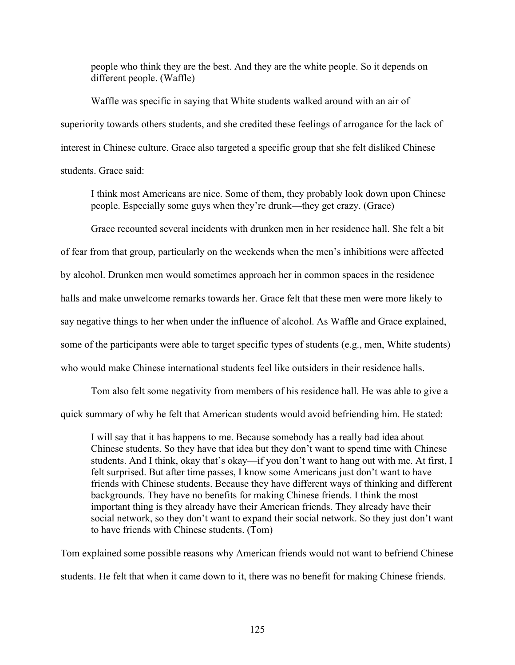people who think they are the best. And they are the white people. So it depends on different people. (Waffle)

Waffle was specific in saying that White students walked around with an air of superiority towards others students, and she credited these feelings of arrogance for the lack of interest in Chinese culture. Grace also targeted a specific group that she felt disliked Chinese students. Grace said:

I think most Americans are nice. Some of them, they probably look down upon Chinese people. Especially some guys when they're drunk—they get crazy. (Grace)

Grace recounted several incidents with drunken men in her residence hall. She felt a bit of fear from that group, particularly on the weekends when the men's inhibitions were affected by alcohol. Drunken men would sometimes approach her in common spaces in the residence halls and make unwelcome remarks towards her. Grace felt that these men were more likely to say negative things to her when under the influence of alcohol. As Waffle and Grace explained, some of the participants were able to target specific types of students (e.g., men, White students) who would make Chinese international students feel like outsiders in their residence halls.

Tom also felt some negativity from members of his residence hall. He was able to give a quick summary of why he felt that American students would avoid befriending him. He stated:

I will say that it has happens to me. Because somebody has a really bad idea about Chinese students. So they have that idea but they don't want to spend time with Chinese students. And I think, okay that's okay—if you don't want to hang out with me. At first, I felt surprised. But after time passes, I know some Americans just don't want to have friends with Chinese students. Because they have different ways of thinking and different backgrounds. They have no benefits for making Chinese friends. I think the most important thing is they already have their American friends. They already have their social network, so they don't want to expand their social network. So they just don't want to have friends with Chinese students. (Tom)

Tom explained some possible reasons why American friends would not want to befriend Chinese students. He felt that when it came down to it, there was no benefit for making Chinese friends.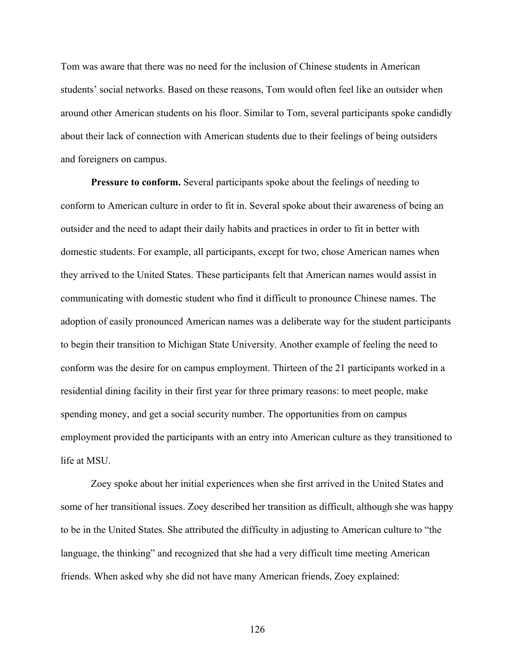Tom was aware that there was no need for the inclusion of Chinese students in American students' social networks. Based on these reasons, Tom would often feel like an outsider when around other American students on his floor. Similar to Tom, several participants spoke candidly about their lack of connection with American students due to their feelings of being outsiders and foreigners on campus.

**Pressure to conform.** Several participants spoke about the feelings of needing to conform to American culture in order to fit in. Several spoke about their awareness of being an outsider and the need to adapt their daily habits and practices in order to fit in better with domestic students. For example, all participants, except for two, chose American names when they arrived to the United States. These participants felt that American names would assist in communicating with domestic student who find it difficult to pronounce Chinese names. The adoption of easily pronounced American names was a deliberate way for the student participants to begin their transition to Michigan State University. Another example of feeling the need to conform was the desire for on campus employment. Thirteen of the 21 participants worked in a residential dining facility in their first year for three primary reasons: to meet people, make spending money, and get a social security number. The opportunities from on campus employment provided the participants with an entry into American culture as they transitioned to life at MSU.

Zoey spoke about her initial experiences when she first arrived in the United States and some of her transitional issues. Zoey described her transition as difficult, although she was happy to be in the United States. She attributed the difficulty in adjusting to American culture to "the language, the thinking" and recognized that she had a very difficult time meeting American friends. When asked why she did not have many American friends, Zoey explained:

126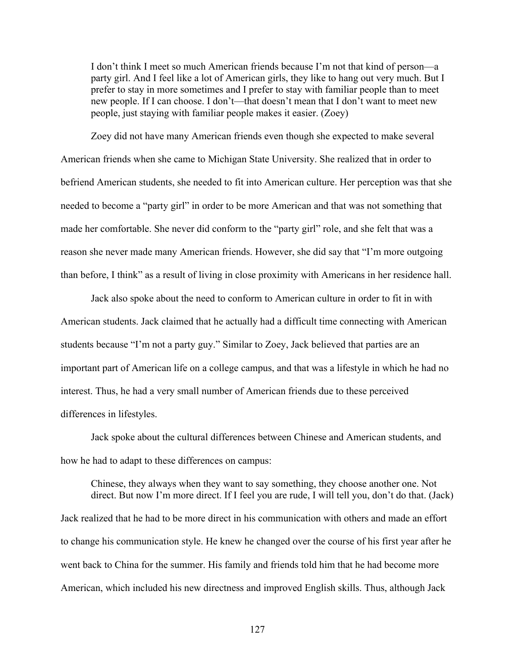I don't think I meet so much American friends because I'm not that kind of person—a party girl. And I feel like a lot of American girls, they like to hang out very much. But I prefer to stay in more sometimes and I prefer to stay with familiar people than to meet new people. If I can choose. I don't—that doesn't mean that I don't want to meet new people, just staying with familiar people makes it easier. (Zoey)

Zoey did not have many American friends even though she expected to make several American friends when she came to Michigan State University. She realized that in order to befriend American students, she needed to fit into American culture. Her perception was that she needed to become a "party girl" in order to be more American and that was not something that made her comfortable. She never did conform to the "party girl" role, and she felt that was a reason she never made many American friends. However, she did say that "I'm more outgoing than before, I think" as a result of living in close proximity with Americans in her residence hall.

Jack also spoke about the need to conform to American culture in order to fit in with American students. Jack claimed that he actually had a difficult time connecting with American students because "I'm not a party guy." Similar to Zoey, Jack believed that parties are an important part of American life on a college campus, and that was a lifestyle in which he had no interest. Thus, he had a very small number of American friends due to these perceived differences in lifestyles.

Jack spoke about the cultural differences between Chinese and American students, and how he had to adapt to these differences on campus:

Chinese, they always when they want to say something, they choose another one. Not direct. But now I'm more direct. If I feel you are rude, I will tell you, don't do that. (Jack) Jack realized that he had to be more direct in his communication with others and made an effort to change his communication style. He knew he changed over the course of his first year after he went back to China for the summer. His family and friends told him that he had become more American, which included his new directness and improved English skills. Thus, although Jack

127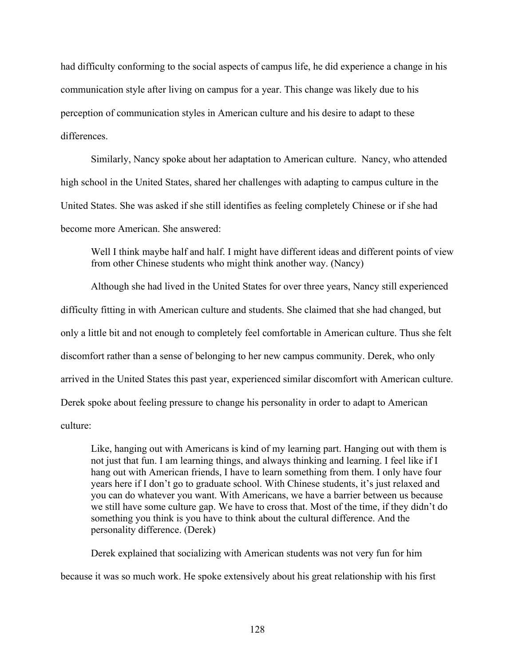had difficulty conforming to the social aspects of campus life, he did experience a change in his communication style after living on campus for a year. This change was likely due to his perception of communication styles in American culture and his desire to adapt to these differences.

Similarly, Nancy spoke about her adaptation to American culture. Nancy, who attended high school in the United States, shared her challenges with adapting to campus culture in the United States. She was asked if she still identifies as feeling completely Chinese or if she had become more American. She answered:

Well I think maybe half and half. I might have different ideas and different points of view from other Chinese students who might think another way. (Nancy)

Although she had lived in the United States for over three years, Nancy still experienced difficulty fitting in with American culture and students. She claimed that she had changed, but only a little bit and not enough to completely feel comfortable in American culture. Thus she felt discomfort rather than a sense of belonging to her new campus community. Derek, who only arrived in the United States this past year, experienced similar discomfort with American culture. Derek spoke about feeling pressure to change his personality in order to adapt to American culture:

Like, hanging out with Americans is kind of my learning part. Hanging out with them is not just that fun. I am learning things, and always thinking and learning. I feel like if I hang out with American friends, I have to learn something from them. I only have four years here if I don't go to graduate school. With Chinese students, it's just relaxed and you can do whatever you want. With Americans, we have a barrier between us because we still have some culture gap. We have to cross that. Most of the time, if they didn't do something you think is you have to think about the cultural difference. And the personality difference. (Derek)

Derek explained that socializing with American students was not very fun for him because it was so much work. He spoke extensively about his great relationship with his first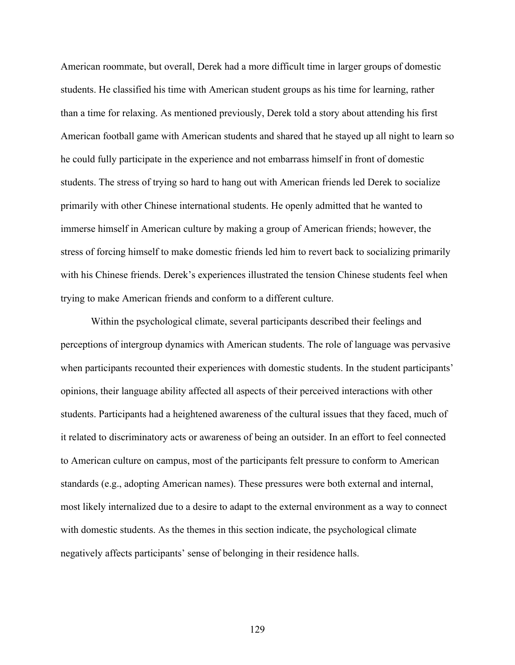American roommate, but overall, Derek had a more difficult time in larger groups of domestic students. He classified his time with American student groups as his time for learning, rather than a time for relaxing. As mentioned previously, Derek told a story about attending his first American football game with American students and shared that he stayed up all night to learn so he could fully participate in the experience and not embarrass himself in front of domestic students. The stress of trying so hard to hang out with American friends led Derek to socialize primarily with other Chinese international students. He openly admitted that he wanted to immerse himself in American culture by making a group of American friends; however, the stress of forcing himself to make domestic friends led him to revert back to socializing primarily with his Chinese friends. Derek's experiences illustrated the tension Chinese students feel when trying to make American friends and conform to a different culture.

Within the psychological climate, several participants described their feelings and perceptions of intergroup dynamics with American students. The role of language was pervasive when participants recounted their experiences with domestic students. In the student participants' opinions, their language ability affected all aspects of their perceived interactions with other students. Participants had a heightened awareness of the cultural issues that they faced, much of it related to discriminatory acts or awareness of being an outsider. In an effort to feel connected to American culture on campus, most of the participants felt pressure to conform to American standards (e.g., adopting American names). These pressures were both external and internal, most likely internalized due to a desire to adapt to the external environment as a way to connect with domestic students. As the themes in this section indicate, the psychological climate negatively affects participants' sense of belonging in their residence halls.

129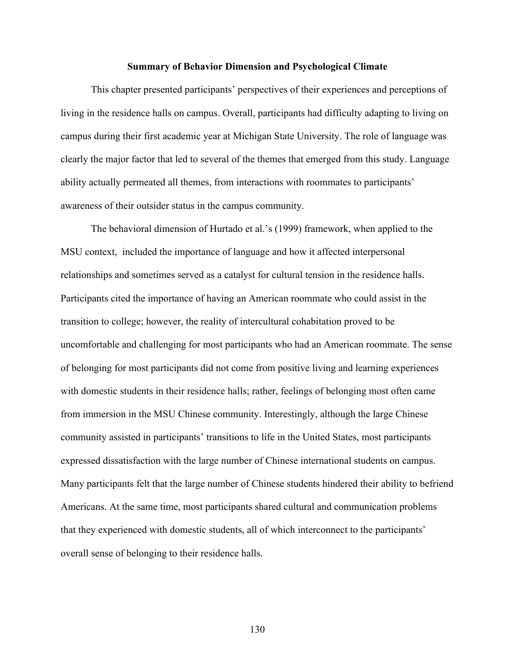#### **Summary of Behavior Dimension and Psychological Climate**

This chapter presented participants' perspectives of their experiences and perceptions of living in the residence halls on campus. Overall, participants had difficulty adapting to living on campus during their first academic year at Michigan State University. The role of language was clearly the major factor that led to several of the themes that emerged from this study. Language ability actually permeated all themes, from interactions with roommates to participants' awareness of their outsider status in the campus community.

The behavioral dimension of Hurtado et al.'s (1999) framework, when applied to the MSU context, included the importance of language and how it affected interpersonal relationships and sometimes served as a catalyst for cultural tension in the residence halls. Participants cited the importance of having an American roommate who could assist in the transition to college; however, the reality of intercultural cohabitation proved to be uncomfortable and challenging for most participants who had an American roommate. The sense of belonging for most participants did not come from positive living and learning experiences with domestic students in their residence halls; rather, feelings of belonging most often came from immersion in the MSU Chinese community. Interestingly, although the large Chinese community assisted in participants' transitions to life in the United States, most participants expressed dissatisfaction with the large number of Chinese international students on campus. Many participants felt that the large number of Chinese students hindered their ability to befriend Americans. At the same time, most participants shared cultural and communication problems that they experienced with domestic students, all of which interconnect to the participants' overall sense of belonging to their residence halls.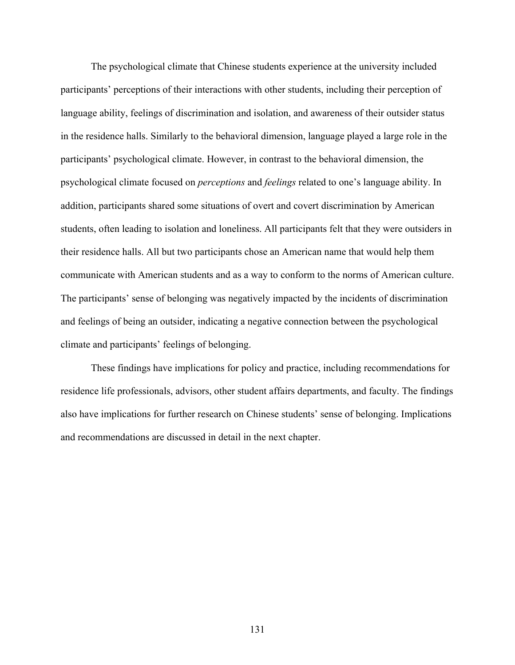The psychological climate that Chinese students experience at the university included participants' perceptions of their interactions with other students, including their perception of language ability, feelings of discrimination and isolation, and awareness of their outsider status in the residence halls. Similarly to the behavioral dimension, language played a large role in the participants' psychological climate. However, in contrast to the behavioral dimension, the psychological climate focused on *perceptions* and *feelings* related to one's language ability. In addition, participants shared some situations of overt and covert discrimination by American students, often leading to isolation and loneliness. All participants felt that they were outsiders in their residence halls. All but two participants chose an American name that would help them communicate with American students and as a way to conform to the norms of American culture. The participants' sense of belonging was negatively impacted by the incidents of discrimination and feelings of being an outsider, indicating a negative connection between the psychological climate and participants' feelings of belonging.

These findings have implications for policy and practice, including recommendations for residence life professionals, advisors, other student affairs departments, and faculty. The findings also have implications for further research on Chinese students' sense of belonging. Implications and recommendations are discussed in detail in the next chapter.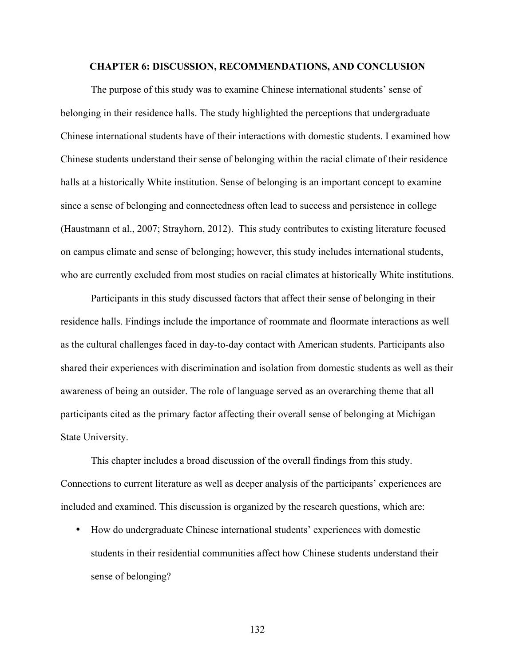### **CHAPTER 6: DISCUSSION, RECOMMENDATIONS, AND CONCLUSION**

The purpose of this study was to examine Chinese international students' sense of belonging in their residence halls. The study highlighted the perceptions that undergraduate Chinese international students have of their interactions with domestic students. I examined how Chinese students understand their sense of belonging within the racial climate of their residence halls at a historically White institution. Sense of belonging is an important concept to examine since a sense of belonging and connectedness often lead to success and persistence in college (Haustmann et al., 2007; Strayhorn, 2012). This study contributes to existing literature focused on campus climate and sense of belonging; however, this study includes international students, who are currently excluded from most studies on racial climates at historically White institutions.

Participants in this study discussed factors that affect their sense of belonging in their residence halls. Findings include the importance of roommate and floormate interactions as well as the cultural challenges faced in day-to-day contact with American students. Participants also shared their experiences with discrimination and isolation from domestic students as well as their awareness of being an outsider. The role of language served as an overarching theme that all participants cited as the primary factor affecting their overall sense of belonging at Michigan State University.

This chapter includes a broad discussion of the overall findings from this study. Connections to current literature as well as deeper analysis of the participants' experiences are included and examined. This discussion is organized by the research questions, which are:

• How do undergraduate Chinese international students' experiences with domestic students in their residential communities affect how Chinese students understand their sense of belonging?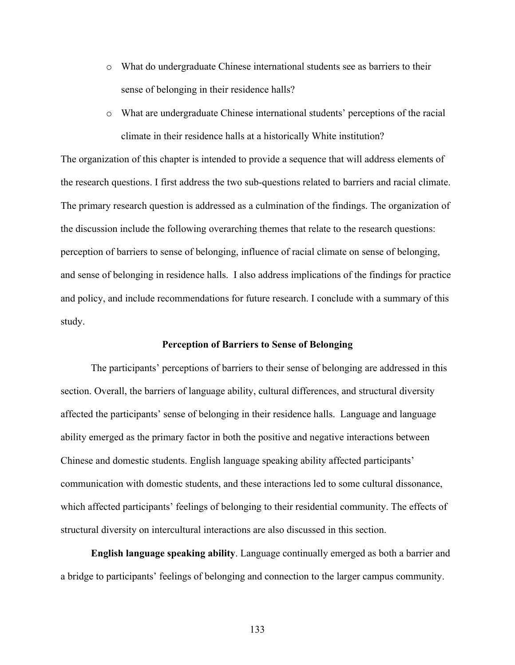- o What do undergraduate Chinese international students see as barriers to their sense of belonging in their residence halls?
- o What are undergraduate Chinese international students' perceptions of the racial climate in their residence halls at a historically White institution?

The organization of this chapter is intended to provide a sequence that will address elements of the research questions. I first address the two sub-questions related to barriers and racial climate. The primary research question is addressed as a culmination of the findings. The organization of the discussion include the following overarching themes that relate to the research questions: perception of barriers to sense of belonging, influence of racial climate on sense of belonging, and sense of belonging in residence halls. I also address implications of the findings for practice and policy, and include recommendations for future research. I conclude with a summary of this study.

# **Perception of Barriers to Sense of Belonging**

The participants' perceptions of barriers to their sense of belonging are addressed in this section. Overall, the barriers of language ability, cultural differences, and structural diversity affected the participants' sense of belonging in their residence halls. Language and language ability emerged as the primary factor in both the positive and negative interactions between Chinese and domestic students. English language speaking ability affected participants' communication with domestic students, and these interactions led to some cultural dissonance, which affected participants' feelings of belonging to their residential community. The effects of structural diversity on intercultural interactions are also discussed in this section.

**English language speaking ability**. Language continually emerged as both a barrier and a bridge to participants' feelings of belonging and connection to the larger campus community.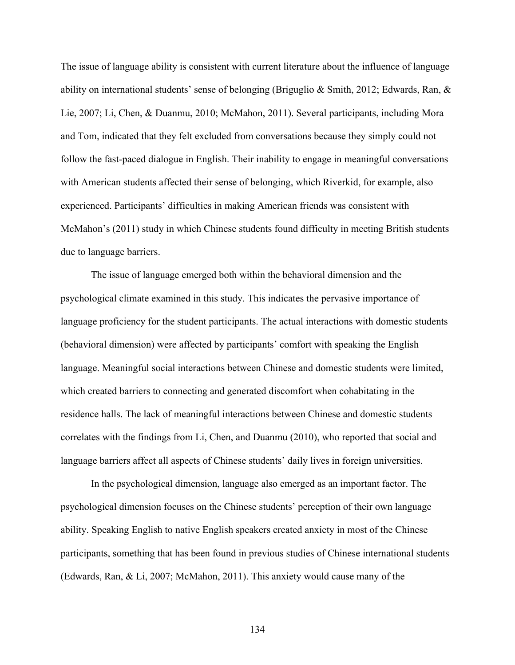The issue of language ability is consistent with current literature about the influence of language ability on international students' sense of belonging (Briguglio & Smith, 2012; Edwards, Ran, & Lie, 2007; Li, Chen, & Duanmu, 2010; McMahon, 2011). Several participants, including Mora and Tom, indicated that they felt excluded from conversations because they simply could not follow the fast-paced dialogue in English. Their inability to engage in meaningful conversations with American students affected their sense of belonging, which Riverkid, for example, also experienced. Participants' difficulties in making American friends was consistent with McMahon's (2011) study in which Chinese students found difficulty in meeting British students due to language barriers.

The issue of language emerged both within the behavioral dimension and the psychological climate examined in this study. This indicates the pervasive importance of language proficiency for the student participants. The actual interactions with domestic students (behavioral dimension) were affected by participants' comfort with speaking the English language. Meaningful social interactions between Chinese and domestic students were limited, which created barriers to connecting and generated discomfort when cohabitating in the residence halls. The lack of meaningful interactions between Chinese and domestic students correlates with the findings from Li, Chen, and Duanmu (2010), who reported that social and language barriers affect all aspects of Chinese students' daily lives in foreign universities.

In the psychological dimension, language also emerged as an important factor. The psychological dimension focuses on the Chinese students' perception of their own language ability. Speaking English to native English speakers created anxiety in most of the Chinese participants, something that has been found in previous studies of Chinese international students (Edwards, Ran, & Li, 2007; McMahon, 2011). This anxiety would cause many of the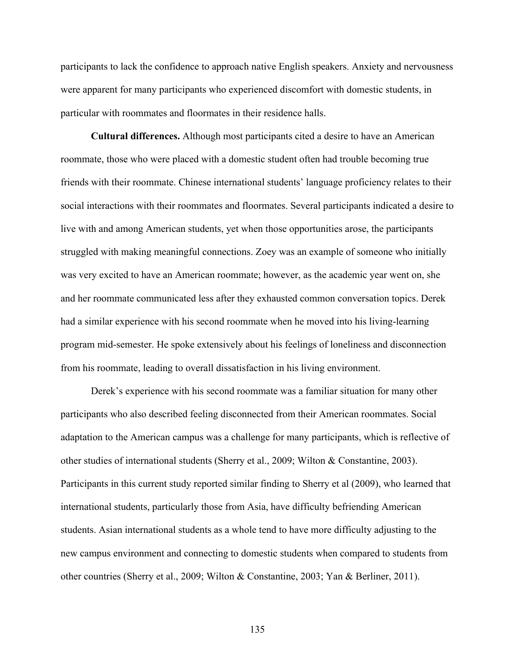participants to lack the confidence to approach native English speakers. Anxiety and nervousness were apparent for many participants who experienced discomfort with domestic students, in particular with roommates and floormates in their residence halls.

**Cultural differences.** Although most participants cited a desire to have an American roommate, those who were placed with a domestic student often had trouble becoming true friends with their roommate. Chinese international students' language proficiency relates to their social interactions with their roommates and floormates. Several participants indicated a desire to live with and among American students, yet when those opportunities arose, the participants struggled with making meaningful connections. Zoey was an example of someone who initially was very excited to have an American roommate; however, as the academic year went on, she and her roommate communicated less after they exhausted common conversation topics. Derek had a similar experience with his second roommate when he moved into his living-learning program mid-semester. He spoke extensively about his feelings of loneliness and disconnection from his roommate, leading to overall dissatisfaction in his living environment.

Derek's experience with his second roommate was a familiar situation for many other participants who also described feeling disconnected from their American roommates. Social adaptation to the American campus was a challenge for many participants, which is reflective of other studies of international students (Sherry et al., 2009; Wilton & Constantine, 2003). Participants in this current study reported similar finding to Sherry et al (2009), who learned that international students, particularly those from Asia, have difficulty befriending American students. Asian international students as a whole tend to have more difficulty adjusting to the new campus environment and connecting to domestic students when compared to students from other countries (Sherry et al., 2009; Wilton & Constantine, 2003; Yan & Berliner, 2011).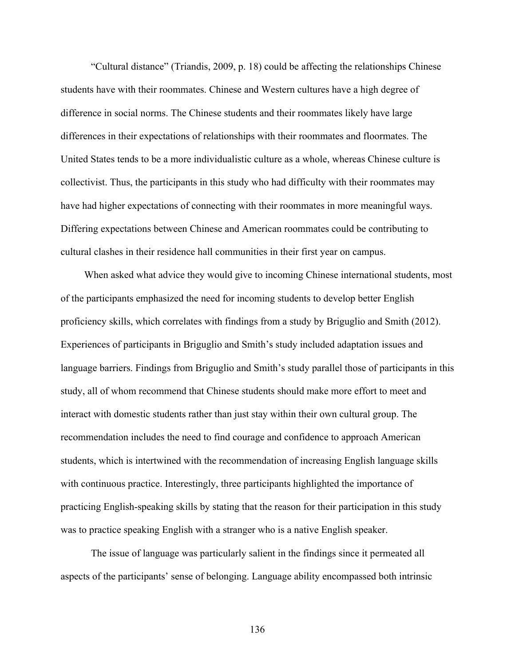"Cultural distance" (Triandis, 2009, p. 18) could be affecting the relationships Chinese students have with their roommates. Chinese and Western cultures have a high degree of difference in social norms. The Chinese students and their roommates likely have large differences in their expectations of relationships with their roommates and floormates. The United States tends to be a more individualistic culture as a whole, whereas Chinese culture is collectivist. Thus, the participants in this study who had difficulty with their roommates may have had higher expectations of connecting with their roommates in more meaningful ways. Differing expectations between Chinese and American roommates could be contributing to cultural clashes in their residence hall communities in their first year on campus.

When asked what advice they would give to incoming Chinese international students, most of the participants emphasized the need for incoming students to develop better English proficiency skills, which correlates with findings from a study by Briguglio and Smith (2012). Experiences of participants in Briguglio and Smith's study included adaptation issues and language barriers. Findings from Briguglio and Smith's study parallel those of participants in this study, all of whom recommend that Chinese students should make more effort to meet and interact with domestic students rather than just stay within their own cultural group. The recommendation includes the need to find courage and confidence to approach American students, which is intertwined with the recommendation of increasing English language skills with continuous practice. Interestingly, three participants highlighted the importance of practicing English-speaking skills by stating that the reason for their participation in this study was to practice speaking English with a stranger who is a native English speaker.

The issue of language was particularly salient in the findings since it permeated all aspects of the participants' sense of belonging. Language ability encompassed both intrinsic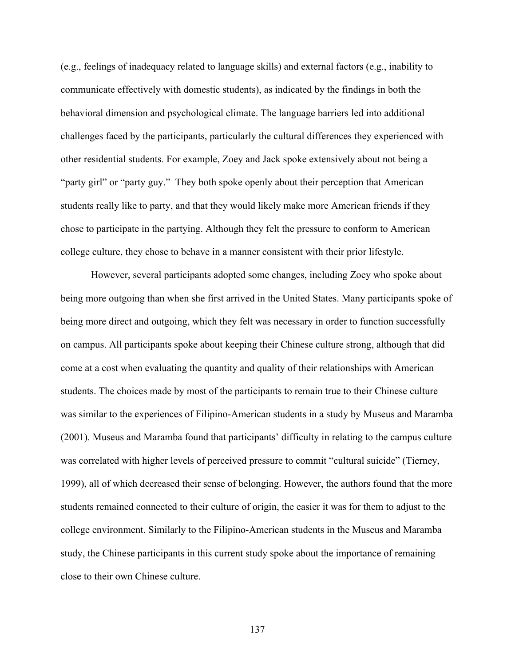(e.g., feelings of inadequacy related to language skills) and external factors (e.g., inability to communicate effectively with domestic students), as indicated by the findings in both the behavioral dimension and psychological climate. The language barriers led into additional challenges faced by the participants, particularly the cultural differences they experienced with other residential students. For example, Zoey and Jack spoke extensively about not being a "party girl" or "party guy." They both spoke openly about their perception that American students really like to party, and that they would likely make more American friends if they chose to participate in the partying. Although they felt the pressure to conform to American college culture, they chose to behave in a manner consistent with their prior lifestyle.

However, several participants adopted some changes, including Zoey who spoke about being more outgoing than when she first arrived in the United States. Many participants spoke of being more direct and outgoing, which they felt was necessary in order to function successfully on campus. All participants spoke about keeping their Chinese culture strong, although that did come at a cost when evaluating the quantity and quality of their relationships with American students. The choices made by most of the participants to remain true to their Chinese culture was similar to the experiences of Filipino-American students in a study by Museus and Maramba (2001). Museus and Maramba found that participants' difficulty in relating to the campus culture was correlated with higher levels of perceived pressure to commit "cultural suicide" (Tierney, 1999), all of which decreased their sense of belonging. However, the authors found that the more students remained connected to their culture of origin, the easier it was for them to adjust to the college environment. Similarly to the Filipino-American students in the Museus and Maramba study, the Chinese participants in this current study spoke about the importance of remaining close to their own Chinese culture.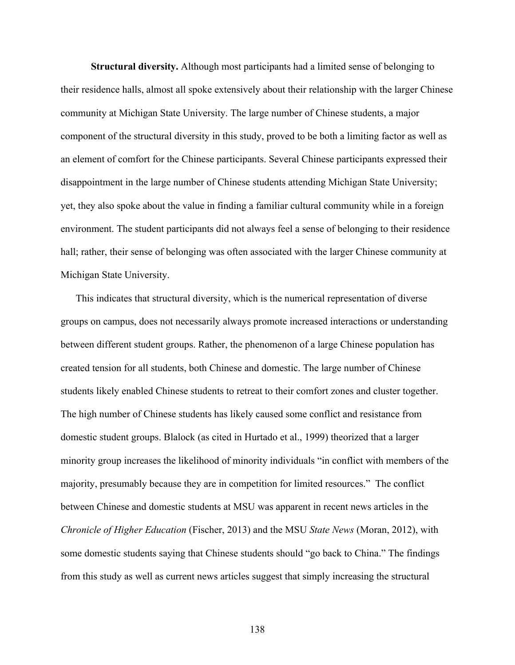**Structural diversity.** Although most participants had a limited sense of belonging to their residence halls, almost all spoke extensively about their relationship with the larger Chinese community at Michigan State University. The large number of Chinese students, a major component of the structural diversity in this study, proved to be both a limiting factor as well as an element of comfort for the Chinese participants. Several Chinese participants expressed their disappointment in the large number of Chinese students attending Michigan State University; yet, they also spoke about the value in finding a familiar cultural community while in a foreign environment. The student participants did not always feel a sense of belonging to their residence hall; rather, their sense of belonging was often associated with the larger Chinese community at Michigan State University.

This indicates that structural diversity, which is the numerical representation of diverse groups on campus, does not necessarily always promote increased interactions or understanding between different student groups. Rather, the phenomenon of a large Chinese population has created tension for all students, both Chinese and domestic. The large number of Chinese students likely enabled Chinese students to retreat to their comfort zones and cluster together. The high number of Chinese students has likely caused some conflict and resistance from domestic student groups. Blalock (as cited in Hurtado et al., 1999) theorized that a larger minority group increases the likelihood of minority individuals "in conflict with members of the majority, presumably because they are in competition for limited resources." The conflict between Chinese and domestic students at MSU was apparent in recent news articles in the *Chronicle of Higher Education* (Fischer, 2013) and the MSU *State News* (Moran, 2012), with some domestic students saying that Chinese students should "go back to China." The findings from this study as well as current news articles suggest that simply increasing the structural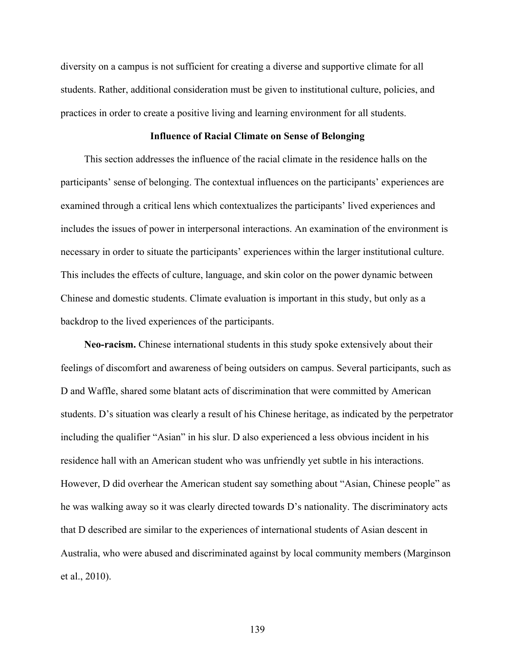diversity on a campus is not sufficient for creating a diverse and supportive climate for all students. Rather, additional consideration must be given to institutional culture, policies, and practices in order to create a positive living and learning environment for all students.

# **Influence of Racial Climate on Sense of Belonging**

This section addresses the influence of the racial climate in the residence halls on the participants' sense of belonging. The contextual influences on the participants' experiences are examined through a critical lens which contextualizes the participants' lived experiences and includes the issues of power in interpersonal interactions. An examination of the environment is necessary in order to situate the participants' experiences within the larger institutional culture. This includes the effects of culture, language, and skin color on the power dynamic between Chinese and domestic students. Climate evaluation is important in this study, but only as a backdrop to the lived experiences of the participants.

**Neo-racism.** Chinese international students in this study spoke extensively about their feelings of discomfort and awareness of being outsiders on campus. Several participants, such as D and Waffle, shared some blatant acts of discrimination that were committed by American students. D's situation was clearly a result of his Chinese heritage, as indicated by the perpetrator including the qualifier "Asian" in his slur. D also experienced a less obvious incident in his residence hall with an American student who was unfriendly yet subtle in his interactions. However, D did overhear the American student say something about "Asian, Chinese people" as he was walking away so it was clearly directed towards D's nationality. The discriminatory acts that D described are similar to the experiences of international students of Asian descent in Australia, who were abused and discriminated against by local community members (Marginson et al., 2010).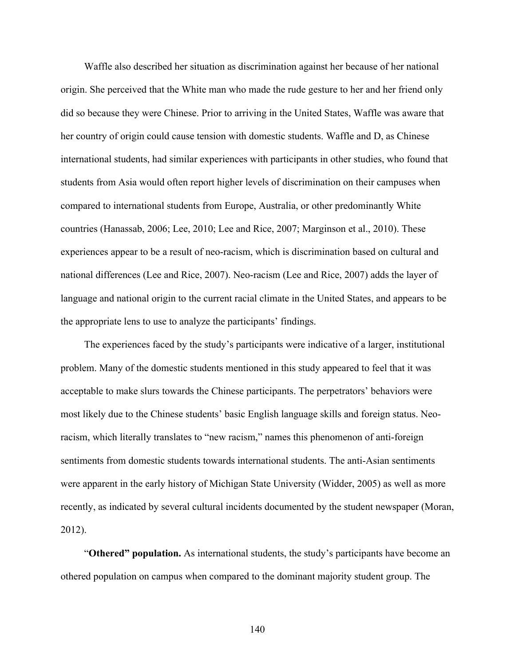Waffle also described her situation as discrimination against her because of her national origin. She perceived that the White man who made the rude gesture to her and her friend only did so because they were Chinese. Prior to arriving in the United States, Waffle was aware that her country of origin could cause tension with domestic students. Waffle and D, as Chinese international students, had similar experiences with participants in other studies, who found that students from Asia would often report higher levels of discrimination on their campuses when compared to international students from Europe, Australia, or other predominantly White countries (Hanassab, 2006; Lee, 2010; Lee and Rice, 2007; Marginson et al., 2010). These experiences appear to be a result of neo-racism, which is discrimination based on cultural and national differences (Lee and Rice, 2007). Neo-racism (Lee and Rice, 2007) adds the layer of language and national origin to the current racial climate in the United States, and appears to be the appropriate lens to use to analyze the participants' findings.

The experiences faced by the study's participants were indicative of a larger, institutional problem. Many of the domestic students mentioned in this study appeared to feel that it was acceptable to make slurs towards the Chinese participants. The perpetrators' behaviors were most likely due to the Chinese students' basic English language skills and foreign status. Neoracism, which literally translates to "new racism," names this phenomenon of anti-foreign sentiments from domestic students towards international students. The anti-Asian sentiments were apparent in the early history of Michigan State University (Widder, 2005) as well as more recently, as indicated by several cultural incidents documented by the student newspaper (Moran, 2012).

"**Othered" population.** As international students, the study's participants have become an othered population on campus when compared to the dominant majority student group. The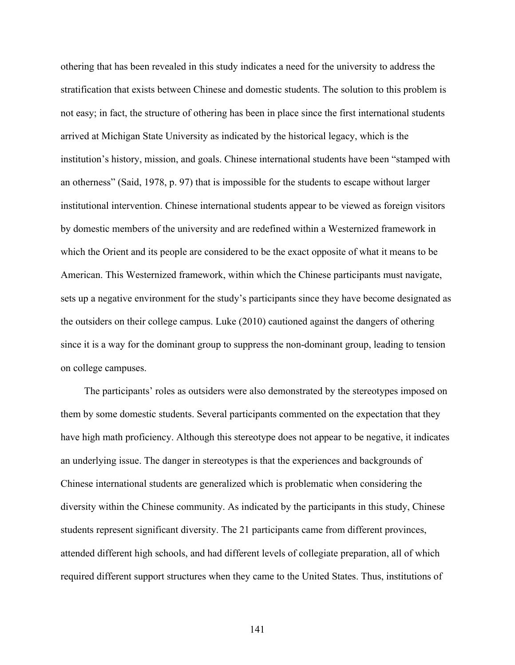othering that has been revealed in this study indicates a need for the university to address the stratification that exists between Chinese and domestic students. The solution to this problem is not easy; in fact, the structure of othering has been in place since the first international students arrived at Michigan State University as indicated by the historical legacy, which is the institution's history, mission, and goals. Chinese international students have been "stamped with an otherness" (Said, 1978, p. 97) that is impossible for the students to escape without larger institutional intervention. Chinese international students appear to be viewed as foreign visitors by domestic members of the university and are redefined within a Westernized framework in which the Orient and its people are considered to be the exact opposite of what it means to be American. This Westernized framework, within which the Chinese participants must navigate, sets up a negative environment for the study's participants since they have become designated as the outsiders on their college campus. Luke (2010) cautioned against the dangers of othering since it is a way for the dominant group to suppress the non-dominant group, leading to tension on college campuses.

The participants' roles as outsiders were also demonstrated by the stereotypes imposed on them by some domestic students. Several participants commented on the expectation that they have high math proficiency. Although this stereotype does not appear to be negative, it indicates an underlying issue. The danger in stereotypes is that the experiences and backgrounds of Chinese international students are generalized which is problematic when considering the diversity within the Chinese community. As indicated by the participants in this study, Chinese students represent significant diversity. The 21 participants came from different provinces, attended different high schools, and had different levels of collegiate preparation, all of which required different support structures when they came to the United States. Thus, institutions of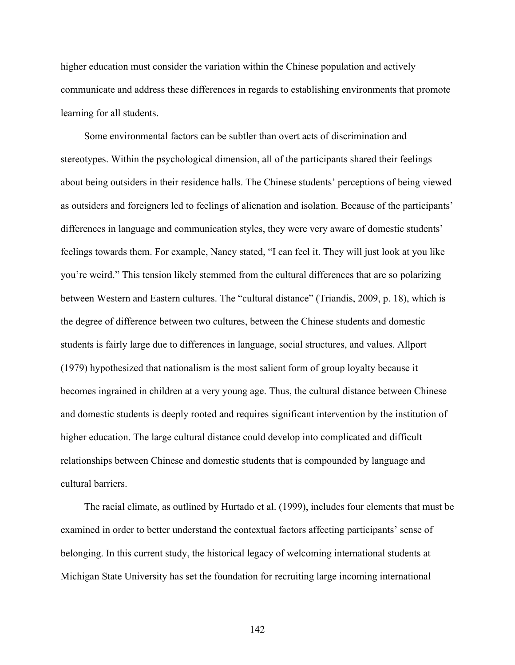higher education must consider the variation within the Chinese population and actively communicate and address these differences in regards to establishing environments that promote learning for all students.

Some environmental factors can be subtler than overt acts of discrimination and stereotypes. Within the psychological dimension, all of the participants shared their feelings about being outsiders in their residence halls. The Chinese students' perceptions of being viewed as outsiders and foreigners led to feelings of alienation and isolation. Because of the participants' differences in language and communication styles, they were very aware of domestic students' feelings towards them. For example, Nancy stated, "I can feel it. They will just look at you like you're weird." This tension likely stemmed from the cultural differences that are so polarizing between Western and Eastern cultures. The "cultural distance" (Triandis, 2009, p. 18), which is the degree of difference between two cultures, between the Chinese students and domestic students is fairly large due to differences in language, social structures, and values. Allport (1979) hypothesized that nationalism is the most salient form of group loyalty because it becomes ingrained in children at a very young age. Thus, the cultural distance between Chinese and domestic students is deeply rooted and requires significant intervention by the institution of higher education. The large cultural distance could develop into complicated and difficult relationships between Chinese and domestic students that is compounded by language and cultural barriers.

The racial climate, as outlined by Hurtado et al. (1999), includes four elements that must be examined in order to better understand the contextual factors affecting participants' sense of belonging. In this current study, the historical legacy of welcoming international students at Michigan State University has set the foundation for recruiting large incoming international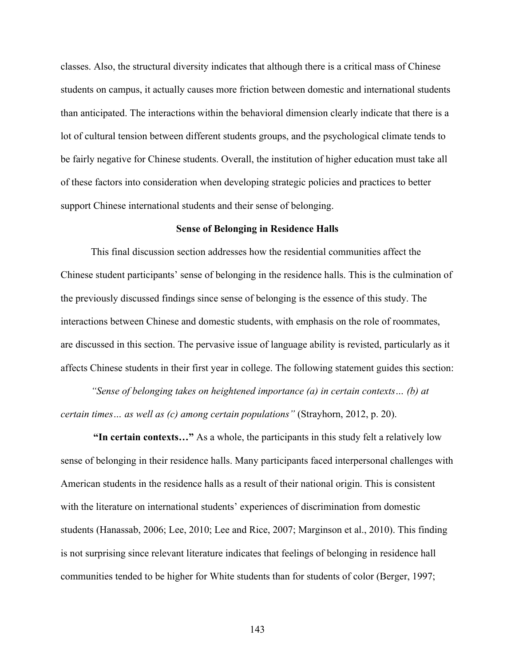classes. Also, the structural diversity indicates that although there is a critical mass of Chinese students on campus, it actually causes more friction between domestic and international students than anticipated. The interactions within the behavioral dimension clearly indicate that there is a lot of cultural tension between different students groups, and the psychological climate tends to be fairly negative for Chinese students. Overall, the institution of higher education must take all of these factors into consideration when developing strategic policies and practices to better support Chinese international students and their sense of belonging.

# **Sense of Belonging in Residence Halls**

This final discussion section addresses how the residential communities affect the Chinese student participants' sense of belonging in the residence halls. This is the culmination of the previously discussed findings since sense of belonging is the essence of this study. The interactions between Chinese and domestic students, with emphasis on the role of roommates, are discussed in this section. The pervasive issue of language ability is revisted, particularly as it affects Chinese students in their first year in college. The following statement guides this section:

*"Sense of belonging takes on heightened importance (a) in certain contexts… (b) at certain times… as well as (c) among certain populations"* (Strayhorn, 2012, p. 20).

 **"In certain contexts…"** As a whole, the participants in this study felt a relatively low sense of belonging in their residence halls. Many participants faced interpersonal challenges with American students in the residence halls as a result of their national origin. This is consistent with the literature on international students' experiences of discrimination from domestic students (Hanassab, 2006; Lee, 2010; Lee and Rice, 2007; Marginson et al., 2010). This finding is not surprising since relevant literature indicates that feelings of belonging in residence hall communities tended to be higher for White students than for students of color (Berger, 1997;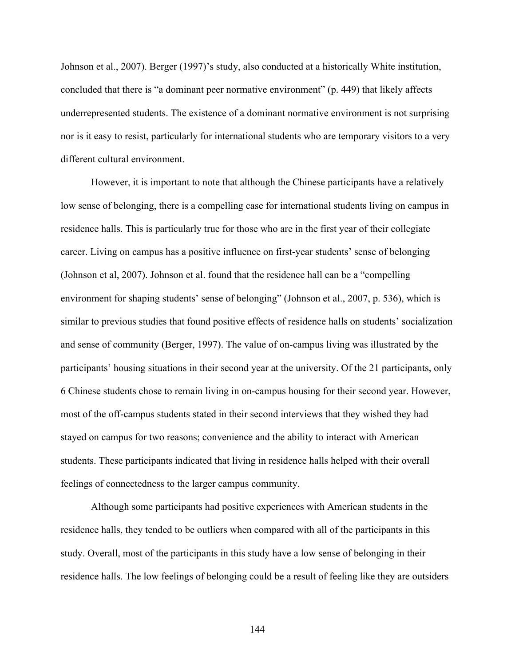Johnson et al., 2007). Berger (1997)'s study, also conducted at a historically White institution, concluded that there is "a dominant peer normative environment" (p. 449) that likely affects underrepresented students. The existence of a dominant normative environment is not surprising nor is it easy to resist, particularly for international students who are temporary visitors to a very different cultural environment.

However, it is important to note that although the Chinese participants have a relatively low sense of belonging, there is a compelling case for international students living on campus in residence halls. This is particularly true for those who are in the first year of their collegiate career. Living on campus has a positive influence on first-year students' sense of belonging (Johnson et al, 2007). Johnson et al. found that the residence hall can be a "compelling environment for shaping students' sense of belonging" (Johnson et al., 2007, p. 536), which is similar to previous studies that found positive effects of residence halls on students' socialization and sense of community (Berger, 1997). The value of on-campus living was illustrated by the participants' housing situations in their second year at the university. Of the 21 participants, only 6 Chinese students chose to remain living in on-campus housing for their second year. However, most of the off-campus students stated in their second interviews that they wished they had stayed on campus for two reasons; convenience and the ability to interact with American students. These participants indicated that living in residence halls helped with their overall feelings of connectedness to the larger campus community.

Although some participants had positive experiences with American students in the residence halls, they tended to be outliers when compared with all of the participants in this study. Overall, most of the participants in this study have a low sense of belonging in their residence halls. The low feelings of belonging could be a result of feeling like they are outsiders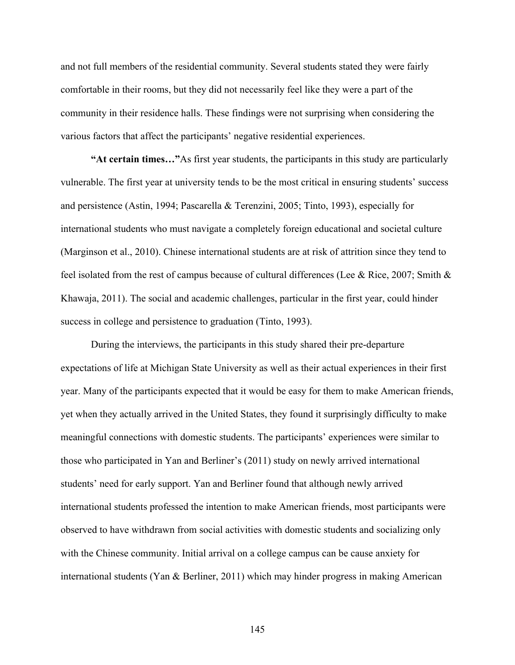and not full members of the residential community. Several students stated they were fairly comfortable in their rooms, but they did not necessarily feel like they were a part of the community in their residence halls. These findings were not surprising when considering the various factors that affect the participants' negative residential experiences.

**"At certain times…"**As first year students, the participants in this study are particularly vulnerable. The first year at university tends to be the most critical in ensuring students' success and persistence (Astin, 1994; Pascarella & Terenzini, 2005; Tinto, 1993), especially for international students who must navigate a completely foreign educational and societal culture (Marginson et al., 2010). Chinese international students are at risk of attrition since they tend to feel isolated from the rest of campus because of cultural differences (Lee & Rice, 2007; Smith & Khawaja, 2011). The social and academic challenges, particular in the first year, could hinder success in college and persistence to graduation (Tinto, 1993).

During the interviews, the participants in this study shared their pre-departure expectations of life at Michigan State University as well as their actual experiences in their first year. Many of the participants expected that it would be easy for them to make American friends, yet when they actually arrived in the United States, they found it surprisingly difficulty to make meaningful connections with domestic students. The participants' experiences were similar to those who participated in Yan and Berliner's (2011) study on newly arrived international students' need for early support. Yan and Berliner found that although newly arrived international students professed the intention to make American friends, most participants were observed to have withdrawn from social activities with domestic students and socializing only with the Chinese community. Initial arrival on a college campus can be cause anxiety for international students (Yan & Berliner, 2011) which may hinder progress in making American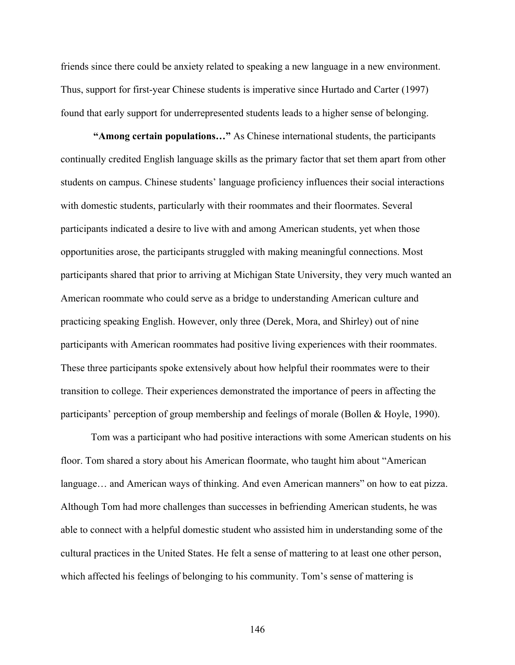friends since there could be anxiety related to speaking a new language in a new environment. Thus, support for first-year Chinese students is imperative since Hurtado and Carter (1997) found that early support for underrepresented students leads to a higher sense of belonging.

 **"Among certain populations…"** As Chinese international students, the participants continually credited English language skills as the primary factor that set them apart from other students on campus. Chinese students' language proficiency influences their social interactions with domestic students, particularly with their roommates and their floormates. Several participants indicated a desire to live with and among American students, yet when those opportunities arose, the participants struggled with making meaningful connections. Most participants shared that prior to arriving at Michigan State University, they very much wanted an American roommate who could serve as a bridge to understanding American culture and practicing speaking English. However, only three (Derek, Mora, and Shirley) out of nine participants with American roommates had positive living experiences with their roommates. These three participants spoke extensively about how helpful their roommates were to their transition to college. Their experiences demonstrated the importance of peers in affecting the participants' perception of group membership and feelings of morale (Bollen & Hoyle, 1990).

Tom was a participant who had positive interactions with some American students on his floor. Tom shared a story about his American floormate, who taught him about "American language... and American ways of thinking. And even American manners" on how to eat pizza. Although Tom had more challenges than successes in befriending American students, he was able to connect with a helpful domestic student who assisted him in understanding some of the cultural practices in the United States. He felt a sense of mattering to at least one other person, which affected his feelings of belonging to his community. Tom's sense of mattering is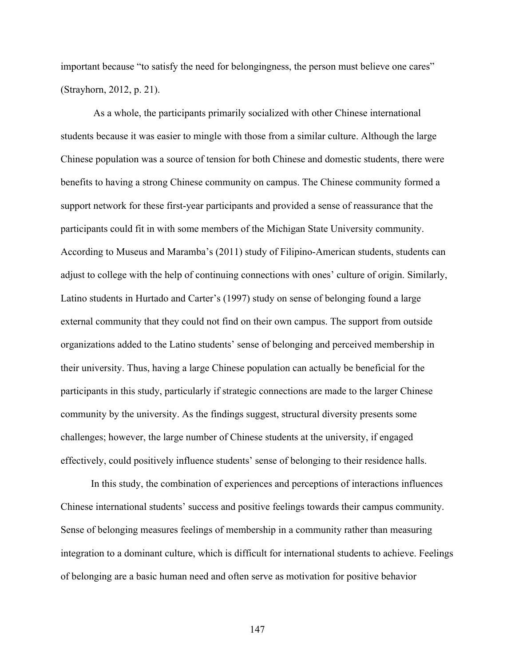important because "to satisfy the need for belongingness, the person must believe one cares" (Strayhorn, 2012, p. 21).

 As a whole, the participants primarily socialized with other Chinese international students because it was easier to mingle with those from a similar culture. Although the large Chinese population was a source of tension for both Chinese and domestic students, there were benefits to having a strong Chinese community on campus. The Chinese community formed a support network for these first-year participants and provided a sense of reassurance that the participants could fit in with some members of the Michigan State University community. According to Museus and Maramba's (2011) study of Filipino-American students, students can adjust to college with the help of continuing connections with ones' culture of origin. Similarly, Latino students in Hurtado and Carter's (1997) study on sense of belonging found a large external community that they could not find on their own campus. The support from outside organizations added to the Latino students' sense of belonging and perceived membership in their university. Thus, having a large Chinese population can actually be beneficial for the participants in this study, particularly if strategic connections are made to the larger Chinese community by the university. As the findings suggest, structural diversity presents some challenges; however, the large number of Chinese students at the university, if engaged effectively, could positively influence students' sense of belonging to their residence halls.

In this study, the combination of experiences and perceptions of interactions influences Chinese international students' success and positive feelings towards their campus community. Sense of belonging measures feelings of membership in a community rather than measuring integration to a dominant culture, which is difficult for international students to achieve. Feelings of belonging are a basic human need and often serve as motivation for positive behavior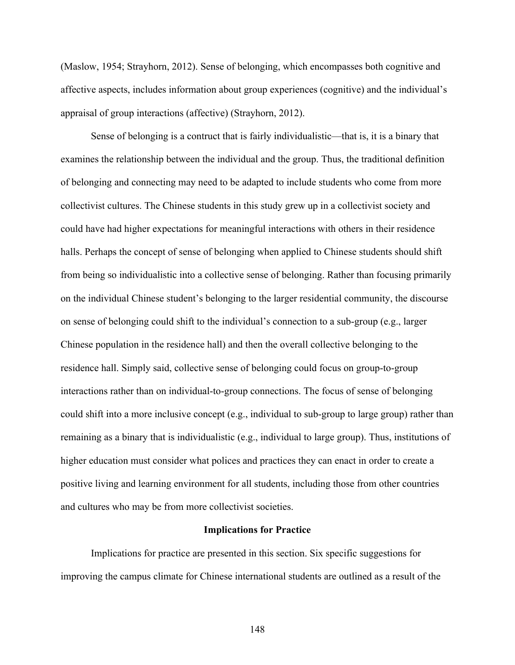(Maslow, 1954; Strayhorn, 2012). Sense of belonging, which encompasses both cognitive and affective aspects, includes information about group experiences (cognitive) and the individual's appraisal of group interactions (affective) (Strayhorn, 2012).

Sense of belonging is a contruct that is fairly individualistic—that is, it is a binary that examines the relationship between the individual and the group. Thus, the traditional definition of belonging and connecting may need to be adapted to include students who come from more collectivist cultures. The Chinese students in this study grew up in a collectivist society and could have had higher expectations for meaningful interactions with others in their residence halls. Perhaps the concept of sense of belonging when applied to Chinese students should shift from being so individualistic into a collective sense of belonging. Rather than focusing primarily on the individual Chinese student's belonging to the larger residential community, the discourse on sense of belonging could shift to the individual's connection to a sub-group (e.g., larger Chinese population in the residence hall) and then the overall collective belonging to the residence hall. Simply said, collective sense of belonging could focus on group-to-group interactions rather than on individual-to-group connections. The focus of sense of belonging could shift into a more inclusive concept (e.g., individual to sub-group to large group) rather than remaining as a binary that is individualistic (e.g., individual to large group). Thus, institutions of higher education must consider what polices and practices they can enact in order to create a positive living and learning environment for all students, including those from other countries and cultures who may be from more collectivist societies.

#### **Implications for Practice**

Implications for practice are presented in this section. Six specific suggestions for improving the campus climate for Chinese international students are outlined as a result of the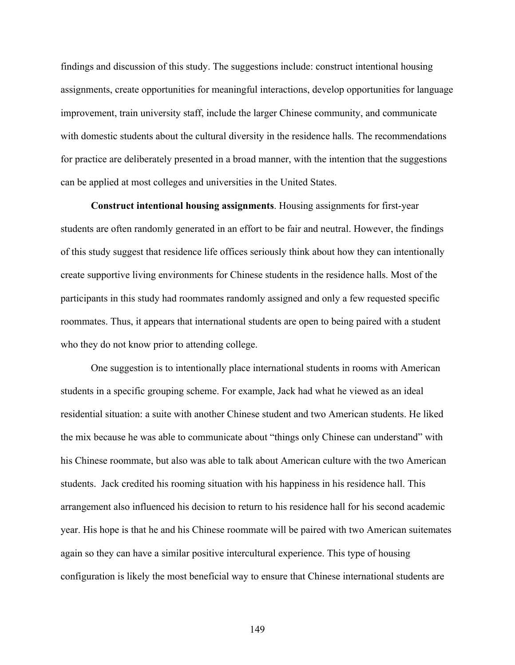findings and discussion of this study. The suggestions include: construct intentional housing assignments, create opportunities for meaningful interactions, develop opportunities for language improvement, train university staff, include the larger Chinese community, and communicate with domestic students about the cultural diversity in the residence halls. The recommendations for practice are deliberately presented in a broad manner, with the intention that the suggestions can be applied at most colleges and universities in the United States.

**Construct intentional housing assignments**. Housing assignments for first-year students are often randomly generated in an effort to be fair and neutral. However, the findings of this study suggest that residence life offices seriously think about how they can intentionally create supportive living environments for Chinese students in the residence halls. Most of the participants in this study had roommates randomly assigned and only a few requested specific roommates. Thus, it appears that international students are open to being paired with a student who they do not know prior to attending college.

One suggestion is to intentionally place international students in rooms with American students in a specific grouping scheme. For example, Jack had what he viewed as an ideal residential situation: a suite with another Chinese student and two American students. He liked the mix because he was able to communicate about "things only Chinese can understand" with his Chinese roommate, but also was able to talk about American culture with the two American students. Jack credited his rooming situation with his happiness in his residence hall. This arrangement also influenced his decision to return to his residence hall for his second academic year. His hope is that he and his Chinese roommate will be paired with two American suitemates again so they can have a similar positive intercultural experience. This type of housing configuration is likely the most beneficial way to ensure that Chinese international students are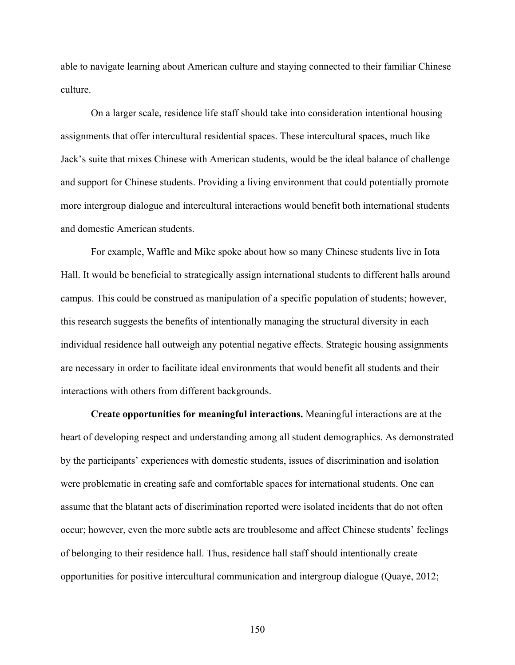able to navigate learning about American culture and staying connected to their familiar Chinese culture.

On a larger scale, residence life staff should take into consideration intentional housing assignments that offer intercultural residential spaces. These intercultural spaces, much like Jack's suite that mixes Chinese with American students, would be the ideal balance of challenge and support for Chinese students. Providing a living environment that could potentially promote more intergroup dialogue and intercultural interactions would benefit both international students and domestic American students.

For example, Waffle and Mike spoke about how so many Chinese students live in Iota Hall. It would be beneficial to strategically assign international students to different halls around campus. This could be construed as manipulation of a specific population of students; however, this research suggests the benefits of intentionally managing the structural diversity in each individual residence hall outweigh any potential negative effects. Strategic housing assignments are necessary in order to facilitate ideal environments that would benefit all students and their interactions with others from different backgrounds.

**Create opportunities for meaningful interactions.** Meaningful interactions are at the heart of developing respect and understanding among all student demographics. As demonstrated by the participants' experiences with domestic students, issues of discrimination and isolation were problematic in creating safe and comfortable spaces for international students. One can assume that the blatant acts of discrimination reported were isolated incidents that do not often occur; however, even the more subtle acts are troublesome and affect Chinese students' feelings of belonging to their residence hall. Thus, residence hall staff should intentionally create opportunities for positive intercultural communication and intergroup dialogue (Quaye, 2012;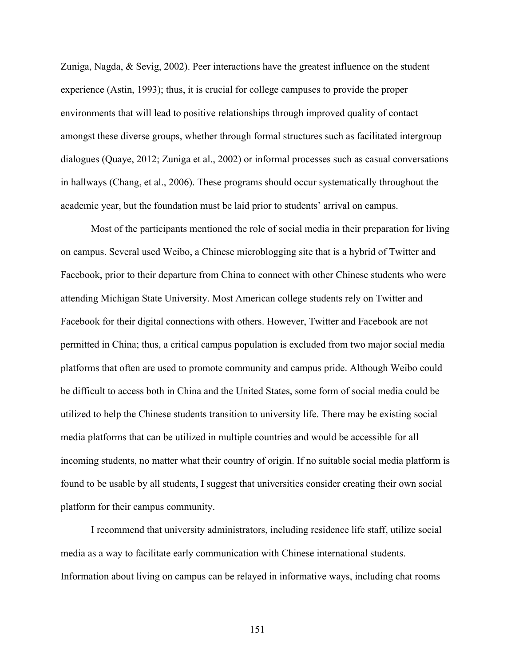Zuniga, Nagda, & Sevig, 2002). Peer interactions have the greatest influence on the student experience (Astin, 1993); thus, it is crucial for college campuses to provide the proper environments that will lead to positive relationships through improved quality of contact amongst these diverse groups, whether through formal structures such as facilitated intergroup dialogues (Quaye, 2012; Zuniga et al., 2002) or informal processes such as casual conversations in hallways (Chang, et al., 2006). These programs should occur systematically throughout the academic year, but the foundation must be laid prior to students' arrival on campus.

Most of the participants mentioned the role of social media in their preparation for living on campus. Several used Weibo, a Chinese microblogging site that is a hybrid of Twitter and Facebook, prior to their departure from China to connect with other Chinese students who were attending Michigan State University. Most American college students rely on Twitter and Facebook for their digital connections with others. However, Twitter and Facebook are not permitted in China; thus, a critical campus population is excluded from two major social media platforms that often are used to promote community and campus pride. Although Weibo could be difficult to access both in China and the United States, some form of social media could be utilized to help the Chinese students transition to university life. There may be existing social media platforms that can be utilized in multiple countries and would be accessible for all incoming students, no matter what their country of origin. If no suitable social media platform is found to be usable by all students, I suggest that universities consider creating their own social platform for their campus community.

I recommend that university administrators, including residence life staff, utilize social media as a way to facilitate early communication with Chinese international students. Information about living on campus can be relayed in informative ways, including chat rooms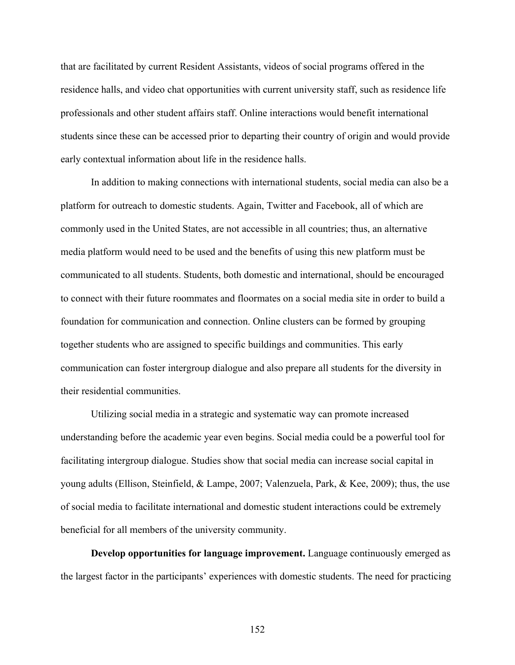that are facilitated by current Resident Assistants, videos of social programs offered in the residence halls, and video chat opportunities with current university staff, such as residence life professionals and other student affairs staff. Online interactions would benefit international students since these can be accessed prior to departing their country of origin and would provide early contextual information about life in the residence halls.

In addition to making connections with international students, social media can also be a platform for outreach to domestic students. Again, Twitter and Facebook, all of which are commonly used in the United States, are not accessible in all countries; thus, an alternative media platform would need to be used and the benefits of using this new platform must be communicated to all students. Students, both domestic and international, should be encouraged to connect with their future roommates and floormates on a social media site in order to build a foundation for communication and connection. Online clusters can be formed by grouping together students who are assigned to specific buildings and communities. This early communication can foster intergroup dialogue and also prepare all students for the diversity in their residential communities.

Utilizing social media in a strategic and systematic way can promote increased understanding before the academic year even begins. Social media could be a powerful tool for facilitating intergroup dialogue. Studies show that social media can increase social capital in young adults (Ellison, Steinfield, & Lampe, 2007; Valenzuela, Park, & Kee, 2009); thus, the use of social media to facilitate international and domestic student interactions could be extremely beneficial for all members of the university community.

**Develop opportunities for language improvement.** Language continuously emerged as the largest factor in the participants' experiences with domestic students. The need for practicing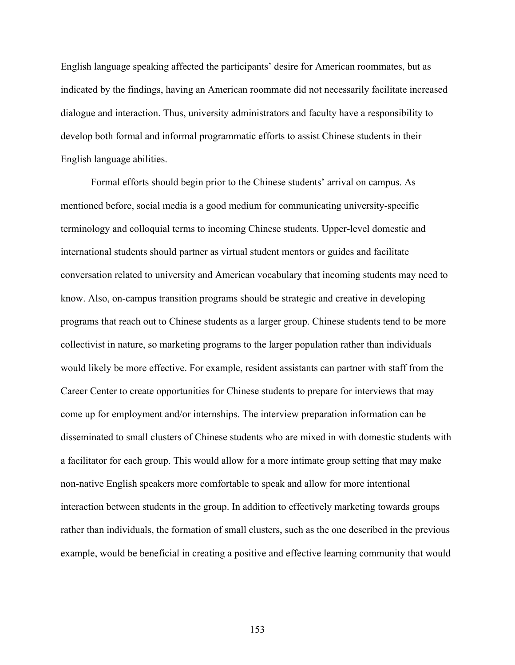English language speaking affected the participants' desire for American roommates, but as indicated by the findings, having an American roommate did not necessarily facilitate increased dialogue and interaction. Thus, university administrators and faculty have a responsibility to develop both formal and informal programmatic efforts to assist Chinese students in their English language abilities.

Formal efforts should begin prior to the Chinese students' arrival on campus. As mentioned before, social media is a good medium for communicating university-specific terminology and colloquial terms to incoming Chinese students. Upper-level domestic and international students should partner as virtual student mentors or guides and facilitate conversation related to university and American vocabulary that incoming students may need to know. Also, on-campus transition programs should be strategic and creative in developing programs that reach out to Chinese students as a larger group. Chinese students tend to be more collectivist in nature, so marketing programs to the larger population rather than individuals would likely be more effective. For example, resident assistants can partner with staff from the Career Center to create opportunities for Chinese students to prepare for interviews that may come up for employment and/or internships. The interview preparation information can be disseminated to small clusters of Chinese students who are mixed in with domestic students with a facilitator for each group. This would allow for a more intimate group setting that may make non-native English speakers more comfortable to speak and allow for more intentional interaction between students in the group. In addition to effectively marketing towards groups rather than individuals, the formation of small clusters, such as the one described in the previous example, would be beneficial in creating a positive and effective learning community that would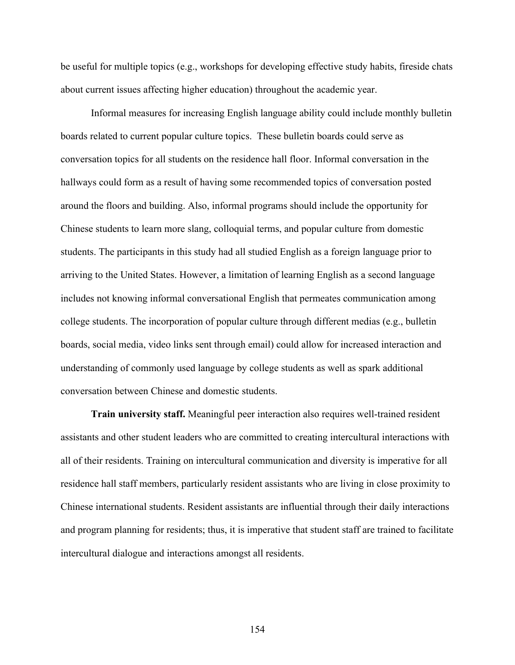be useful for multiple topics (e.g., workshops for developing effective study habits, fireside chats about current issues affecting higher education) throughout the academic year.

Informal measures for increasing English language ability could include monthly bulletin boards related to current popular culture topics. These bulletin boards could serve as conversation topics for all students on the residence hall floor. Informal conversation in the hallways could form as a result of having some recommended topics of conversation posted around the floors and building. Also, informal programs should include the opportunity for Chinese students to learn more slang, colloquial terms, and popular culture from domestic students. The participants in this study had all studied English as a foreign language prior to arriving to the United States. However, a limitation of learning English as a second language includes not knowing informal conversational English that permeates communication among college students. The incorporation of popular culture through different medias (e.g., bulletin boards, social media, video links sent through email) could allow for increased interaction and understanding of commonly used language by college students as well as spark additional conversation between Chinese and domestic students.

**Train university staff.** Meaningful peer interaction also requires well-trained resident assistants and other student leaders who are committed to creating intercultural interactions with all of their residents. Training on intercultural communication and diversity is imperative for all residence hall staff members, particularly resident assistants who are living in close proximity to Chinese international students. Resident assistants are influential through their daily interactions and program planning for residents; thus, it is imperative that student staff are trained to facilitate intercultural dialogue and interactions amongst all residents.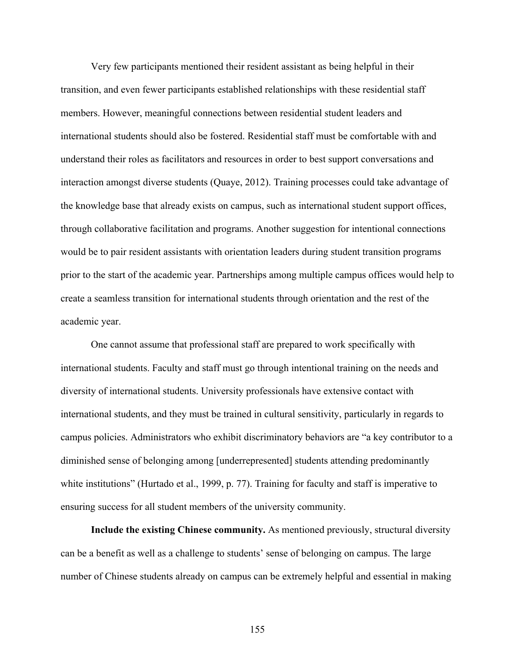Very few participants mentioned their resident assistant as being helpful in their transition, and even fewer participants established relationships with these residential staff members. However, meaningful connections between residential student leaders and international students should also be fostered. Residential staff must be comfortable with and understand their roles as facilitators and resources in order to best support conversations and interaction amongst diverse students (Quaye, 2012). Training processes could take advantage of the knowledge base that already exists on campus, such as international student support offices, through collaborative facilitation and programs. Another suggestion for intentional connections would be to pair resident assistants with orientation leaders during student transition programs prior to the start of the academic year. Partnerships among multiple campus offices would help to create a seamless transition for international students through orientation and the rest of the academic year.

One cannot assume that professional staff are prepared to work specifically with international students. Faculty and staff must go through intentional training on the needs and diversity of international students. University professionals have extensive contact with international students, and they must be trained in cultural sensitivity, particularly in regards to campus policies. Administrators who exhibit discriminatory behaviors are "a key contributor to a diminished sense of belonging among [underrepresented] students attending predominantly white institutions" (Hurtado et al., 1999, p. 77). Training for faculty and staff is imperative to ensuring success for all student members of the university community.

**Include the existing Chinese community.** As mentioned previously, structural diversity can be a benefit as well as a challenge to students' sense of belonging on campus. The large number of Chinese students already on campus can be extremely helpful and essential in making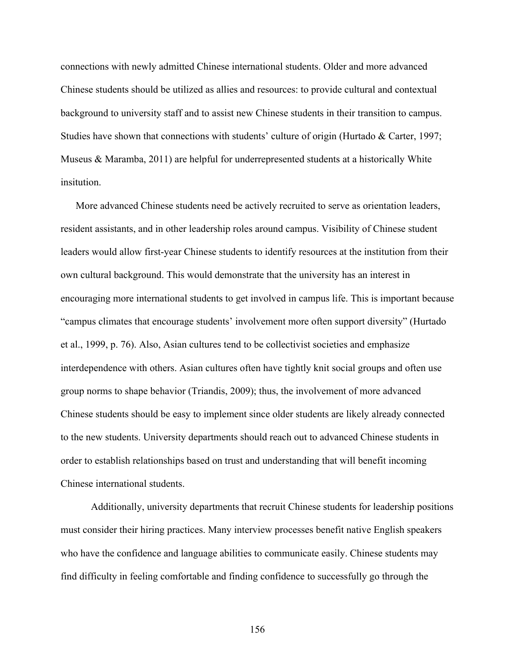connections with newly admitted Chinese international students. Older and more advanced Chinese students should be utilized as allies and resources: to provide cultural and contextual background to university staff and to assist new Chinese students in their transition to campus. Studies have shown that connections with students' culture of origin (Hurtado & Carter, 1997; Museus & Maramba, 2011) are helpful for underrepresented students at a historically White insitution.

More advanced Chinese students need be actively recruited to serve as orientation leaders, resident assistants, and in other leadership roles around campus. Visibility of Chinese student leaders would allow first-year Chinese students to identify resources at the institution from their own cultural background. This would demonstrate that the university has an interest in encouraging more international students to get involved in campus life. This is important because "campus climates that encourage students' involvement more often support diversity" (Hurtado et al., 1999, p. 76). Also, Asian cultures tend to be collectivist societies and emphasize interdependence with others. Asian cultures often have tightly knit social groups and often use group norms to shape behavior (Triandis, 2009); thus, the involvement of more advanced Chinese students should be easy to implement since older students are likely already connected to the new students. University departments should reach out to advanced Chinese students in order to establish relationships based on trust and understanding that will benefit incoming Chinese international students.

Additionally, university departments that recruit Chinese students for leadership positions must consider their hiring practices. Many interview processes benefit native English speakers who have the confidence and language abilities to communicate easily. Chinese students may find difficulty in feeling comfortable and finding confidence to successfully go through the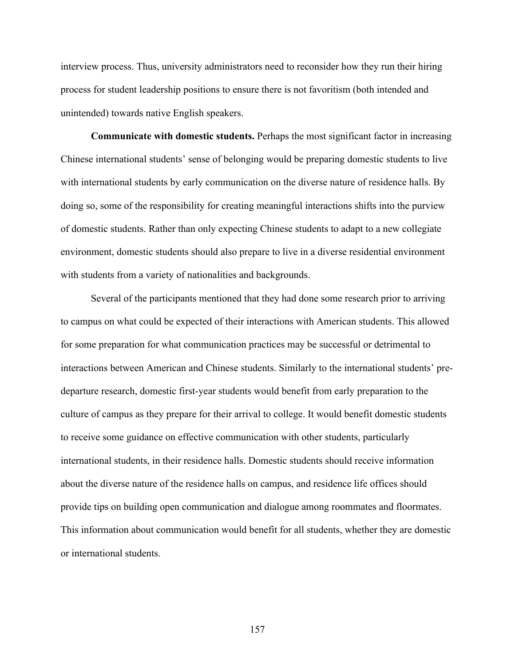interview process. Thus, university administrators need to reconsider how they run their hiring process for student leadership positions to ensure there is not favoritism (both intended and unintended) towards native English speakers.

**Communicate with domestic students.** Perhaps the most significant factor in increasing Chinese international students' sense of belonging would be preparing domestic students to live with international students by early communication on the diverse nature of residence halls. By doing so, some of the responsibility for creating meaningful interactions shifts into the purview of domestic students. Rather than only expecting Chinese students to adapt to a new collegiate environment, domestic students should also prepare to live in a diverse residential environment with students from a variety of nationalities and backgrounds.

Several of the participants mentioned that they had done some research prior to arriving to campus on what could be expected of their interactions with American students. This allowed for some preparation for what communication practices may be successful or detrimental to interactions between American and Chinese students. Similarly to the international students' predeparture research, domestic first-year students would benefit from early preparation to the culture of campus as they prepare for their arrival to college. It would benefit domestic students to receive some guidance on effective communication with other students, particularly international students, in their residence halls. Domestic students should receive information about the diverse nature of the residence halls on campus, and residence life offices should provide tips on building open communication and dialogue among roommates and floormates. This information about communication would benefit for all students, whether they are domestic or international students.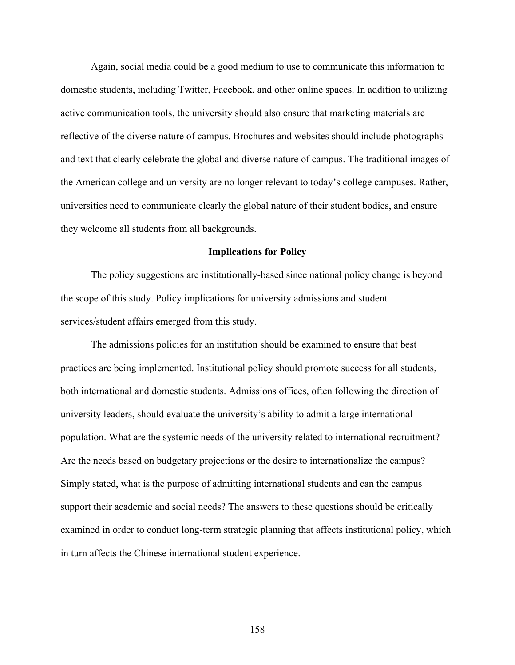Again, social media could be a good medium to use to communicate this information to domestic students, including Twitter, Facebook, and other online spaces. In addition to utilizing active communication tools, the university should also ensure that marketing materials are reflective of the diverse nature of campus. Brochures and websites should include photographs and text that clearly celebrate the global and diverse nature of campus. The traditional images of the American college and university are no longer relevant to today's college campuses. Rather, universities need to communicate clearly the global nature of their student bodies, and ensure they welcome all students from all backgrounds.

## **Implications for Policy**

The policy suggestions are institutionally-based since national policy change is beyond the scope of this study. Policy implications for university admissions and student services/student affairs emerged from this study.

The admissions policies for an institution should be examined to ensure that best practices are being implemented. Institutional policy should promote success for all students, both international and domestic students. Admissions offices, often following the direction of university leaders, should evaluate the university's ability to admit a large international population. What are the systemic needs of the university related to international recruitment? Are the needs based on budgetary projections or the desire to internationalize the campus? Simply stated, what is the purpose of admitting international students and can the campus support their academic and social needs? The answers to these questions should be critically examined in order to conduct long-term strategic planning that affects institutional policy, which in turn affects the Chinese international student experience.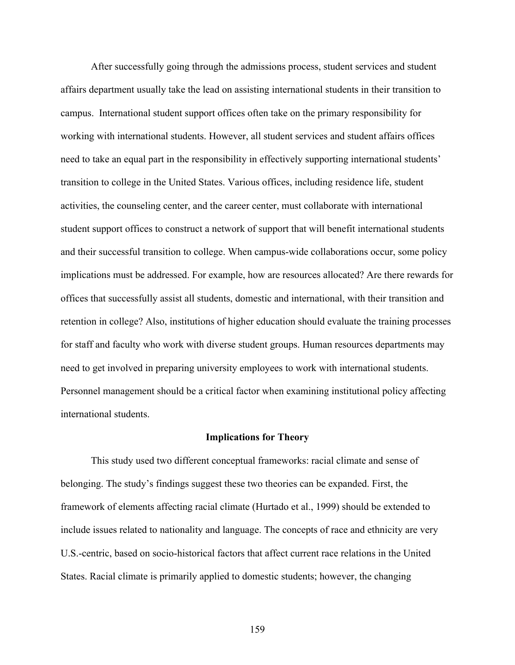After successfully going through the admissions process, student services and student affairs department usually take the lead on assisting international students in their transition to campus. International student support offices often take on the primary responsibility for working with international students. However, all student services and student affairs offices need to take an equal part in the responsibility in effectively supporting international students' transition to college in the United States. Various offices, including residence life, student activities, the counseling center, and the career center, must collaborate with international student support offices to construct a network of support that will benefit international students and their successful transition to college. When campus-wide collaborations occur, some policy implications must be addressed. For example, how are resources allocated? Are there rewards for offices that successfully assist all students, domestic and international, with their transition and retention in college? Also, institutions of higher education should evaluate the training processes for staff and faculty who work with diverse student groups. Human resources departments may need to get involved in preparing university employees to work with international students. Personnel management should be a critical factor when examining institutional policy affecting international students.

## **Implications for Theory**

This study used two different conceptual frameworks: racial climate and sense of belonging. The study's findings suggest these two theories can be expanded. First, the framework of elements affecting racial climate (Hurtado et al., 1999) should be extended to include issues related to nationality and language. The concepts of race and ethnicity are very U.S.-centric, based on socio-historical factors that affect current race relations in the United States. Racial climate is primarily applied to domestic students; however, the changing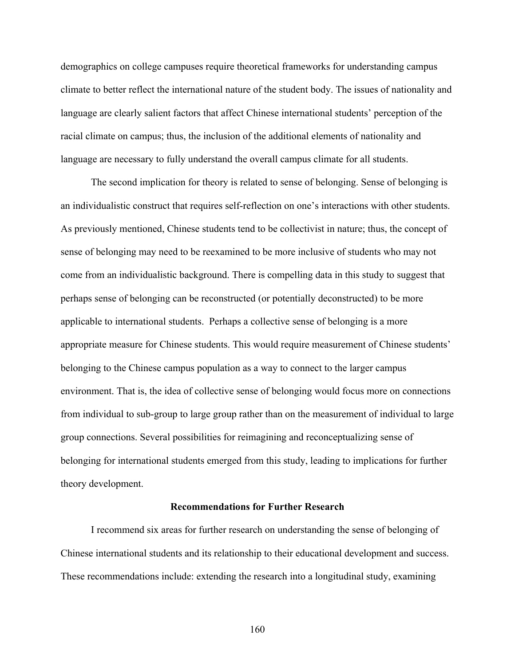demographics on college campuses require theoretical frameworks for understanding campus climate to better reflect the international nature of the student body. The issues of nationality and language are clearly salient factors that affect Chinese international students' perception of the racial climate on campus; thus, the inclusion of the additional elements of nationality and language are necessary to fully understand the overall campus climate for all students.

The second implication for theory is related to sense of belonging. Sense of belonging is an individualistic construct that requires self-reflection on one's interactions with other students. As previously mentioned, Chinese students tend to be collectivist in nature; thus, the concept of sense of belonging may need to be reexamined to be more inclusive of students who may not come from an individualistic background. There is compelling data in this study to suggest that perhaps sense of belonging can be reconstructed (or potentially deconstructed) to be more applicable to international students. Perhaps a collective sense of belonging is a more appropriate measure for Chinese students. This would require measurement of Chinese students' belonging to the Chinese campus population as a way to connect to the larger campus environment. That is, the idea of collective sense of belonging would focus more on connections from individual to sub-group to large group rather than on the measurement of individual to large group connections. Several possibilities for reimagining and reconceptualizing sense of belonging for international students emerged from this study, leading to implications for further theory development.

### **Recommendations for Further Research**

I recommend six areas for further research on understanding the sense of belonging of Chinese international students and its relationship to their educational development and success. These recommendations include: extending the research into a longitudinal study, examining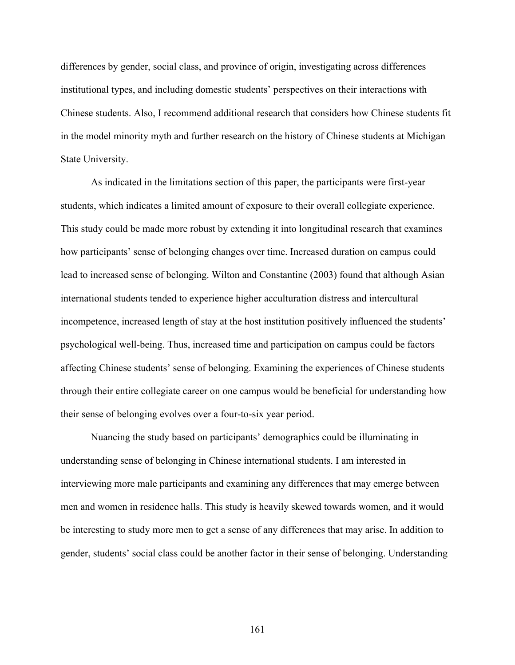differences by gender, social class, and province of origin, investigating across differences institutional types, and including domestic students' perspectives on their interactions with Chinese students. Also, I recommend additional research that considers how Chinese students fit in the model minority myth and further research on the history of Chinese students at Michigan State University.

As indicated in the limitations section of this paper, the participants were first-year students, which indicates a limited amount of exposure to their overall collegiate experience. This study could be made more robust by extending it into longitudinal research that examines how participants' sense of belonging changes over time. Increased duration on campus could lead to increased sense of belonging. Wilton and Constantine (2003) found that although Asian international students tended to experience higher acculturation distress and intercultural incompetence, increased length of stay at the host institution positively influenced the students' psychological well-being. Thus, increased time and participation on campus could be factors affecting Chinese students' sense of belonging. Examining the experiences of Chinese students through their entire collegiate career on one campus would be beneficial for understanding how their sense of belonging evolves over a four-to-six year period.

Nuancing the study based on participants' demographics could be illuminating in understanding sense of belonging in Chinese international students. I am interested in interviewing more male participants and examining any differences that may emerge between men and women in residence halls. This study is heavily skewed towards women, and it would be interesting to study more men to get a sense of any differences that may arise. In addition to gender, students' social class could be another factor in their sense of belonging. Understanding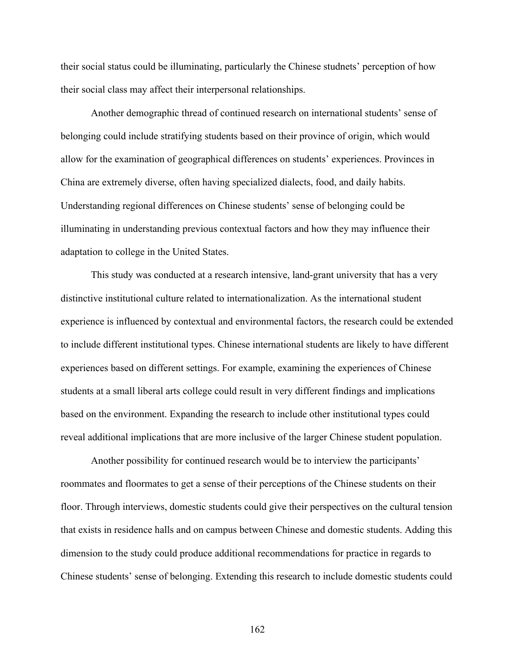their social status could be illuminating, particularly the Chinese studnets' perception of how their social class may affect their interpersonal relationships.

Another demographic thread of continued research on international students' sense of belonging could include stratifying students based on their province of origin, which would allow for the examination of geographical differences on students' experiences. Provinces in China are extremely diverse, often having specialized dialects, food, and daily habits. Understanding regional differences on Chinese students' sense of belonging could be illuminating in understanding previous contextual factors and how they may influence their adaptation to college in the United States.

This study was conducted at a research intensive, land-grant university that has a very distinctive institutional culture related to internationalization. As the international student experience is influenced by contextual and environmental factors, the research could be extended to include different institutional types. Chinese international students are likely to have different experiences based on different settings. For example, examining the experiences of Chinese students at a small liberal arts college could result in very different findings and implications based on the environment. Expanding the research to include other institutional types could reveal additional implications that are more inclusive of the larger Chinese student population.

Another possibility for continued research would be to interview the participants' roommates and floormates to get a sense of their perceptions of the Chinese students on their floor. Through interviews, domestic students could give their perspectives on the cultural tension that exists in residence halls and on campus between Chinese and domestic students. Adding this dimension to the study could produce additional recommendations for practice in regards to Chinese students' sense of belonging. Extending this research to include domestic students could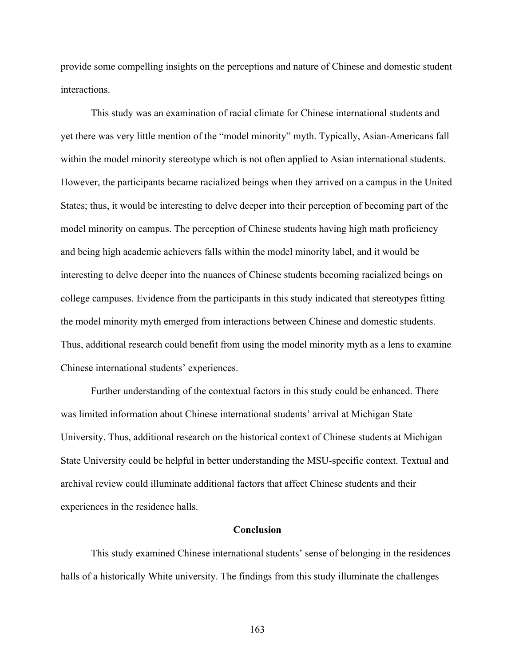provide some compelling insights on the perceptions and nature of Chinese and domestic student interactions.

This study was an examination of racial climate for Chinese international students and yet there was very little mention of the "model minority" myth. Typically, Asian-Americans fall within the model minority stereotype which is not often applied to Asian international students. However, the participants became racialized beings when they arrived on a campus in the United States; thus, it would be interesting to delve deeper into their perception of becoming part of the model minority on campus. The perception of Chinese students having high math proficiency and being high academic achievers falls within the model minority label, and it would be interesting to delve deeper into the nuances of Chinese students becoming racialized beings on college campuses. Evidence from the participants in this study indicated that stereotypes fitting the model minority myth emerged from interactions between Chinese and domestic students. Thus, additional research could benefit from using the model minority myth as a lens to examine Chinese international students' experiences.

Further understanding of the contextual factors in this study could be enhanced. There was limited information about Chinese international students' arrival at Michigan State University. Thus, additional research on the historical context of Chinese students at Michigan State University could be helpful in better understanding the MSU-specific context. Textual and archival review could illuminate additional factors that affect Chinese students and their experiences in the residence halls.

# **Conclusion**

This study examined Chinese international students' sense of belonging in the residences halls of a historically White university. The findings from this study illuminate the challenges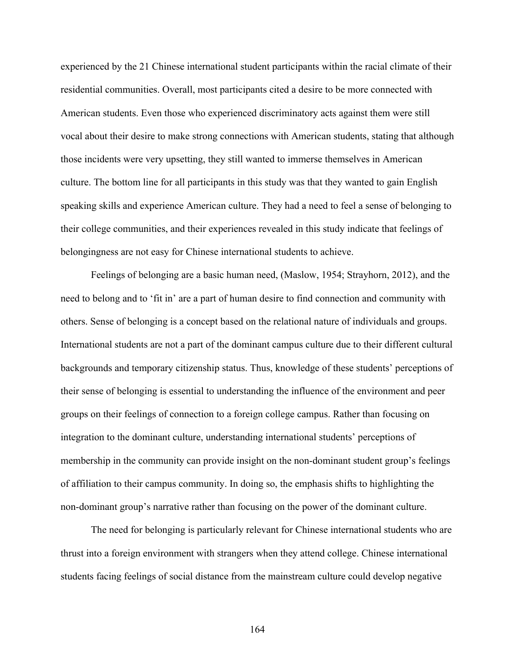experienced by the 21 Chinese international student participants within the racial climate of their residential communities. Overall, most participants cited a desire to be more connected with American students. Even those who experienced discriminatory acts against them were still vocal about their desire to make strong connections with American students, stating that although those incidents were very upsetting, they still wanted to immerse themselves in American culture. The bottom line for all participants in this study was that they wanted to gain English speaking skills and experience American culture. They had a need to feel a sense of belonging to their college communities, and their experiences revealed in this study indicate that feelings of belongingness are not easy for Chinese international students to achieve.

Feelings of belonging are a basic human need, (Maslow, 1954; Strayhorn, 2012), and the need to belong and to 'fit in' are a part of human desire to find connection and community with others. Sense of belonging is a concept based on the relational nature of individuals and groups. International students are not a part of the dominant campus culture due to their different cultural backgrounds and temporary citizenship status. Thus, knowledge of these students' perceptions of their sense of belonging is essential to understanding the influence of the environment and peer groups on their feelings of connection to a foreign college campus. Rather than focusing on integration to the dominant culture, understanding international students' perceptions of membership in the community can provide insight on the non-dominant student group's feelings of affiliation to their campus community. In doing so, the emphasis shifts to highlighting the non-dominant group's narrative rather than focusing on the power of the dominant culture.

The need for belonging is particularly relevant for Chinese international students who are thrust into a foreign environment with strangers when they attend college. Chinese international students facing feelings of social distance from the mainstream culture could develop negative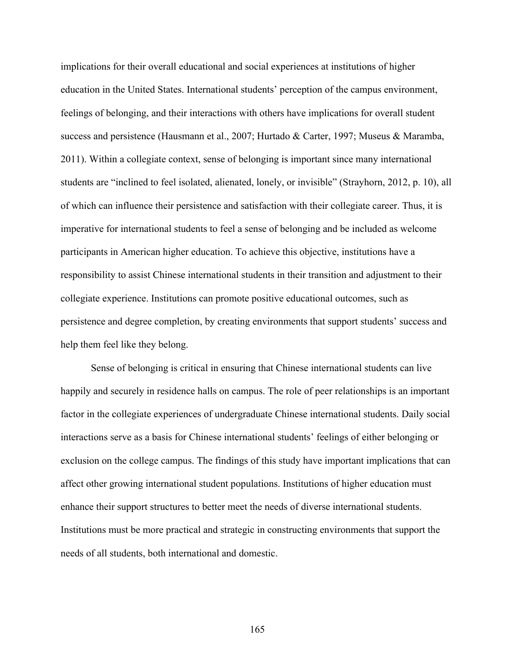implications for their overall educational and social experiences at institutions of higher education in the United States. International students' perception of the campus environment, feelings of belonging, and their interactions with others have implications for overall student success and persistence (Hausmann et al., 2007; Hurtado & Carter, 1997; Museus & Maramba, 2011). Within a collegiate context, sense of belonging is important since many international students are "inclined to feel isolated, alienated, lonely, or invisible" (Strayhorn, 2012, p. 10), all of which can influence their persistence and satisfaction with their collegiate career. Thus, it is imperative for international students to feel a sense of belonging and be included as welcome participants in American higher education. To achieve this objective, institutions have a responsibility to assist Chinese international students in their transition and adjustment to their collegiate experience. Institutions can promote positive educational outcomes, such as persistence and degree completion, by creating environments that support students' success and help them feel like they belong.

Sense of belonging is critical in ensuring that Chinese international students can live happily and securely in residence halls on campus. The role of peer relationships is an important factor in the collegiate experiences of undergraduate Chinese international students. Daily social interactions serve as a basis for Chinese international students' feelings of either belonging or exclusion on the college campus. The findings of this study have important implications that can affect other growing international student populations. Institutions of higher education must enhance their support structures to better meet the needs of diverse international students. Institutions must be more practical and strategic in constructing environments that support the needs of all students, both international and domestic.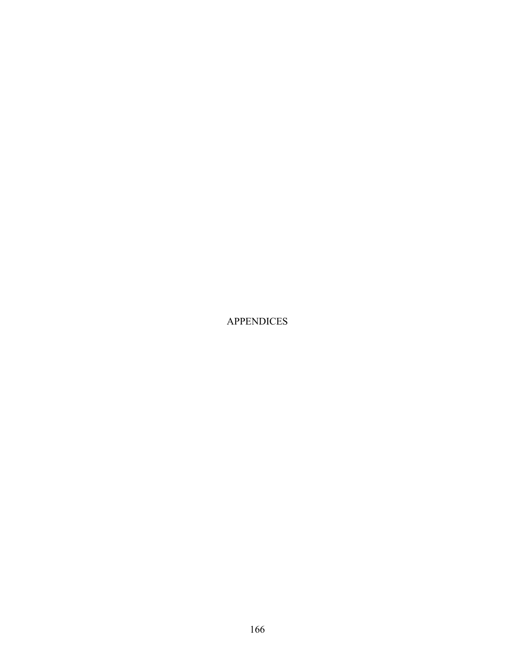APPENDICES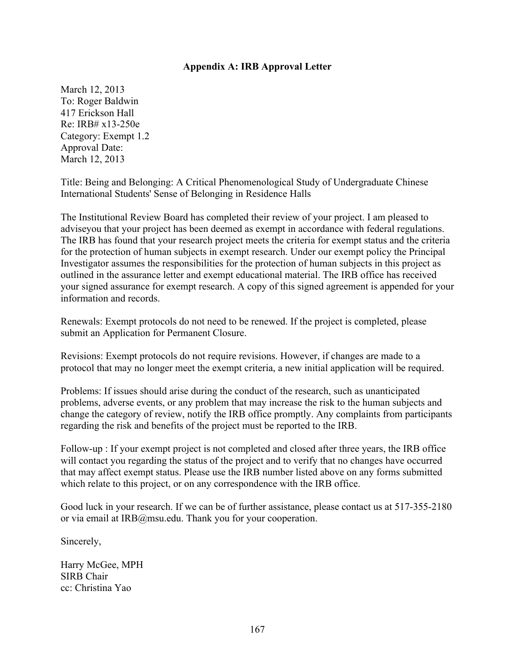## **Appendix A: IRB Approval Letter**

March 12, 2013 To: Roger Baldwin 417 Erickson Hall Re: IRB# x13-250e Category: Exempt 1.2 Approval Date: March 12, 2013

Title: Being and Belonging: A Critical Phenomenological Study of Undergraduate Chinese International Students' Sense of Belonging in Residence Halls

The Institutional Review Board has completed their review of your project. I am pleased to adviseyou that your project has been deemed as exempt in accordance with federal regulations. The IRB has found that your research project meets the criteria for exempt status and the criteria for the protection of human subjects in exempt research. Under our exempt policy the Principal Investigator assumes the responsibilities for the protection of human subjects in this project as outlined in the assurance letter and exempt educational material. The IRB office has received your signed assurance for exempt research. A copy of this signed agreement is appended for your information and records.

Renewals: Exempt protocols do not need to be renewed. If the project is completed, please submit an Application for Permanent Closure.

Revisions: Exempt protocols do not require revisions. However, if changes are made to a protocol that may no longer meet the exempt criteria, a new initial application will be required.

Problems: If issues should arise during the conduct of the research, such as unanticipated problems, adverse events, or any problem that may increase the risk to the human subjects and change the category of review, notify the IRB office promptly. Any complaints from participants regarding the risk and benefits of the project must be reported to the IRB.

Follow-up : If your exempt project is not completed and closed after three years, the IRB office will contact you regarding the status of the project and to verify that no changes have occurred that may affect exempt status. Please use the IRB number listed above on any forms submitted which relate to this project, or on any correspondence with the IRB office.

Good luck in your research. If we can be of further assistance, please contact us at 517-355-2180 or via email at IRB@msu.edu. Thank you for your cooperation.

Sincerely,

Harry McGee, MPH SIRB Chair cc: Christina Yao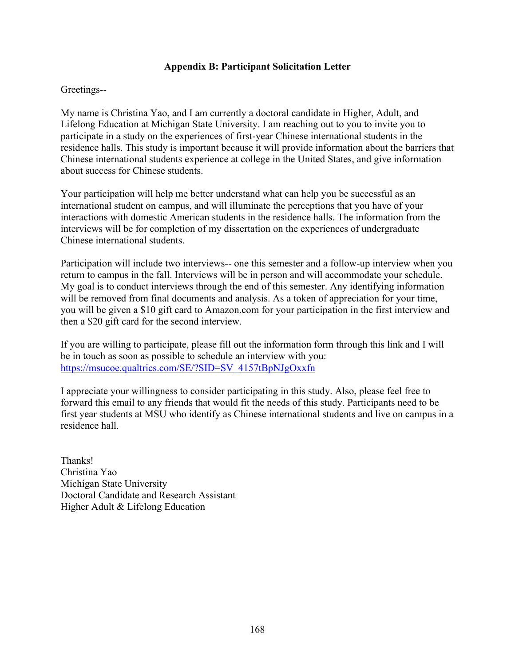# **Appendix B: Participant Solicitation Letter**

## Greetings--

My name is Christina Yao, and I am currently a doctoral candidate in Higher, Adult, and Lifelong Education at Michigan State University. I am reaching out to you to invite you to participate in a study on the experiences of first-year Chinese international students in the residence halls. This study is important because it will provide information about the barriers that Chinese international students experience at college in the United States, and give information about success for Chinese students.

Your participation will help me better understand what can help you be successful as an international student on campus, and will illuminate the perceptions that you have of your interactions with domestic American students in the residence halls. The information from the interviews will be for completion of my dissertation on the experiences of undergraduate Chinese international students.

Participation will include two interviews-- one this semester and a follow-up interview when you return to campus in the fall. Interviews will be in person and will accommodate your schedule. My goal is to conduct interviews through the end of this semester. Any identifying information will be removed from final documents and analysis. As a token of appreciation for your time, you will be given a \$10 gift card to Amazon.com for your participation in the first interview and then a \$20 gift card for the second interview.

If you are willing to participate, please fill out the information form through this link and I will be in touch as soon as possible to schedule an interview with you: https://msucoe.qualtrics.com/SE/?SID=SV\_4157tBpNJgOxxfn

I appreciate your willingness to consider participating in this study. Also, please feel free to forward this email to any friends that would fit the needs of this study. Participants need to be first year students at MSU who identify as Chinese international students and live on campus in a residence hall.

Thanks! Christina Yao Michigan State University Doctoral Candidate and Research Assistant Higher Adult & Lifelong Education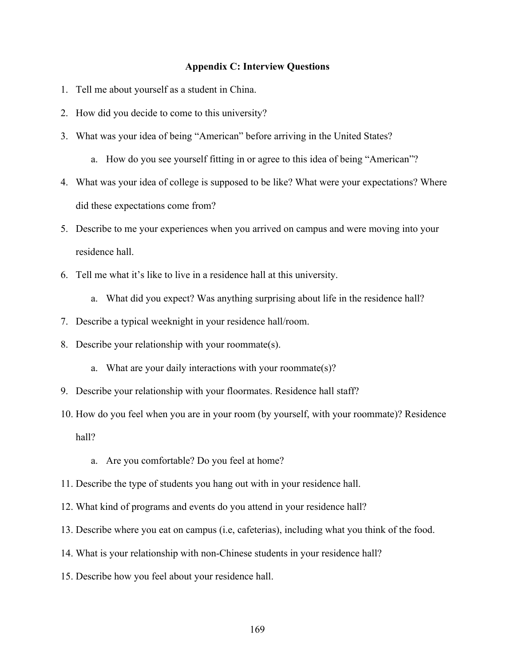#### **Appendix C: Interview Questions**

- 1. Tell me about yourself as a student in China.
- 2. How did you decide to come to this university?
- 3. What was your idea of being "American" before arriving in the United States?
	- a. How do you see yourself fitting in or agree to this idea of being "American"?
- 4. What was your idea of college is supposed to be like? What were your expectations? Where did these expectations come from?
- 5. Describe to me your experiences when you arrived on campus and were moving into your residence hall.
- 6. Tell me what it's like to live in a residence hall at this university.
	- a. What did you expect? Was anything surprising about life in the residence hall?
- 7. Describe a typical weeknight in your residence hall/room.
- 8. Describe your relationship with your roommate(s).
	- a. What are your daily interactions with your roommate(s)?
- 9. Describe your relationship with your floormates. Residence hall staff?
- 10. How do you feel when you are in your room (by yourself, with your roommate)? Residence hall?
	- a. Are you comfortable? Do you feel at home?
- 11. Describe the type of students you hang out with in your residence hall.
- 12. What kind of programs and events do you attend in your residence hall?
- 13. Describe where you eat on campus (i.e, cafeterias), including what you think of the food.
- 14. What is your relationship with non-Chinese students in your residence hall?
- 15. Describe how you feel about your residence hall.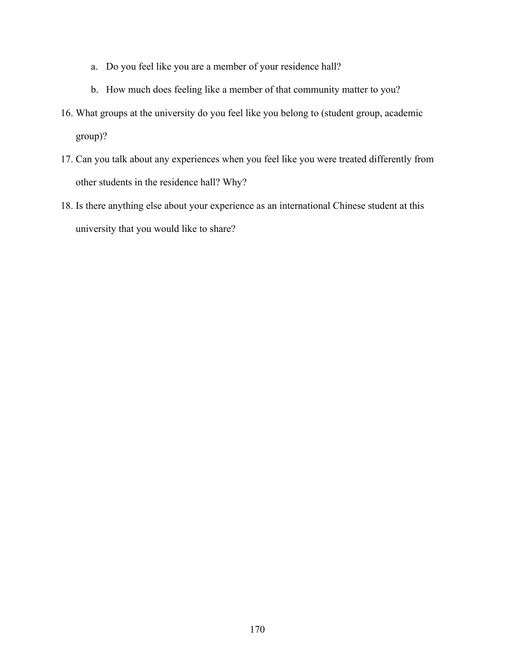- a. Do you feel like you are a member of your residence hall?
- b. How much does feeling like a member of that community matter to you?
- 16. What groups at the university do you feel like you belong to (student group, academic group)?
- 17. Can you talk about any experiences when you feel like you were treated differently from other students in the residence hall? Why?
- 18. Is there anything else about your experience as an international Chinese student at this university that you would like to share?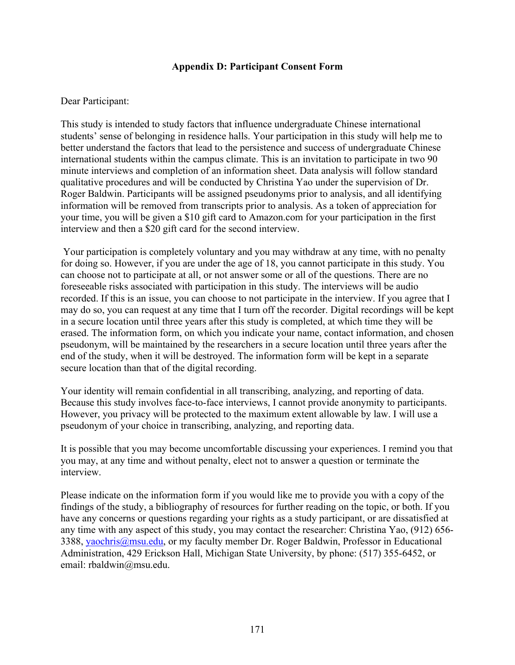## **Appendix D: Participant Consent Form**

### Dear Participant:

This study is intended to study factors that influence undergraduate Chinese international students' sense of belonging in residence halls. Your participation in this study will help me to better understand the factors that lead to the persistence and success of undergraduate Chinese international students within the campus climate. This is an invitation to participate in two 90 minute interviews and completion of an information sheet. Data analysis will follow standard qualitative procedures and will be conducted by Christina Yao under the supervision of Dr. Roger Baldwin. Participants will be assigned pseudonyms prior to analysis, and all identifying information will be removed from transcripts prior to analysis. As a token of appreciation for your time, you will be given a \$10 gift card to Amazon.com for your participation in the first interview and then a \$20 gift card for the second interview.

Your participation is completely voluntary and you may withdraw at any time, with no penalty for doing so. However, if you are under the age of 18, you cannot participate in this study. You can choose not to participate at all, or not answer some or all of the questions. There are no foreseeable risks associated with participation in this study. The interviews will be audio recorded. If this is an issue, you can choose to not participate in the interview. If you agree that I may do so, you can request at any time that I turn off the recorder. Digital recordings will be kept in a secure location until three years after this study is completed, at which time they will be erased. The information form, on which you indicate your name, contact information, and chosen pseudonym, will be maintained by the researchers in a secure location until three years after the end of the study, when it will be destroyed. The information form will be kept in a separate secure location than that of the digital recording.

Your identity will remain confidential in all transcribing, analyzing, and reporting of data. Because this study involves face-to-face interviews, I cannot provide anonymity to participants. However, you privacy will be protected to the maximum extent allowable by law. I will use a pseudonym of your choice in transcribing, analyzing, and reporting data.

It is possible that you may become uncomfortable discussing your experiences. I remind you that you may, at any time and without penalty, elect not to answer a question or terminate the interview.

Please indicate on the information form if you would like me to provide you with a copy of the findings of the study, a bibliography of resources for further reading on the topic, or both. If you have any concerns or questions regarding your rights as a study participant, or are dissatisfied at any time with any aspect of this study, you may contact the researcher: Christina Yao, (912) 656- 3388, yaochris@msu.edu, or my faculty member Dr. Roger Baldwin, Professor in Educational Administration, 429 Erickson Hall, Michigan State University, by phone: (517) 355-6452, or email: rbaldwin@msu.edu.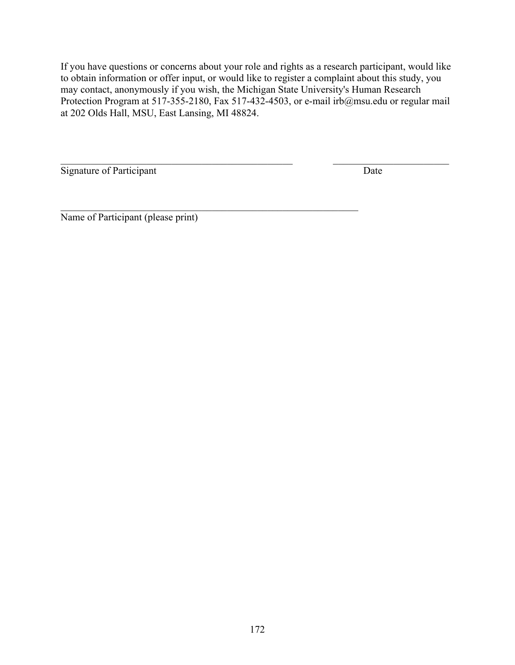If you have questions or concerns about your role and rights as a research participant, would like to obtain information or offer input, or would like to register a complaint about this study, you may contact, anonymously if you wish, the Michigan State University's Human Research Protection Program at 517-355-2180, Fax 517-432-4503, or e-mail irb@msu.edu or regular mail at 202 Olds Hall, MSU, East Lansing, MI 48824.

 $\mathcal{L}_\text{max}$  , and the contribution of the contribution of the contribution of the contribution of the contribution of the contribution of the contribution of the contribution of the contribution of the contribution of t

 $\mathcal{L}_\text{max}$  , and the contribution of the contribution of the contribution of the contribution of the contribution of the contribution of the contribution of the contribution of the contribution of the contribution of t Signature of Participant Date

Name of Participant (please print)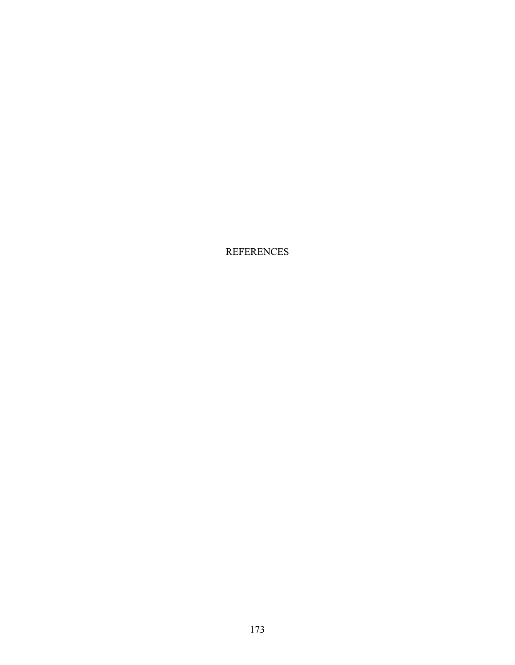REFERENCES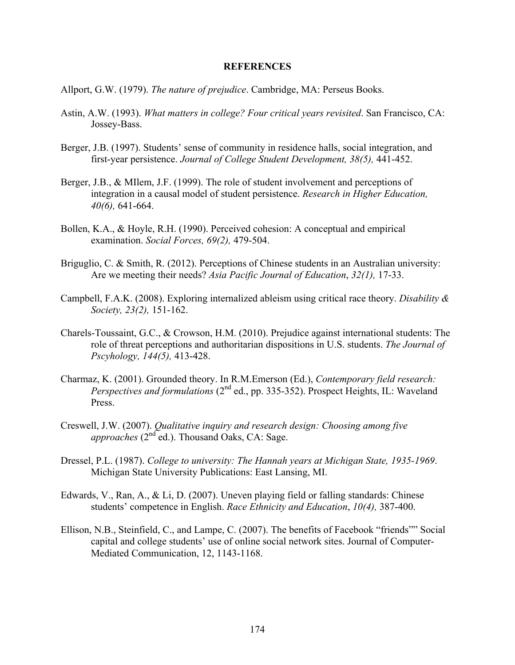### **REFERENCES**

- Allport, G.W. (1979). *The nature of prejudice*. Cambridge, MA: Perseus Books.
- Astin, A.W. (1993). *What matters in college? Four critical years revisited*. San Francisco, CA: Jossey-Bass.
- Berger, J.B. (1997). Students' sense of community in residence halls, social integration, and first-year persistence. *Journal of College Student Development, 38(5),* 441-452.
- Berger, J.B., & MIlem, J.F. (1999). The role of student involvement and perceptions of integration in a causal model of student persistence. *Research in Higher Education, 40(6),* 641-664.
- Bollen, K.A., & Hoyle, R.H. (1990). Perceived cohesion: A conceptual and empirical examination. *Social Forces, 69(2),* 479-504.
- Briguglio, C. & Smith, R. (2012). Perceptions of Chinese students in an Australian university: Are we meeting their needs? *Asia Pacific Journal of Education*, *32(1),* 17-33.
- Campbell, F.A.K. (2008). Exploring internalized ableism using critical race theory. *Disability & Society, 23(2),* 151-162.
- Charels-Toussaint, G.C., & Crowson, H.M. (2010). Prejudice against international students: The role of threat perceptions and authoritarian dispositions in U.S. students. *The Journal of Pscyhology, 144(5),* 413-428.
- Charmaz, K. (2001). Grounded theory. In R.M.Emerson (Ed.), *Contemporary field research: Perspectives and formulations* (2<sup>nd</sup> ed., pp. 335-352). Prospect Heights, IL: Waveland Press.
- Creswell, J.W. (2007). *Qualitative inquiry and research design: Choosing among five approaches* (2<sup>nd</sup> ed.). Thousand Oaks, CA: Sage.
- Dressel, P.L. (1987). *College to university: The Hannah years at Michigan State, 1935-1969*. Michigan State University Publications: East Lansing, MI.
- Edwards, V., Ran, A., & Li, D. (2007). Uneven playing field or falling standards: Chinese students' competence in English. *Race Ethnicity and Education*, *10(4),* 387-400.
- Ellison, N.B., Steinfield, C., and Lampe, C. (2007). The benefits of Facebook "friends"" Social capital and college students' use of online social network sites. Journal of Computer-Mediated Communication, 12, 1143-1168.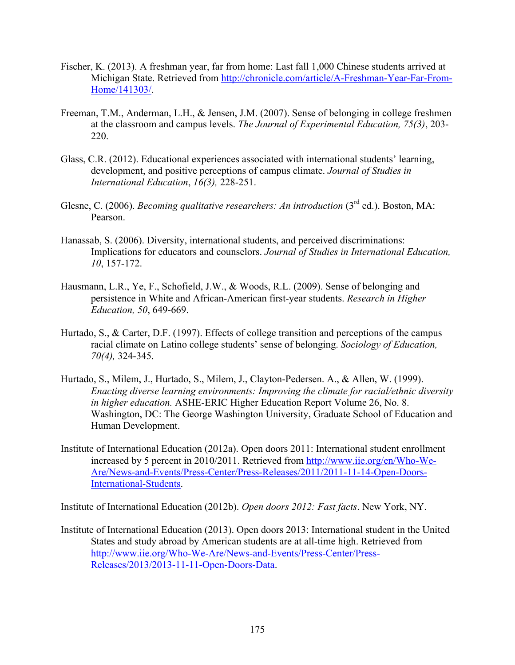- Fischer, K. (2013). A freshman year, far from home: Last fall 1,000 Chinese students arrived at Michigan State. Retrieved from http://chronicle.com/article/A-Freshman-Year-Far-From-Home/141303/.
- Freeman, T.M., Anderman, L.H., & Jensen, J.M. (2007). Sense of belonging in college freshmen at the classroom and campus levels. *The Journal of Experimental Education, 75(3)*, 203- 220.
- Glass, C.R. (2012). Educational experiences associated with international students' learning, development, and positive perceptions of campus climate. *Journal of Studies in International Education*, *16(3),* 228-251.
- Glesne, C. (2006). *Becoming qualitative researchers: An introduction* (3<sup>rd</sup> ed.). Boston, MA: Pearson.
- Hanassab, S. (2006). Diversity, international students, and perceived discriminations: Implications for educators and counselors. *Journal of Studies in International Education, 10*, 157-172.
- Hausmann, L.R., Ye, F., Schofield, J.W., & Woods, R.L. (2009). Sense of belonging and persistence in White and African-American first-year students. *Research in Higher Education, 50*, 649-669.
- Hurtado, S., & Carter, D.F. (1997). Effects of college transition and perceptions of the campus racial climate on Latino college students' sense of belonging. *Sociology of Education, 70(4),* 324-345.
- Hurtado, S., Milem, J., Hurtado, S., Milem, J., Clayton-Pedersen. A., & Allen, W. (1999). *Enacting diverse learning environments: Improving the climate for racial/ethnic diversity in higher education.* ASHE-ERIC Higher Education Report Volume 26, No. 8. Washington, DC: The George Washington University, Graduate School of Education and Human Development.
- Institute of International Education (2012a). Open doors 2011: International student enrollment increased by 5 percent in 2010/2011. Retrieved from http://www.iie.org/en/Who-We-Are/News-and-Events/Press-Center/Press-Releases/2011/2011-11-14-Open-Doors-International-Students.

Institute of International Education (2012b). *Open doors 2012: Fast facts*. New York, NY.

Institute of International Education (2013). Open doors 2013: International student in the United States and study abroad by American students are at all-time high. Retrieved from http://www.iie.org/Who-We-Are/News-and-Events/Press-Center/Press-Releases/2013/2013-11-11-Open-Doors-Data.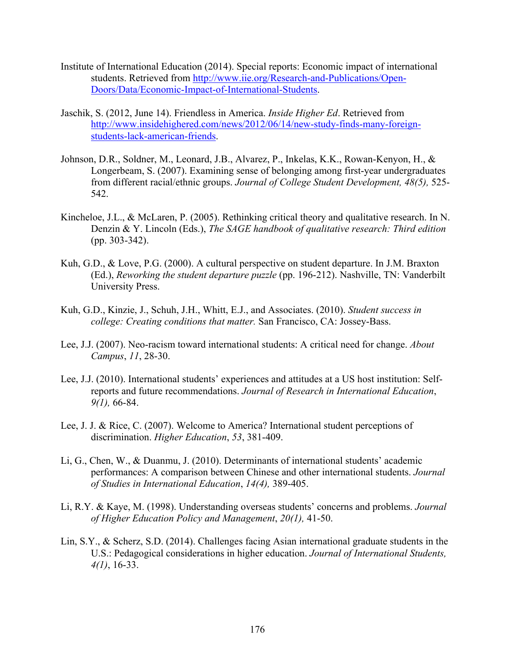- Institute of International Education (2014). Special reports: Economic impact of international students. Retrieved from http://www.iie.org/Research-and-Publications/Open-Doors/Data/Economic-Impact-of-International-Students.
- Jaschik, S. (2012, June 14). Friendless in America. *Inside Higher Ed*. Retrieved from http://www.insidehighered.com/news/2012/06/14/new-study-finds-many-foreignstudents-lack-american-friends.
- Johnson, D.R., Soldner, M., Leonard, J.B., Alvarez, P., Inkelas, K.K., Rowan-Kenyon, H., & Longerbeam, S. (2007). Examining sense of belonging among first-year undergraduates from different racial/ethnic groups. *Journal of College Student Development, 48(5),* 525- 542.
- Kincheloe, J.L., & McLaren, P. (2005). Rethinking critical theory and qualitative research. In N. Denzin & Y. Lincoln (Eds.), *The SAGE handbook of qualitative research: Third edition* (pp. 303-342).
- Kuh, G.D., & Love, P.G. (2000). A cultural perspective on student departure. In J.M. Braxton (Ed.), *Reworking the student departure puzzle* (pp. 196-212). Nashville, TN: Vanderbilt University Press.
- Kuh, G.D., Kinzie, J., Schuh, J.H., Whitt, E.J., and Associates. (2010). *Student success in college: Creating conditions that matter.* San Francisco, CA: Jossey-Bass.
- Lee, J.J. (2007). Neo-racism toward international students: A critical need for change. *About Campus*, *11*, 28-30.
- Lee, J.J. (2010). International students' experiences and attitudes at a US host institution: Selfreports and future recommendations. *Journal of Research in International Education*, *9(1),* 66-84.
- Lee, J. J. & Rice, C. (2007). Welcome to America? International student perceptions of discrimination. *Higher Education*, *53*, 381-409.
- Li, G., Chen, W., & Duanmu, J. (2010). Determinants of international students' academic performances: A comparison between Chinese and other international students. *Journal of Studies in International Education*, *14(4),* 389-405.
- Li, R.Y. & Kaye, M. (1998). Understanding overseas students' concerns and problems. *Journal of Higher Education Policy and Management*, *20(1),* 41-50.
- Lin, S.Y., & Scherz, S.D. (2014). Challenges facing Asian international graduate students in the U.S.: Pedagogical considerations in higher education. *Journal of International Students, 4(1)*, 16-33.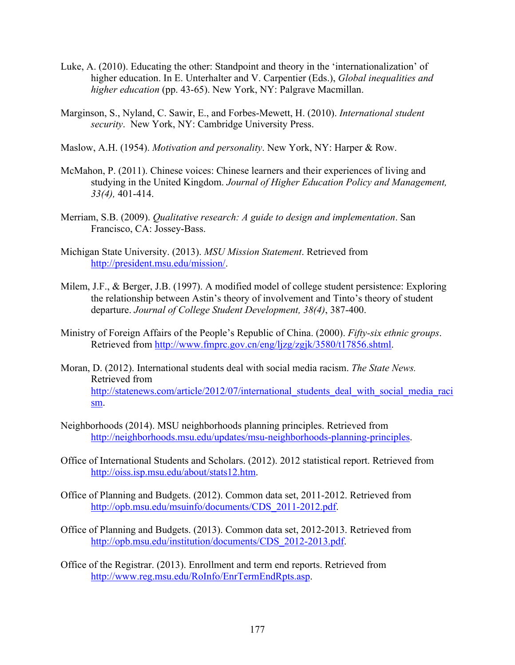- Luke, A. (2010). Educating the other: Standpoint and theory in the 'internationalization' of higher education. In E. Unterhalter and V. Carpentier (Eds.), *Global inequalities and higher education* (pp. 43-65). New York, NY: Palgrave Macmillan.
- Marginson, S., Nyland, C. Sawir, E., and Forbes-Mewett, H. (2010). *International student security*. New York, NY: Cambridge University Press.
- Maslow, A.H. (1954). *Motivation and personality*. New York, NY: Harper & Row.
- McMahon, P. (2011). Chinese voices: Chinese learners and their experiences of living and studying in the United Kingdom. *Journal of Higher Education Policy and Management, 33(4),* 401-414.
- Merriam, S.B. (2009). *Qualitative research: A guide to design and implementation*. San Francisco, CA: Jossey-Bass.
- Michigan State University. (2013). *MSU Mission Statement*. Retrieved from http://president.msu.edu/mission/.
- Milem, J.F., & Berger, J.B. (1997). A modified model of college student persistence: Exploring the relationship between Astin's theory of involvement and Tinto's theory of student departure. *Journal of College Student Development, 38(4)*, 387-400.
- Ministry of Foreign Affairs of the People's Republic of China. (2000). *Fifty-six ethnic groups*. Retrieved from http://www.fmprc.gov.cn/eng/ljzg/zgjk/3580/t17856.shtml.
- Moran, D. (2012). International students deal with social media racism. *The State News.*  Retrieved from http://statenews.com/article/2012/07/international\_students\_deal\_with\_social\_media\_raci sm.
- Neighborhoods (2014). MSU neighborhoods planning principles. Retrieved from http://neighborhoods.msu.edu/updates/msu-neighborhoods-planning-principles.
- Office of International Students and Scholars. (2012). 2012 statistical report. Retrieved from http://oiss.isp.msu.edu/about/stats12.htm.
- Office of Planning and Budgets. (2012). Common data set, 2011-2012. Retrieved from http://opb.msu.edu/msuinfo/documents/CDS\_2011-2012.pdf.
- Office of Planning and Budgets. (2013). Common data set, 2012-2013. Retrieved from http://opb.msu.edu/institution/documents/CDS\_2012-2013.pdf.
- Office of the Registrar. (2013). Enrollment and term end reports. Retrieved from http://www.reg.msu.edu/RoInfo/EnrTermEndRpts.asp.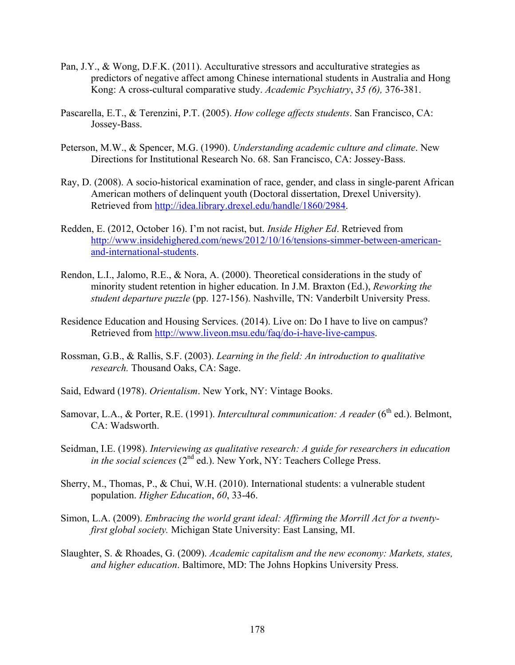- Pan, J.Y., & Wong, D.F.K. (2011). Acculturative stressors and acculturative strategies as predictors of negative affect among Chinese international students in Australia and Hong Kong: A cross-cultural comparative study. *Academic Psychiatry*, *35 (6),* 376-381.
- Pascarella, E.T., & Terenzini, P.T. (2005). *How college affects students*. San Francisco, CA: Jossey-Bass.
- Peterson, M.W., & Spencer, M.G. (1990). *Understanding academic culture and climate*. New Directions for Institutional Research No. 68. San Francisco, CA: Jossey-Bass.
- Ray, D. (2008). A socio-historical examination of race, gender, and class in single-parent African American mothers of delinquent youth (Doctoral dissertation, Drexel University). Retrieved from http://idea.library.drexel.edu/handle/1860/2984.
- Redden, E. (2012, October 16). I'm not racist, but. *Inside Higher Ed*. Retrieved from http://www.insidehighered.com/news/2012/10/16/tensions-simmer-between-americanand-international-students.
- Rendon, L.I., Jalomo, R.E., & Nora, A. (2000). Theoretical considerations in the study of minority student retention in higher education. In J.M. Braxton (Ed.), *Reworking the student departure puzzle* (pp. 127-156). Nashville, TN: Vanderbilt University Press.
- Residence Education and Housing Services. (2014). Live on: Do I have to live on campus? Retrieved from http://www.liveon.msu.edu/faq/do-i-have-live-campus.
- Rossman, G.B., & Rallis, S.F. (2003). *Learning in the field: An introduction to qualitative research.* Thousand Oaks, CA: Sage.
- Said, Edward (1978). *Orientalism*. New York, NY: Vintage Books.
- Samovar, L.A., & Porter, R.E. (1991). *Intercultural communication: A reader* (6<sup>th</sup> ed.). Belmont, CA: Wadsworth.
- Seidman, I.E. (1998). *Interviewing as qualitative research: A guide for researchers in education in the social sciences* (2<sup>nd ed.). New York, NY: Teachers College Press.</sup>
- Sherry, M., Thomas, P., & Chui, W.H. (2010). International students: a vulnerable student population. *Higher Education*, *60*, 33-46.
- Simon, L.A. (2009). *Embracing the world grant ideal: Affirming the Morrill Act for a twentyfirst global society.* Michigan State University: East Lansing, MI.
- Slaughter, S. & Rhoades, G. (2009). *Academic capitalism and the new economy: Markets, states, and higher education*. Baltimore, MD: The Johns Hopkins University Press.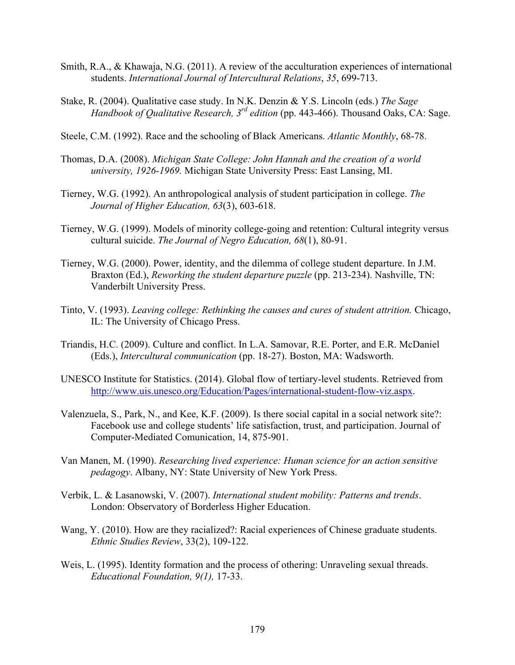- Smith, R.A., & Khawaja, N.G. (2011). A review of the acculturation experiences of international students. *International Journal of Intercultural Relations*, *35*, 699-713.
- Stake, R. (2004). Qualitative case study. In N.K. Denzin & Y.S. Lincoln (eds.) *The Sage Handbook of Qualitative Research, 3rd edition* (pp. 443-466). Thousand Oaks, CA: Sage.
- Steele, C.M. (1992). Race and the schooling of Black Americans. *Atlantic Monthly*, 68-78.
- Thomas, D.A. (2008). *Michigan State College: John Hannah and the creation of a world university, 1926-1969.* Michigan State University Press: East Lansing, MI.
- Tierney, W.G. (1992). An anthropological analysis of student participation in college. *The Journal of Higher Education, 63*(3), 603-618.
- Tierney, W.G. (1999). Models of minority college-going and retention: Cultural integrity versus cultural suicide. *The Journal of Negro Education, 68*(1), 80-91.
- Tierney, W.G. (2000). Power, identity, and the dilemma of college student departure. In J.M. Braxton (Ed.), *Reworking the student departure puzzle* (pp. 213-234). Nashville, TN: Vanderbilt University Press.
- Tinto, V. (1993). *Leaving college: Rethinking the causes and cures of student attrition.* Chicago, IL: The University of Chicago Press.
- Triandis, H.C. (2009). Culture and conflict. In L.A. Samovar, R.E. Porter, and E.R. McDaniel (Eds.), *Intercultural communication* (pp. 18-27). Boston, MA: Wadsworth.
- UNESCO Institute for Statistics. (2014). Global flow of tertiary-level students. Retrieved from http://www.uis.unesco.org/Education/Pages/international-student-flow-viz.aspx.
- Valenzuela, S., Park, N., and Kee, K.F. (2009). Is there social capital in a social network site?: Facebook use and college students' life satisfaction, trust, and participation. Journal of Computer-Mediated Comunication, 14, 875-901.
- Van Manen, M. (1990). *Researching lived experience: Human science for an action sensitive pedagogy*. Albany, NY: State University of New York Press.
- Verbik, L. & Lasanowski, V. (2007). *International student mobility: Patterns and trends*. London: Observatory of Borderless Higher Education.
- Wang, Y. (2010). How are they racialized?: Racial experiences of Chinese graduate students. *Ethnic Studies Review*, 33(2), 109-122.
- Weis, L. (1995). Identity formation and the process of othering: Unraveling sexual threads. *Educational Foundation, 9(1),* 17-33.